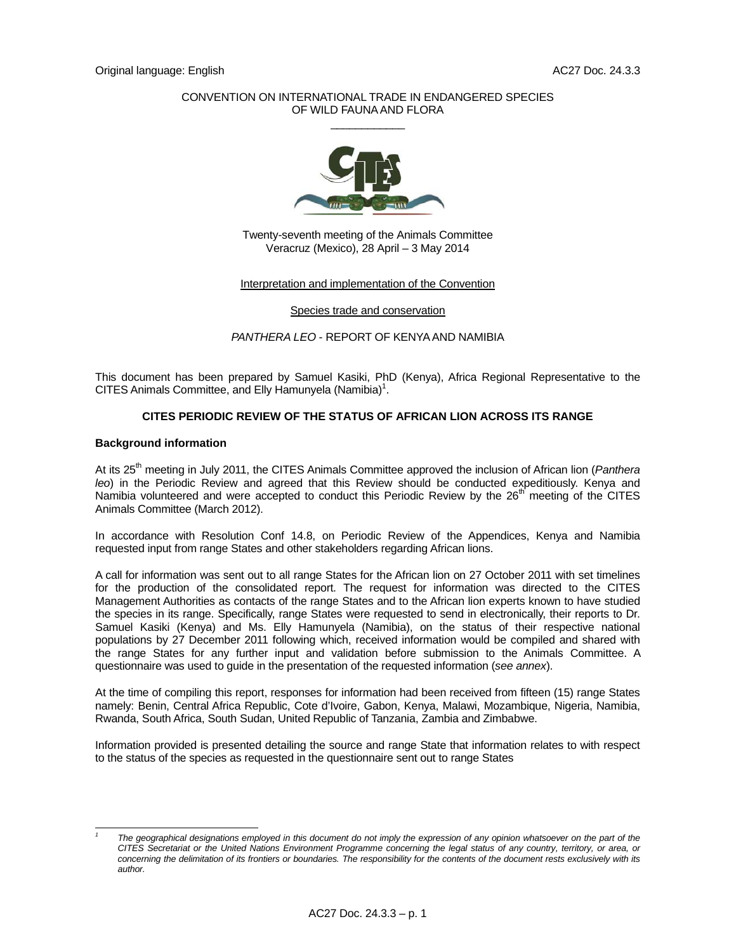### CONVENTION ON INTERNATIONAL TRADE IN ENDANGERED SPECIES OF WILD FAUNA AND FLORA  $\overline{\phantom{a}}$   $\overline{\phantom{a}}$   $\overline{\phantom{a}}$   $\overline{\phantom{a}}$   $\overline{\phantom{a}}$   $\overline{\phantom{a}}$   $\overline{\phantom{a}}$   $\overline{\phantom{a}}$   $\overline{\phantom{a}}$   $\overline{\phantom{a}}$   $\overline{\phantom{a}}$   $\overline{\phantom{a}}$   $\overline{\phantom{a}}$   $\overline{\phantom{a}}$   $\overline{\phantom{a}}$   $\overline{\phantom{a}}$   $\overline{\phantom{a}}$   $\overline{\phantom{a}}$   $\overline{\$



Twenty-seventh meeting of the Animals Committee Veracruz (Mexico), 28 April – 3 May 2014

#### Interpretation and implementation of the Convention

Species trade and conservation

*PANTHERA LEO* - REPORT OF KENYA AND NAMIBIA

This document has been prepared by Samuel Kasiki, PhD (Kenya), Africa Regional Representative to the CITES Animals Committee, and Elly Hamunyela (Namibia) $1$ .

### **CITES PERIODIC REVIEW OF THE STATUS OF AFRICAN LION ACROSS ITS RANGE**

#### **Background information**

 $\overline{a}$ *1*

At its 25th meeting in July 2011, the CITES Animals Committee approved the inclusion of African lion (*Panthera leo*) in the Periodic Review and agreed that this Review should be conducted expeditiously. Kenya and Namibia volunteered and were accepted to conduct this Periodic Review by the 26<sup>th</sup> meeting of the CITES Animals Committee (March 2012).

In accordance with Resolution Conf 14.8, on Periodic Review of the Appendices, Kenya and Namibia requested input from range States and other stakeholders regarding African lions.

A call for information was sent out to all range States for the African lion on 27 October 2011 with set timelines for the production of the consolidated report. The request for information was directed to the CITES Management Authorities as contacts of the range States and to the African lion experts known to have studied the species in its range. Specifically, range States were requested to send in electronically, their reports to Dr. Samuel Kasiki (Kenya) and Ms. Elly Hamunyela (Namibia), on the status of their respective national populations by 27 December 2011 following which, received information would be compiled and shared with the range States for any further input and validation before submission to the Animals Committee. A questionnaire was used to guide in the presentation of the requested information (*see annex*).

At the time of compiling this report, responses for information had been received from fifteen (15) range States namely: Benin, Central Africa Republic, Cote d'Ivoire, Gabon, Kenya, Malawi, Mozambique, Nigeria, Namibia, Rwanda, South Africa, South Sudan, United Republic of Tanzania, Zambia and Zimbabwe.

Information provided is presented detailing the source and range State that information relates to with respect to the status of the species as requested in the questionnaire sent out to range States

The geographical designations employed in this document do not imply the expression of any opinion whatsoever on the part of the *CITES Secretariat or the United Nations Environment Programme concerning the legal status of any country, territory, or area, or concerning the delimitation of its frontiers or boundaries. The responsibility for the contents of the document rests exclusively with its author.*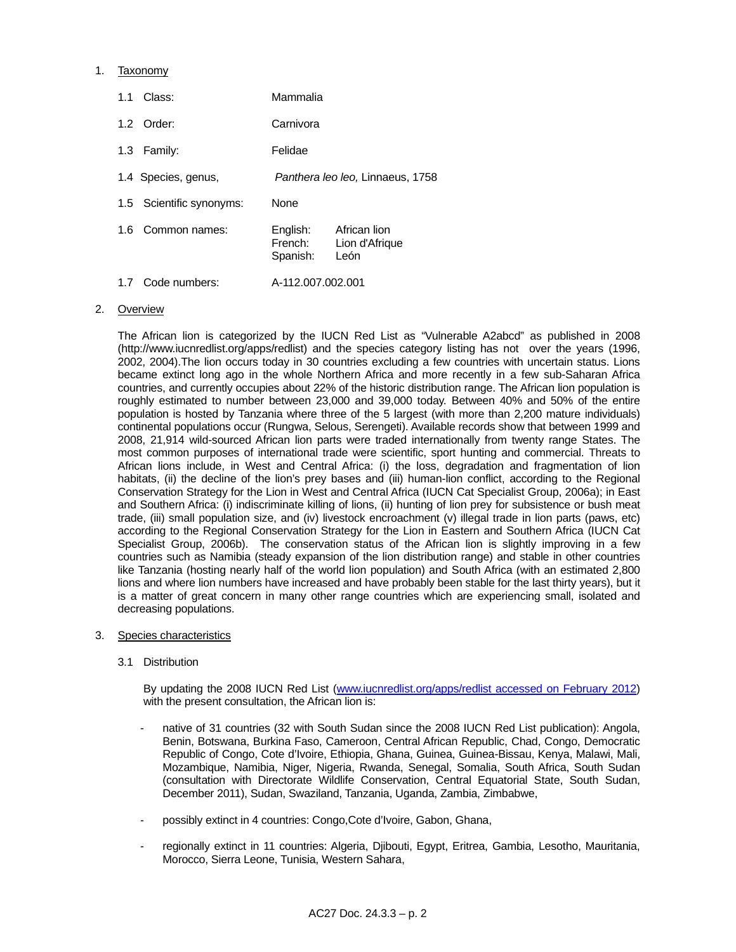### 1. Taxonomy

| Class:<br>1.1               | Mammalia                                                                  |
|-----------------------------|---------------------------------------------------------------------------|
| 1.2 Order:                  | Carnivora                                                                 |
| Family:<br>1.3 <sup>°</sup> | Felidae                                                                   |
| 1.4 Species, genus,         | Panthera leo leo, Linnaeus, 1758                                          |
| 1.5 Scientific synonyms:    | <b>None</b>                                                               |
| Common names:<br>1.6        | English:<br>African lion<br>French:<br>Lion d'Afrique<br>León<br>Spanish: |
| Code numbers:<br>1.7        | A-112.007.002.001                                                         |

#### 2. Overview

 The African lion is categorized by the IUCN Red List as "Vulnerable A2abcd" as published in 2008 (http://www.iucnredlist.org/apps/redlist) and the species category listing has not over the years (1996, 2002, 2004).The lion occurs today in 30 countries excluding a few countries with uncertain status. Lions became extinct long ago in the whole Northern Africa and more recently in a few sub-Saharan Africa countries, and currently occupies about 22% of the historic distribution range. The African lion population is roughly estimated to number between 23,000 and 39,000 today. Between 40% and 50% of the entire population is hosted by Tanzania where three of the 5 largest (with more than 2,200 mature individuals) continental populations occur (Rungwa, Selous, Serengeti). Available records show that between 1999 and 2008, 21,914 wild-sourced African lion parts were traded internationally from twenty range States. The most common purposes of international trade were scientific, sport hunting and commercial. Threats to African lions include, in West and Central Africa: (i) the loss, degradation and fragmentation of lion habitats, (ii) the decline of the lion's prey bases and (iii) human-lion conflict, according to the Regional Conservation Strategy for the Lion in West and Central Africa (IUCN Cat Specialist Group, 2006a); in East and Southern Africa: (i) indiscriminate killing of lions, (ii) hunting of lion prey for subsistence or bush meat trade, (iii) small population size, and (iv) livestock encroachment (v) illegal trade in lion parts (paws, etc) according to the Regional Conservation Strategy for the Lion in Eastern and Southern Africa (IUCN Cat Specialist Group, 2006b). The conservation status of the African lion is slightly improving in a few countries such as Namibia (steady expansion of the lion distribution range) and stable in other countries like Tanzania (hosting nearly half of the world lion population) and South Africa (with an estimated 2,800 lions and where lion numbers have increased and have probably been stable for the last thirty years), but it is a matter of great concern in many other range countries which are experiencing small, isolated and decreasing populations.

- 3. Species characteristics
	- 3.1 Distribution

 By updating the 2008 IUCN Red List (www.iucnredlist.org/apps/redlist accessed on February 2012) with the present consultation, the African lion is:

- native of 31 countries (32 with South Sudan since the 2008 IUCN Red List publication): Angola, Benin, Botswana, Burkina Faso, Cameroon, Central African Republic, Chad, Congo, Democratic Republic of Congo, Cote d'Ivoire, Ethiopia, Ghana, Guinea, Guinea-Bissau, Kenya, Malawi, Mali, Mozambique, Namibia, Niger, Nigeria, Rwanda, Senegal, Somalia, South Africa, South Sudan (consultation with Directorate Wildlife Conservation, Central Equatorial State, South Sudan, December 2011), Sudan, Swaziland, Tanzania, Uganda, Zambia, Zimbabwe,
- possibly extinct in 4 countries: Congo, Cote d'Ivoire, Gabon, Ghana,
- regionally extinct in 11 countries: Algeria, Djibouti, Egypt, Eritrea, Gambia, Lesotho, Mauritania, Morocco, Sierra Leone, Tunisia, Western Sahara,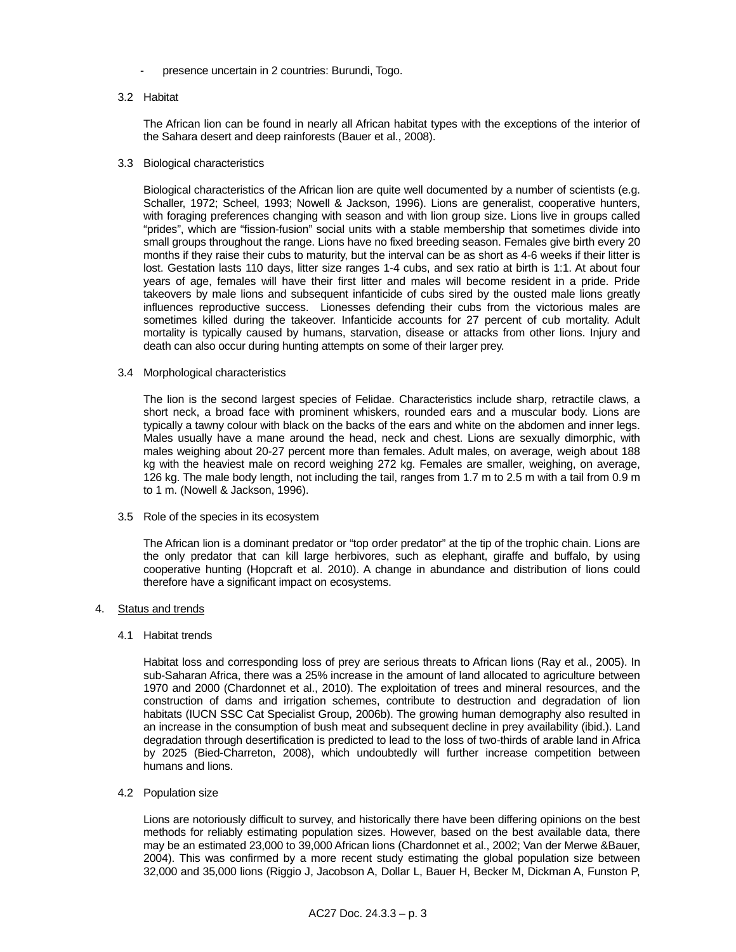- presence uncertain in 2 countries: Burundi, Togo.

#### 3.2 Habitat

 The African lion can be found in nearly all African habitat types with the exceptions of the interior of the Sahara desert and deep rainforests (Bauer et al., 2008).

#### 3.3 Biological characteristics

 Biological characteristics of the African lion are quite well documented by a number of scientists (e.g. Schaller, 1972; Scheel, 1993; Nowell & Jackson, 1996). Lions are generalist, cooperative hunters, with foraging preferences changing with season and with lion group size. Lions live in groups called "prides", which are "fission-fusion" social units with a stable membership that sometimes divide into small groups throughout the range. Lions have no fixed breeding season. Females give birth every 20 months if they raise their cubs to maturity, but the interval can be as short as 4-6 weeks if their litter is lost. Gestation lasts 110 days, litter size ranges 1-4 cubs, and sex ratio at birth is 1:1. At about four years of age, females will have their first litter and males will become resident in a pride. Pride takeovers by male lions and subsequent infanticide of cubs sired by the ousted male lions greatly influences reproductive success. Lionesses defending their cubs from the victorious males are sometimes killed during the takeover. Infanticide accounts for 27 percent of cub mortality. Adult mortality is typically caused by humans, starvation, disease or attacks from other lions. Injury and death can also occur during hunting attempts on some of their larger prey.

#### 3.4 Morphological characteristics

 The lion is the second largest species of Felidae. Characteristics include sharp, retractile claws, a short neck, a broad face with prominent whiskers, rounded ears and a muscular body. Lions are typically a tawny colour with black on the backs of the ears and white on the abdomen and inner legs. Males usually have a mane around the head, neck and chest. Lions are sexually dimorphic, with males weighing about 20-27 percent more than females. Adult males, on average, weigh about 188 kg with the heaviest male on record weighing 272 kg. Females are smaller, weighing, on average, 126 kg. The male body length, not including the tail, ranges from 1.7 m to 2.5 m with a tail from 0.9 m to 1 m. (Nowell & Jackson, 1996).

3.5 Role of the species in its ecosystem

 The African lion is a dominant predator or "top order predator" at the tip of the trophic chain. Lions are the only predator that can kill large herbivores, such as elephant, giraffe and buffalo, by using cooperative hunting (Hopcraft et al. 2010). A change in abundance and distribution of lions could therefore have a significant impact on ecosystems.

### 4. Status and trends

### 4.1 Habitat trends

 Habitat loss and corresponding loss of prey are serious threats to African lions (Ray et al., 2005). In sub-Saharan Africa, there was a 25% increase in the amount of land allocated to agriculture between 1970 and 2000 (Chardonnet et al., 2010). The exploitation of trees and mineral resources, and the construction of dams and irrigation schemes, contribute to destruction and degradation of lion habitats (IUCN SSC Cat Specialist Group, 2006b). The growing human demography also resulted in an increase in the consumption of bush meat and subsequent decline in prey availability (ibid.). Land degradation through desertification is predicted to lead to the loss of two-thirds of arable land in Africa by 2025 (Bied-Charreton, 2008), which undoubtedly will further increase competition between humans and lions.

### 4.2 Population size

 Lions are notoriously difficult to survey, and historically there have been differing opinions on the best methods for reliably estimating population sizes. However, based on the best available data, there may be an estimated 23,000 to 39,000 African lions (Chardonnet et al., 2002; Van der Merwe &Bauer, 2004). This was confirmed by a more recent study estimating the global population size between 32,000 and 35,000 lions (Riggio J, Jacobson A, Dollar L, Bauer H, Becker M, Dickman A, Funston P,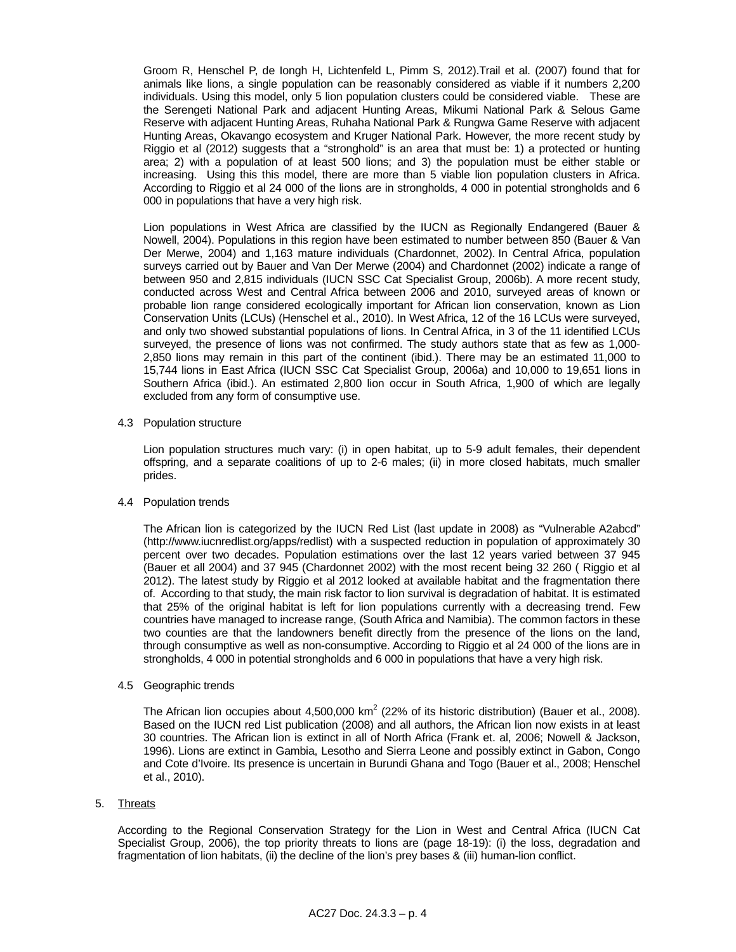Groom R, Henschel P, de Iongh H, Lichtenfeld L, Pimm S, 2012).Trail et al. (2007) found that for animals like lions, a single population can be reasonably considered as viable if it numbers 2,200 individuals. Using this model, only 5 lion population clusters could be considered viable. These are the Serengeti National Park and adjacent Hunting Areas, Mikumi National Park & Selous Game Reserve with adjacent Hunting Areas, Ruhaha National Park & Rungwa Game Reserve with adjacent Hunting Areas, Okavango ecosystem and Kruger National Park. However, the more recent study by Riggio et al (2012) suggests that a "stronghold" is an area that must be: 1) a protected or hunting area; 2) with a population of at least 500 lions; and 3) the population must be either stable or increasing. Using this this model, there are more than 5 viable lion population clusters in Africa. According to Riggio et al 24 000 of the lions are in strongholds, 4 000 in potential strongholds and 6 000 in populations that have a very high risk.

 Lion populations in West Africa are classified by the IUCN as Regionally Endangered (Bauer & Nowell, 2004). Populations in this region have been estimated to number between 850 (Bauer & Van Der Merwe, 2004) and 1,163 mature individuals (Chardonnet, 2002). In Central Africa, population surveys carried out by Bauer and Van Der Merwe (2004) and Chardonnet (2002) indicate a range of between 950 and 2,815 individuals (IUCN SSC Cat Specialist Group, 2006b). A more recent study, conducted across West and Central Africa between 2006 and 2010, surveyed areas of known or probable lion range considered ecologically important for African lion conservation, known as Lion Conservation Units (LCUs) (Henschel et al., 2010). In West Africa, 12 of the 16 LCUs were surveyed, and only two showed substantial populations of lions. In Central Africa, in 3 of the 11 identified LCUs surveyed, the presence of lions was not confirmed. The study authors state that as few as 1,000- 2,850 lions may remain in this part of the continent (ibid.). There may be an estimated 11,000 to 15,744 lions in East Africa (IUCN SSC Cat Specialist Group, 2006a) and 10,000 to 19,651 lions in Southern Africa (ibid.). An estimated 2,800 lion occur in South Africa, 1,900 of which are legally excluded from any form of consumptive use.

4.3 Population structure

 Lion population structures much vary: (i) in open habitat, up to 5-9 adult females, their dependent offspring, and a separate coalitions of up to 2-6 males; (ii) in more closed habitats, much smaller prides.

4.4 Population trends

 The African lion is categorized by the IUCN Red List (last update in 2008) as "Vulnerable A2abcd" (http://www.iucnredlist.org/apps/redlist) with a suspected reduction in population of approximately 30 percent over two decades. Population estimations over the last 12 years varied between 37 945 (Bauer et all 2004) and 37 945 (Chardonnet 2002) with the most recent being 32 260 ( Riggio et al 2012). The latest study by Riggio et al 2012 looked at available habitat and the fragmentation there of. According to that study, the main risk factor to lion survival is degradation of habitat. It is estimated that 25% of the original habitat is left for lion populations currently with a decreasing trend. Few countries have managed to increase range, (South Africa and Namibia). The common factors in these two counties are that the landowners benefit directly from the presence of the lions on the land, through consumptive as well as non-consumptive. According to Riggio et al 24 000 of the lions are in strongholds, 4 000 in potential strongholds and 6 000 in populations that have a very high risk.

4.5 Geographic trends

The African lion occupies about 4,500,000 km<sup>2</sup> (22% of its historic distribution) (Bauer et al., 2008). Based on the IUCN red List publication (2008) and all authors, the African lion now exists in at least 30 countries. The African lion is extinct in all of North Africa (Frank et. al, 2006; Nowell & Jackson, 1996). Lions are extinct in Gambia, Lesotho and Sierra Leone and possibly extinct in Gabon, Congo and Cote d'Ivoire. Its presence is uncertain in Burundi Ghana and Togo (Bauer et al., 2008; Henschel et al., 2010).

### 5. Threats

 According to the Regional Conservation Strategy for the Lion in West and Central Africa (IUCN Cat Specialist Group, 2006), the top priority threats to lions are (page 18-19): (i) the loss, degradation and fragmentation of lion habitats, (ii) the decline of the lion's prey bases & (iii) human-lion conflict.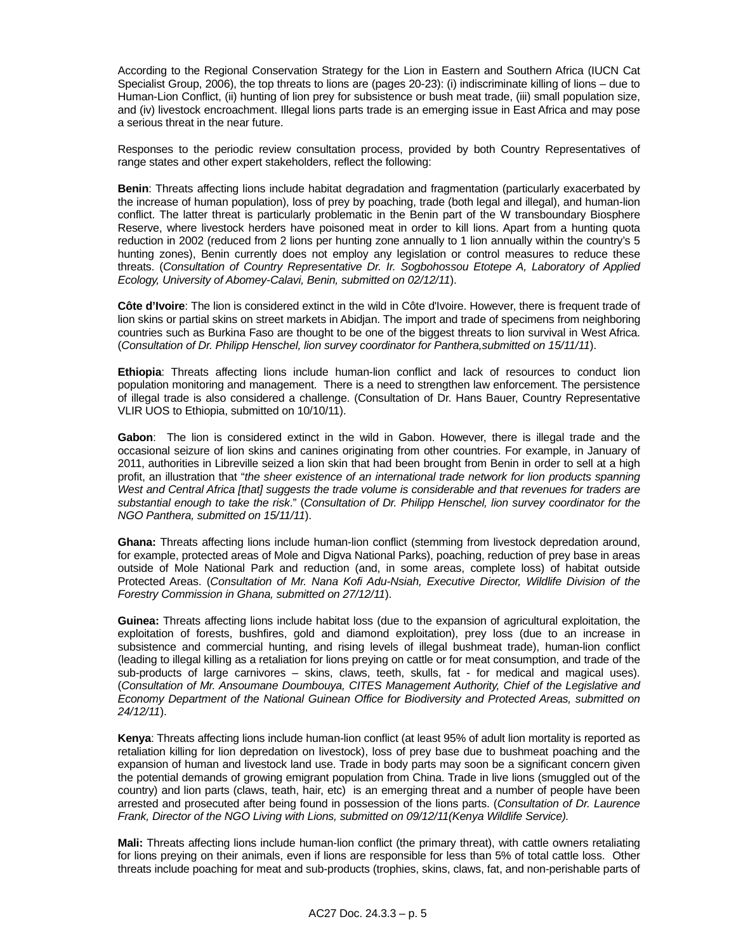According to the Regional Conservation Strategy for the Lion in Eastern and Southern Africa (IUCN Cat Specialist Group, 2006), the top threats to lions are (pages 20-23): (i) indiscriminate killing of lions – due to Human-Lion Conflict, (ii) hunting of lion prey for subsistence or bush meat trade, (iii) small population size, and (iv) livestock encroachment. Illegal lions parts trade is an emerging issue in East Africa and may pose a serious threat in the near future.

 Responses to the periodic review consultation process, provided by both Country Representatives of range states and other expert stakeholders, reflect the following:

**Benin**: Threats affecting lions include habitat degradation and fragmentation (particularly exacerbated by the increase of human population), loss of prey by poaching, trade (both legal and illegal), and human-lion conflict. The latter threat is particularly problematic in the Benin part of the W transboundary Biosphere Reserve, where livestock herders have poisoned meat in order to kill lions. Apart from a hunting quota reduction in 2002 (reduced from 2 lions per hunting zone annually to 1 lion annually within the country's 5 hunting zones), Benin currently does not employ any legislation or control measures to reduce these threats. (*Consultation of Country Representative Dr. Ir. Sogbohossou Etotepe A, Laboratory of Applied Ecology, University of Abomey-Calavi, Benin, submitted on 02/12/11*).

**Côte d'Ivoire**: The lion is considered extinct in the wild in Côte d'Ivoire. However, there is frequent trade of lion skins or partial skins on street markets in Abidjan. The import and trade of specimens from neighboring countries such as Burkina Faso are thought to be one of the biggest threats to lion survival in West Africa. (*Consultation of Dr. Philipp Henschel, lion survey coordinator for Panthera,submitted on 15/11/11*).

**Ethiopia**: Threats affecting lions include human-lion conflict and lack of resources to conduct lion population monitoring and management. There is a need to strengthen law enforcement. The persistence of illegal trade is also considered a challenge. (Consultation of Dr. Hans Bauer, Country Representative VLIR UOS to Ethiopia, submitted on 10/10/11).

**Gabon**: The lion is considered extinct in the wild in Gabon. However, there is illegal trade and the occasional seizure of lion skins and canines originating from other countries. For example, in January of 2011, authorities in Libreville seized a lion skin that had been brought from Benin in order to sell at a high profit, an illustration that "*the sheer existence of an international trade network for lion products spanning West and Central Africa [that] suggests the trade volume is considerable and that revenues for traders are substantial enough to take the risk*." (*Consultation of Dr. Philipp Henschel, lion survey coordinator for the NGO Panthera, submitted on 15/11/11*).

**Ghana:** Threats affecting lions include human-lion conflict (stemming from livestock depredation around, for example, protected areas of Mole and Digva National Parks), poaching, reduction of prey base in areas outside of Mole National Park and reduction (and, in some areas, complete loss) of habitat outside Protected Areas. (*Consultation of Mr. Nana Kofi Adu-Nsiah, Executive Director, Wildlife Division of the Forestry Commission in Ghana, submitted on 27/12/11*).

**Guinea:** Threats affecting lions include habitat loss (due to the expansion of agricultural exploitation, the exploitation of forests, bushfires, gold and diamond exploitation), prey loss (due to an increase in subsistence and commercial hunting, and rising levels of illegal bushmeat trade), human-lion conflict (leading to illegal killing as a retaliation for lions preying on cattle or for meat consumption, and trade of the sub-products of large carnivores – skins, claws, teeth, skulls, fat - for medical and magical uses). (*Consultation of Mr. Ansoumane Doumbouya, CITES Management Authority, Chief of the Legislative and Economy Department of the National Guinean Office for Biodiversity and Protected Areas, submitted on 24/12/11*).

 **Kenya**: Threats affecting lions include human-lion conflict (at least 95% of adult lion mortality is reported as retaliation killing for lion depredation on livestock), loss of prey base due to bushmeat poaching and the expansion of human and livestock land use. Trade in body parts may soon be a significant concern given the potential demands of growing emigrant population from China. Trade in live lions (smuggled out of the country) and lion parts (claws, teath, hair, etc) is an emerging threat and a number of people have been arrested and prosecuted after being found in possession of the lions parts. (*Consultation of Dr. Laurence Frank, Director of the NGO Living with Lions, submitted on 09/12/11(Kenya Wildlife Service).* 

 **Mali:** Threats affecting lions include human-lion conflict (the primary threat), with cattle owners retaliating for lions preying on their animals, even if lions are responsible for less than 5% of total cattle loss. Other threats include poaching for meat and sub-products (trophies, skins, claws, fat, and non-perishable parts of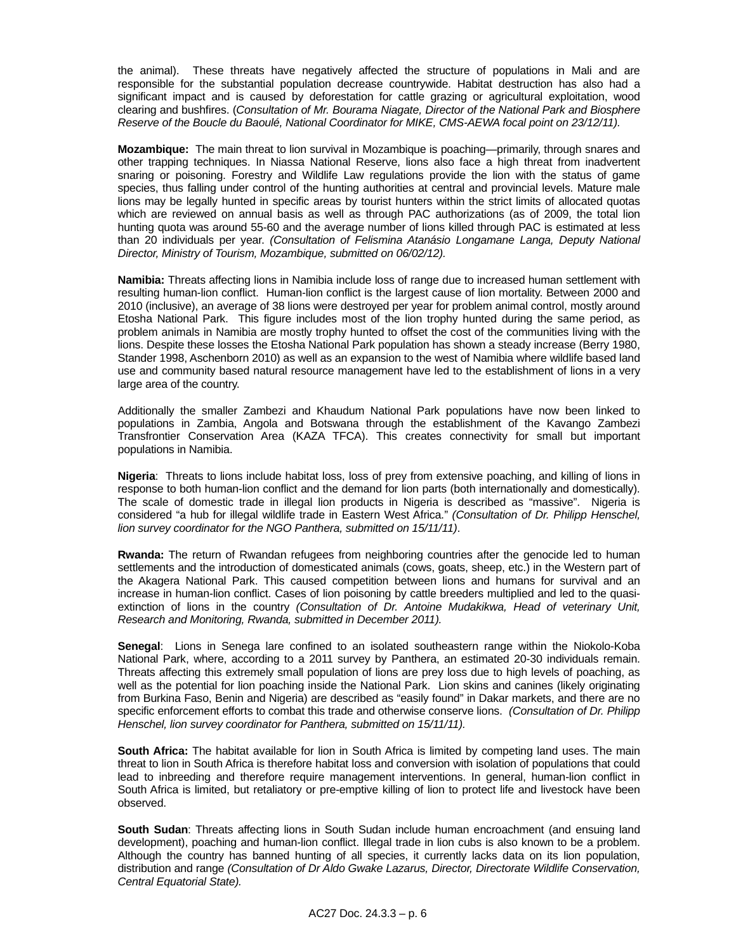the animal). These threats have negatively affected the structure of populations in Mali and are responsible for the substantial population decrease countrywide. Habitat destruction has also had a significant impact and is caused by deforestation for cattle grazing or agricultural exploitation, wood clearing and bushfires. (*Consultation of Mr. Bourama Niagate, Director of the National Park and Biosphere Reserve of the Boucle du Baoulé, National Coordinator for MIKE, CMS-AEWA focal point on 23/12/11).* 

 **Mozambique:** The main threat to lion survival in Mozambique is poaching—primarily, through snares and other trapping techniques. In Niassa National Reserve, lions also face a high threat from inadvertent snaring or poisoning. Forestry and Wildlife Law regulations provide the lion with the status of game species, thus falling under control of the hunting authorities at central and provincial levels. Mature male lions may be legally hunted in specific areas by tourist hunters within the strict limits of allocated quotas which are reviewed on annual basis as well as through PAC authorizations (as of 2009, the total lion hunting quota was around 55-60 and the average number of lions killed through PAC is estimated at less than 20 individuals per year. *(Consultation of Felismina Atanásio Longamane Langa, Deputy National Director, Ministry of Tourism, Mozambique, submitted on 06/02/12).* 

 **Namibia:** Threats affecting lions in Namibia include loss of range due to increased human settlement with resulting human-lion conflict. Human-lion conflict is the largest cause of lion mortality. Between 2000 and 2010 (inclusive), an average of 38 lions were destroyed per year for problem animal control, mostly around Etosha National Park. This figure includes most of the lion trophy hunted during the same period, as problem animals in Namibia are mostly trophy hunted to offset the cost of the communities living with the lions. Despite these losses the Etosha National Park population has shown a steady increase (Berry 1980, Stander 1998, Aschenborn 2010) as well as an expansion to the west of Namibia where wildlife based land use and community based natural resource management have led to the establishment of lions in a very large area of the country.

 Additionally the smaller Zambezi and Khaudum National Park populations have now been linked to populations in Zambia, Angola and Botswana through the establishment of the Kavango Zambezi Transfrontier Conservation Area (KAZA TFCA). This creates connectivity for small but important populations in Namibia.

 **Nigeria**: Threats to lions include habitat loss, loss of prey from extensive poaching, and killing of lions in response to both human-lion conflict and the demand for lion parts (both internationally and domestically). The scale of domestic trade in illegal lion products in Nigeria is described as "massive". Nigeria is considered "a hub for illegal wildlife trade in Eastern West Africa." *(Consultation of Dr. Philipp Henschel, lion survey coordinator for the NGO Panthera, submitted on 15/11/11)*.

 **Rwanda:** The return of Rwandan refugees from neighboring countries after the genocide led to human settlements and the introduction of domesticated animals (cows, goats, sheep, etc.) in the Western part of the Akagera National Park. This caused competition between lions and humans for survival and an increase in human-lion conflict. Cases of lion poisoning by cattle breeders multiplied and led to the quasiextinction of lions in the country *(Consultation of Dr. Antoine Mudakikwa, Head of veterinary Unit, Research and Monitoring, Rwanda, submitted in December 2011).*

 **Senegal**: Lions in Senega lare confined to an isolated southeastern range within the Niokolo-Koba National Park, where, according to a 2011 survey by Panthera, an estimated 20-30 individuals remain. Threats affecting this extremely small population of lions are prey loss due to high levels of poaching, as well as the potential for lion poaching inside the National Park. Lion skins and canines (likely originating from Burkina Faso, Benin and Nigeria) are described as "easily found" in Dakar markets, and there are no specific enforcement efforts to combat this trade and otherwise conserve lions. *(Consultation of Dr. Philipp Henschel, lion survey coordinator for Panthera, submitted on 15/11/11).* 

 **South Africa:** The habitat available for lion in South Africa is limited by competing land uses. The main threat to lion in South Africa is therefore habitat loss and conversion with isolation of populations that could lead to inbreeding and therefore require management interventions. In general, human-lion conflict in South Africa is limited, but retaliatory or pre-emptive killing of lion to protect life and livestock have been observed.

 **South Sudan**: Threats affecting lions in South Sudan include human encroachment (and ensuing land development), poaching and human-lion conflict. Illegal trade in lion cubs is also known to be a problem. Although the country has banned hunting of all species, it currently lacks data on its lion population, distribution and range *(Consultation of Dr Aldo Gwake Lazarus, Director, Directorate Wildlife Conservation, Central Equatorial State).*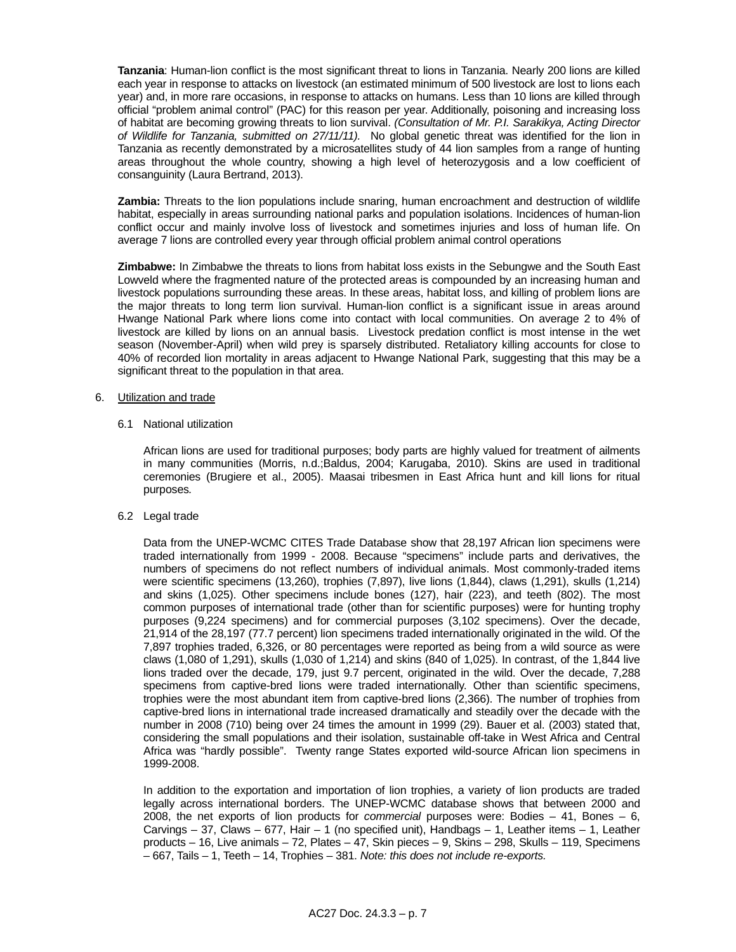**Tanzania**: Human-lion conflict is the most significant threat to lions in Tanzania. Nearly 200 lions are killed each year in response to attacks on livestock (an estimated minimum of 500 livestock are lost to lions each year) and, in more rare occasions, in response to attacks on humans. Less than 10 lions are killed through official "problem animal control" (PAC) for this reason per year. Additionally, poisoning and increasing loss of habitat are becoming growing threats to lion survival. *(Consultation of Mr. P.I. Sarakikya, Acting Director of Wildlife for Tanzania, submitted on 27/11/11).* No global genetic threat was identified for the lion in Tanzania as recently demonstrated by a microsatellites study of 44 lion samples from a range of hunting areas throughout the whole country, showing a high level of heterozygosis and a low coefficient of consanguinity (Laura Bertrand, 2013).

 **Zambia:** Threats to the lion populations include snaring, human encroachment and destruction of wildlife habitat, especially in areas surrounding national parks and population isolations. Incidences of human-lion conflict occur and mainly involve loss of livestock and sometimes injuries and loss of human life. On average 7 lions are controlled every year through official problem animal control operations

 **Zimbabwe:** In Zimbabwe the threats to lions from habitat loss exists in the Sebungwe and the South East Lowveld where the fragmented nature of the protected areas is compounded by an increasing human and livestock populations surrounding these areas. In these areas, habitat loss, and killing of problem lions are the major threats to long term lion survival. Human-lion conflict is a significant issue in areas around Hwange National Park where lions come into contact with local communities. On average 2 to 4% of livestock are killed by lions on an annual basis. Livestock predation conflict is most intense in the wet season (November-April) when wild prey is sparsely distributed. Retaliatory killing accounts for close to 40% of recorded lion mortality in areas adjacent to Hwange National Park, suggesting that this may be a significant threat to the population in that area.

### 6. Utilization and trade

6.1 National utilization

 African lions are used for traditional purposes; body parts are highly valued for treatment of ailments in many communities (Morris, n.d.;Baldus, 2004; Karugaba, 2010). Skins are used in traditional ceremonies (Brugiere et al., 2005). Maasai tribesmen in East Africa hunt and kill lions for ritual purposes*.* 

6.2 Legal trade

 Data from the UNEP-WCMC CITES Trade Database show that 28,197 African lion specimens were traded internationally from 1999 - 2008. Because "specimens" include parts and derivatives, the numbers of specimens do not reflect numbers of individual animals. Most commonly-traded items were scientific specimens (13,260), trophies (7,897), live lions (1,844), claws (1,291), skulls (1,214) and skins (1,025). Other specimens include bones (127), hair (223), and teeth (802). The most common purposes of international trade (other than for scientific purposes) were for hunting trophy purposes (9,224 specimens) and for commercial purposes (3,102 specimens). Over the decade, 21,914 of the 28,197 (77.7 percent) lion specimens traded internationally originated in the wild. Of the 7,897 trophies traded, 6,326, or 80 percentages were reported as being from a wild source as were claws (1,080 of 1,291), skulls (1,030 of 1,214) and skins (840 of 1,025). In contrast, of the 1,844 live lions traded over the decade, 179, just 9.7 percent, originated in the wild. Over the decade, 7,288 specimens from captive-bred lions were traded internationally. Other than scientific specimens, trophies were the most abundant item from captive-bred lions (2,366). The number of trophies from captive-bred lions in international trade increased dramatically and steadily over the decade with the number in 2008 (710) being over 24 times the amount in 1999 (29). Bauer et al. (2003) stated that, considering the small populations and their isolation, sustainable off-take in West Africa and Central Africa was "hardly possible". Twenty range States exported wild-source African lion specimens in 1999-2008.

 In addition to the exportation and importation of lion trophies, a variety of lion products are traded legally across international borders. The UNEP-WCMC database shows that between 2000 and 2008, the net exports of lion products for *commercial* purposes were: Bodies – 41, Bones – 6, Carvings – 37, Claws – 677, Hair – 1 (no specified unit), Handbags – 1, Leather items – 1, Leather products – 16, Live animals – 72, Plates – 47, Skin pieces – 9, Skins – 298, Skulls – 119, Specimens – 667, Tails – 1, Teeth – 14, Trophies – 381. *Note: this does not include re-exports.*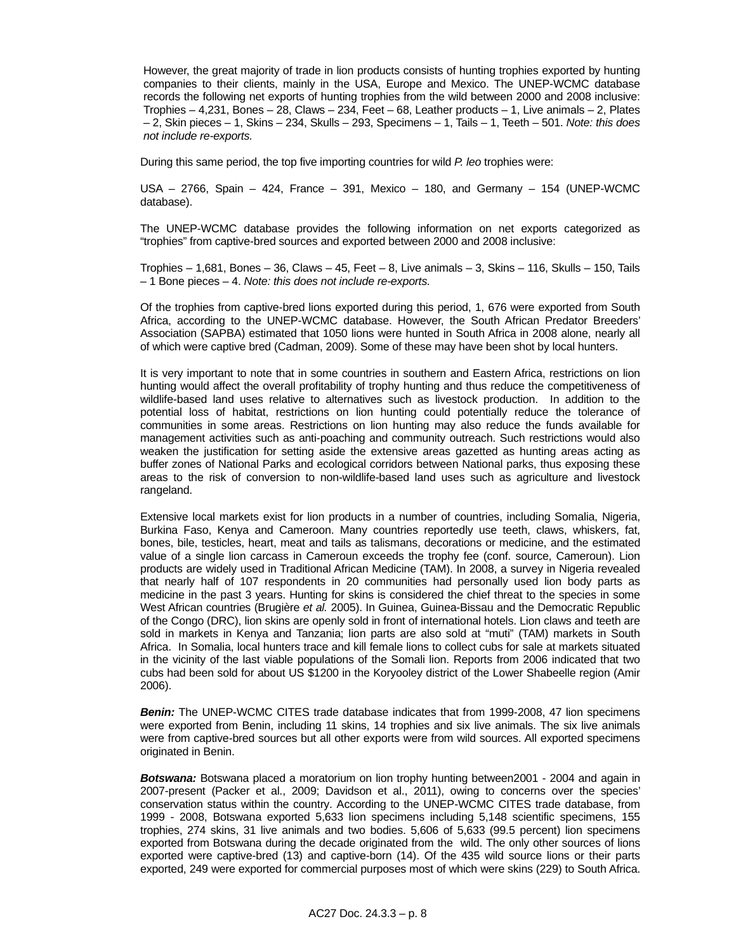However, the great majority of trade in lion products consists of hunting trophies exported by hunting companies to their clients, mainly in the USA, Europe and Mexico. The UNEP-WCMC database records the following net exports of hunting trophies from the wild between 2000 and 2008 inclusive: Trophies – 4,231, Bones – 28, Claws – 234, Feet – 68, Leather products – 1, Live animals – 2, Plates – 2, Skin pieces – 1, Skins – 234, Skulls – 293, Specimens – 1, Tails – 1, Teeth – 501. *Note: this does not include re-exports.* 

During this same period, the top five importing countries for wild *P. leo* trophies were:

 USA – 2766, Spain – 424, France – 391, Mexico – 180, and Germany – 154 (UNEP-WCMC database).

 The UNEP-WCMC database provides the following information on net exports categorized as "trophies" from captive-bred sources and exported between 2000 and 2008 inclusive:

 Trophies – 1,681, Bones – 36, Claws – 45, Feet – 8, Live animals – 3, Skins – 116, Skulls – 150, Tails – 1 Bone pieces – 4. *Note: this does not include re-exports.* 

 Of the trophies from captive-bred lions exported during this period, 1, 676 were exported from South Africa, according to the UNEP-WCMC database. However, the South African Predator Breeders' Association (SAPBA) estimated that 1050 lions were hunted in South Africa in 2008 alone, nearly all of which were captive bred (Cadman, 2009). Some of these may have been shot by local hunters.

 It is very important to note that in some countries in southern and Eastern Africa, restrictions on lion hunting would affect the overall profitability of trophy hunting and thus reduce the competitiveness of wildlife-based land uses relative to alternatives such as livestock production. In addition to the potential loss of habitat, restrictions on lion hunting could potentially reduce the tolerance of communities in some areas. Restrictions on lion hunting may also reduce the funds available for management activities such as anti-poaching and community outreach. Such restrictions would also weaken the justification for setting aside the extensive areas gazetted as hunting areas acting as buffer zones of National Parks and ecological corridors between National parks, thus exposing these areas to the risk of conversion to non-wildlife-based land uses such as agriculture and livestock rangeland.

 Extensive local markets exist for lion products in a number of countries, including Somalia, Nigeria, Burkina Faso, Kenya and Cameroon. Many countries reportedly use teeth, claws, whiskers, fat, bones, bile, testicles, heart, meat and tails as talismans, decorations or medicine, and the estimated value of a single lion carcass in Cameroun exceeds the trophy fee (conf. source, Cameroun). Lion products are widely used in Traditional African Medicine (TAM). In 2008, a survey in Nigeria revealed that nearly half of 107 respondents in 20 communities had personally used lion body parts as medicine in the past 3 years. Hunting for skins is considered the chief threat to the species in some West African countries (Brugière *et al.* 2005). In Guinea, Guinea-Bissau and the Democratic Republic of the Congo (DRC), lion skins are openly sold in front of international hotels. Lion claws and teeth are sold in markets in Kenya and Tanzania; lion parts are also sold at "muti" (TAM) markets in South Africa. In Somalia, local hunters trace and kill female lions to collect cubs for sale at markets situated in the vicinity of the last viable populations of the Somali lion. Reports from 2006 indicated that two cubs had been sold for about US \$1200 in the Koryooley district of the Lower Shabeelle region (Amir 2006).

**Benin:** The UNEP-WCMC CITES trade database indicates that from 1999-2008, 47 lion specimens were exported from Benin, including 11 skins, 14 trophies and six live animals. The six live animals were from captive-bred sources but all other exports were from wild sources. All exported specimens originated in Benin.

 *Botswana:* Botswana placed a moratorium on lion trophy hunting between2001 - 2004 and again in 2007-present (Packer et al., 2009; Davidson et al., 2011), owing to concerns over the species' conservation status within the country. According to the UNEP-WCMC CITES trade database, from 1999 - 2008, Botswana exported 5,633 lion specimens including 5,148 scientific specimens, 155 trophies, 274 skins, 31 live animals and two bodies. 5,606 of 5,633 (99.5 percent) lion specimens exported from Botswana during the decade originated from the wild. The only other sources of lions exported were captive-bred (13) and captive-born (14). Of the 435 wild source lions or their parts exported, 249 were exported for commercial purposes most of which were skins (229) to South Africa.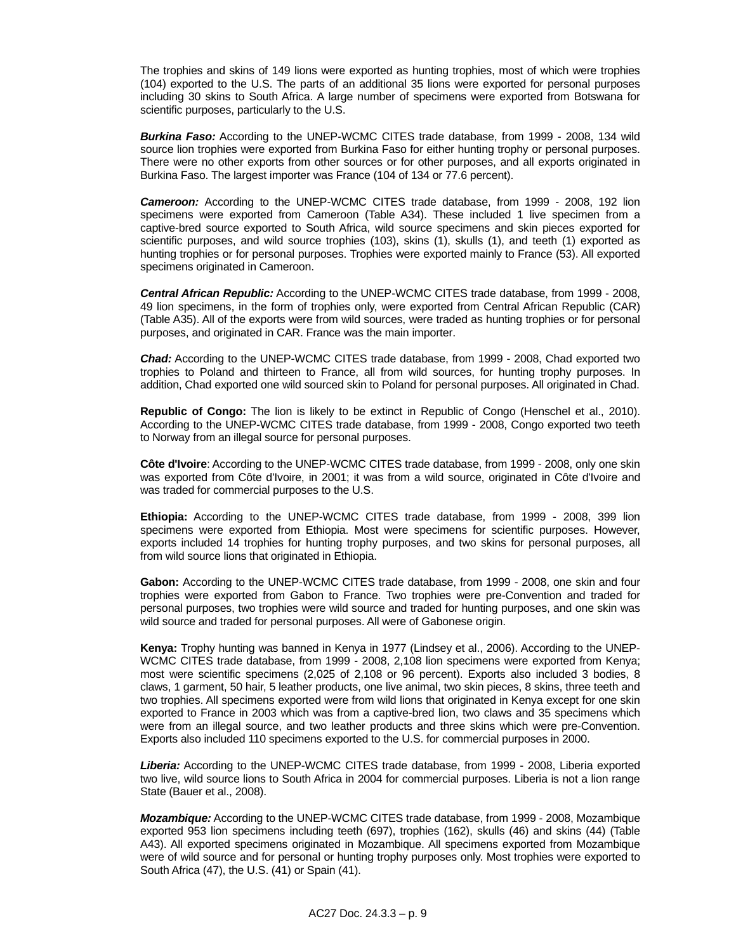The trophies and skins of 149 lions were exported as hunting trophies, most of which were trophies (104) exported to the U.S. The parts of an additional 35 lions were exported for personal purposes including 30 skins to South Africa. A large number of specimens were exported from Botswana for scientific purposes, particularly to the U.S.

 *Burkina Faso:* According to the UNEP-WCMC CITES trade database, from 1999 - 2008, 134 wild source lion trophies were exported from Burkina Faso for either hunting trophy or personal purposes. There were no other exports from other sources or for other purposes, and all exports originated in Burkina Faso. The largest importer was France (104 of 134 or 77.6 percent).

**Cameroon:** According to the UNEP-WCMC CITES trade database, from 1999 - 2008, 192 lion specimens were exported from Cameroon (Table A34). These included 1 live specimen from a captive-bred source exported to South Africa, wild source specimens and skin pieces exported for scientific purposes, and wild source trophies (103), skins (1), skulls (1), and teeth (1) exported as hunting trophies or for personal purposes. Trophies were exported mainly to France (53). All exported specimens originated in Cameroon.

 *Central African Republic:* According to the UNEP-WCMC CITES trade database, from 1999 - 2008, 49 lion specimens, in the form of trophies only, were exported from Central African Republic (CAR) (Table A35). All of the exports were from wild sources, were traded as hunting trophies or for personal purposes, and originated in CAR. France was the main importer.

 *Chad:* According to the UNEP-WCMC CITES trade database, from 1999 - 2008, Chad exported two trophies to Poland and thirteen to France, all from wild sources, for hunting trophy purposes. In addition, Chad exported one wild sourced skin to Poland for personal purposes. All originated in Chad.

 **Republic of Congo:** The lion is likely to be extinct in Republic of Congo (Henschel et al., 2010). According to the UNEP-WCMC CITES trade database, from 1999 - 2008, Congo exported two teeth to Norway from an illegal source for personal purposes.

 **Côte d'Ivoire**: According to the UNEP-WCMC CITES trade database, from 1999 - 2008, only one skin was exported from Côte d'Ivoire, in 2001; it was from a wild source, originated in Côte d'Ivoire and was traded for commercial purposes to the U.S.

 **Ethiopia:** According to the UNEP-WCMC CITES trade database, from 1999 - 2008, 399 lion specimens were exported from Ethiopia. Most were specimens for scientific purposes. However, exports included 14 trophies for hunting trophy purposes, and two skins for personal purposes, all from wild source lions that originated in Ethiopia.

 **Gabon:** According to the UNEP-WCMC CITES trade database, from 1999 - 2008, one skin and four trophies were exported from Gabon to France. Two trophies were pre-Convention and traded for personal purposes, two trophies were wild source and traded for hunting purposes, and one skin was wild source and traded for personal purposes. All were of Gabonese origin.

 **Kenya:** Trophy hunting was banned in Kenya in 1977 (Lindsey et al., 2006). According to the UNEP-WCMC CITES trade database, from 1999 - 2008, 2,108 lion specimens were exported from Kenya; most were scientific specimens (2,025 of 2,108 or 96 percent). Exports also included 3 bodies, 8 claws, 1 garment, 50 hair, 5 leather products, one live animal, two skin pieces, 8 skins, three teeth and two trophies. All specimens exported were from wild lions that originated in Kenya except for one skin exported to France in 2003 which was from a captive-bred lion, two claws and 35 specimens which were from an illegal source, and two leather products and three skins which were pre-Convention. Exports also included 110 specimens exported to the U.S. for commercial purposes in 2000.

 *Liberia:* According to the UNEP-WCMC CITES trade database, from 1999 - 2008, Liberia exported two live, wild source lions to South Africa in 2004 for commercial purposes. Liberia is not a lion range State (Bauer et al., 2008).

 *Mozambique:* According to the UNEP-WCMC CITES trade database, from 1999 - 2008, Mozambique exported 953 lion specimens including teeth (697), trophies (162), skulls (46) and skins (44) (Table A43). All exported specimens originated in Mozambique. All specimens exported from Mozambique were of wild source and for personal or hunting trophy purposes only. Most trophies were exported to South Africa (47), the U.S. (41) or Spain (41).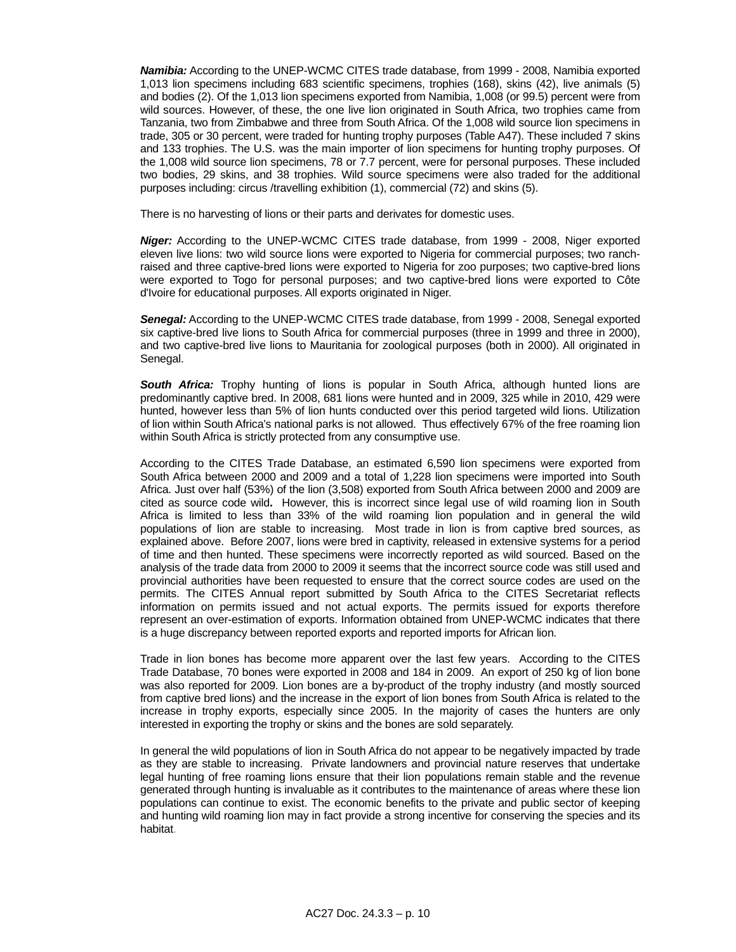*Namibia:* According to the UNEP-WCMC CITES trade database, from 1999 - 2008. Namibia exported 1,013 lion specimens including 683 scientific specimens, trophies (168), skins (42), live animals (5) and bodies (2). Of the 1,013 lion specimens exported from Namibia, 1,008 (or 99.5) percent were from wild sources. However, of these, the one live lion originated in South Africa, two trophies came from Tanzania, two from Zimbabwe and three from South Africa. Of the 1,008 wild source lion specimens in trade, 305 or 30 percent, were traded for hunting trophy purposes (Table A47). These included 7 skins and 133 trophies. The U.S. was the main importer of lion specimens for hunting trophy purposes. Of the 1,008 wild source lion specimens, 78 or 7.7 percent, were for personal purposes. These included two bodies, 29 skins, and 38 trophies. Wild source specimens were also traded for the additional purposes including: circus /travelling exhibition (1), commercial (72) and skins (5).

There is no harvesting of lions or their parts and derivates for domestic uses.

 *Niger:* According to the UNEP-WCMC CITES trade database, from 1999 - 2008, Niger exported eleven live lions: two wild source lions were exported to Nigeria for commercial purposes; two ranchraised and three captive-bred lions were exported to Nigeria for zoo purposes; two captive-bred lions were exported to Togo for personal purposes; and two captive-bred lions were exported to Côte d'Ivoire for educational purposes. All exports originated in Niger.

 *Senegal:* According to the UNEP-WCMC CITES trade database, from 1999 - 2008, Senegal exported six captive-bred live lions to South Africa for commercial purposes (three in 1999 and three in 2000), and two captive-bred live lions to Mauritania for zoological purposes (both in 2000). All originated in Senegal.

**South Africa:** Trophy hunting of lions is popular in South Africa, although hunted lions are predominantly captive bred. In 2008, 681 lions were hunted and in 2009, 325 while in 2010, 429 were hunted, however less than 5% of lion hunts conducted over this period targeted wild lions. Utilization of lion within South Africa's national parks is not allowed. Thus effectively 67% of the free roaming lion within South Africa is strictly protected from any consumptive use.

According to the CITES Trade Database, an estimated 6,590 lion specimens were exported from South Africa between 2000 and 2009 and a total of 1,228 lion specimens were imported into South Africa. Just over half (53%) of the lion (3,508) exported from South Africa between 2000 and 2009 are cited as source code wild**.** However, this is incorrect since legal use of wild roaming lion in South Africa is limited to less than 33% of the wild roaming lion population and in general the wild populations of lion are stable to increasing. Most trade in lion is from captive bred sources, as explained above. Before 2007, lions were bred in captivity, released in extensive systems for a period of time and then hunted. These specimens were incorrectly reported as wild sourced. Based on the analysis of the trade data from 2000 to 2009 it seems that the incorrect source code was still used and provincial authorities have been requested to ensure that the correct source codes are used on the permits. The CITES Annual report submitted by South Africa to the CITES Secretariat reflects information on permits issued and not actual exports. The permits issued for exports therefore represent an over-estimation of exports. Information obtained from UNEP-WCMC indicates that there is a huge discrepancy between reported exports and reported imports for African lion.

 Trade in lion bones has become more apparent over the last few years. According to the CITES Trade Database, 70 bones were exported in 2008 and 184 in 2009. An export of 250 kg of lion bone was also reported for 2009. Lion bones are a by-product of the trophy industry (and mostly sourced from captive bred lions) and the increase in the export of lion bones from South Africa is related to the increase in trophy exports, especially since 2005. In the majority of cases the hunters are only interested in exporting the trophy or skins and the bones are sold separately.

 In general the wild populations of lion in South Africa do not appear to be negatively impacted by trade as they are stable to increasing. Private landowners and provincial nature reserves that undertake legal hunting of free roaming lions ensure that their lion populations remain stable and the revenue generated through hunting is invaluable as it contributes to the maintenance of areas where these lion populations can continue to exist. The economic benefits to the private and public sector of keeping and hunting wild roaming lion may in fact provide a strong incentive for conserving the species and its habitat.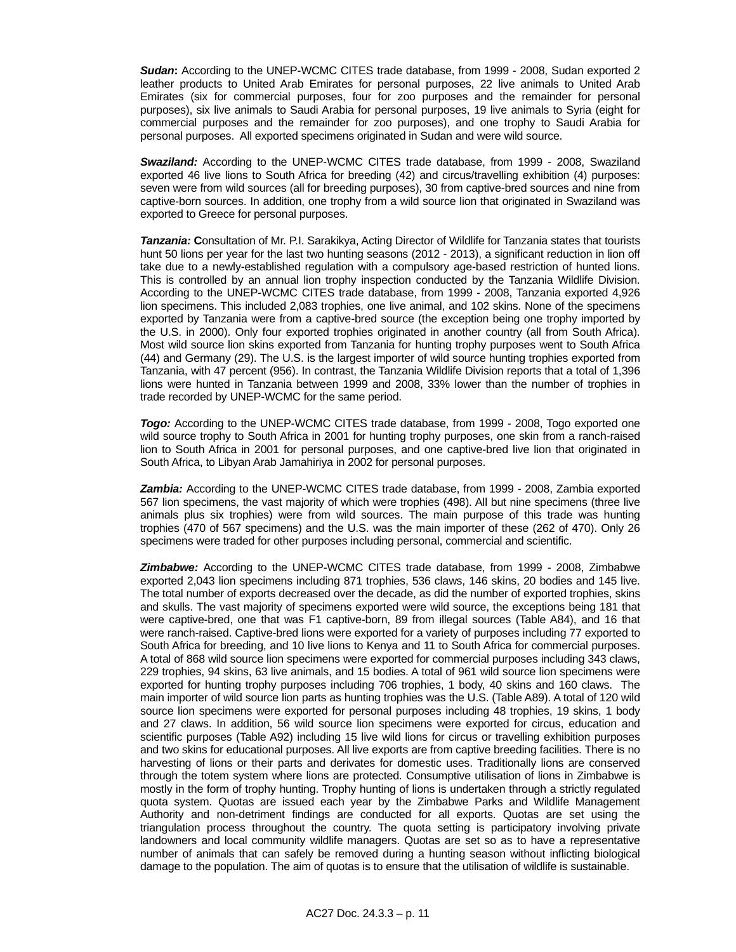*Sudan***:** According to the UNEP-WCMC CITES trade database, from 1999 - 2008, Sudan exported 2 leather products to United Arab Emirates for personal purposes, 22 live animals to United Arab Emirates (six for commercial purposes, four for zoo purposes and the remainder for personal purposes), six live animals to Saudi Arabia for personal purposes, 19 live animals to Syria (eight for commercial purposes and the remainder for zoo purposes), and one trophy to Saudi Arabia for personal purposes. All exported specimens originated in Sudan and were wild source.

 *Swaziland:* According to the UNEP-WCMC CITES trade database, from 1999 - 2008, Swaziland exported 46 live lions to South Africa for breeding (42) and circus/travelling exhibition (4) purposes: seven were from wild sources (all for breeding purposes), 30 from captive-bred sources and nine from captive-born sources. In addition, one trophy from a wild source lion that originated in Swaziland was exported to Greece for personal purposes.

 *Tanzania:* **C**onsultation of Mr. P.I. Sarakikya, Acting Director of Wildlife for Tanzania states that tourists hunt 50 lions per year for the last two hunting seasons (2012 - 2013), a significant reduction in lion off take due to a newly-established regulation with a compulsory age-based restriction of hunted lions. This is controlled by an annual lion trophy inspection conducted by the Tanzania Wildlife Division. According to the UNEP-WCMC CITES trade database, from 1999 - 2008, Tanzania exported 4,926 lion specimens. This included 2,083 trophies, one live animal, and 102 skins. None of the specimens exported by Tanzania were from a captive-bred source (the exception being one trophy imported by the U.S. in 2000). Only four exported trophies originated in another country (all from South Africa). Most wild source lion skins exported from Tanzania for hunting trophy purposes went to South Africa (44) and Germany (29). The U.S. is the largest importer of wild source hunting trophies exported from Tanzania, with 47 percent (956). In contrast, the Tanzania Wildlife Division reports that a total of 1,396 lions were hunted in Tanzania between 1999 and 2008, 33% lower than the number of trophies in trade recorded by UNEP-WCMC for the same period.

**Togo:** According to the UNEP-WCMC CITES trade database, from 1999 - 2008, Togo exported one wild source trophy to South Africa in 2001 for hunting trophy purposes, one skin from a ranch-raised lion to South Africa in 2001 for personal purposes, and one captive-bred live lion that originated in South Africa, to Libyan Arab Jamahiriya in 2002 for personal purposes.

 *Zambia:* According to the UNEP-WCMC CITES trade database, from 1999 - 2008, Zambia exported 567 lion specimens, the vast majority of which were trophies (498). All but nine specimens (three live animals plus six trophies) were from wild sources. The main purpose of this trade was hunting trophies (470 of 567 specimens) and the U.S. was the main importer of these (262 of 470). Only 26 specimens were traded for other purposes including personal, commercial and scientific.

 *Zimbabwe:* According to the UNEP-WCMC CITES trade database, from 1999 - 2008, Zimbabwe exported 2,043 lion specimens including 871 trophies, 536 claws, 146 skins, 20 bodies and 145 live. The total number of exports decreased over the decade, as did the number of exported trophies, skins and skulls. The vast majority of specimens exported were wild source, the exceptions being 181 that were captive-bred, one that was F1 captive-born, 89 from illegal sources (Table A84), and 16 that were ranch-raised. Captive-bred lions were exported for a variety of purposes including 77 exported to South Africa for breeding, and 10 live lions to Kenya and 11 to South Africa for commercial purposes. A total of 868 wild source lion specimens were exported for commercial purposes including 343 claws, 229 trophies, 94 skins, 63 live animals, and 15 bodies. A total of 961 wild source lion specimens were exported for hunting trophy purposes including 706 trophies, 1 body, 40 skins and 160 claws. The main importer of wild source lion parts as hunting trophies was the U.S. (Table A89). A total of 120 wild source lion specimens were exported for personal purposes including 48 trophies, 19 skins, 1 body and 27 claws. In addition, 56 wild source lion specimens were exported for circus, education and scientific purposes (Table A92) including 15 live wild lions for circus or travelling exhibition purposes and two skins for educational purposes. All live exports are from captive breeding facilities. There is no harvesting of lions or their parts and derivates for domestic uses. Traditionally lions are conserved through the totem system where lions are protected. Consumptive utilisation of lions in Zimbabwe is mostly in the form of trophy hunting. Trophy hunting of lions is undertaken through a strictly regulated quota system. Quotas are issued each year by the Zimbabwe Parks and Wildlife Management Authority and non-detriment findings are conducted for all exports. Quotas are set using the triangulation process throughout the country. The quota setting is participatory involving private landowners and local community wildlife managers. Quotas are set so as to have a representative number of animals that can safely be removed during a hunting season without inflicting biological damage to the population. The aim of quotas is to ensure that the utilisation of wildlife is sustainable.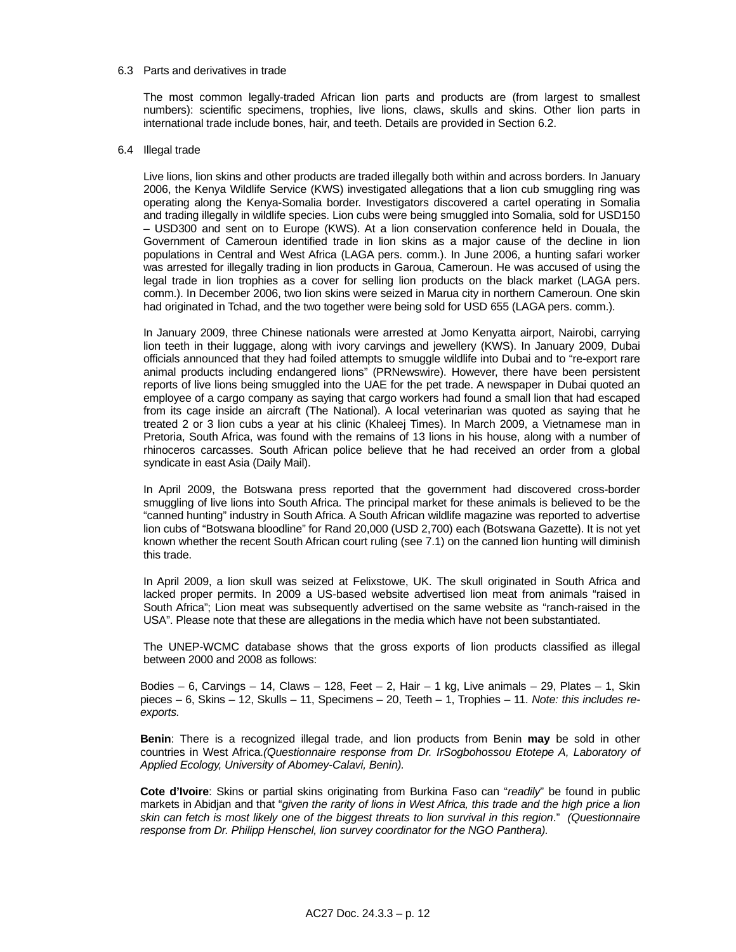#### 6.3 Parts and derivatives in trade

 The most common legally-traded African lion parts and products are (from largest to smallest numbers): scientific specimens, trophies, live lions, claws, skulls and skins. Other lion parts in international trade include bones, hair, and teeth. Details are provided in Section 6.2.

#### 6.4 Illegal trade

 Live lions, lion skins and other products are traded illegally both within and across borders. In January 2006, the Kenya Wildlife Service (KWS) investigated allegations that a lion cub smuggling ring was operating along the Kenya-Somalia border. Investigators discovered a cartel operating in Somalia and trading illegally in wildlife species. Lion cubs were being smuggled into Somalia, sold for USD150 – USD300 and sent on to Europe (KWS). At a lion conservation conference held in Douala, the Government of Cameroun identified trade in lion skins as a major cause of the decline in lion populations in Central and West Africa (LAGA pers. comm.). In June 2006, a hunting safari worker was arrested for illegally trading in lion products in Garoua, Cameroun. He was accused of using the legal trade in lion trophies as a cover for selling lion products on the black market (LAGA pers. comm.). In December 2006, two lion skins were seized in Marua city in northern Cameroun. One skin had originated in Tchad, and the two together were being sold for USD 655 (LAGA pers. comm.).

 In January 2009, three Chinese nationals were arrested at Jomo Kenyatta airport, Nairobi, carrying lion teeth in their luggage, along with ivory carvings and jewellery (KWS). In January 2009, Dubai officials announced that they had foiled attempts to smuggle wildlife into Dubai and to "re-export rare animal products including endangered lions" (PRNewswire). However, there have been persistent reports of live lions being smuggled into the UAE for the pet trade. A newspaper in Dubai quoted an employee of a cargo company as saying that cargo workers had found a small lion that had escaped from its cage inside an aircraft (The National). A local veterinarian was quoted as saying that he treated 2 or 3 lion cubs a year at his clinic (Khaleej Times). In March 2009, a Vietnamese man in Pretoria, South Africa, was found with the remains of 13 lions in his house, along with a number of rhinoceros carcasses. South African police believe that he had received an order from a global syndicate in east Asia (Daily Mail).

 In April 2009, the Botswana press reported that the government had discovered cross-border smuggling of live lions into South Africa. The principal market for these animals is believed to be the "canned hunting" industry in South Africa. A South African wildlife magazine was reported to advertise lion cubs of "Botswana bloodline" for Rand 20,000 (USD 2,700) each (Botswana Gazette). It is not yet known whether the recent South African court ruling (see 7.1) on the canned lion hunting will diminish this trade.

 In April 2009, a lion skull was seized at Felixstowe, UK. The skull originated in South Africa and lacked proper permits. In 2009 a US-based website advertised lion meat from animals "raised in South Africa"; Lion meat was subsequently advertised on the same website as "ranch-raised in the USA". Please note that these are allegations in the media which have not been substantiated.

 The UNEP-WCMC database shows that the gross exports of lion products classified as illegal between 2000 and 2008 as follows:

Bodies – 6, Carvings – 14, Claws – 128, Feet – 2, Hair – 1 kg, Live animals – 29, Plates – 1, Skin pieces – 6, Skins – 12, Skulls – 11, Specimens – 20, Teeth – 1, Trophies – 11. *Note: this includes reexports.* 

 **Benin**: There is a recognized illegal trade, and lion products from Benin **may** be sold in other countries in West Africa.*(Questionnaire response from Dr. IrSogbohossou Etotepe A, Laboratory of Applied Ecology, University of Abomey-Calavi, Benin).*

 **Cote d'Ivoire**: Skins or partial skins originating from Burkina Faso can "*readily*" be found in public markets in Abidjan and that "*given the rarity of lions in West Africa, this trade and the high price a lion skin can fetch is most likely one of the biggest threats to lion survival in this region*." *(Questionnaire response from Dr. Philipp Henschel, lion survey coordinator for the NGO Panthera).*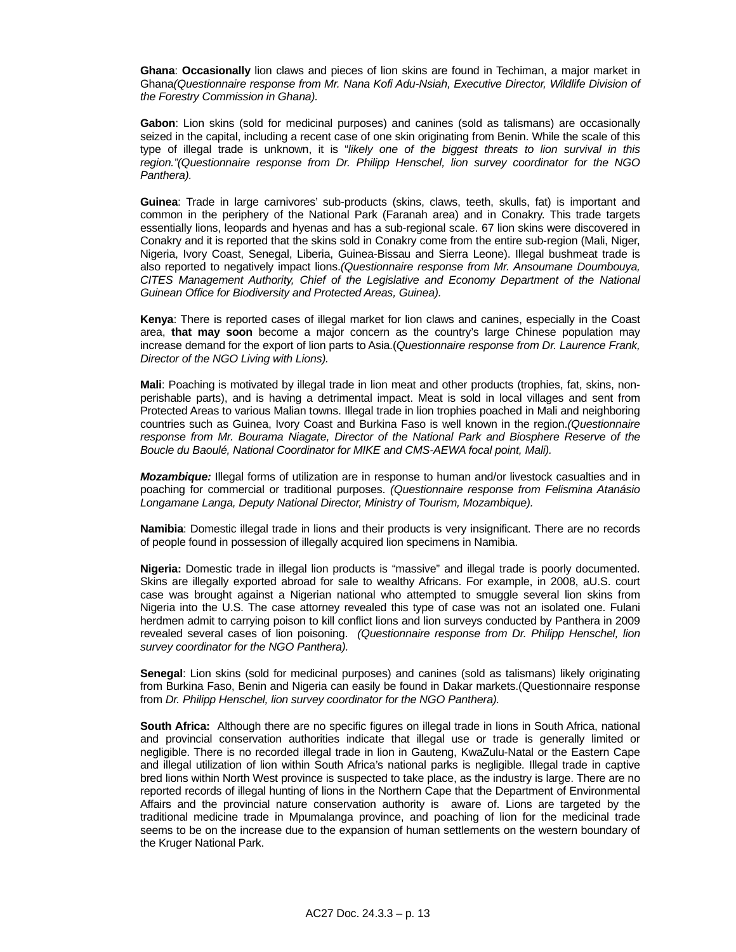**Ghana**: **Occasionally** lion claws and pieces of lion skins are found in Techiman, a major market in Ghana*(Questionnaire response from Mr. Nana Kofi Adu-Nsiah, Executive Director, Wildlife Division of the Forestry Commission in Ghana).*

 **Gabon**: Lion skins (sold for medicinal purposes) and canines (sold as talismans) are occasionally seized in the capital, including a recent case of one skin originating from Benin. While the scale of this type of illegal trade is unknown, it is "*likely one of the biggest threats to lion survival in this region."(Questionnaire response from Dr. Philipp Henschel, lion survey coordinator for the NGO Panthera).*

 **Guinea**: Trade in large carnivores' sub-products (skins, claws, teeth, skulls, fat) is important and common in the periphery of the National Park (Faranah area) and in Conakry. This trade targets essentially lions, leopards and hyenas and has a sub-regional scale. 67 lion skins were discovered in Conakry and it is reported that the skins sold in Conakry come from the entire sub-region (Mali, Niger, Nigeria, Ivory Coast, Senegal, Liberia, Guinea-Bissau and Sierra Leone). Illegal bushmeat trade is also reported to negatively impact lions.*(Questionnaire response from Mr. Ansoumane Doumbouya, CITES Management Authority, Chief of the Legislative and Economy Department of the National Guinean Office for Biodiversity and Protected Areas, Guinea).*

 **Kenya**: There is reported cases of illegal market for lion claws and canines, especially in the Coast area, **that may soon** become a major concern as the country's large Chinese population may increase demand for the export of lion parts to Asia.(*Questionnaire response from Dr. Laurence Frank, Director of the NGO Living with Lions).* 

 **Mali**: Poaching is motivated by illegal trade in lion meat and other products (trophies, fat, skins, nonperishable parts), and is having a detrimental impact. Meat is sold in local villages and sent from Protected Areas to various Malian towns. Illegal trade in lion trophies poached in Mali and neighboring countries such as Guinea, Ivory Coast and Burkina Faso is well known in the region.*(Questionnaire response from Mr. Bourama Niagate, Director of the National Park and Biosphere Reserve of the Boucle du Baoulé, National Coordinator for MIKE and CMS-AEWA focal point, Mali).*

 *Mozambique:* Illegal forms of utilization are in response to human and/or livestock casualties and in poaching for commercial or traditional purposes. *(Questionnaire response from Felismina Atanásio Longamane Langa, Deputy National Director, Ministry of Tourism, Mozambique).*

 **Namibia**: Domestic illegal trade in lions and their products is very insignificant. There are no records of people found in possession of illegally acquired lion specimens in Namibia.

 **Nigeria:** Domestic trade in illegal lion products is "massive" and illegal trade is poorly documented. Skins are illegally exported abroad for sale to wealthy Africans. For example, in 2008, aU.S. court case was brought against a Nigerian national who attempted to smuggle several lion skins from Nigeria into the U.S. The case attorney revealed this type of case was not an isolated one. Fulani herdmen admit to carrying poison to kill conflict lions and lion surveys conducted by Panthera in 2009 revealed several cases of lion poisoning. *(Questionnaire response from Dr. Philipp Henschel, lion survey coordinator for the NGO Panthera).*

 **Senegal**: Lion skins (sold for medicinal purposes) and canines (sold as talismans) likely originating from Burkina Faso, Benin and Nigeria can easily be found in Dakar markets.(Questionnaire response from *Dr. Philipp Henschel, lion survey coordinator for the NGO Panthera).* 

 **South Africa:** Although there are no specific figures on illegal trade in lions in South Africa, national and provincial conservation authorities indicate that illegal use or trade is generally limited or negligible. There is no recorded illegal trade in lion in Gauteng, KwaZulu-Natal or the Eastern Cape and illegal utilization of lion within South Africa's national parks is negligible. Illegal trade in captive bred lions within North West province is suspected to take place, as the industry is large. There are no reported records of illegal hunting of lions in the Northern Cape that the Department of Environmental Affairs and the provincial nature conservation authority is aware of. Lions are targeted by the traditional medicine trade in Mpumalanga province, and poaching of lion for the medicinal trade seems to be on the increase due to the expansion of human settlements on the western boundary of the Kruger National Park.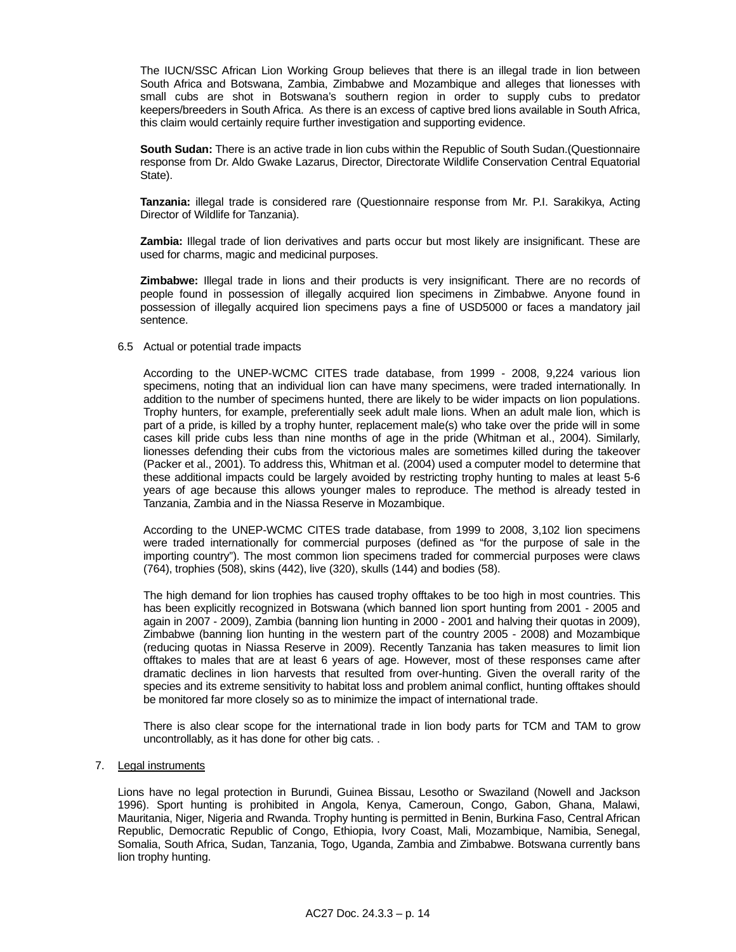The IUCN/SSC African Lion Working Group believes that there is an illegal trade in lion between South Africa and Botswana, Zambia, Zimbabwe and Mozambique and alleges that lionesses with small cubs are shot in Botswana's southern region in order to supply cubs to predator keepers/breeders in South Africa. As there is an excess of captive bred lions available in South Africa, this claim would certainly require further investigation and supporting evidence.

 **South Sudan:** There is an active trade in lion cubs within the Republic of South Sudan.(Questionnaire response from Dr. Aldo Gwake Lazarus, Director, Directorate Wildlife Conservation Central Equatorial State).

 **Tanzania:** illegal trade is considered rare (Questionnaire response from Mr. P.I. Sarakikya, Acting Director of Wildlife for Tanzania).

 **Zambia:** Illegal trade of lion derivatives and parts occur but most likely are insignificant. These are used for charms, magic and medicinal purposes.

 **Zimbabwe:** Illegal trade in lions and their products is very insignificant. There are no records of people found in possession of illegally acquired lion specimens in Zimbabwe. Anyone found in possession of illegally acquired lion specimens pays a fine of USD5000 or faces a mandatory jail sentence.

#### 6.5 Actual or potential trade impacts

 According to the UNEP-WCMC CITES trade database, from 1999 - 2008, 9,224 various lion specimens, noting that an individual lion can have many specimens, were traded internationally. In addition to the number of specimens hunted, there are likely to be wider impacts on lion populations. Trophy hunters, for example, preferentially seek adult male lions. When an adult male lion, which is part of a pride, is killed by a trophy hunter, replacement male(s) who take over the pride will in some cases kill pride cubs less than nine months of age in the pride (Whitman et al., 2004). Similarly, lionesses defending their cubs from the victorious males are sometimes killed during the takeover (Packer et al., 2001). To address this, Whitman et al. (2004) used a computer model to determine that these additional impacts could be largely avoided by restricting trophy hunting to males at least 5-6 years of age because this allows younger males to reproduce. The method is already tested in Tanzania, Zambia and in the Niassa Reserve in Mozambique.

 According to the UNEP-WCMC CITES trade database, from 1999 to 2008, 3,102 lion specimens were traded internationally for commercial purposes (defined as "for the purpose of sale in the importing country"). The most common lion specimens traded for commercial purposes were claws (764), trophies (508), skins (442), live (320), skulls (144) and bodies (58).

 The high demand for lion trophies has caused trophy offtakes to be too high in most countries. This has been explicitly recognized in Botswana (which banned lion sport hunting from 2001 - 2005 and again in 2007 - 2009), Zambia (banning lion hunting in 2000 - 2001 and halving their quotas in 2009), Zimbabwe (banning lion hunting in the western part of the country 2005 - 2008) and Mozambique (reducing quotas in Niassa Reserve in 2009). Recently Tanzania has taken measures to limit lion offtakes to males that are at least 6 years of age. However, most of these responses came after dramatic declines in lion harvests that resulted from over-hunting. Given the overall rarity of the species and its extreme sensitivity to habitat loss and problem animal conflict, hunting offtakes should be monitored far more closely so as to minimize the impact of international trade.

 There is also clear scope for the international trade in lion body parts for TCM and TAM to grow uncontrollably, as it has done for other big cats. .

### 7. Legal instruments

 Lions have no legal protection in Burundi, Guinea Bissau, Lesotho or Swaziland (Nowell and Jackson 1996). Sport hunting is prohibited in Angola, Kenya, Cameroun, Congo, Gabon, Ghana, Malawi, Mauritania, Niger, Nigeria and Rwanda. Trophy hunting is permitted in Benin, Burkina Faso, Central African Republic, Democratic Republic of Congo, Ethiopia, Ivory Coast, Mali, Mozambique, Namibia, Senegal, Somalia, South Africa, Sudan, Tanzania, Togo, Uganda, Zambia and Zimbabwe. Botswana currently bans lion trophy hunting.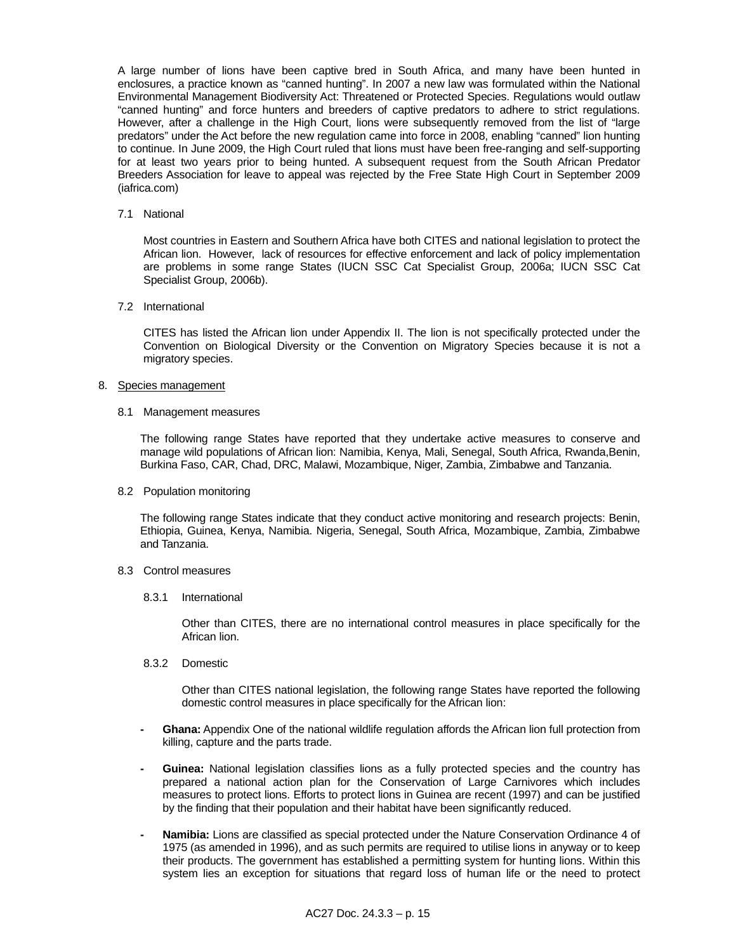A large number of lions have been captive bred in South Africa, and many have been hunted in enclosures, a practice known as "canned hunting". In 2007 a new law was formulated within the National Environmental Management Biodiversity Act: Threatened or Protected Species. Regulations would outlaw "canned hunting" and force hunters and breeders of captive predators to adhere to strict regulations. However, after a challenge in the High Court, lions were subsequently removed from the list of "large predators" under the Act before the new regulation came into force in 2008, enabling "canned" lion hunting to continue. In June 2009, the High Court ruled that lions must have been free-ranging and self-supporting for at least two years prior to being hunted. A subsequent request from the South African Predator Breeders Association for leave to appeal was rejected by the Free State High Court in September 2009 (iafrica.com)

7.1 National

 Most countries in Eastern and Southern Africa have both CITES and national legislation to protect the African lion. However, lack of resources for effective enforcement and lack of policy implementation are problems in some range States (IUCN SSC Cat Specialist Group, 2006a; IUCN SSC Cat Specialist Group, 2006b).

7.2 International

 CITES has listed the African lion under Appendix II. The lion is not specifically protected under the Convention on Biological Diversity or the Convention on Migratory Species because it is not a migratory species.

- 8. Species management
	- 8.1 Management measures

 The following range States have reported that they undertake active measures to conserve and manage wild populations of African lion: Namibia, Kenya, Mali, Senegal, South Africa, Rwanda,Benin, Burkina Faso, CAR, Chad, DRC, Malawi, Mozambique, Niger, Zambia, Zimbabwe and Tanzania.

8.2 Population monitoring

 The following range States indicate that they conduct active monitoring and research projects: Benin, Ethiopia, Guinea, Kenya, Namibia. Nigeria, Senegal, South Africa, Mozambique, Zambia, Zimbabwe and Tanzania.

- 8.3 Control measures
	- 8.3.1 International

 Other than CITES, there are no international control measures in place specifically for the African lion.

8.3.2 Domestic

 Other than CITES national legislation, the following range States have reported the following domestic control measures in place specifically for the African lion:

- **Ghana:** Appendix One of the national wildlife regulation affords the African lion full protection from killing, capture and the parts trade.
- **Guinea:** National legislation classifies lions as a fully protected species and the country has prepared a national action plan for the Conservation of Large Carnivores which includes measures to protect lions. Efforts to protect lions in Guinea are recent (1997) and can be justified by the finding that their population and their habitat have been significantly reduced.
- **Namibia:** Lions are classified as special protected under the Nature Conservation Ordinance 4 of 1975 (as amended in 1996), and as such permits are required to utilise lions in anyway or to keep their products. The government has established a permitting system for hunting lions. Within this system lies an exception for situations that regard loss of human life or the need to protect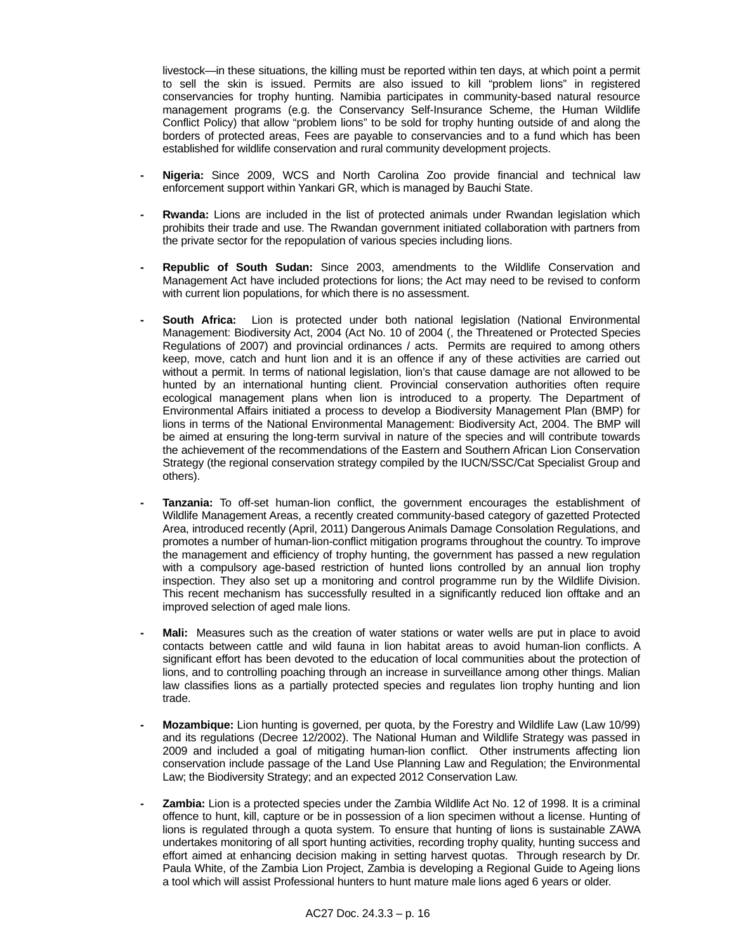livestock—in these situations, the killing must be reported within ten days, at which point a permit to sell the skin is issued. Permits are also issued to kill "problem lions" in registered conservancies for trophy hunting. Namibia participates in community-based natural resource management programs (e.g. the Conservancy Self-Insurance Scheme, the Human Wildlife Conflict Policy) that allow "problem lions" to be sold for trophy hunting outside of and along the borders of protected areas, Fees are payable to conservancies and to a fund which has been established for wildlife conservation and rural community development projects.

- **Nigeria:** Since 2009, WCS and North Carolina Zoo provide financial and technical law enforcement support within Yankari GR, which is managed by Bauchi State.
- **Rwanda:** Lions are included in the list of protected animals under Rwandan legislation which prohibits their trade and use. The Rwandan government initiated collaboration with partners from the private sector for the repopulation of various species including lions.
- **Republic of South Sudan:** Since 2003, amendments to the Wildlife Conservation and Management Act have included protections for lions; the Act may need to be revised to conform with current lion populations, for which there is no assessment.
- **South Africa:** Lion is protected under both national legislation (National Environmental Management: Biodiversity Act, 2004 (Act No. 10 of 2004 (, the Threatened or Protected Species Regulations of 2007) and provincial ordinances / acts. Permits are required to among others keep, move, catch and hunt lion and it is an offence if any of these activities are carried out without a permit. In terms of national legislation, lion's that cause damage are not allowed to be hunted by an international hunting client. Provincial conservation authorities often require ecological management plans when lion is introduced to a property. The Department of Environmental Affairs initiated a process to develop a Biodiversity Management Plan (BMP) for lions in terms of the National Environmental Management: Biodiversity Act, 2004. The BMP will be aimed at ensuring the long-term survival in nature of the species and will contribute towards the achievement of the recommendations of the Eastern and Southern African Lion Conservation Strategy (the regional conservation strategy compiled by the IUCN/SSC/Cat Specialist Group and others).
- Tanzania: To off-set human-lion conflict, the government encourages the establishment of Wildlife Management Areas, a recently created community-based category of gazetted Protected Area, introduced recently (April, 2011) Dangerous Animals Damage Consolation Regulations, and promotes a number of human-lion-conflict mitigation programs throughout the country. To improve the management and efficiency of trophy hunting, the government has passed a new regulation with a compulsory age-based restriction of hunted lions controlled by an annual lion trophy inspection. They also set up a monitoring and control programme run by the Wildlife Division. This recent mechanism has successfully resulted in a significantly reduced lion offtake and an improved selection of aged male lions.
- **Mali:** Measures such as the creation of water stations or water wells are put in place to avoid contacts between cattle and wild fauna in lion habitat areas to avoid human-lion conflicts. A significant effort has been devoted to the education of local communities about the protection of lions, and to controlling poaching through an increase in surveillance among other things. Malian law classifies lions as a partially protected species and regulates lion trophy hunting and lion trade.
- **Mozambique:** Lion hunting is governed, per quota, by the Forestry and Wildlife Law (Law 10/99) and its regulations (Decree 12/2002). The National Human and Wildlife Strategy was passed in 2009 and included a goal of mitigating human-lion conflict. Other instruments affecting lion conservation include passage of the Land Use Planning Law and Regulation; the Environmental Law; the Biodiversity Strategy; and an expected 2012 Conservation Law.
- **Zambia:** Lion is a protected species under the Zambia Wildlife Act No. 12 of 1998. It is a criminal offence to hunt, kill, capture or be in possession of a lion specimen without a license. Hunting of lions is regulated through a quota system. To ensure that hunting of lions is sustainable ZAWA undertakes monitoring of all sport hunting activities, recording trophy quality, hunting success and effort aimed at enhancing decision making in setting harvest quotas. Through research by Dr. Paula White, of the Zambia Lion Project, Zambia is developing a Regional Guide to Ageing lions a tool which will assist Professional hunters to hunt mature male lions aged 6 years or older.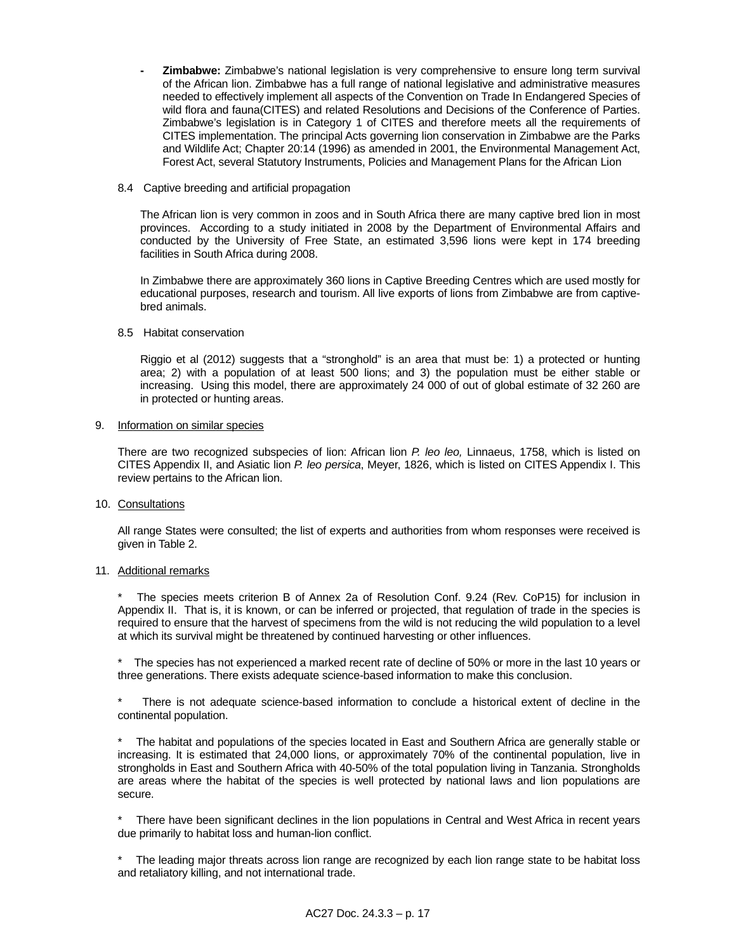**- Zimbabwe:** Zimbabwe's national legislation is very comprehensive to ensure long term survival of the African lion. Zimbabwe has a full range of national legislative and administrative measures needed to effectively implement all aspects of the Convention on Trade In Endangered Species of wild flora and fauna(CITES) and related Resolutions and Decisions of the Conference of Parties. Zimbabwe's legislation is in Category 1 of CITES and therefore meets all the requirements of CITES implementation. The principal Acts governing lion conservation in Zimbabwe are the Parks and Wildlife Act; Chapter 20:14 (1996) as amended in 2001, the Environmental Management Act, Forest Act, several Statutory Instruments, Policies and Management Plans for the African Lion

### 8.4 Captive breeding and artificial propagation

 The African lion is very common in zoos and in South Africa there are many captive bred lion in most provinces. According to a study initiated in 2008 by the Department of Environmental Affairs and conducted by the University of Free State, an estimated 3,596 lions were kept in 174 breeding facilities in South Africa during 2008.

 In Zimbabwe there are approximately 360 lions in Captive Breeding Centres which are used mostly for educational purposes, research and tourism. All live exports of lions from Zimbabwe are from captivebred animals.

#### 8.5 Habitat conservation

 Riggio et al (2012) suggests that a "stronghold" is an area that must be: 1) a protected or hunting area; 2) with a population of at least 500 lions; and 3) the population must be either stable or increasing. Using this model, there are approximately 24 000 of out of global estimate of 32 260 are in protected or hunting areas.

#### 9. Information on similar species

 There are two recognized subspecies of lion: African lion *P. leo leo,* Linnaeus, 1758, which is listed on CITES Appendix II, and Asiatic lion *P. leo persica*, Meyer, 1826, which is listed on CITES Appendix I. This review pertains to the African lion.

### 10. Consultations

 All range States were consulted; the list of experts and authorities from whom responses were received is given in Table 2.

### 11. Additional remarks

The species meets criterion B of Annex 2a of Resolution Conf. 9.24 (Rev. CoP15) for inclusion in Appendix II. That is, it is known, or can be inferred or projected, that regulation of trade in the species is required to ensure that the harvest of specimens from the wild is not reducing the wild population to a level at which its survival might be threatened by continued harvesting or other influences.

The species has not experienced a marked recent rate of decline of 50% or more in the last 10 years or three generations. There exists adequate science-based information to make this conclusion.

There is not adequate science-based information to conclude a historical extent of decline in the continental population.

The habitat and populations of the species located in East and Southern Africa are generally stable or increasing. It is estimated that 24,000 lions, or approximately 70% of the continental population, live in strongholds in East and Southern Africa with 40-50% of the total population living in Tanzania. Strongholds are areas where the habitat of the species is well protected by national laws and lion populations are secure.

There have been significant declines in the lion populations in Central and West Africa in recent years due primarily to habitat loss and human-lion conflict.

The leading major threats across lion range are recognized by each lion range state to be habitat loss and retaliatory killing, and not international trade.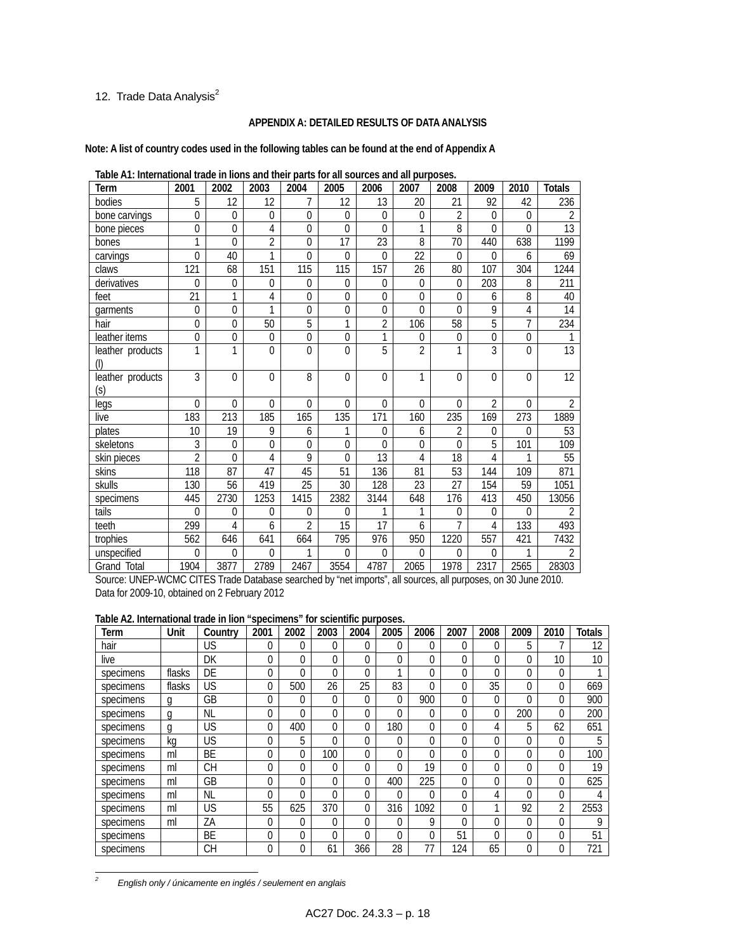# 12. Trade Data Analysis $^2$

### **APPENDIX A: DETAILED RESULTS OF DATA ANALYSIS**

**Note: A list of country codes used in the following tables can be found at the end of Appendix A** 

| rapid Art, international trade in hono and their parts for an sources and an parposes.<br>Term | 2001             | 2002             | 2003           | 2004            | 2005           | 2006            | 2007           | 2008            | 2009             | 2010        | <b>Totals</b>   |
|------------------------------------------------------------------------------------------------|------------------|------------------|----------------|-----------------|----------------|-----------------|----------------|-----------------|------------------|-------------|-----------------|
| bodies                                                                                         | 5                | 12               | 12             | 7               | 12             | 13              | 20             | 21              | 92               | 42          | 236             |
| bone carvings                                                                                  | 0                | $\mathbf 0$      | $\theta$       | 0               | $\mathbf 0$    | $\theta$        | $\overline{0}$ | $\overline{2}$  | $\Omega$         | $\theta$    | 2               |
| bone pieces                                                                                    | $\mathbf 0$      | 0                | 4              | 0               | $\theta$       | $\theta$        | 1              | 8               | $\Omega$         | $\theta$    | 13              |
| bones                                                                                          | 1                | 0                | $\overline{2}$ | 0               | 17             | 23              | 8              | 70              | 440              | 638         | 1199            |
| carvings                                                                                       | $\Omega$         | 40               | 1              | $\Omega$        | $\Omega$       | $\overline{0}$  | 22             | $\Omega$        | $\Omega$         | 6           | 69              |
| claws                                                                                          | 121              | 68               | 151            | 115             | 115            | 157             | 26             | 80              | 107              | 304         | 1244            |
| derivatives                                                                                    | $\mathbf{0}$     | $\mathbf 0$      | $\mathbf 0$    | 0               | $\Omega$       | $\theta$        | $\mathbf 0$    | 0               | 203              | 8           | 211             |
| feet                                                                                           | 21               | 1                | 4              | 0               | $\mathbf 0$    | $\mathbf 0$     | $\overline{0}$ | 0               | 6                | 8           | 40              |
| garments                                                                                       | $\mathbf 0$      | $\overline{0}$   | 1              | $\overline{0}$  | $\overline{0}$ | $\overline{0}$  | $\Omega$       | 0               | 9                | 4           | 14              |
| hair                                                                                           | $\overline{0}$   | $\mathbf 0$      | 50             | 5               | 1              | $\overline{2}$  | 106            | 58              | 5                | 7           | 234             |
| leather items                                                                                  | $\boldsymbol{0}$ | $\boldsymbol{0}$ | $\overline{0}$ | $\mathbf 0$     | $\mathbf 0$    | 1               | 0              | 0               | $\boldsymbol{0}$ | $\mathbf 0$ |                 |
| leather products                                                                               | 1                | 1                | $\Omega$       | $\Omega$        | $\Omega$       | 5               | $\overline{2}$ | 1               | 3                | $\Omega$    | $\overline{13}$ |
| leather products<br>(s)                                                                        | 3                | $\mathbf 0$      | $\theta$       | 8               | $\theta$       | $\theta$        | 1              | 0               | $\theta$         | $\Omega$    | 12              |
| legs                                                                                           | $\theta$         | $\Omega$         | $\Omega$       | $\overline{0}$  | $\theta$       | $\Omega$        | $\mathbf{0}$   | $\Omega$        | $\overline{2}$   | $\theta$    | $\overline{2}$  |
| live                                                                                           | 183              | 213              | 185            | 165             | 135            | 171             | 160            | 235             | 169              | 273         | 1889            |
| plates                                                                                         | 10               | 19               | 9              | 6               | 1              | $\mathbf{0}$    | 6              | 2               | 0                | $\theta$    | 53              |
| skeletons                                                                                      | 3                | $\boldsymbol{0}$ | $\mathbf 0$    | 0               | $\mathbf 0$    | $\theta$        | $\mathbf 0$    | 0               | 5                | 101         | 109             |
| skin pieces                                                                                    | $\overline{2}$   | 0                | 4              | 9               | $\Omega$       | $\overline{13}$ | 4              | $\overline{18}$ | $\overline{4}$   | 1           | 55              |
| skins                                                                                          | 118              | 87               | 47             | 45              | 51             | 136             | 81             | $\overline{53}$ | 144              | 109         | 871             |
| skulls                                                                                         | 130              | 56               | 419            | $\overline{25}$ | 30             | 128             | 23             | $\overline{27}$ | 154              | 59          | 1051            |
| specimens                                                                                      | 445              | 2730             | 1253           | 1415            | 2382           | 3144            | 648            | 176             | 413              | 450         | 13056           |
| tails                                                                                          | $\theta$         | 0                | $\theta$       | 0               | $\theta$       |                 | 1              | 0               | 0                | $\Omega$    | $\mathfrak{D}$  |
| teeth                                                                                          | 299              | 4                | 6              | $\overline{2}$  | 15             | 17              | 6              | 7               | 4                | 133         | 493             |
| trophies                                                                                       | 562              | 646              | 641            | 664             | 795            | 976             | 950            | 1220            | 557              | 421         | 7432            |
| unspecified                                                                                    | $\mathbf{0}$     | 0                | $\theta$       | 1               | $\mathbf{0}$   | $\theta$        | $\overline{0}$ | 0               | 0                | 1           | $\overline{2}$  |
| <b>Grand Total</b>                                                                             | 1904             | 3877             | 2789           | 2467            | 3554           | 4787            | 2065           | 1978            | 2317             | 2565        | 28303           |

**Table A1: International trade in lions and their parts for all sources and all purposes.** 

Source: UNEP-WCMC CITES Trade Database searched by "net imports", all sources, all purposes, on 30 June 2010. Data for 2009-10, obtained on 2 February 2012

### **Table A2. International trade in lion "specimens" for scientific purposes.**

| Term      | Unit   | Country   | 2001     | 2002           | 2003     | 2004     | 2005         | 2006     | 2007     | 2008     | 2009     | 2010           | <b>Totals</b> |
|-----------|--------|-----------|----------|----------------|----------|----------|--------------|----------|----------|----------|----------|----------------|---------------|
| hair      |        | US        | 0        | 0              | 0        | 0        | $\Omega$     | 0        | 0        | $\Omega$ | 5        |                | 12            |
| live      |        | DK        | $\Omega$ | $\Omega$       | 0        | 0        | $\theta$     | 0        | 0        | $\Omega$ | $\Omega$ | 10             | 10            |
| specimens | flasks | DE        | $\Omega$ | $\Omega$       | $\Omega$ | 0        | 1            | 0        | 0        | $\theta$ | 0        | $\Omega$       |               |
| specimens | flasks | US        | $\Omega$ | 500            | 26       | 25       | 83           | $\Omega$ | 0        | 35       | 0        | 0              | 669           |
| specimens | g      | GB        | $\Omega$ | $\overline{0}$ | $\Omega$ | $\Omega$ | $\Omega$     | 900      | $\Omega$ | $\theta$ | $\Omega$ | $\Omega$       | 900           |
| specimens | q      | <b>NL</b> | $\Omega$ | $\Omega$       | 0        | 0        | $\theta$     | 0        | 0        | $\theta$ | 200      | $\Omega$       | 200           |
| specimens | a      | US        | $\Omega$ | 400            | 0        | 0        | 180          | 0        | 0        | 4        | 5        | 62             | 651           |
| specimens | kq     | US        | 0        | 5              | 0        | 0        | $\Omega$     | 0        | 0        | $\Omega$ | 0        | 0              | 5             |
| specimens | ml     | BE        | 0        | 0              | 100      | 0        | $\mathbf{0}$ | 0        | 0        | $\theta$ | 0        | 0              | 100           |
| specimens | ml     | CН        | $\Omega$ | $\Omega$       | $\Omega$ | 0        | $\theta$     | 19       | 0        | $\theta$ | 0        | $\Omega$       | 19            |
| specimens | ml     | GB        | $\Omega$ | $\Omega$       | 0        | 0        | 400          | 225      | 0        | $\Omega$ | 0        | 0              | 625           |
| specimens | ml     | ΝL        | 0        | $\Omega$       | $\Omega$ | 0        | $\Omega$     | 0        | 0        | 4        | $\Omega$ | $\overline{0}$ | 4             |
| specimens | ml     | US        | 55       | 625            | 370      | 0        | 316          | 1092     | 0        | ◀        | 92       | $\overline{2}$ | 2553          |
| specimens | ml     | ΖA        | $\Omega$ | $\Omega$       | 0        | 0        | $\Omega$     | 9        | 0        | $\theta$ | 0        | $\Omega$       | 9             |
| specimens |        | ВE        | $\Omega$ | $\Omega$       | 0        | 0        | $\Omega$     | 0        | 51       | $\Omega$ | 0        | 0              | 51            |
| specimens |        | CН        | $\Omega$ | $\Omega$       | 61       | 366      | 28           | 77       | 124      | 65       | 0        | $\Omega$       | 721           |

 *2 English only / únicamente en inglés / seulement en anglais*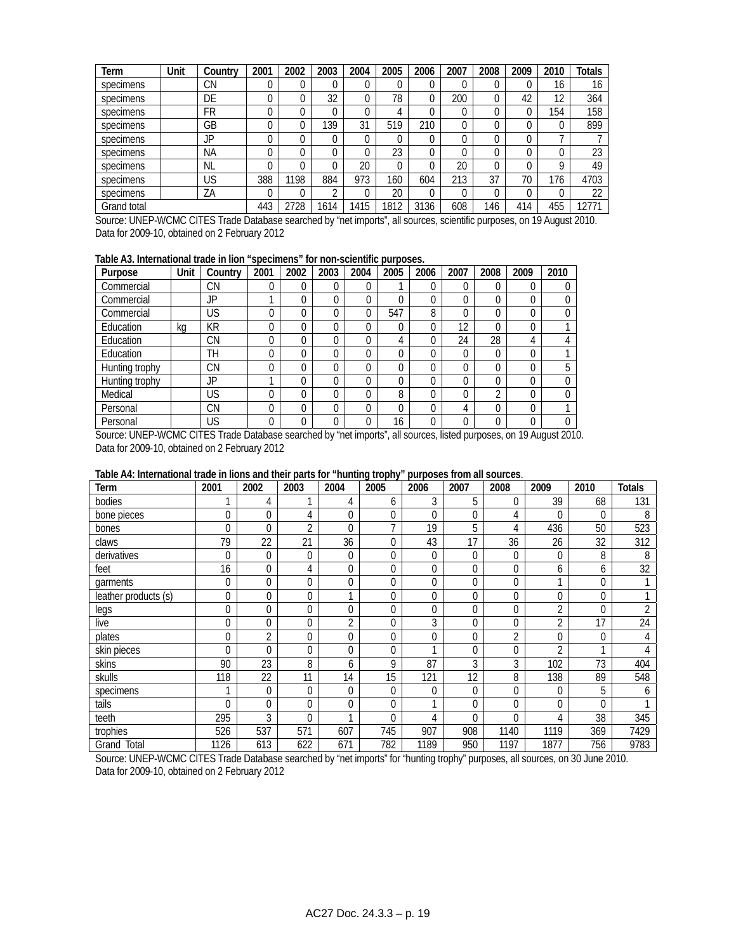| Term        | Unit | Country   | 2001 | 2002 | 2003 | 2004 | 2005     | 2006 | 2007 | 2008 | 2009 | 2010 | <b>Totals</b> |
|-------------|------|-----------|------|------|------|------|----------|------|------|------|------|------|---------------|
| specimens   |      | <b>CN</b> |      | 0    |      |      | 0        |      |      |      |      | 16   | 16            |
| specimens   |      | DE        |      | 0    | 32   | 0    | 78       |      | 200  | 0    | 42   | 12   | 364           |
| specimens   |      | FR        |      | 0    |      |      | 4        |      |      |      |      | 154  | 158           |
| specimens   |      | GB        |      | 0    | 139  | 31   | 519      | 210  |      |      |      |      | 899           |
| specimens   |      | JP        |      | 0    |      | 0    | $\Omega$ |      |      |      |      |      |               |
| specimens   |      | <b>NA</b> |      | 0    |      |      | 23       |      |      |      |      |      | 23            |
| specimens   |      | <b>NL</b> |      | 0    |      | 20   | $\Omega$ |      | 20   |      |      | Q    | 49            |
| specimens   |      | US        | 388  | 1198 | 884  | 973  | 160      | 604  | 213  | 37   | 70   | 176  | 4703          |
| specimens   |      | ΖA        |      | 0    | ◠    |      | 20       |      |      |      |      |      | 22            |
| Grand total |      |           | 443  | 2728 | 1614 | 1415 | 1812     | 3136 | 608  | 146  | 414  | 455  | 2771          |

Source: UNEP-WCMC CITES Trade Database searched by "net imports", all sources, scientific purposes, on 19 August 2010. Data for 2009-10, obtained on 2 February 2012

### **Table A3. International trade in lion "specimens" for non-scientific purposes.**

| Purpose        | Unit | Country | 2001 | 2002 | 2003 | 2004     | 2005 | 2006 | 2007 | 2008 | 2009 | 2010 |
|----------------|------|---------|------|------|------|----------|------|------|------|------|------|------|
| Commercial     |      | CΝ      | 0    | 0    | 0    | 0        |      | 0    | 0    | 0    | 0    |      |
| Commercial     |      | JP      |      | 0    | 0    | 0        | 0    | 0    | 0    | 0    | 0    |      |
| Commercial     |      | US      |      | 0    | 0    | 0        | 547  | 8    | 0    |      | 0    |      |
| Education      | ka   | KR      | 0    | 0    |      | $\Omega$ | 0    | 0    | 12   | 0    | 0    |      |
| Education      |      | CΝ      | 0    | 0    | 0    | 0        | 4    | 0    | 24   | 28   | 4    |      |
| Education      |      | TН      |      | 0    |      |          | 0    | 0    | 0    | 0    | 0    |      |
| Hunting trophy |      | CΝ      | 0    | 0    | 0    | 0        | 0    | 0    | 0    |      | 0    | 5    |
| Hunting trophy |      | JP      |      | 0    |      | 0        | 0    | 0    | 0    |      | 0    |      |
| Medical        |      | US      | 0    | 0    |      | 0        | 8    | 0    | 0    | ∩    | 0    | 0    |
| Personal       |      | CΝ      | 0    | 0    | 0    | 0        | 0    | 0    | 4    | 0    | 0    |      |
| Personal       |      | US      |      | 0    |      |          | 16   |      | 0    |      | 0    | N    |

Source: UNEP-WCMC CITES Trade Database searched by "net imports", all sources, listed purposes, on 19 August 2010. Data for 2009-10, obtained on 2 February 2012

| Table A4: International trade in lions and their parts for "hunting trophy" purposes from all sources. |  |
|--------------------------------------------------------------------------------------------------------|--|
|                                                                                                        |  |

| Term                 | 2001         | 2002           | 2003 | 2004           | 2005           | 2006           | 2007     | 2008           | 2009           | 2010 | <b>Totals</b>   |
|----------------------|--------------|----------------|------|----------------|----------------|----------------|----------|----------------|----------------|------|-----------------|
| bodies               |              | 4              |      | 4              | 6              | 3              | 5        | 0              | 39             | 68   | 131             |
| bone pieces          | $\mathbf{0}$ | 0              | 4    | 0              | 0              | $\Omega$       | $\theta$ | 4              | 0              | 0    | 8               |
| bones                | $\Omega$     | $\Omega$       | 2    | 0              | $\overline{ }$ | 19             | 5        | 4              | 436            | 50   | 523             |
| claws                | 79           | 22             | 21   | 36             | 0              | 43             | 17       | 36             | 26             | 32   | 312             |
| derivatives          | $\Omega$     | $\theta$       | 0    | $\overline{0}$ | 0              | $\theta$       | $\Omega$ | 0              | 0              | 8    | 8               |
| feet                 | 16           | 0              | 4    | 0              | 0              | 0              | $\Omega$ | $\overline{0}$ | 6              | 6    | $3\overline{2}$ |
| garments             | $\mathbf{0}$ | 0              | 0    | 0              | 0              | $\Omega$       | $\Omega$ | 0              |                | 0    |                 |
| leather products (s) | $\mathbf 0$  | $\Omega$       | 0    |                | 0              | 0              | $\Omega$ | 0              | 0              | 0    |                 |
| legs                 | $\mathbf{0}$ | $\Omega$       | 0    | 0              | 0              | $\Omega$       | $\Omega$ | 0              | 2              | 0    | $\overline{2}$  |
| live                 | $\mathbf{0}$ | 0              | 0    | $\overline{2}$ | 0              | 3              | $\Omega$ | 0              | 2              | 17   | 24              |
| plates               | $\mathbf{0}$ | 2              | 0    | 0              | 0              | $\Omega$       | $\Omega$ | $\overline{2}$ | 0              | 0    | 4               |
| skin pieces          | $\Omega$     | $\Omega$       | 0    | $\Omega$       | 0              |                | $\Omega$ | 0              | $\overline{2}$ |      |                 |
| skins                | 90           | 23             | 8    | 6              | 9              | 87             | 3        | 3              | 102            | 73   | 404             |
| skulls               | 118          | 22             | 11   | 14             | 15             | 121            | 12       | 8              | 138            | 89   | 548             |
| specimens            | 1            | $\overline{0}$ | 0    | 0              | 0              | $\overline{0}$ | $\theta$ | 0              | 0              | 5    | 6               |
| tails                | $\Omega$     | 0              | 0    | 0              | 0              |                | $\Omega$ | 0              | 0              | 0    |                 |
| teeth                | 295          | 3              | 0    |                | 0              | 4              | $\theta$ | 0              | 4              | 38   | 345             |
| trophies             | 526          | 537            | 571  | 607            | 745            | 907            | 908      | 1140           | 1119           | 369  | 7429            |
| Grand Total          | 1126         | 613            | 622  | 671            | 782            | 1189           | 950      | 1197           | 1877           | 756  | 9783            |

Source: UNEP-WCMC CITES Trade Database searched by "net imports" for "hunting trophy" purposes, all sources, on 30 June 2010. Data for 2009-10, obtained on 2 February 2012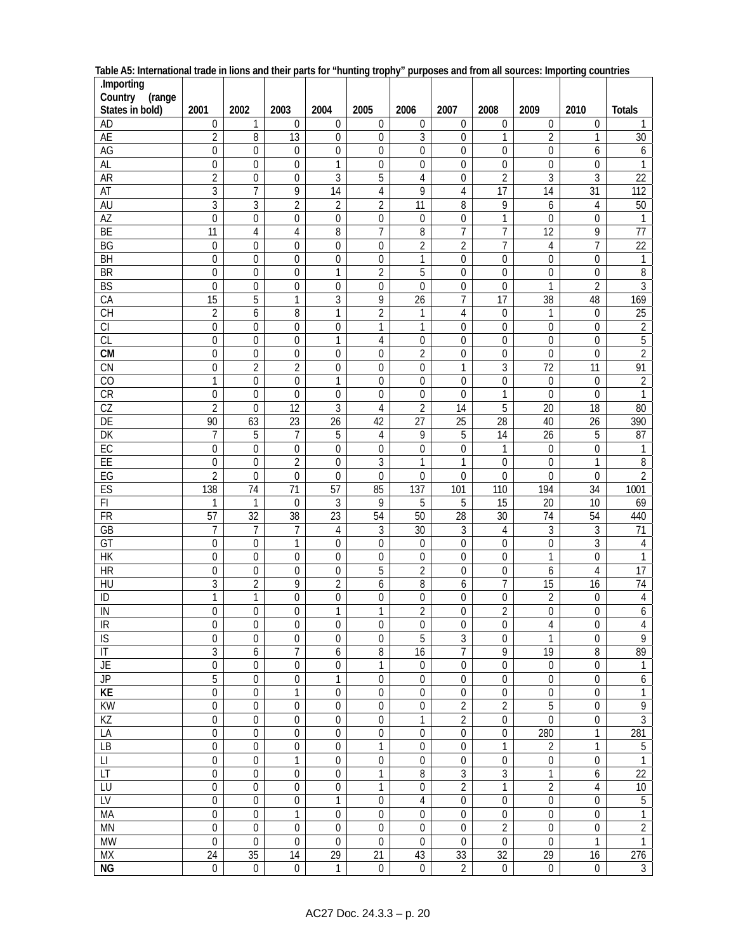| .Importing<br>Country<br>(range |                                      |                                |                                     |                                 |                                      |                       |                                    |                                |                                 |                            |                                    |
|---------------------------------|--------------------------------------|--------------------------------|-------------------------------------|---------------------------------|--------------------------------------|-----------------------|------------------------------------|--------------------------------|---------------------------------|----------------------------|------------------------------------|
| States in bold)                 | 2001                                 | 2002                           | 2003                                | 2004                            | 2005                                 | 2006                  | 2007                               | 2008                           | 2009                            | 2010                       | <b>Totals</b>                      |
| AD                              | $\boldsymbol{0}$                     | 1                              | $\mathbf 0$                         | $\boldsymbol{0}$                | $\boldsymbol{0}$                     | $\mathbf 0$           | $\mathbf 0$                        | 0                              | $\mathbf 0$                     | $\mathbf 0$                | 1                                  |
| <b>AE</b>                       | $\overline{2}$                       | 8                              | 13                                  | $\boldsymbol{0}$                | $\boldsymbol{0}$                     | 3                     | 0                                  | 1                              | $\overline{2}$                  | 1                          | 30                                 |
| <b>AG</b><br>AL                 | $\boldsymbol{0}$                     | 0                              | $\boldsymbol{0}$                    | $\boldsymbol{0}$                | $\boldsymbol{0}$<br>$\boldsymbol{0}$ | 0<br>$\boldsymbol{0}$ | $\mathbf 0$                        | 0<br>$\boldsymbol{0}$          | 0                               | 6<br>$\boldsymbol{0}$      | 6                                  |
| <b>AR</b>                       | 0<br>$\overline{2}$                  | 0<br>$\overline{0}$            | 0<br>$\mathbf 0$                    | 1<br>$\overline{3}$             | $\overline{5}$                       | $\overline{4}$        | 0<br>$\mathbf 0$                   | $\overline{2}$                 | 0<br>$\overline{3}$             | $\overline{3}$             | 1<br>$\overline{22}$               |
| AT                              | 3                                    | $\overline{7}$                 | 9                                   | 14                              | $\overline{4}$                       | 9                     | $\overline{4}$                     | 17                             | 14                              | 31                         | 112                                |
| AU                              | $\overline{3}$                       | 3                              | $\overline{2}$                      | $\overline{2}$                  | $\overline{2}$                       | 11                    | 8                                  | 9                              | 6                               | 4                          | $50\,$                             |
| $\overline{AZ}$                 | $\mathbf 0$                          | 0                              | $\boldsymbol{0}$                    | $\boldsymbol{0}$                | $\mathbf 0$                          | $\boldsymbol{0}$      | 0                                  | 1                              | $\mathbf 0$                     | $\mathbf 0$                | 1                                  |
| <b>BE</b>                       | $\overline{11}$                      | $\overline{4}$                 | 4                                   | 8                               | $\overline{7}$                       | 8                     | $\overline{7}$                     | $\overline{7}$                 | $\overline{12}$                 | 9                          | $\overline{77}$                    |
| BG                              | $\boldsymbol{0}$                     | $\boldsymbol{0}$               | $\mathbf 0$                         | $\boldsymbol{0}$                | $\boldsymbol{0}$                     | $\overline{2}$        | $\overline{2}$                     | $\overline{7}$                 | 4                               | $\overline{7}$             | $\overline{22}$                    |
| BH                              | $\boldsymbol{0}$                     | $\boldsymbol{0}$               | $\boldsymbol{0}$                    | $\boldsymbol{0}$                | $\boldsymbol{0}$                     | 1                     | $\mathbf 0$                        | $\boldsymbol{0}$               | 0                               | $\mathbf 0$                | $\mathbf{1}$                       |
| BR                              | $\boldsymbol{0}$                     | $\boldsymbol{0}$               | $\boldsymbol{0}$                    | $\mathbf{1}$                    | $\overline{2}$                       | $\overline{5}$        | $\boldsymbol{0}$                   | 0                              | $\mathbf 0$                     | $\boldsymbol{0}$           | $\boldsymbol{8}$                   |
| BS                              | $\mathbf 0$                          | $\boldsymbol{0}$               | $\boldsymbol{0}$                    | $\boldsymbol{0}$                | $\boldsymbol{0}$                     | $\mathbf 0$           | $\boldsymbol{0}$                   | $\mathbf 0$                    | 1                               | $\overline{2}$             | $\overline{3}$                     |
| CA                              | 15                                   | 5                              | $\overline{1}$                      | $\overline{3}$                  | $\overline{9}$                       | $\overline{26}$       | $\overline{7}$                     | $\overline{17}$                | $\overline{38}$                 | 48                         | 169                                |
| $\overline{CH}$<br>CI           | $\overline{2}$                       | 6                              | 8                                   | $\mathbf{1}$                    | $\overline{2}$<br>$\mathbf{1}$       | 1                     | 4                                  | $\mathbf 0$                    | 1                               | $\mathbf 0$                | $\overline{25}$                    |
| CL                              | $\boldsymbol{0}$<br>$\mathbf 0$      | $\mathbf{0}$<br>$\overline{0}$ | 0<br>$\mathbf 0$                    | $\boldsymbol{0}$<br>1           | $\overline{4}$                       | 1<br>$\mathbf 0$      | 0<br>$\mathbf{0}$                  | 0<br>$\mathbf 0$               | $\mathbf 0$<br>$\overline{0}$   | $\mathbf 0$<br>$\mathbf 0$ | $\overline{2}$<br>$\overline{5}$   |
| <b>CM</b>                       | $\boldsymbol{0}$                     | $\overline{0}$                 | $\boldsymbol{0}$                    | $\boldsymbol{0}$                | $\boldsymbol{0}$                     | $\overline{2}$        | $\mathbf{0}$                       | 0                              | $\overline{0}$                  | $\mathbf 0$                | $\overline{2}$                     |
| CN                              | $\boldsymbol{0}$                     | $\overline{2}$                 | $\overline{2}$                      | $\boldsymbol{0}$                | $\boldsymbol{0}$                     | $\boldsymbol{0}$      | 1                                  | 3                              | $\overline{72}$                 | 11                         | 91                                 |
| $\overline{C}$                  | $\mathbf{1}$                         | $\boldsymbol{0}$               | 0                                   | $\mathbf{1}$                    | $\boldsymbol{0}$                     | 0                     | $\mathbf 0$                        | 0                              | 0                               | $\boldsymbol{0}$           | $\overline{2}$                     |
| CR                              | $\boldsymbol{0}$                     | $\mathbf 0$                    | $\mathbf 0$                         | $\boldsymbol{0}$                | $\boldsymbol{0}$                     | $\boldsymbol{0}$      | $\mathbf 0$                        | 1                              | 0                               | $\mathbf 0$                | 1                                  |
| CZ                              | $\overline{2}$                       | $\mathbf 0$                    | $\overline{12}$                     | $\overline{3}$                  | $\overline{4}$                       | $\overline{2}$        | $\overline{14}$                    | $\overline{5}$                 | $\overline{20}$                 | 18                         | 80                                 |
| DE                              | 90                                   | 63                             | $\overline{23}$                     | $\overline{26}$                 | $\overline{42}$                      | $\overline{27}$       | 25                                 | $\overline{28}$                | 40                              | $\overline{26}$            | 390                                |
| $\overline{DK}$                 | $\overline{7}$                       | 5                              | $\overline{7}$                      | $\overline{5}$                  | $\overline{4}$                       | 9                     | 5                                  | 14                             | $\overline{26}$                 | 5                          | 87                                 |
| EC                              | $\mathbf 0$                          | $\mathbf{0}$                   | $\mathbf 0$                         | $\mathbf{0}$                    | $\boldsymbol{0}$                     | $\mathbf 0$           | $\mathbf{0}$                       | $\mathbf{1}$                   | 0                               | $\mathbf 0$                | $\mathbf{1}$                       |
| E<br>EG                         | $\boldsymbol{0}$<br>$\overline{2}$   | $\mathbf{0}$<br>$\mathbf 0$    | $\overline{2}$<br>$\boldsymbol{0}$  | $\boldsymbol{0}$<br>$\mathbf 0$ | $\mathfrak{Z}$<br>$\mathbf 0$        | 1<br>$\boldsymbol{0}$ | 1<br>$\Omega$                      | $\mathbf 0$<br>$\Omega$        | 0<br>$\Omega$                   | 1<br>$\mathbf 0$           | $\sqrt{8}$<br>$\overline{2}$       |
| ES                              | 138                                  | 74                             | 71                                  | 57                              | 85                                   | 137                   | 101                                | 110                            | 194                             | 34                         | 1001                               |
| $\overline{F}$                  | 1                                    | 1                              | $\mathbf 0$                         | $\sqrt{3}$                      | 9                                    | 5                     | 5                                  | 15                             | 20                              | 10                         | 69                                 |
| $\overline{FR}$                 | 57                                   | $\overline{32}$                | 38                                  | $\overline{23}$                 | 54                                   | 50                    | $\overline{28}$                    | $\overline{30}$                | $\overline{74}$                 | 54                         | 440                                |
| GB                              | 7                                    | 7                              | 7                                   | $\overline{4}$                  | 3                                    | 30                    | 3                                  | $\sqrt{4}$                     | 3                               | $\overline{3}$             | $\overline{71}$                    |
| $\overline{GT}$                 | $\boldsymbol{0}$                     | $\boldsymbol{0}$               | $\mathbf{1}$                        | $\boldsymbol{0}$                | $\mathbf 0$                          | 0                     | $\mathbf 0$                        | 0                              | $\overline{0}$                  | $\overline{3}$             | $\overline{4}$                     |
| <b>HK</b>                       | $\boldsymbol{0}$                     | $\boldsymbol{0}$               | 0                                   | $\boldsymbol{0}$                | $\boldsymbol{0}$                     | $\boldsymbol{0}$      | $\boldsymbol{0}$                   | 0                              | 1                               | $\boldsymbol{0}$           | $\mathbf{1}$                       |
| HR                              | $\boldsymbol{0}$                     | $\mathbf 0$                    | $\mathbf 0$                         | $\boldsymbol{0}$                | 5                                    | $\overline{2}$        | 0                                  | $\mathbf 0$                    | 6                               | 4                          | 17                                 |
| $\overline{H}$                  | 3                                    | $\overline{2}$                 | 9                                   | $\overline{2}$                  | 6                                    | 8                     | 6                                  | 7                              | 15                              | 16                         | 74                                 |
| ID<br>IN                        | 1<br>$\Omega$                        | $\mathbf 1$<br>0               | 0<br>$\Omega$                       | $\boldsymbol{0}$<br>1           | 0<br>1                               | 0<br>$\overline{2}$   | 0<br>0                             | 0<br>$\overline{2}$            | 2<br>$\mathbf 0$                | 0<br>$\Omega$              | $\overline{4}$<br>$\boldsymbol{6}$ |
| IR                              | 0                                    | $\mathbf{0}$                   | $\boldsymbol{0}$                    | 0                               | $\mathbf 0$                          | $\mathbf 0$           | 0                                  | $\mathbf 0$                    | 4                               | $\mathbf 0$                | 4                                  |
| $\overline{S}$                  | $\boldsymbol{0}$                     | $\boldsymbol{0}$               | $\mathbf 0$                         | $\boldsymbol{0}$                | $\boldsymbol{0}$                     | 5                     | 3                                  | $\mathbf 0$                    | 1                               | $\boldsymbol{0}$           | $\overline{9}$                     |
| $\mathsf{I}\mathsf{T}$          | $\overline{3}$                       | 6                              | $\overline{7}$                      | $\boldsymbol{6}$                | $\overline{8}$                       | 16                    | $\overline{7}$                     | 9                              | $\overline{19}$                 | 8                          | 89                                 |
| <b>JE</b>                       | $\boldsymbol{0}$                     | $\boldsymbol{0}$               | 0                                   | $\boldsymbol{0}$                | $\mathbf{1}$                         | $\boldsymbol{0}$      | $\boldsymbol{0}$                   | $\mathbf 0$                    | $\mathbf 0$                     | $\boldsymbol{0}$           | $\mathbf 1$                        |
| $\overline{J}$                  | $\overline{5}$                       | $\mathbf 0$                    | 0                                   | $\mathbf{1}$                    | $\mathbf 0$                          | $\mathbf 0$           | $\mathbf 0$                        | $\mathbf 0$                    | 0                               | 0                          | $\boldsymbol{6}$                   |
| KE                              | $\boldsymbol{0}$                     | $\boldsymbol{0}$               | 1                                   | $\boldsymbol{0}$                | $\boldsymbol{0}$                     | $\boldsymbol{0}$      | $\boldsymbol{0}$                   | $\boldsymbol{0}$               | 0                               | $\boldsymbol{0}$           | $\mathbf{1}$                       |
| <b>KW</b>                       | $\boldsymbol{0}$                     | $\boldsymbol{0}$               | $\boldsymbol{0}$                    | $\boldsymbol{0}$                | $\boldsymbol{0}$                     | $\boldsymbol{0}$      | $\overline{2}$                     | $\overline{2}$                 | 5                               | $\boldsymbol{0}$           | 9                                  |
| KZ<br>LA                        | $\boldsymbol{0}$<br>$\boldsymbol{0}$ | 0<br>$\mathbf 0$               | 0<br>$\mathbf 0$                    | $\boldsymbol{0}$<br>0           | $\boldsymbol{0}$<br>$\boldsymbol{0}$ | 1<br>0                | $\overline{2}$<br>$\boldsymbol{0}$ | 0<br>0                         | 0<br>280                        | $\boldsymbol{0}$<br>1      | $\overline{3}$<br>281              |
| LB                              | $\overline{0}$                       | $\boldsymbol{0}$               | $\boldsymbol{0}$                    | $\boldsymbol{0}$                | $\mathbf{1}$                         | $\boldsymbol{0}$      | $\boldsymbol{0}$                   | 1                              | $\overline{2}$                  | 1                          | 5                                  |
| $\lfloor \rfloor$               | 0                                    | $\mathbf 0$                    | 1                                   | $\mathbf 0$                     | 0                                    | $\mathbf 0$           | $\mathbf 0$                        | 0                              | 0                               | $\mathbf 0$                | 1                                  |
| LT                              | $\boldsymbol{0}$                     | $\boldsymbol{0}$               | $\boldsymbol{0}$                    | $\boldsymbol{0}$                | 1                                    | 8                     | 3                                  | 3                              | 1                               | 6                          | $\overline{22}$                    |
| LU                              | 0                                    | $\mathbf 0$                    | $\mathbf 0$                         | $\boldsymbol{0}$                | 1                                    | $\boldsymbol{0}$      | $\overline{2}$                     | $\mathbf{1}$                   | $\overline{2}$                  | 4                          | $\overline{10}$                    |
| $\overline{LV}$                 | $\boldsymbol{0}$                     | $\boldsymbol{0}$               | $\boldsymbol{0}$                    | 1                               | $\boldsymbol{0}$                     | $\overline{4}$        | $\boldsymbol{0}$                   | $\boldsymbol{0}$               | 0                               | $\boldsymbol{0}$           | $\sqrt{5}$                         |
| <b>MA</b>                       | $\boldsymbol{0}$                     | $\boldsymbol{0}$               | 1                                   | $\boldsymbol{0}$                | $\boldsymbol{0}$                     | $\boldsymbol{0}$      | $\boldsymbol{0}$                   | $\mathbf 0$                    | 0                               | $\boldsymbol{0}$           | $\mathbf{1}$                       |
| <b>MN</b>                       | 0                                    | $\boldsymbol{0}$               | 0                                   | $\boldsymbol{0}$                | 0                                    | $\boldsymbol{0}$      | $\boldsymbol{0}$                   | $\overline{2}$                 | 0                               | $\boldsymbol{0}$           | $\sqrt{2}$                         |
| <b>MW</b>                       | $\overline{0}$                       | $\mathbf{0}$                   | $\boldsymbol{0}$<br>$\overline{14}$ | $\mathbf{0}$                    | $\mathbf 0$                          | $\mathbf 0$           | $\mathbf{0}$                       | $\mathbf 0$                    | $\mathbf{0}$<br>$\overline{29}$ | 1                          | $\mathbf{1}$                       |
| <b>MX</b><br><b>NG</b>          | $\overline{24}$<br>$\mathbf 0$       | $\overline{35}$<br>$\mathbf 0$ | $\overline{0}$                      | 29<br>1                         | 21<br>$\mathbf 0$                    | 43<br>$\mathbf 0$     | 33<br>2                            | $\overline{32}$<br>$\mathbf 0$ | 0                               | 16<br>$\boldsymbol{0}$     | 276<br>$\overline{3}$              |

| Table A5: International trade in lions and their parts for "hunting trophy" purposes and from all sources: Importing countries |  |
|--------------------------------------------------------------------------------------------------------------------------------|--|
|--------------------------------------------------------------------------------------------------------------------------------|--|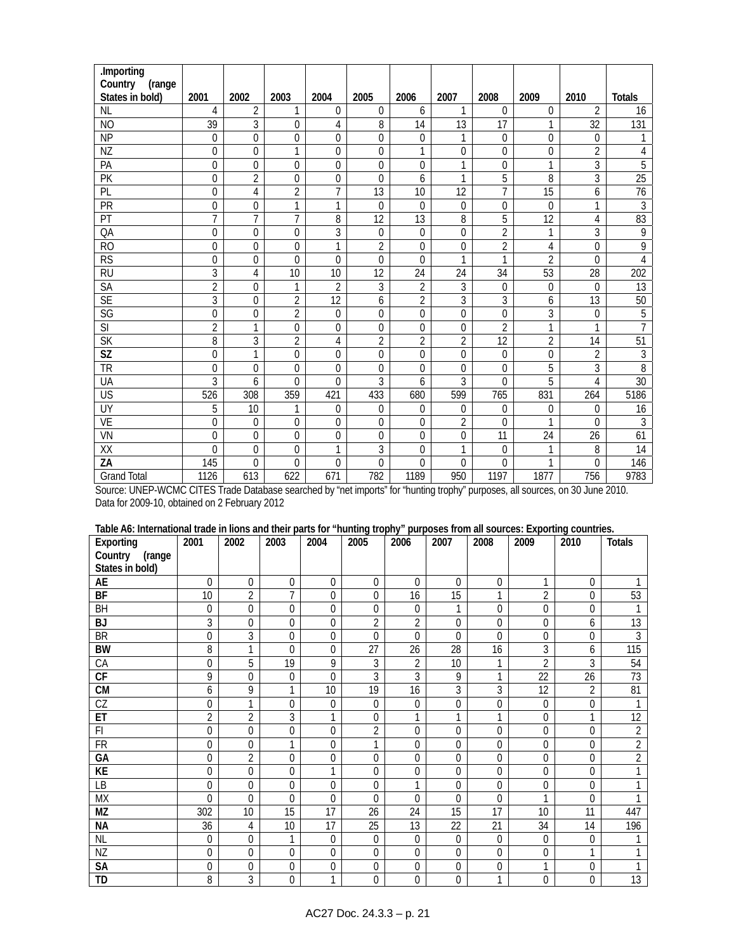| .Importing               |                |                |                |                |                  |                |                 |                 |                 |                 |                 |
|--------------------------|----------------|----------------|----------------|----------------|------------------|----------------|-----------------|-----------------|-----------------|-----------------|-----------------|
| Country<br>(range        |                |                |                |                |                  |                |                 |                 |                 |                 |                 |
| States in bold)          | 2001           | 2002           | 2003           | 2004           | 2005             | 2006           | 2007            | 2008            | 2009            | 2010            | <b>Totals</b>   |
| <b>NL</b>                | 4              | $\overline{2}$ | $\mathbf{1}$   | $\overline{0}$ | $\mathbf 0$      | 6              | 1               | 0               | $\theta$        | $\overline{2}$  | 16              |
| N <sub>O</sub>           | 39             | $\overline{3}$ | 0              | 4              | 8                | 14             | $\overline{13}$ | $\overline{17}$ | 1               | $\overline{32}$ | 131             |
| <b>NP</b>                | $\mathbf{0}$   | $\mathbf 0$    | $\mathbf 0$    | 0              | $\mathbf 0$      | 0              | 1               | 0               | 0               | $\overline{0}$  | 1               |
| NZ                       | 0              | $\Omega$       | $\mathbf{1}$   | $\mathbf 0$    | $\mathbf 0$      | $\mathbf{1}$   | $\Omega$        | $\overline{0}$  | $\Omega$        | $\overline{2}$  | 4               |
| PA                       | 0              | $\theta$       | $\overline{0}$ | $\mathbf 0$    | 0                | 0              | 1               | $\overline{0}$  | 1               | 3               | $\overline{5}$  |
| $\overline{PK}$          | 0              | $\overline{2}$ | $\mathbf 0$    | $\mathbf 0$    | $\mathbf{0}$     | 6              | 1               | 5               | 8               | 3               | $\overline{25}$ |
| PL                       | $\mathbf 0$    | 4              | $\overline{2}$ | $\overline{7}$ | 13               | 10             | 12              | $\overline{7}$  | $\overline{15}$ | 6               | 76              |
| PR                       | 0              | $\theta$       | 1              | 1              | $\mathbf{0}$     | $\theta$       | $\theta$        | 0               | $\theta$        | 1               | 3               |
| PT                       | $\overline{7}$ | $\overline{7}$ | $\overline{7}$ | 8              | 12               | 13             | 8               | 5               | 12              | 4               | 83              |
| QA                       | 0              | $\theta$       | $\Omega$       | 3              | $\mathbf 0$      | 0              | $\theta$        | $\overline{2}$  | 1               | 3               | 9               |
| R <sub>O</sub>           | $\overline{0}$ | $\mathbf 0$    | $\mathbf 0$    | 1              | $\overline{2}$   | 0              | $\mathbf{0}$    | $\overline{2}$  | 4               | 0               | 9               |
| $\overline{\text{RS}}$   | 0              | $\Omega$       | $\Omega$       | $\overline{0}$ | $\mathbf 0$      | $\overline{0}$ | 1               | 1               | $\overline{2}$  | $\Omega$        | 4               |
| <b>RU</b>                | 3              | 4              | 10             | 10             | 12               | 24             | 24              | 34              | 53              | 28              | 202             |
| SA                       | $\overline{2}$ | $\mathbf 0$    | 1              | $\overline{2}$ | 3                | $\overline{2}$ | 3               | 0               | $\mathbf 0$     | $\mathbf{0}$    | 13              |
| <b>SE</b>                | $\overline{3}$ | $\mathbf{0}$   | $\overline{2}$ | 12             | 6                | $\overline{2}$ | $\overline{3}$  | 3               | 6               | 13              | 50              |
| SG                       | $\Omega$       | $\Omega$       | $\overline{2}$ | $\Omega$       | $\Omega$         | $\overline{0}$ | $\Omega$        | $\overline{0}$  | $\overline{3}$  | $\Omega$        | $\overline{5}$  |
| $\overline{\mathsf{SI}}$ | $\overline{2}$ | $\mathbf{1}$   | 0              | $\mathbf 0$    | $\mathbf 0$      | $\mathbf 0$    | $\Omega$        | $\overline{2}$  | 1               | 1               | $\overline{7}$  |
| $\overline{\mathsf{SK}}$ | 8              | 3              | 2              | 4              | $\overline{2}$   | 2              | $\overline{2}$  | 12              | 2               | 14              | 51              |
| SZ                       | 0              | 1              | $\mathbf 0$    | $\mathbf 0$    | $\boldsymbol{0}$ | 0              | $\mathbf 0$     | 0               | 0               | $\overline{2}$  | $\mathfrak{Z}$  |
| <b>TR</b>                | 0              | $\mathbf{0}$   | $\mathbf 0$    | $\mathbf{0}$   | $\mathbf{0}$     | 0              | $\mathbf{0}$    | $\mathbf 0$     | $\overline{5}$  | 3               | $\overline{8}$  |
| UA                       | 3              | 6              | $\Omega$       | $\Omega$       | 3                | 6              | 3               | $\Omega$        | 5               | 4               | 30              |
| $\overline{US}$          | 526            | 308            | 359            | 421            | 433              | 680            | 599             | 765             | 831             | 264             | 5186            |
| <b>UY</b>                | 5              | 10             | 1              | $\overline{0}$ | $\mathbf 0$      | 0              | $\mathbf{0}$    | 0               | $\mathbf{0}$    | $\Omega$        | 16              |
| <b>VE</b>                | 0              | $\theta$       | $\theta$       | $\mathbf 0$    | $\mathbf 0$      | $\overline{0}$ | $\overline{2}$  | $\Omega$        | 1               | $\Omega$        | 3               |
| VN                       | 0              | $\mathbf{0}$   | 0              | $\overline{0}$ | 0                | 0              | $\mathbf{0}$    | 11              | 24              | 26              | 61              |
| XX                       | $\Omega$       | $\mathbf 0$    | 0              | 1              | 3                | 0              | 1               | $\mathbf 0$     | 1               | 8               | 14              |
| ZA                       | 145            | $\Omega$       | 0              | 0              | $\mathbf{0}$     | $\theta$       | $\mathbf{0}$    | 0               | 1               | $\Omega$        | 146             |
| <b>Grand Total</b>       | 1126           | 613            | 622            | 671            | 782              | 1189           | 950             | 1197            | 1877            | 756             | 9783            |

Source: UNEP-WCMC CITES Trade Database searched by "net imports" for "hunting trophy" purposes, all sources, on 30 June 2010. Data for 2009-10, obtained on 2 February 2012

| Table A6: International trade in lions and their parts for "hunting trophy" purposes from all sources: Exporting countries. |  |  |
|-----------------------------------------------------------------------------------------------------------------------------|--|--|
|                                                                                                                             |  |  |

| Exporting              | 2001           | 2002           | 2003         | 2004           | 2005           | 2006           | 2007     | 2008           | 2009           | 2010           | <b>Totals</b>    |
|------------------------|----------------|----------------|--------------|----------------|----------------|----------------|----------|----------------|----------------|----------------|------------------|
| Country<br>(range      |                |                |              |                |                |                |          |                |                |                |                  |
| States in bold)        |                |                |              |                |                |                |          |                |                |                |                  |
| AE                     | $\mathbf{0}$   | $\mathbf{0}$   | 0            | $\overline{0}$ | $\mathbf{0}$   | 0              | 0        | 0              |                | 0              |                  |
| BF                     | 10             | $\overline{2}$ | 7            | $\Omega$       | $\mathbf 0$    | 16             | 15       |                | $\overline{2}$ | 0              | $\overline{53}$  |
| BH                     | $\mathbf{0}$   | $\Omega$       | $\Omega$     | $\Omega$       | $\mathbf 0$    | 0              | 1        | 0              | $\overline{0}$ | $\overline{0}$ |                  |
| <b>BJ</b>              | 3              | 0              | 0            | $\overline{0}$ | $\overline{2}$ | $\overline{2}$ | 0        | 0              | 0              | 6              | 13               |
| <b>BR</b>              | $\mathbf 0$    | 3              | $\Omega$     | $\overline{0}$ | $\mathbf{0}$   | $\theta$       | $\theta$ | $\Omega$       | 0              | 0              | $\overline{3}$   |
| <b>BW</b>              | 8              | 1              | $\Omega$     | $\overline{0}$ | 27             | 26             | 28       | 16             | 3              | 6              | $\overline{115}$ |
| CA                     | $\mathbf{0}$   | 5              | 19           | 9              | 3              | 2              | 10       |                | $\overline{2}$ | 3              | 54               |
| $\overline{\text{CF}}$ | 9              | $\mathbf{0}$   | 0            | $\overline{0}$ | 3              | 3              | 9        | 1              | 22             | 26             | $\overline{73}$  |
| <b>CM</b>              | 6              | 9              |              | 10             | 19             | 16             | 3        | 3              | 12             | $\overline{2}$ | 81               |
| CZ                     | $\overline{0}$ | 1              | 0            | $\overline{0}$ | $\mathbf{0}$   | 0              | 0        | 0              | 0              | 0              | 1                |
| ET                     | $\overline{2}$ | $\overline{2}$ | 3            | 1              | $\mathbf{0}$   | 1              | 1        | 1              | 0              | 1              | 12               |
| F1                     | $\mathbf{0}$   | $\theta$       | $\Omega$     | $\Omega$       | $\overline{2}$ | $\mathbf{0}$   | $\theta$ | $\Omega$       | 0              | 0              | $\overline{2}$   |
| <b>FR</b>              | $\overline{0}$ | $\mathbf{0}$   |              | $\overline{0}$ | 1              | 0              | 0        | 0              | 0              | 0              | $\overline{2}$   |
| GA                     | $\mathbf{0}$   | $\overline{2}$ | $\mathbf 0$  | 0              | $\mathbf{0}$   | 0              | 0        | 0              | 0              | 0              | $\overline{2}$   |
| <b>KE</b>              | $\overline{0}$ | $\Omega$       | 0            | 1              | $\mathbf 0$    | 0              | 0        | $\overline{0}$ | 0              | 0              |                  |
| LB                     | $\mathbf 0$    | $\Omega$       | $\mathbf{0}$ | $\mathbf 0$    | $\mathbf 0$    | 1              | $\theta$ | 0              | 0              | $\overline{0}$ |                  |
| <b>MX</b>              | $\Omega$       | $\theta$       | $\mathbf{0}$ | $\overline{0}$ | $\mathbf{0}$   | $\overline{0}$ | 0        | $\Omega$       |                | 0              |                  |
| MZ                     | 302            | 10             | 15           | 17             | 26             | 24             | 15       | 17             | 10             | 11             | 447              |
| <b>NA</b>              | 36             | 4              | 10           | 17             | 25             | 13             | 22       | 21             | 34             | 14             | 196              |
| <b>NL</b>              | $\overline{0}$ | $\Omega$       | 1            | $\Omega$       | $\mathbf{0}$   | $\theta$       | $\Omega$ | $\Omega$       | $\theta$       | $\Omega$       |                  |
| ΝZ                     | $\mathbf{0}$   | $\theta$       | $\Omega$     | 0              | $\mathbf{0}$   | 0              | 0        | 0              | 0              | 1              |                  |
| SA                     | $\mathbf{0}$   | $\mathbf 0$    | 0            | 0              | $\mathbf 0$    | 0              | 0        | 0              | 1              | 0              |                  |
| <b>TD</b>              | 8              | 3              | 0            | 1              | $\mathbf 0$    | 0              | 0        | 1              | 0              | 0              | 13               |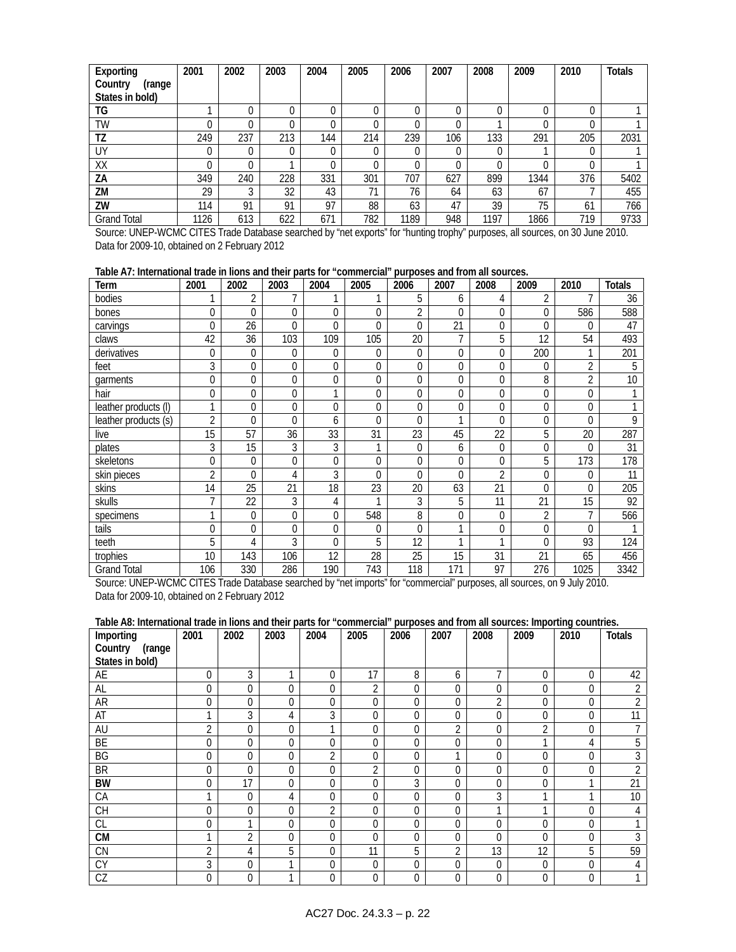| Exporting          | 2001 | 2002 | 2003 | 2004 | 2005 | 2006 | 2007 | 2008 | 2009 | 2010 | <b>Totals</b> |
|--------------------|------|------|------|------|------|------|------|------|------|------|---------------|
| Country<br>(range  |      |      |      |      |      |      |      |      |      |      |               |
| States in bold)    |      |      |      |      |      |      |      |      |      |      |               |
| TG                 |      |      |      | 0    | 0    |      |      |      |      |      |               |
| TW                 | 0    |      |      | 0    | 0    |      |      |      |      |      |               |
| TZ                 | 249  | 237  | 213  | 144  | 214  | 239  | 106  | 133  | 291  | 205  | 2031          |
| UY                 |      |      |      |      | 0    |      |      |      |      |      |               |
| XX                 |      |      |      | 0    | 0    |      |      |      |      |      |               |
| ZΑ                 | 349  | 240  | 228  | 331  | 301  | 707  | 627  | 899  | 1344 | 376  | 5402          |
| ZM                 | 29   | ി    | 32   | 43   | 71   | 76   | 64   | 63   | 67   |      | 455           |
| ZW                 | 114  | 91   | 91   | 97   | 88   | 63   | 47   | 39   | 75   | 61   | 766           |
| <b>Grand Total</b> | 1126 | 613  | 622  | 671  | 782  | 1189 | 948  | 1197 | 1866 | 719  | 9733          |

Source: UNEP-WCMC CITES Trade Database searched by "net exports" for "hunting trophy" purposes, all sources, on 30 June 2010. Data for 2009-10, obtained on 2 February 2012

# **Table A7: International trade in lions and their parts for "commercial" purposes and from all sources.**

| Term                 | 2001           | 2002     | 2003        | 2004         | 2005     | 2006           | 2007 | 2008           | 2009           | 2010           | <b>Totals</b> |
|----------------------|----------------|----------|-------------|--------------|----------|----------------|------|----------------|----------------|----------------|---------------|
| bodies               |                | 2        |             |              |          | 5              | 6    | 4              | $\overline{2}$ |                | 36            |
| bones                | 0              | 0        | $\Omega$    | $\theta$     | 0        | $\overline{2}$ | 0    | 0              | 0              | 586            | 588           |
| carvings             | 0              | 26       | $\Omega$    | $\Omega$     | 0        | 0              | 21   | 0              | 0              | $\Omega$       | 47            |
| claws                | 42             | 36       | 103         | 109          | 105      | 20             | 7    | 5              | 12             | 54             | 493           |
| derivatives          | $\overline{0}$ | 0        | $\mathbf 0$ | $\mathbf{0}$ | 0        | 0              | 0    | 0              | 200            | 1              | 201           |
| feet                 | 3              | 0        | $\mathbf 0$ | $\theta$     | 0        | 0              | 0    | $\mathbf 0$    | 0              | $\overline{2}$ | 5             |
| garments             | 0              | 0        | $\Omega$    | $\Omega$     | 0        | $\Omega$       | 0    | 0              | 8              | $\overline{2}$ | 10            |
| hair                 | 0              | 0        | 0           | 1            | 0        | 0              | 0    | 0              | 0              | 0              |               |
| leather products (I) | $\mathbf{1}$   | 0        | $\mathbf 0$ | $\mathbf{0}$ | 0        | 0              | 0    | 0              | 0              | $\mathbf 0$    |               |
| leather products (s) | $\overline{2}$ | $\Omega$ | $\Omega$    | 6            | 0        | $\Omega$       | 1    | $\Omega$       | 0              | $\Omega$       | 9             |
| live                 | 15             | 57       | 36          | 33           | 31       | 23             | 45   | 22             | 5              | 20             | 287           |
| plates               | 3              | 15       | 3           | 3            | ◀        | $\mathbf{0}$   | 6    | 0              | 0              | $\Omega$       | 31            |
| skeletons            | 0              | 0        | $\mathbf 0$ | $\mathbf 0$  | 0        | 0              | 0    | 0              | 5              | 173            | 178           |
| skin pieces          | $\overline{2}$ | $\Omega$ | 4           | 3            | 0        | $\Omega$       | 0    | $\mathfrak{D}$ | 0              | $\Omega$       | 11            |
| skins                | 14             | 25       | 21          | 18           | 23       | 20             | 63   | 21             | 0              | $\Omega$       | 205           |
| skulls               | $\overline{ }$ | 22       | 3           | 4            |          | 3              | 5    | 11             | 21             | 15             | 92            |
| specimens            | 1              | 0        | $\mathbf 0$ | $\mathbf{0}$ | 548      | 8              | 0    | $\overline{0}$ | $\overline{c}$ |                | 566           |
| tails                | $\Omega$       | $\Omega$ | $\Omega$    | $\Omega$     | $\theta$ | $\Omega$       | 1    | 0              | $\Omega$       | $\Omega$       |               |
| teeth                | 5              | 4        | 3           | $\theta$     | 5        | 12             | 1    | 1              | 0              | 93             | 124           |
| trophies             | 10             | 143      | 106         | 12           | 28       | 25             | 15   | 31             | 21             | 65             | 456           |
| <b>Grand Total</b>   | 106            | 330      | 286         | 190          | 743      | 118            | 171  | 97             | 276            | 1025           | 3342          |

Source: UNEP-WCMC CITES Trade Database searched by "net imports" for "commercial" purposes, all sources, on 9 July 2010. Data for 2009-10, obtained on 2 February 2012

### **Table A8: International trade in lions and their parts for "commercial" purposes and from all sources: Importing countries.**

| Importing         | 2001           | 2002           | 2003           | 2004           | 2005           | 2006 | 2007           | 2008 | 2009 | 2010         | <b>Totals</b> |
|-------------------|----------------|----------------|----------------|----------------|----------------|------|----------------|------|------|--------------|---------------|
| Country<br>(range |                |                |                |                |                |      |                |      |      |              |               |
| States in bold)   |                |                |                |                |                |      |                |      |      |              |               |
| AE                | $\mathbf 0$    | 3              |                | $\overline{0}$ | 17             | 8    | 6              |      | 0    | $\Omega$     | 42            |
| AL                | $\mathbf{0}$   | $\Omega$       | $\Omega$       | $\overline{0}$ | 2              | 0    | 0              | 0    | 0    | $\Omega$     | $\mathcal{D}$ |
| <b>AR</b>         | $\mathbf{0}$   | $\Omega$       | $\theta$       | $\Omega$       | $\overline{0}$ | 0    | 0              | 2    | 0    | $\Omega$     | 2             |
| AT                | ◀              | 3              | 4              | 3              | $\overline{0}$ | 0    | 0              | 0    | 0    | $\Omega$     | 11            |
| AU                | 2              | $\Omega$       | $\theta$       |                | $\overline{0}$ | 0    | $\overline{2}$ | 0    | 2    | $\Omega$     |               |
| BE                | $\mathbf 0$    | $\Omega$       | $\theta$       | $\Omega$       | $\overline{0}$ | 0    | $\Omega$       | 0    | ◢    | 4            | 5             |
| BG                | $\mathbf{0}$   | $\Omega$       | $\Omega$       | $\overline{2}$ | $\overline{0}$ | 0    |                | 0    | 0    | $\Omega$     | 3             |
| <b>BR</b>         | $\mathbf 0$    | $\Omega$       | $\mathbf{0}$   | $\overline{0}$ | $\overline{2}$ | 0    | $\Omega$       | 0    | 0    | $\Omega$     | $\Omega$      |
| <b>BW</b>         | $\mathbf{0}$   | 17             | $\Omega$       | 0              | $\overline{0}$ | 3    | 0              | 0    | 0    |              | 21            |
| CA                | 1              | 0              | 4              | $\overline{0}$ | $\overline{0}$ | 0    | 0              | 3    |      |              | 10            |
| <b>CH</b>         | $\mathbf{0}$   | $\overline{0}$ | $\overline{0}$ | $\overline{2}$ | $\overline{0}$ | 0    | 0              |      |      | $\Omega$     | 4             |
| <b>CL</b>         | $\mathbf{0}$   |                | $\overline{0}$ | $\overline{0}$ | $\overline{0}$ | 0    | 0              | 0    | 0    | $\mathbf{0}$ |               |
| <b>CM</b>         | 1              | 2              | $\Omega$       | 0              | $\overline{0}$ | 0    | 0              | 0    | 0    | $\Omega$     | 3             |
| <b>CN</b>         | $\overline{2}$ | 4              | 5              | $\Omega$       | 11             | 5    | $\overline{2}$ | 13   | 12   | 5            | 59            |
| <b>CY</b>         | 3              | $\Omega$       |                | $\overline{0}$ | $\overline{0}$ | 0    | $\Omega$       | 0    | 0    | $\Omega$     | 4             |
| CZ                | $\mathbf{0}$   | 0              |                | $\overline{0}$ | $\overline{0}$ | 0    | 0              | 0    | 0    | $\Omega$     |               |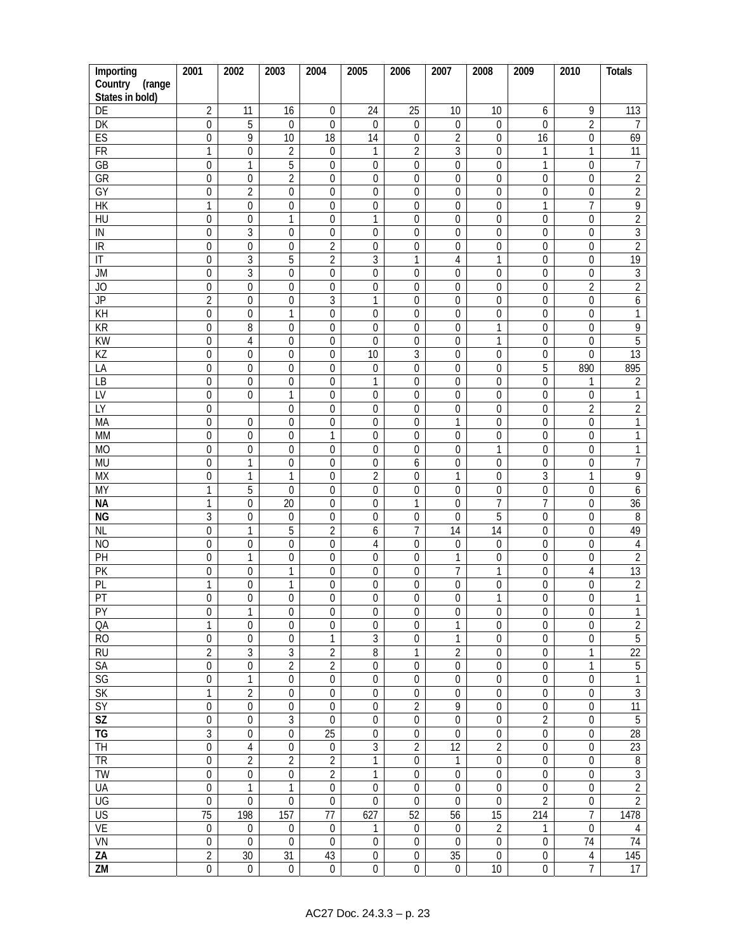| Importing                | 2001                               | 2002                               | 2003                  | 2004                                 | 2005                                 | 2006                               | 2007             | 2008                            | 2009             | 2010                                 | <b>Totals</b>                |
|--------------------------|------------------------------------|------------------------------------|-----------------------|--------------------------------------|--------------------------------------|------------------------------------|------------------|---------------------------------|------------------|--------------------------------------|------------------------------|
| Country<br>(range        |                                    |                                    |                       |                                      |                                      |                                    |                  |                                 |                  |                                      |                              |
| States in bold)          |                                    |                                    |                       |                                      |                                      |                                    |                  |                                 |                  |                                      |                              |
| DE                       | $\overline{2}$                     | 11                                 | 16                    | $\boldsymbol{0}$                     | 24                                   | 25                                 | 10               | 10                              | 6                | 9                                    | 113                          |
| DK                       | $\overline{0}$                     | 5                                  | $\mathbf 0$           | $\mathbf 0$                          | $\boldsymbol{0}$                     | $\boldsymbol{0}$                   | 0                | $\boldsymbol{0}$                | $\mathbf 0$      | $\overline{2}$                       | 7                            |
| ES                       | $\overline{0}$                     | 9                                  | 10                    | 18                                   | 14                                   | $\boldsymbol{0}$                   | $\overline{2}$   | $\mathbf 0$                     | 16               | $\mathbf 0$                          | 69                           |
| FR                       | $\mathbf{1}$                       | $\boldsymbol{0}$                   | $\overline{2}$        | $\boldsymbol{0}$                     | $\mathbf{1}$                         | $\overline{2}$                     | $\mathfrak{Z}$   | 0                               | 1                | 1                                    | 11                           |
| GB                       | $\mathbf 0$                        | $\mathbf{1}$                       | 5                     | 0                                    | $\boldsymbol{0}$                     | $\boldsymbol{0}$                   | $\mathbf 0$      | $\boldsymbol{0}$                | 1                | $\boldsymbol{0}$                     | $\overline{7}$               |
| GR                       | $\boldsymbol{0}$                   | $\mathbf 0$                        | $\overline{2}$        | $\mathbf 0$                          | $\boldsymbol{0}$                     | $\mathbf 0$                        | $\mathbf 0$      | $\overline{0}$                  | 0                | $\mathbf 0$                          | $\overline{2}$               |
| GY<br>HK                 | $\boldsymbol{0}$                   | $\overline{2}$                     | $\mathbf 0$           | $\boldsymbol{0}$                     | $\boldsymbol{0}$                     | $\boldsymbol{0}$                   | $\mathbf 0$      | $\mathbf 0$                     | $\mathbf 0$<br>1 | $\boldsymbol{0}$<br>$\overline{1}$   | $\overline{2}$               |
| $\overline{HU}$          | $\mathbf{1}$<br>$\boldsymbol{0}$   | $\boldsymbol{0}$                   | $\boldsymbol{0}$      | $\boldsymbol{0}$<br>$\boldsymbol{0}$ | $\boldsymbol{0}$                     | $\boldsymbol{0}$                   | 0                | $\mathbf 0$                     |                  |                                      | 9                            |
| IN                       | $\boldsymbol{0}$                   | $\boldsymbol{0}$<br>3              | 1<br>$\boldsymbol{0}$ |                                      | $\mathbf{1}$                         | $\boldsymbol{0}$                   | $\mathbf 0$<br>0 | $\mathbf 0$<br>0                | 0<br>0           | $\mathbf 0$<br>$\mathbf 0$           | $\overline{2}$<br>$\sqrt{3}$ |
| IR                       | $\mathbf 0$                        | $\mathbf 0$                        | $\mathbf 0$           | 0<br>$\overline{2}$                  | 0<br>$\boldsymbol{0}$                | 0<br>$\boldsymbol{0}$              | 0                | $\mathbf 0$                     | 0                | $\mathbf 0$                          | $\overline{2}$               |
| $\overline{\mathbb{I}}$  | $\boldsymbol{0}$                   | $\overline{3}$                     | $\overline{5}$        | $\overline{2}$                       | $\overline{3}$                       | 1                                  | 4                | 1                               | $\mathbf 0$      | $\boldsymbol{0}$                     | 19                           |
| JM                       | $\overline{0}$                     | $\overline{3}$                     | $\mathbf 0$           | $\boldsymbol{0}$                     | $\overline{0}$                       | $\mathbf 0$                        | $\mathbf 0$      | $\boldsymbol{0}$                | 0                | $\boldsymbol{0}$                     | $\mathfrak{Z}$               |
| $\overline{J}$           | $\boldsymbol{0}$                   | $\boldsymbol{0}$                   | $\overline{0}$        | $\boldsymbol{0}$                     | $\mathbf 0$                          | $\mathbf 0$                        | $\mathbf 0$      | $\overline{0}$                  | $\mathbf 0$      | $\overline{2}$                       | $\overline{2}$               |
| JP                       | $\overline{2}$                     | $\mathbf 0$                        | $\mathbf{0}$          | $\overline{3}$                       | $\mathbf{1}$                         | $\mathbf 0$                        | $\mathbf 0$      | $\mathbf 0$                     | $\mathbf 0$      | $\mathbf 0$                          | 6                            |
| KH                       | $\overline{0}$                     | $\boldsymbol{0}$                   | $\mathbf{1}$          | $\boldsymbol{0}$                     | $\boldsymbol{0}$                     | $\boldsymbol{0}$                   | 0                | 0                               | 0                | $\boldsymbol{0}$                     | $\mathbf{1}$                 |
| <b>KR</b>                | $\boldsymbol{0}$                   | 8                                  | $\mathbf 0$           | $\boldsymbol{0}$                     | $\boldsymbol{0}$                     | $\boldsymbol{0}$                   | $\mathbf 0$      | 1                               | 0                | $\mathbf 0$                          | $\overline{9}$               |
| KW                       | $\boldsymbol{0}$                   | $\overline{4}$                     | 0                     | 0                                    | 0                                    | 0                                  | 0                | 1                               | 0                | $\mathbf 0$                          | $\overline{5}$               |
| $\overline{KZ}$          | $\boldsymbol{0}$                   | $\mathbf 0$                        | 0                     | $\boldsymbol{0}$                     | 10                                   | $\overline{3}$                     | 0                | $\mathbf 0$                     | 0                | $\boldsymbol{0}$                     | $\overline{13}$              |
| LA                       | $\overline{0}$                     | $\mathbf 0$                        | $\mathbf 0$           | $\boldsymbol{0}$                     | $\boldsymbol{0}$                     | $\overline{0}$                     | $\mathbf 0$      | $\mathbf 0$                     | $\overline{5}$   | 890                                  | 895                          |
| $\overline{LB}$          | $\overline{0}$                     | $\mathbf 0$                        | $\boldsymbol{0}$      | $\overline{0}$                       | $\mathbf{1}$                         | $\mathbf 0$                        | $\mathbf 0$      | $\boldsymbol{0}$                | 0                | 1                                    | $\sqrt{2}$                   |
| LV                       | $\boldsymbol{0}$                   | $\mathbf 0$                        | $\mathbf{1}$          | $\boldsymbol{0}$                     | $\boldsymbol{0}$                     | $\boldsymbol{0}$                   | $\mathbf 0$      | $\overline{0}$                  | $\boldsymbol{0}$ | $\mathbf 0$                          | 1                            |
| LY                       | $\boldsymbol{0}$                   |                                    | 0                     | $\mathbf 0$                          | $\boldsymbol{0}$                     | $\mathbf 0$                        | $\mathbf 0$      | $\mathbf 0$                     | $\mathbf 0$      | $\overline{2}$                       | $\overline{2}$               |
| MA                       | $\boldsymbol{0}$                   | $\mathbf{0}$                       | $\mathbf 0$           | $\mathbf 0$                          | $\boldsymbol{0}$                     | $\mathbf 0$                        | 1                | 0                               | $\mathbf 0$      | $\boldsymbol{0}$                     | 1                            |
| <b>MM</b>                | $\boldsymbol{0}$                   | $\boldsymbol{0}$                   | $\boldsymbol{0}$      | 1                                    | 0                                    | 0                                  | 0                | 0                               | 0                | $\mathbf 0$                          | 1                            |
| <b>MO</b>                | $\boldsymbol{0}$                   | $\boldsymbol{0}$                   | $\boldsymbol{0}$      | 0                                    | 0                                    | 0                                  | 0                | 1                               | 0                | $\mathbf 0$                          | 1                            |
| <b>MU</b>                | $\boldsymbol{0}$                   | 1                                  | 0                     | $\boldsymbol{0}$                     | 0                                    | 6                                  | 0                | $\boldsymbol{0}$                | 0                | $\mathbf{0}$                         | $\overline{7}$               |
| <b>MX</b>                | $\boldsymbol{0}$                   | 1                                  | $\mathbf{1}$          | $\mathbf 0$                          | $\overline{2}$                       | $\mathbf 0$                        | 1                | $\mathbf 0$                     | $\mathfrak{Z}$   | 1                                    | 9                            |
| <b>MY</b>                | $\mathbf{1}$                       | 5                                  | $\mathbf 0$           | $\boldsymbol{0}$                     | $\boldsymbol{0}$                     | $\boldsymbol{0}$                   | $\boldsymbol{0}$ | 0                               | $\mathbf 0$      | $\boldsymbol{0}$                     | 6                            |
| <b>NA</b>                | 1                                  | $\mathbf 0$                        | 20                    | 0                                    | 0                                    | 1                                  | $\mathbf 0$      | 7                               | 7                | $\mathbf 0$                          | 36                           |
| <b>NG</b>                | $\mathfrak{Z}$                     | 0                                  | 0                     | $\boldsymbol{0}$                     | $\boldsymbol{0}$                     | 0                                  | $\mathbf 0$      | 5                               | 0                | $\mathbf{0}$                         | $\, 8$                       |
| <b>NL</b>                | $\boldsymbol{0}$                   | $\mathbf{1}$                       | 5                     | $\overline{2}$                       | 6                                    | 7                                  | 14               | 14                              | $\mathbf 0$      | $\mathbf 0$                          | 49                           |
| N <sub>O</sub>           | $\boldsymbol{0}$                   | $\boldsymbol{0}$                   | $\boldsymbol{0}$      | $\boldsymbol{0}$                     | $\sqrt{4}$                           | $\boldsymbol{0}$                   | 0                | $\boldsymbol{0}$                | 0                | $\mathbf 0$                          | $\overline{4}$               |
| PH                       | $\boldsymbol{0}$                   | 1                                  | $\boldsymbol{0}$      | 0                                    | 0                                    | 0                                  | 1                | 0                               | 0                | $\mathbf 0$                          | $\overline{2}$               |
| PK                       | $\boldsymbol{0}$                   | 0                                  | 1                     | $\boldsymbol{0}$                     | 0                                    | 0                                  | 7                | 1                               | 0                | 4                                    | 13                           |
| PL                       | 1                                  | 0                                  | 1                     | $\mathbf 0$                          | $\boldsymbol{0}$                     | 0                                  | 0                | 0                               | 0                | $\boldsymbol{0}$                     | $\sqrt{2}$                   |
| $\overline{PT}$          | $\overline{0}$                     | $\overline{0}$                     | $\overline{0}$        | $\overline{0}$                       | $\overline{0}$                       | $\overline{0}$                     | $\overline{0}$   | 1                               | $\overline{0}$   | $\Omega$                             | 1                            |
| PY                       | $\boldsymbol{0}$                   | $\mathbf{1}$                       | $\boldsymbol{0}$      | 0                                    | 0                                    | $\boldsymbol{0}$                   | 0                | $\boldsymbol{0}$                | 0                | $\boldsymbol{0}$                     | 1                            |
| QA                       | 1                                  | $\mathbf 0$                        | $\mathbf 0$           | $\mathbf 0$                          | $\mathbf 0$                          | 0                                  | 1                | $\mathbf 0$                     | 0                | $\boldsymbol{0}$                     | $\overline{2}$               |
| R <sub>O</sub>           | $\boldsymbol{0}$                   | $\boldsymbol{0}$                   | $\boldsymbol{0}$      | $\mathbf{1}$                         | $\overline{3}$                       | $\boldsymbol{0}$                   | 1                | $\mathbf 0$                     | 0                | $\boldsymbol{0}$                     | $\overline{5}$               |
| $\overline{RU}$          | $\overline{c}$                     | $\overline{3}$                     | $\overline{3}$        | $\overline{2}$                       | 8                                    | $\mathbf{1}$                       | $\overline{2}$   | $\boldsymbol{0}$                | $\boldsymbol{0}$ | $\mathbf{1}$                         | $\overline{22}$              |
| SA                       | $\boldsymbol{0}$                   | $\boldsymbol{0}$                   | $\overline{2}$        | $\overline{2}$                       | $\boldsymbol{0}$                     | $\boldsymbol{0}$                   | $\boldsymbol{0}$ | $\mathbf 0$                     | 0                | 1                                    | $\overline{5}$               |
| SG                       | $\boldsymbol{0}$<br>$\overline{1}$ | $\mathbf{1}$                       | 0<br>$\mathbf 0$      | $\boldsymbol{0}$                     | $\boldsymbol{0}$                     | $\boldsymbol{0}$                   | 0                | 0                               | 0<br>$\mathbf 0$ | $\boldsymbol{0}$<br>$\boldsymbol{0}$ | 1<br>$\overline{3}$          |
| <b>SK</b><br><b>SY</b>   | $\overline{0}$                     | $\overline{2}$<br>$\boldsymbol{0}$ | $\boldsymbol{0}$      | $\mathbf 0$<br>$\boldsymbol{0}$      | $\boldsymbol{0}$<br>$\boldsymbol{0}$ | $\boldsymbol{0}$<br>$\overline{2}$ | $\mathbf 0$<br>9 | $\mathbf 0$<br>$\boldsymbol{0}$ | $\boldsymbol{0}$ | $\boldsymbol{0}$                     | $\overline{11}$              |
| $\overline{\mathsf{SZ}}$ | $\overline{0}$                     | $\mathbf 0$                        | $\overline{3}$        | $\boldsymbol{0}$                     | $\overline{0}$                       | $\overline{0}$                     | $\mathbf 0$      | $\overline{0}$                  | $\overline{2}$   | $\boldsymbol{0}$                     | $\overline{5}$               |
| <b>TG</b>                | $\overline{3}$                     | $\boldsymbol{0}$                   | $\boldsymbol{0}$      | $\overline{25}$                      | $\boldsymbol{0}$                     | $\overline{0}$                     | $\mathbf 0$      | $\boldsymbol{0}$                | $\overline{0}$   | $\boldsymbol{0}$                     | $\overline{28}$              |
| <b>TH</b>                | $\boldsymbol{0}$                   | $\overline{4}$                     | $\boldsymbol{0}$      | $\boldsymbol{0}$                     | $\mathfrak{Z}$                       | $\overline{2}$                     | 12               | $\overline{2}$                  | $\boldsymbol{0}$ | $\boldsymbol{0}$                     | 23                           |
| <b>TR</b>                | $\overline{0}$                     | $\overline{2}$                     | $\overline{2}$        | $\overline{2}$                       | $\overline{1}$                       | $\overline{0}$                     | 1                | $\overline{0}$                  | 0                | $\overline{0}$                       | $\overline{8}$               |
| TW                       | $\boldsymbol{0}$                   | $\boldsymbol{0}$                   | $\boldsymbol{0}$      | $\overline{2}$                       | 1                                    | $\boldsymbol{0}$                   | $\mathbf 0$      | $\mathbf 0$                     | $\mathbf 0$      | $\boldsymbol{0}$                     | $\overline{3}$               |
| UA                       | $\boldsymbol{0}$                   | $\mathbf{1}$                       | 1                     | $\boldsymbol{0}$                     | $\boldsymbol{0}$                     | $\boldsymbol{0}$                   | $\mathbf 0$      | $\boldsymbol{0}$                | 0                | $\boldsymbol{0}$                     | $\overline{2}$               |
| UG                       | $\overline{0}$                     | $\mathbf 0$                        | $\boldsymbol{0}$      | $\boldsymbol{0}$                     | $\boldsymbol{0}$                     | $\boldsymbol{0}$                   | $\mathbf 0$      | $\boldsymbol{0}$                | $\overline{2}$   | $\boldsymbol{0}$                     | $\overline{2}$               |
| <b>US</b>                | 75                                 | 198                                | 157                   | $\overline{77}$                      | 627                                  | 52                                 | $\overline{56}$  | 15                              | 214              | $\overline{7}$                       | 1478                         |
| <b>VE</b>                | $\overline{0}$                     | $\boldsymbol{0}$                   | $\boldsymbol{0}$      | $\boldsymbol{0}$                     | 1                                    | $\boldsymbol{0}$                   | $\boldsymbol{0}$ | $\overline{2}$                  | 1                | $\boldsymbol{0}$                     | $\overline{4}$               |
| VN                       | $\overline{0}$                     | $\overline{0}$                     | $\overline{0}$        | $\overline{0}$                       | $\boldsymbol{0}$                     | $\overline{0}$                     | $\mathbf 0$      | $\overline{0}$                  | 0                | $\overline{74}$                      | $\overline{74}$              |
| $\overline{ZA}$          | $\overline{2}$                     | 30                                 | $\overline{31}$       | 43                                   | $\boldsymbol{0}$                     | $\overline{0}$                     | 35               | $\boldsymbol{0}$                | $\boldsymbol{0}$ | $\overline{4}$                       | 145                          |
| $\overline{ZM}$          | $\overline{0}$                     | $\boldsymbol{0}$                   | $\boldsymbol{0}$      | $\boldsymbol{0}$                     | $\boldsymbol{0}$                     | $\boldsymbol{0}$                   | $\boldsymbol{0}$ | $10\,$                          | $\overline{0}$   | $\overline{7}$                       | $\overline{17}$              |
|                          |                                    |                                    |                       |                                      |                                      |                                    |                  |                                 |                  |                                      |                              |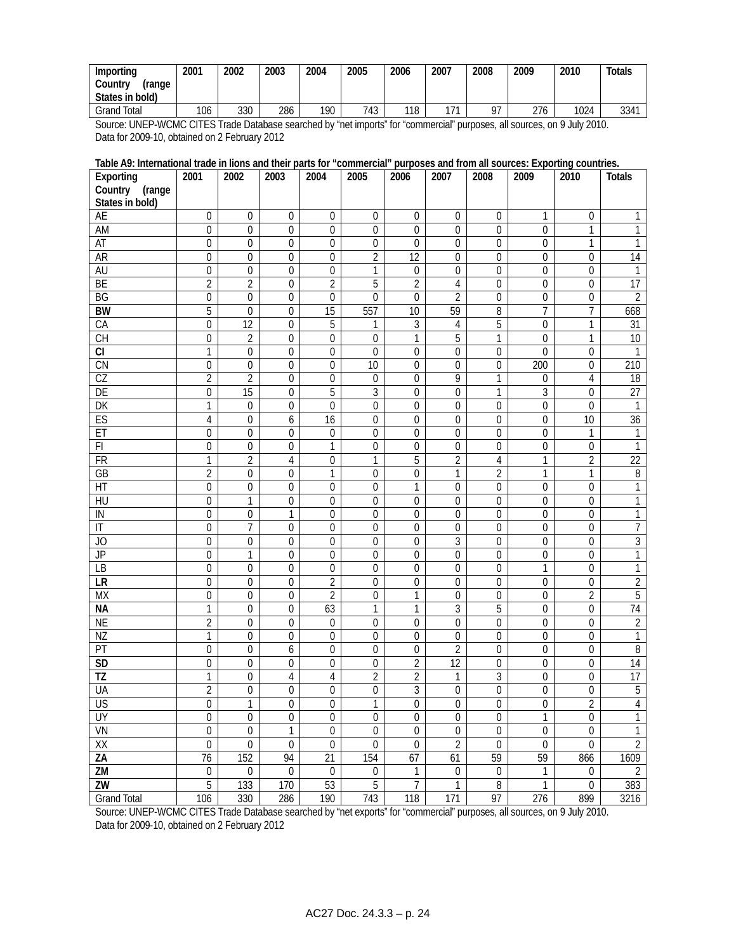| Importing<br>Countrv<br>'range<br>States in bold) | 2001 | 2002 | 2003 | 2004 | 2005 | 2006 | 2007 | 2008 | 2009 | 2010 | Totals |
|---------------------------------------------------|------|------|------|------|------|------|------|------|------|------|--------|
| Total<br>Grand                                    | 106  | 330  | 286  | 190  | 743  | 118  | 171  | 07   | 276  | 1024 | 3341   |

Source: UNEP-WCMC CITES Trade Database searched by "net imports" for "commercial" purposes, all sources, on 9 July 2010. Data for 2009-10, obtained on 2 February 2012

### **Table A9: International trade in lions and their parts for "commercial" purposes and from all sources: Exporting countries.**

| Exporting                | 2001                                 | 2002             | 2003                       | 2004                                 | 2005                            | 2006                  | 2007                            | 2008             | 2009             | 2010             | <b>Totals</b>           |
|--------------------------|--------------------------------------|------------------|----------------------------|--------------------------------------|---------------------------------|-----------------------|---------------------------------|------------------|------------------|------------------|-------------------------|
| Country<br>(range        |                                      |                  |                            |                                      |                                 |                       |                                 |                  |                  |                  |                         |
| States in bold)          |                                      |                  |                            |                                      |                                 |                       |                                 |                  |                  |                  |                         |
| <b>AE</b>                | $\overline{0}$                       | $\boldsymbol{0}$ | $\overline{0}$             | $\boldsymbol{0}$                     | $\boldsymbol{0}$                | $\mathbf 0$           | 0                               | $\boldsymbol{0}$ | 1                | $\boldsymbol{0}$ | 1                       |
| AM                       | $\boldsymbol{0}$                     | $\mathbf 0$      | $\boldsymbol{0}$           | 0                                    | 0                               | 0                     | 0                               | 0                | $\overline{0}$   | 1                | 1                       |
| <b>AT</b>                | 0                                    | $\mathbf 0$      | $\mathbf 0$                | 0                                    | $\boldsymbol{0}$                | 0                     | $\mathbf 0$                     | 0                | 0                | 1                | 1                       |
| A <sub>R</sub>           | $\boldsymbol{0}$                     | $\mathbf 0$      | $\mathbf 0$                | 0                                    | $\overline{2}$                  | $\overline{12}$       | 0                               | 0                | 0                | 0                | 14                      |
| AU                       | $\boldsymbol{0}$                     | $\boldsymbol{0}$ | $\mathbf 0$                | $\boldsymbol{0}$                     | $\overline{1}$                  | $\boldsymbol{0}$      | $\boldsymbol{0}$                | 0                | 0                | 0                | 1                       |
| BE                       | $\overline{2}$                       | $\overline{2}$   | $\overline{0}$             | $\overline{2}$                       | 5                               | $\overline{2}$        | 4                               | 0                | $\overline{0}$   | 0                | 17                      |
| $\overline{BG}$          | $\boldsymbol{0}$                     | $\mathbf 0$      | $\mathbf{0}$               | $\mathbf 0$                          | $\overline{0}$                  | 0                     | $\overline{2}$                  | $\mathbf 0$      | 0                | $\mathbf 0$      | $\overline{2}$          |
| <b>BW</b>                | 5                                    | $\Omega$         | $\mathbf{0}$               | $\overline{15}$                      | 557                             | 10                    | 59                              | 8                | 7                | $\overline{7}$   | 668                     |
| CA                       | 0                                    | 12               | $\mathbf 0$                | 5                                    | 1                               | 3                     | 4                               | 5                | 0                | 1                | $\overline{31}$         |
| $\overline{CH}$          | $\boldsymbol{0}$                     | $\overline{2}$   | $\boldsymbol{0}$           | $\boldsymbol{0}$                     | $\boldsymbol{0}$                | 1                     | 5                               | 1                | 0                | 1                | $10\,$                  |
| CI                       | 1                                    | $\boldsymbol{0}$ | $\boldsymbol{0}$           | 0                                    | 0                               | 0                     | $\mathbf 0$                     | 0                | $\mathbf{0}$     | 0                | 1                       |
| $\overline{\text{CN}}$   | 0                                    | $\mathbf 0$      | $\mathbf 0$                | $\mathbf 0$                          | 10                              | $\mathbf 0$           | 0                               | 0                | 200              | $\mathbf{0}$     | 210                     |
| $\overline{CZ}$          | $\overline{2}$                       | $\overline{2}$   | $\mathbf 0$                | $\boldsymbol{0}$                     | $\boldsymbol{0}$                | 0                     | 9                               | 1                | 0                | $\overline{4}$   | 18                      |
| DE                       | $\overline{0}$                       | $\overline{15}$  | $\boldsymbol{0}$           | $\overline{5}$                       | 3                               | $\mathbf 0$           | $\mathbf 0$                     | 1                | $\overline{3}$   | 0                | $\overline{27}$         |
| DK                       | 1                                    | $\mathbf 0$      | $\mathbf 0$                | $\mathbf 0$                          | $\mathbf 0$                     | $\overline{0}$        | $\mathbf 0$                     | $\boldsymbol{0}$ | $\mathbf 0$      | $\mathbf 0$      | 1                       |
| ES                       | 4                                    | $\mathbf 0$      | 6                          | 16                                   | $\boldsymbol{0}$                | $\mathbf 0$           | $\mathbf 0$                     | 0                | 0                | $\overline{10}$  | $\overline{36}$         |
| ET                       | $\boldsymbol{0}$                     | $\mathbf 0$      | $\mathbf 0$                | $\boldsymbol{0}$                     | $\boldsymbol{0}$                | 0                     | $\mathbf 0$                     | 0                | 0                | 1                | 1                       |
| F1                       | $\boldsymbol{0}$                     | $\boldsymbol{0}$ | $\boldsymbol{0}$           | $\mathbf{1}$                         | $\boldsymbol{0}$                | $\boldsymbol{0}$      | 0                               | 0                | 0                | $\boldsymbol{0}$ | $\mathbf{1}$            |
| <b>FR</b>                | 1                                    | $\overline{2}$   | 4                          | 0                                    | 1                               | 5                     | $\overline{2}$                  | 4                | 1                | $\overline{2}$   | $\overline{22}$         |
| $\overline{GB}$          | $\overline{2}$                       | $\boldsymbol{0}$ | $\mathbf 0$<br>$\mathbf 0$ | 1                                    | $\boldsymbol{0}$                | $\boldsymbol{0}$<br>1 | 1                               | $\overline{2}$   | 1                | 1                | 8                       |
| HT<br>$\overline{H}$     | $\boldsymbol{0}$<br>$\boldsymbol{0}$ | $\mathbf 0$<br>1 | $\mathbf 0$                | $\boldsymbol{0}$<br>$\boldsymbol{0}$ | $\mathbf 0$<br>$\boldsymbol{0}$ | $\mathbf 0$           | $\boldsymbol{0}$<br>$\mathbf 0$ | 0<br>0           | 0<br>0           | 0<br>0           | 1<br>1                  |
| IN                       | $\mathbf 0$                          | $\mathbf{0}$     | 1                          | $\mathbf{0}$                         | $\mathbf 0$                     | 0                     | $\mathbf 0$                     | 0                | $\mathbf 0$      | $\mathbf{0}$     | 1                       |
| $\mathsf{I}\mathsf{T}$   |                                      | 7                | $\boldsymbol{0}$           | $\boldsymbol{0}$                     | $\boldsymbol{0}$                | $\mathbf 0$           |                                 | $\boldsymbol{0}$ | 0                | $\boldsymbol{0}$ | $\overline{7}$          |
| JO                       | 0<br>0                               | $\mathbf{0}$     | $\mathbf 0$                | $\boldsymbol{0}$                     | $\boldsymbol{0}$                | 0                     | 0<br>3                          | 0                | 0                | $\mathbf 0$      | $\sqrt{3}$              |
| <b>JP</b>                | 0                                    | 1                | $\boldsymbol{0}$           | 0                                    | 0                               | 0                     | 0                               | 0                | 0                | 0                | 1                       |
| <b>LB</b>                | 0                                    | $\boldsymbol{0}$ | $\boldsymbol{0}$           | 0                                    | 0                               | 0                     | 0                               | 0                | 1                | 0                | 1                       |
| LR                       | 0                                    | 0                | 0                          | $\overline{2}$                       | 0                               | 0                     | 0                               | 0                | 0                | 0                | $\overline{\mathbf{c}}$ |
| <b>MX</b>                | $\boldsymbol{0}$                     | $\mathbf 0$      | $\mathbf 0$                | $\overline{2}$                       | $\boldsymbol{0}$                | 1                     | $\mathbf 0$                     | 0                | 0                | $\overline{2}$   | $\overline{5}$          |
| <b>NA</b>                | 1                                    | $\boldsymbol{0}$ | $\boldsymbol{0}$           | 63                                   | $\mathbf{1}$                    | 1                     | 3                               | 5                | 0                | $\overline{0}$   | $\overline{74}$         |
| <b>NE</b>                | $\overline{2}$                       | $\mathbf 0$      | $\mathbf 0$                | 0                                    | 0                               | 0                     | $\mathbf 0$                     | 0                | 0                | 0                | $\overline{2}$          |
| NZ                       | $\mathbf{1}$                         | 0                | $\boldsymbol{0}$           | $\boldsymbol{0}$                     | $\boldsymbol{0}$                | 0                     | 0                               | 0                | 0                | 0                | 1                       |
| PT                       | $\boldsymbol{0}$                     | $\mathbf{0}$     | 6                          | $\mathbf{0}$                         | $\boldsymbol{0}$                | 0                     | $\overline{2}$                  | 0                | 0                | $\mathbf 0$      | $\, 8$                  |
| <b>SD</b>                | $\boldsymbol{0}$                     | $\boldsymbol{0}$ | $\boldsymbol{0}$           | $\boldsymbol{0}$                     | $\boldsymbol{0}$                | $\overline{2}$        | 12                              | 0                | 0                | 0                | 14                      |
| TZ                       | 1                                    | $\boldsymbol{0}$ | 4                          | 4                                    | $\overline{2}$                  | 2                     | 1                               | 3                | 0                | 0                | 17                      |
| UA                       | $\overline{2}$                       | 0                | $\boldsymbol{0}$           | 0                                    | 0                               | 3                     | 0                               | 0                | 0                | 0                | 5                       |
| $\overline{\mathsf{US}}$ | $\overline{0}$                       | 1                | $\Omega$                   | $\Omega$                             | 1                               | $\overline{0}$        | $\Omega$                        | $\overline{0}$   | 0                | $\overline{2}$   | $\overline{4}$          |
| UY                       | $\boldsymbol{0}$                     | $\boldsymbol{0}$ | $\boldsymbol{0}$           | $\boldsymbol{0}$                     | $\boldsymbol{0}$                | $\boldsymbol{0}$      | $\boldsymbol{0}$                | $\boldsymbol{0}$ | 1                | $\boldsymbol{0}$ | 1                       |
| VN                       | $\overline{0}$                       | $\overline{0}$   | 1                          | $\overline{0}$                       | $\overline{0}$                  | $\overline{0}$        | $\overline{0}$                  | $\overline{0}$   | $\overline{0}$   | $\overline{0}$   | 1                       |
| $\overline{XX}$          | $\overline{0}$                       | $\overline{0}$   | $\boldsymbol{0}$           | $\boldsymbol{0}$                     | $\overline{0}$                  | $\boldsymbol{0}$      | $\overline{2}$                  | $\overline{0}$   | $\boldsymbol{0}$ | $\overline{0}$   | $\overline{2}$          |
| $\overline{ZA}$          | $\overline{76}$                      | 152              | 94                         | 21                                   | 154                             | 67                    | 61                              | 59               | 59               | 866              | 1609                    |
| $\overline{ZM}$          | $\boldsymbol{0}$                     | $\boldsymbol{0}$ | $\boldsymbol{0}$           | $\boldsymbol{0}$                     | $\boldsymbol{0}$                | 1                     | $\boldsymbol{0}$                | $\boldsymbol{0}$ | 1                | $\boldsymbol{0}$ | $\overline{2}$          |
| ZW                       | 5                                    | 133              | 170                        | 53                                   | 5                               | 7                     | 1                               | $\, 8$           | 1                | $\boldsymbol{0}$ | 383                     |
| <b>Grand Total</b>       | 106                                  | 330              | 286                        | 190                                  | 743                             | 118                   | 171                             | 97               | 276              | 899              | 3216                    |

Source: UNEP-WCMC CITES Trade Database searched by "net exports" for "commercial" purposes, all sources, on 9 July 2010. Data for 2009-10, obtained on 2 February 2012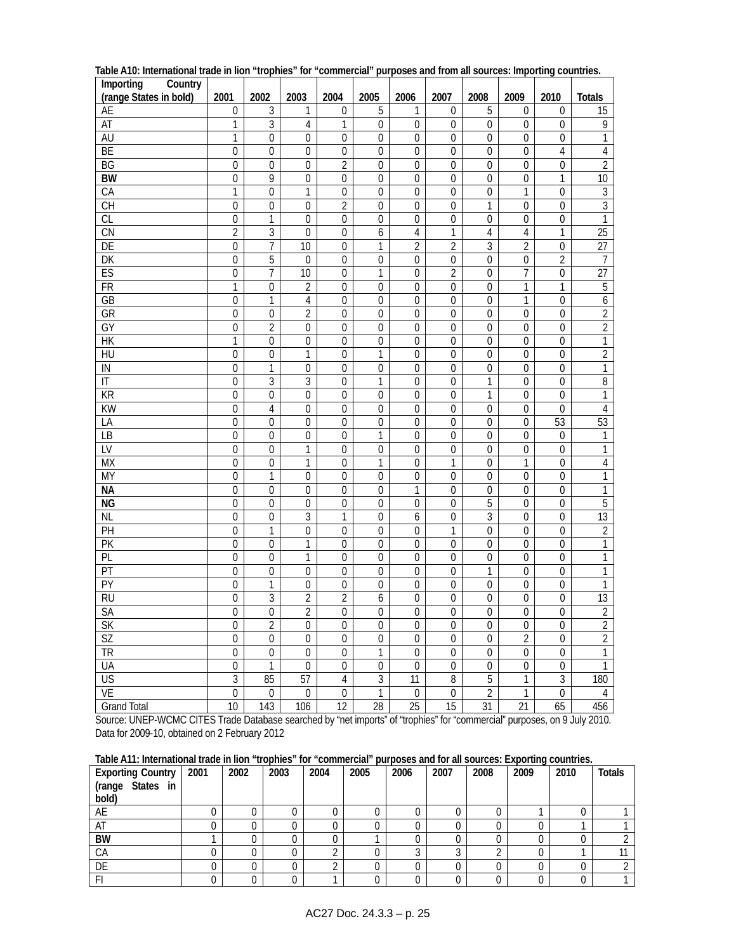| Importing<br>Country   |                  |                  |                  |                  |                  |                  |                  |                  |                  |                  |                  |
|------------------------|------------------|------------------|------------------|------------------|------------------|------------------|------------------|------------------|------------------|------------------|------------------|
| (range States in bold) | 2001             | 2002             | 2003             | 2004             | 2005             | 2006             | 2007             | 2008             | 2009             | 2010             | <b>Totals</b>    |
| AE                     | $\boldsymbol{0}$ | 3                | 1                | $\boldsymbol{0}$ | 5                | 1                | $\boldsymbol{0}$ | 5                | $\boldsymbol{0}$ | 0                | 15               |
| <b>AT</b>              | 1                | 3                | 4                | 1                | 0                | $\boldsymbol{0}$ | 0                | 0                | 0                | 0                | 9                |
| AU                     | 1                | 0                | 0                | $\boldsymbol{0}$ | 0                | $\boldsymbol{0}$ | 0                | 0                | 0                | 0                | 1                |
| BE                     | $\mathbf 0$      | $\mathbf 0$      | 0                | $\boldsymbol{0}$ | $\mathbf 0$      | $\boldsymbol{0}$ | $\mathbf 0$      | $\boldsymbol{0}$ | 0                | 4                | $\sqrt{4}$       |
| BG                     | 0                | $\boldsymbol{0}$ | 0                | $\overline{2}$   | $\mathbf 0$      | $\boldsymbol{0}$ | $\boldsymbol{0}$ | $\mathbf 0$      | $\mathbf 0$      | $\overline{0}$   | $\overline{2}$   |
| <b>BW</b>              | 0                | 9                | $\mathbf 0$      | $\mathbf 0$      | 0                | $\boldsymbol{0}$ | $\mathbf 0$      | $\mathbf 0$      | 0                | 1                | $\overline{10}$  |
| CA                     | $\mathbf{1}$     | $\mathbf 0$      | 1                | $\boldsymbol{0}$ | $\mathbf 0$      | $\boldsymbol{0}$ | 0                | $\mathbf 0$      | 1                | $\boldsymbol{0}$ | $\overline{3}$   |
| $\overline{CH}$        | $\mathbf 0$      | $\mathbf 0$      | $\mathbf 0$      | $\overline{2}$   | 0                | 0                | $\mathbf 0$      | 1                | 0                | $\mathbf 0$      | $\overline{3}$   |
| CL                     | $\boldsymbol{0}$ | 1                | $\boldsymbol{0}$ | $\boldsymbol{0}$ | 0                | $\boldsymbol{0}$ | 0                | $\boldsymbol{0}$ | 0                | $\boldsymbol{0}$ | 1                |
| CN                     | $\overline{2}$   | 3                | 0                | $\boldsymbol{0}$ | 6                | $\overline{4}$   | $\mathbf{1}$     | $\overline{4}$   | $\overline{4}$   | 1                | $\overline{25}$  |
| DE                     | $\boldsymbol{0}$ | 7                | 10               | $\mathbf 0$      | 1                | $\sqrt{2}$       | $\overline{2}$   | $\sqrt{3}$       | $\overline{2}$   | $\boldsymbol{0}$ | 27               |
| DK                     | $\mathbf 0$      | 5                | 0                | 0                | $\mathbf 0$      | $\boldsymbol{0}$ | $\mathbf 0$      | $\boldsymbol{0}$ | $\mathbf 0$      | $\overline{2}$   | $\overline{7}$   |
| ES                     | $\mathbf 0$      | 7                | 10               | $\boldsymbol{0}$ | 1                | $\boldsymbol{0}$ | $\overline{c}$   | $\overline{0}$   | $\overline{7}$   | $\overline{0}$   | $\overline{27}$  |
| <b>FR</b>              | 1                | 0                | $\overline{2}$   | $\mathbf 0$      | 0                | 0                | $\mathbf 0$      | $\mathbf 0$      | 1                | 1                | $\overline{5}$   |
| GB                     | $\boldsymbol{0}$ | 1                | $\overline{4}$   | $\boldsymbol{0}$ | 0                | $\boldsymbol{0}$ | 0                | $\mathbf 0$      | 1                | 0                | $\boldsymbol{6}$ |
| GR                     | $\mathbf 0$      | $\mathbf 0$      | $\overline{2}$   | $\boldsymbol{0}$ | $\mathbf 0$      | 0                | $\mathbf 0$      | $\mathbf 0$      | $\mathbf 0$      | $\mathbf 0$      | $\overline{2}$   |
| $\overline{GY}$        | $\boldsymbol{0}$ | $\overline{2}$   | $\boldsymbol{0}$ | $\boldsymbol{0}$ | $\mathbf 0$      | $\boldsymbol{0}$ | $\boldsymbol{0}$ | $\boldsymbol{0}$ | $\boldsymbol{0}$ | $\boldsymbol{0}$ | $\overline{2}$   |
| $\overline{HK}$        | 1                | 0                | 0                | $\boldsymbol{0}$ | 0                | $\boldsymbol{0}$ | $\boldsymbol{0}$ | $\boldsymbol{0}$ | 0                | $\boldsymbol{0}$ | 1                |
| HU                     | $\boldsymbol{0}$ | 0                | 1                | $\mathbf 0$      | 1                | $\boldsymbol{0}$ | 0                | $\boldsymbol{0}$ | $\boldsymbol{0}$ | 0                | $\overline{2}$   |
| IN                     | $\mathbf 0$      | 1                | 0                | 0                | $\mathbf 0$      | $\boldsymbol{0}$ | $\mathbf 0$      | $\boldsymbol{0}$ | 0                | $\boldsymbol{0}$ | $\overline{1}$   |
| $\mathsf{I}\mathsf{T}$ | $\overline{0}$   | 3                | 3                | $\boldsymbol{0}$ | 1                | $\boldsymbol{0}$ | $\mathbf 0$      | 1                | $\boldsymbol{0}$ | $\boldsymbol{0}$ | $\sqrt{8}$       |
| <b>KR</b>              | 0                | $\mathbf 0$      | $\mathbf 0$      | $\mathbf 0$      | 0                | $\mathbf 0$      | $\mathbf 0$      | 1                | 0                | $\mathbf 0$      | 1                |
| KW                     | 0                | 4                | 0                | $\boldsymbol{0}$ | 0                | $\boldsymbol{0}$ | 0                | 0                | 0                | 0                | $\overline{4}$   |
| LA                     | $\mathbf 0$      | 0                | $\mathbf 0$      | $\mathbf 0$      | 0                | $\boldsymbol{0}$ | $\overline{0}$   | $\mathbf{0}$     | 0                | 53               | 53               |
| $\overline{LB}$        | $\mathbf 0$      | $\mathbf 0$      | $\mathbf 0$      | $\boldsymbol{0}$ | 1                | $\boldsymbol{0}$ | $\mathbf 0$      | $\boldsymbol{0}$ | $\mathbf 0$      | $\boldsymbol{0}$ | $\mathbf{1}$     |
| LV                     | $\boldsymbol{0}$ | 0                | 1                | $\mathbf 0$      | $\boldsymbol{0}$ | $\boldsymbol{0}$ | $\boldsymbol{0}$ | $\boldsymbol{0}$ | $\mathbf 0$      | $\boldsymbol{0}$ | 1                |
| <b>MX</b>              | 0                | 0                | 1                | 0                | 1                | $\boldsymbol{0}$ | 1                | 0                | 1                | 0                | $\sqrt{4}$       |
| <b>MY</b>              | $\boldsymbol{0}$ | 1                | 0                | $\mathbf 0$      | $\boldsymbol{0}$ | $\boldsymbol{0}$ | $\mathbf{0}$     | $\mathbf 0$      | $\boldsymbol{0}$ | $\mathbf 0$      | $\mathbf{1}$     |
| <b>NA</b>              | $\overline{0}$   | $\boldsymbol{0}$ | $\mathbf 0$      | $\boldsymbol{0}$ | $\boldsymbol{0}$ | $\mathbf{1}$     | $\overline{0}$   | $\boldsymbol{0}$ | $\overline{0}$   | $\overline{0}$   | $\mathbf{1}$     |
| <b>NG</b>              | $\overline{0}$   | $\overline{0}$   | $\mathbf 0$      | $\overline{0}$   | $\overline{0}$   | $\boldsymbol{0}$ | $\mathbf 0$      | 5                | $\overline{0}$   | $\overline{0}$   | $\overline{5}$   |
| <b>NL</b>              | $\mathbf 0$      | 0                | $\overline{3}$   | 1                | 0                | 6                | $\overline{0}$   | $\overline{3}$   | $\overline{0}$   | $\mathbf 0$      | 13               |
| PH                     | $\mathbf 0$      | 1                | $\overline{0}$   | $\boldsymbol{0}$ | $\mathbf 0$      | $\boldsymbol{0}$ | $\mathbf{1}$     | $\boldsymbol{0}$ | $\mathbf 0$      | $\mathbf{0}$     | $\overline{2}$   |
| $\overline{PR}$        | $\boldsymbol{0}$ | $\mathbf 0$      | 1                | $\boldsymbol{0}$ | $\mathbf 0$      | $\boldsymbol{0}$ | $\mathbf 0$      | $\mathbf 0$      | $\mathbf 0$      | $\boldsymbol{0}$ | $\mathbf{1}$     |
| PL                     | $\boldsymbol{0}$ | $\mathbf 0$      | 1                | $\mathbf 0$      | $\boldsymbol{0}$ | $\boldsymbol{0}$ | $\boldsymbol{0}$ | $\boldsymbol{0}$ | $\mathbf 0$      | $\boldsymbol{0}$ | 1                |
| PT                     | 0                | 0                | 0                | $\boldsymbol{0}$ | 0                | $\boldsymbol{0}$ | 0                | 1                | 0                | 0                | 1                |
| PY                     | $\boldsymbol{0}$ | 1                | 0                | $\boldsymbol{0}$ | $\boldsymbol{0}$ | $\boldsymbol{0}$ | $\boldsymbol{0}$ | $\mathbf{0}$     | $\boldsymbol{0}$ | $\boldsymbol{0}$ | $\mathbf{1}$     |
| <b>RU</b>              | 0                | $\overline{3}$   | $\overline{2}$   | $\overline{2}$   | 6                | $\boldsymbol{0}$ | $\mathbf 0$      | $\mathbf 0$      | $\overline{0}$   | $\mathbf 0$      | $\overline{13}$  |
| <b>SA</b>              | $\overline{0}$   | $\overline{0}$   | $\overline{2}$   | $\overline{0}$   | 0                | $\overline{0}$   | $\overline{0}$   | $\overline{0}$   | $\overline{0}$   | $\overline{0}$   | $\overline{2}$   |
| SK                     | $\boldsymbol{0}$ | $\overline{2}$   | $\boldsymbol{0}$ | $\boldsymbol{0}$ | $\boldsymbol{0}$ | $\boldsymbol{0}$ | $\boldsymbol{0}$ | $\boldsymbol{0}$ | $\boldsymbol{0}$ | $\boldsymbol{0}$ | $\overline{c}$   |
| <b>SZ</b>              | $\overline{0}$   | $\overline{0}$   | $\overline{0}$   | $\overline{0}$   | $\overline{0}$   | $\overline{0}$   | $\overline{0}$   | $\overline{0}$   | $\overline{2}$   | $\overline{0}$   | $\overline{2}$   |
| $\overline{\text{TR}}$ | $\overline{0}$   | $\boldsymbol{0}$ | $\boldsymbol{0}$ | $\overline{0}$   | 1                | $\boldsymbol{0}$ | $\boldsymbol{0}$ | $\boldsymbol{0}$ | $\overline{0}$   | $\overline{0}$   | $\overline{1}$   |
| UA                     | $\overline{0}$   | $\mathbf{1}$     | $\boldsymbol{0}$ | $\boldsymbol{0}$ | $\boldsymbol{0}$ | $\boldsymbol{0}$ | $\boldsymbol{0}$ | $\boldsymbol{0}$ | $\boldsymbol{0}$ | $\boldsymbol{0}$ | $\mathbf{1}$     |
| US                     | $\overline{3}$   | 85               | 57               | $\sqrt{4}$       | 3                | 11               | $\, 8$           | $\overline{5}$   | 1                | $\overline{3}$   | 180              |
| VE                     | $\overline{0}$   | $\boldsymbol{0}$ | $\boldsymbol{0}$ | $\mathbf 0$      | $\overline{1}$   | $\boldsymbol{0}$ | $\boldsymbol{0}$ | $\overline{2}$   | $\mathbf{1}$     | $\overline{0}$   | 4                |
| <b>Grand Total</b>     | $\overline{10}$  | 143              | 106              | $\overline{12}$  | $\overline{28}$  | $\overline{25}$  | $\overline{15}$  | $\overline{31}$  | $\overline{21}$  | 65               | 456              |

**Table A10: International trade in lion "trophies" for "commercial" purposes and from all sources: Importing countries.** 

Source: UNEP-WCMC CITES Trade Database searched by "net imports" of "trophies" for "commercial" purposes, on 9 July 2010. Data for 2009-10, obtained on 2 February 2012

| Table A11: International trade in lion "trophies" for "commercial" purposes and for all sources: Exporting countries. |  |  |  |  |
|-----------------------------------------------------------------------------------------------------------------------|--|--|--|--|
|-----------------------------------------------------------------------------------------------------------------------|--|--|--|--|

| <b>Exporting Country</b> | 2001 | 2002 | 2003 | 2004 | 2005 | 2006 | 2007 | 2008 | 2009 | 2010 | <b>Totals</b> |
|--------------------------|------|------|------|------|------|------|------|------|------|------|---------------|
| (range States in         |      |      |      |      |      |      |      |      |      |      |               |
| bold)                    |      |      |      |      |      |      |      |      |      |      |               |
| AE                       |      |      |      |      |      |      |      |      |      |      |               |
| AT                       |      |      |      |      |      |      |      |      |      |      |               |
| <b>BW</b>                |      |      |      |      |      |      |      |      |      |      |               |
| CA                       |      |      |      |      |      |      |      | ◠    |      |      |               |
| DE                       |      |      | 0    |      |      |      |      |      |      |      |               |
|                          |      |      | 0    |      |      |      |      |      |      |      |               |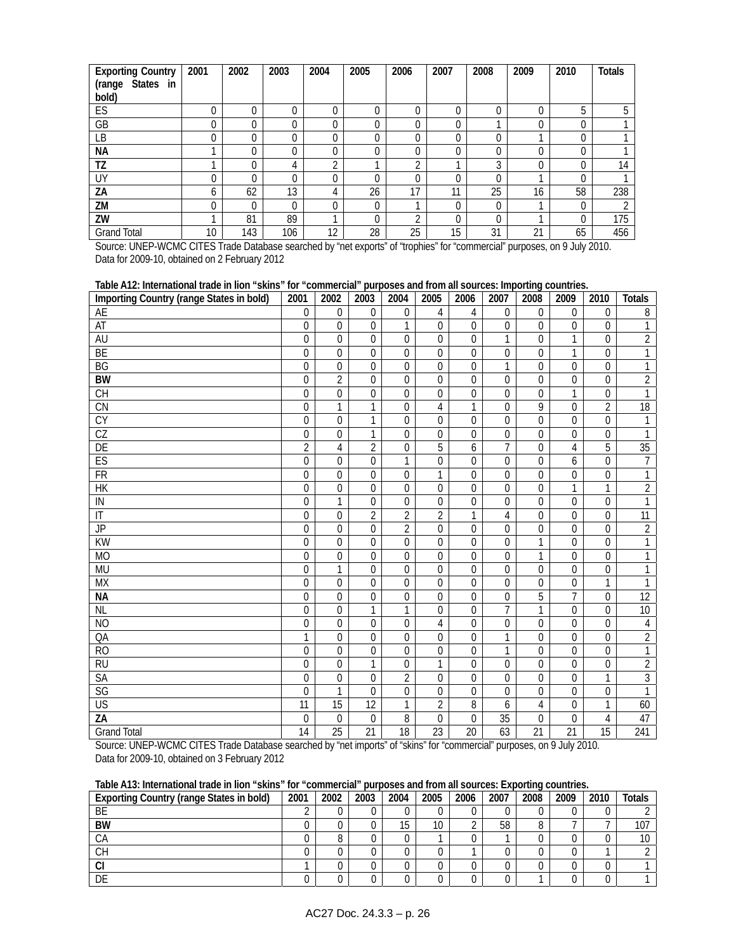| <b>Exporting Country</b>      | 2001 | 2002     | 2003     | 2004     | 2005     | 2006 | 2007     | 2008 | 2009     | 2010     | <b>Totals</b> |
|-------------------------------|------|----------|----------|----------|----------|------|----------|------|----------|----------|---------------|
| <b>States</b><br>(range<br>in |      |          |          |          |          |      |          |      |          |          |               |
| bold)                         |      |          |          |          |          |      |          |      |          |          |               |
| ES                            | 0    | 0        | $\Omega$ | $\Omega$ | U        | 0    | $\Omega$ | 0    | 0        | 5        |               |
| GB                            | 0    | $\Omega$ | 0        | 0        |          |      | $\Omega$ |      | $\theta$ | 0        |               |
| LВ                            | 0    | 0        | 0        | 0        | 0        | 0    | $\Omega$ | 0    |          | 0        |               |
| NА                            |      | 0        | 0        | 0        | 0        | 0    | $\Omega$ | 0    | $\theta$ | 0        |               |
| TZ                            |      | 0        | 4        | ኅ        |          | ◠    |          | 3    |          | 0        | 14            |
| UY                            | 0    | 0        | 0        | 0        | $\Omega$ | 0    | $\Omega$ | 0    |          | $\Omega$ |               |
| ZA                            | b    | 62       | 13       | 4        | 26       | 17   | 11       | 25   | 16       | 58       | 238           |
| ZM                            | 0    | 0        | 0        | 0        | 0        |      | $\theta$ | 0    |          | 0        |               |
| ZW                            |      | 81       | 89       |          | U        | ◠    | $\Omega$ | 0    |          | $\theta$ | 175           |
| <b>Grand Total</b>            | 10   | 143      | 106      | 12       | 28       | 25   | 15       | 31   | 21       | 65       | 456           |

Source: UNEP-WCMC CITES Trade Database searched by "net exports" of "trophies" for "commercial" purposes, on 9 July 2010. Data for 2009-10, obtained on 2 February 2012

| Table A12: International trade in lion "skins" for "commercial" purposes and from all sources: Importing countries. |                  |                 |                  |                  |                |                |                 |                |                  |                  |                |
|---------------------------------------------------------------------------------------------------------------------|------------------|-----------------|------------------|------------------|----------------|----------------|-----------------|----------------|------------------|------------------|----------------|
| Importing Country (range States in bold)                                                                            | 2001             | 2002            | 2003             | 2004             | 2005           | 2006           | 2007            | 2008           | 2009             | 2010             | <b>Totals</b>  |
| AE                                                                                                                  | $\mathbf{0}$     | $\mathbf 0$     | $\mathbf 0$      | $\mathbf 0$      | 4              | 4              | $\overline{0}$  | $\mathbf 0$    | $\boldsymbol{0}$ | $\mathbf 0$      | 8              |
| AT                                                                                                                  | $\mathbf{0}$     | 0               | 0                | 1                | 0              | $\mathbf 0$    | 0               | 0              | $\mathbf 0$      | $\mathbf 0$      | 1              |
| AU                                                                                                                  | $\mathbf 0$      | $\overline{0}$  | $\Omega$         | $\overline{0}$   | $\mathbf 0$    | $\overline{0}$ | $\mathbf{1}$    | 0              | 1                | 0                | $\overline{2}$ |
| BE                                                                                                                  | $\mathbf 0$      | $\mathbf 0$     | 0                | $\Omega$         | $\mathbf 0$    | $\overline{0}$ | $\overline{0}$  | 0              | 1                | $\mathbf 0$      | $\mathbf{1}$   |
| <b>BG</b>                                                                                                           | $\theta$         | $\Omega$        | $\Omega$         | $\Omega$         | $\Omega$       | $\Omega$       | 1               | $\Omega$       | $\mathbf{0}$     | $\Omega$         | 1              |
| <b>BW</b>                                                                                                           | $\overline{0}$   | $\overline{2}$  | $\overline{0}$   | $\mathbf 0$      | $\mathbf 0$    | $\overline{0}$ | $\overline{0}$  | $\overline{0}$ | $\boldsymbol{0}$ | $\mathbf 0$      | $\overline{2}$ |
| CH                                                                                                                  | $\theta$         | $\overline{0}$  | $\overline{0}$   | $\overline{0}$   | 0              | $\Omega$       | $\Omega$        | $\Omega$       | 1                | $\mathbf 0$      | 1              |
| <b>CN</b>                                                                                                           | $\Omega$         | 1               | 1                | $\mathbf 0$      | 4              | 1              | $\overline{0}$  | 9              | $\mathbf 0$      | $\overline{2}$   | 18             |
| $\overline{CY}$                                                                                                     | $\theta$         | $\Omega$        | 1                | $\Omega$         | $\mathbf{0}$   | $\Omega$       | $\overline{0}$  | $\Omega$       | $\theta$         | $\Omega$         | $\mathbf{1}$   |
| CZ                                                                                                                  | $\mathbf 0$      | $\mathbf 0$     | 1                | 0                | 0              | $\mathbf 0$    | 0               | 0              | $\mathbf 0$      | $\mathbf 0$      | 1              |
| DE                                                                                                                  | $\overline{2}$   | $\overline{4}$  | $\overline{2}$   | $\overline{0}$   | $\overline{5}$ | 6              | $\overline{7}$  | 0              | $\overline{4}$   | $\overline{5}$   | 35             |
| ES                                                                                                                  | $\boldsymbol{0}$ | 0               | $\boldsymbol{0}$ | 1                | $\mathbf 0$    | $\mathbf 0$    | $\overline{0}$  | $\mathbf 0$    | 6                | $\boldsymbol{0}$ | $\overline{7}$ |
| FR                                                                                                                  | $\boldsymbol{0}$ | $\mathbf 0$     | 0                | $\boldsymbol{0}$ | $\mathbf{1}$   | $\mathbf 0$    | $\mathbf 0$     | $\mathbf 0$    | $\boldsymbol{0}$ | $\boldsymbol{0}$ | $\mathbf{1}$   |
| <b>HK</b>                                                                                                           | $\overline{0}$   | $\overline{0}$  | $\overline{0}$   | $\overline{0}$   | 0              | $\overline{0}$ | $\overline{0}$  | $\overline{0}$ | $\overline{1}$   | 1                | $\overline{2}$ |
| IN                                                                                                                  | $\mathbf 0$      | $\overline{1}$  | $\overline{0}$   | $\overline{0}$   | 0              | $\overline{0}$ | $\overline{0}$  | 0              | $\boldsymbol{0}$ | $\mathbf 0$      | $\mathbf{1}$   |
| $\overline{\mathbb{I}}$                                                                                             | $\mathbf{0}$     | $\overline{0}$  | $\overline{2}$   | $\overline{2}$   | $\overline{2}$ | $\mathbf{1}$   | $\overline{4}$  | $\overline{0}$ | $\overline{0}$   | $\mathbf 0$      | 11             |
| <b>JP</b>                                                                                                           | $\mathbf 0$      | $\overline{0}$  | $\overline{0}$   | $\overline{2}$   | $\mathbf 0$    | $\Omega$       | $\overline{0}$  | $\Omega$       | $\boldsymbol{0}$ | $\mathbf 0$      | $\overline{2}$ |
| <b>KW</b>                                                                                                           | $\theta$         | $\overline{0}$  | 0                | $\overline{0}$   | 0              | $\Omega$       | $\overline{0}$  | 1              | $\overline{0}$   | $\Omega$         | $\mathbf{1}$   |
| <b>MO</b>                                                                                                           | $\Omega$         | $\overline{0}$  | $\Omega$         | $\overline{0}$   | $\mathbf 0$    | $\Omega$       | $\overline{0}$  | 1              | $\boldsymbol{0}$ | 0                | 1              |
| <b>MU</b>                                                                                                           | $\theta$         | 1               | $\Omega$         | $\Omega$         | 0              | $\Omega$       | $\Omega$        | $\Omega$       | $\mathbf{0}$     | $\Omega$         | 1              |
| <b>MX</b>                                                                                                           | $\theta$         | $\Omega$        | $\Omega$         | $\Omega$         | $\theta$       | $\Omega$       | $\Omega$        | 0              | $\boldsymbol{0}$ | 1                | 1              |
| <b>NA</b>                                                                                                           | $\mathbf{0}$     | $\overline{0}$  | $\overline{0}$   | $\overline{0}$   | $\mathbf 0$    | $\overline{0}$ | $\overline{0}$  | 5              | $\overline{7}$   | $\mathbf 0$      | 12             |
| <b>NL</b>                                                                                                           | $\mathbf 0$      | $\mathbf 0$     | 1                | 1                | 0              | $\mathbf 0$    | $\overline{7}$  | 1              | $\overline{0}$   | $\mathbf 0$      | 10             |
| N <sub>O</sub>                                                                                                      | $\mathbf 0$      | $\mathbf 0$     | 0                | $\mathbf 0$      | 4              | $\mathbf{0}$   | $\overline{0}$  | $\mathbf{0}$   | $\mathbf 0$      | $\mathbf 0$      | 4              |
| QA                                                                                                                  | 1                | $\Omega$        | 0                | $\mathbf 0$      | 0              | $\Omega$       | 1               | 0              | $\overline{0}$   | $\mathbf 0$      | $\overline{2}$ |
| $\overline{RO}$                                                                                                     | $\Omega$         | $\overline{0}$  | $\overline{0}$   | $\overline{0}$   | 0              | $\overline{0}$ | $\mathbf{1}$    | $\overline{0}$ | $\overline{0}$   | $\mathbf 0$      | $\mathbf{1}$   |
| <b>RU</b>                                                                                                           | $\mathbf{0}$     | 0               | 1                | $\overline{0}$   | $\overline{1}$ | $\overline{0}$ | 0               | $\overline{0}$ | $\overline{0}$   | $\mathbf 0$      | $\overline{2}$ |
| SA                                                                                                                  | $\theta$         | $\mathbf 0$     | $\mathbf 0$      | $\overline{2}$   | $\mathbf 0$    | $\Omega$       | $\overline{0}$  | $\overline{0}$ | $\mathbf 0$      | $\mathbf{1}$     | $\overline{3}$ |
| $\overline{\text{SG}}$                                                                                              | $\theta$         | 1               | $\overline{0}$   | $\overline{0}$   | $\mathbf 0$    | $\Omega$       | $\overline{0}$  | $\overline{0}$ | $\mathbf 0$      | $\mathbf 0$      | 1              |
| $\overline{\mathsf{US}}$                                                                                            | 11               | $\overline{15}$ | $\overline{12}$  | $\mathbf{1}$     | $\overline{2}$ | $\overline{8}$ | 6               | $\overline{4}$ | $\overline{0}$   | $\mathbf{1}$     | 60             |
| ZA                                                                                                                  | $\mathbf{0}$     | 0               | $\mathbf 0$      | 8                | 0              | $\Omega$       | $\overline{35}$ | 0              | $\mathbf 0$      | $\overline{4}$   | 47             |
| <b>Grand Total</b>                                                                                                  | 14               | $\overline{25}$ | 21               | $\overline{18}$  | 23             | 20             | 63              | 21             | $\overline{21}$  | $\overline{15}$  | 241            |

Source: UNEP-WCMC CITES Trade Database searched by "net imports" of "skins" for "commercial" purposes, on 9 July 2010. Data for 2009-10, obtained on 3 February 2012

### **Table A13: International trade in lion "skins" for "commercial" purposes and from all sources: Exporting countries.**

| <b>Exporting Country (range States in bold)</b> | 2001 | 2002 | 2003 | 2004 | 2005 | 2006 | 2007 | 2008 | 2009 | 2010 | <b>Totals</b> |
|-------------------------------------------------|------|------|------|------|------|------|------|------|------|------|---------------|
| BE                                              |      |      |      |      |      |      |      |      |      |      |               |
| <b>BW</b>                                       |      |      |      | 15   | 10   |      | 58   |      |      |      | 107           |
| СA                                              |      |      |      |      |      |      |      |      |      |      | 10            |
| CН                                              |      |      |      |      |      |      |      |      |      |      |               |
| י<br>vı                                         |      |      |      |      |      |      |      |      |      |      |               |
| DE                                              |      |      |      |      |      |      |      |      |      |      |               |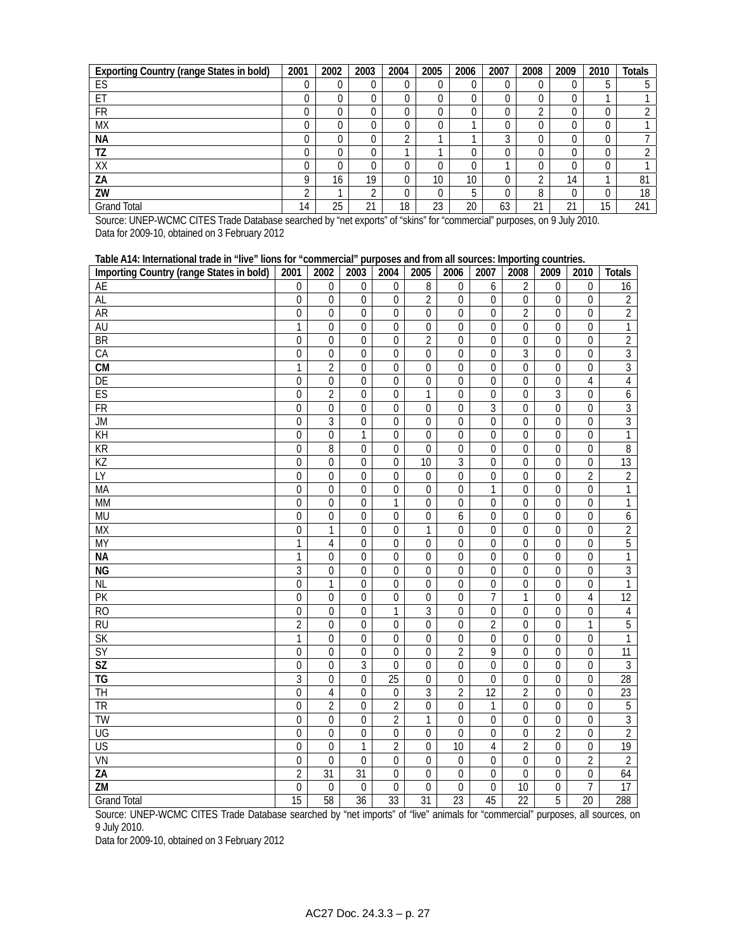| <b>Exporting Country (range States in bold)</b> | 2001 | 2002 | 2003            | 2004 | 2005 | 2006 | 2007 | 2008       | 2009    | 2010 | <b>Totals</b> |
|-------------------------------------------------|------|------|-----------------|------|------|------|------|------------|---------|------|---------------|
| ES                                              |      |      |                 | U    |      |      |      |            | 0       | b    |               |
| ET                                              |      |      |                 | 0    |      |      |      |            | 0       |      |               |
| <b>FR</b>                                       |      |      |                 | 0    |      |      |      | $\Omega$   | 0       |      |               |
| <b>MX</b>                                       |      |      |                 | 0    |      |      |      |            | 0       | U    |               |
| <b>NA</b>                                       |      |      |                 | ◠    |      |      | ◠    |            | 0       |      |               |
| ΤZ                                              |      |      |                 |      |      |      |      |            | 0       |      |               |
| XX                                              |      |      |                 | 0    |      |      |      |            | 0       |      |               |
| ΖA                                              |      | 16   | 19              | 0    | 10   | 10   |      | ⌒          | 14      |      | 81            |
| ZW                                              |      |      | $\sqrt{2}$      | 0    | 0    |      |      | 8          | 0       |      | 18            |
| <b>Grand Total</b>                              | 14   | 25   | $^{\sim}$<br>∠∣ | 18   | 23   | 20   | 63   | $^{\circ}$ | 21<br>∠ | 15   | 241           |

Source: UNEP-WCMC CITES Trade Database searched by "net exports" of "skins" for "commercial" purposes, on 9 July 2010. Data for 2009-10, obtained on 3 February 2012

| Table A14: International trade in "live" lions for "commercial" purposes and from all sources: Importing countries. |                  |                  |                  |                  |                  |                  |                |                  |                  |                  |                 |
|---------------------------------------------------------------------------------------------------------------------|------------------|------------------|------------------|------------------|------------------|------------------|----------------|------------------|------------------|------------------|-----------------|
| Importing Country (range States in bold)                                                                            | 2001             | 2002             | 2003             | 2004             | 2005             | 2006             | 2007           | 2008             | 2009             | 2010             | <b>Totals</b>   |
| AE                                                                                                                  | $\boldsymbol{0}$ | 0                | 0                | $\boldsymbol{0}$ | 8                | $\boldsymbol{0}$ | 6              | 2                | $\boldsymbol{0}$ | $\mathbf 0$      | 16              |
| <b>AL</b>                                                                                                           | $\mathbf 0$      | $\overline{0}$   | $\mathbf 0$      | $\overline{0}$   | $\overline{2}$   | $\overline{0}$   | $\overline{0}$ | $\overline{0}$   | 0                | $\overline{0}$   | $\overline{2}$  |
| <b>AR</b>                                                                                                           | $\boldsymbol{0}$ | $\overline{0}$   | $\mathbf 0$      | $\mathbf 0$      | $\boldsymbol{0}$ | $\mathbf 0$      | $\mathbf 0$    | $\overline{2}$   | 0                | $\overline{0}$   | $\overline{2}$  |
| <b>AU</b>                                                                                                           | $\mathbf{1}$     | $\Omega$         | $\Omega$         | $\Omega$         | $\mathbf 0$      | $\theta$         | $\Omega$       | $\theta$         | $\mathbf 0$      | $\overline{0}$   | 1               |
| <b>BR</b>                                                                                                           | $\boldsymbol{0}$ | $\mathbf 0$      | $\overline{0}$   | $\mathbf 0$      | $\overline{2}$   | $\mathbf 0$      | $\mathbf 0$    | $\mathbf 0$      | $\overline{0}$   | $\overline{0}$   | $\overline{2}$  |
| CA                                                                                                                  | $\boldsymbol{0}$ | $\mathbf 0$      | $\mathbf 0$      | $\boldsymbol{0}$ | $\boldsymbol{0}$ | $\mathbf 0$      | 0              | 3                | $\boldsymbol{0}$ | $\overline{0}$   | $\overline{3}$  |
| $\overline{\text{CM}}$                                                                                              | 1                | $\overline{2}$   | $\mathbf 0$      | $\mathbf 0$      | $\mathbf 0$      | $\mathbf 0$      | 0              | $\mathbf 0$      | $\overline{0}$   | $\mathbf 0$      | 3               |
| DE                                                                                                                  | $\boldsymbol{0}$ | $\overline{0}$   | $\overline{0}$   | $\overline{0}$   | $\overline{0}$   | $\overline{0}$   | $\mathbf 0$    | $\overline{0}$   | $\overline{0}$   | $\overline{4}$   | $\overline{4}$  |
| ES                                                                                                                  | $\overline{0}$   | $\overline{2}$   | $\mathbf 0$      | $\mathbf 0$      | $\overline{1}$   | $\mathbf 0$      | $\mathbf 0$    | $\mathbf 0$      | $\overline{3}$   | $\overline{0}$   | 6               |
| $\overline{FR}$                                                                                                     | $\mathbf 0$      | $\mathbf 0$      | $\mathbf 0$      | $\mathbf 0$      | $\mathbf 0$      | $\mathbf 0$      | 3              | $\Omega$         | $\overline{0}$   | $\overline{0}$   | $\overline{3}$  |
| $\overline{\mathsf{JM}}$                                                                                            | $\mathbf 0$      | $\overline{3}$   | $\boldsymbol{0}$ | $\overline{0}$   | $\boldsymbol{0}$ | $\overline{0}$   | $\mathbf 0$    | $\mathbf 0$      | $\mathbf 0$      | $\overline{0}$   | $\overline{3}$  |
| $\overline{K}$                                                                                                      | $\boldsymbol{0}$ | $\mathbf 0$      | 1                | $\boldsymbol{0}$ | $\boldsymbol{0}$ | $\boldsymbol{0}$ | $\mathbf 0$    | $\boldsymbol{0}$ | $\boldsymbol{0}$ | $\overline{0}$   | 1               |
| KR                                                                                                                  | $\mathbf 0$      | $\sqrt{8}$       | $\mathbf 0$      | $\mathbf 0$      | $\mathbf 0$      | $\boldsymbol{0}$ | 0              | $\mathbf 0$      | $\mathbf 0$      | $\boldsymbol{0}$ | 8               |
| <b>KZ</b>                                                                                                           | $\mathbf 0$      | $\overline{0}$   | $\overline{0}$   | $\overline{0}$   | 10               | $\overline{3}$   | $\overline{0}$ | $\overline{0}$   | $\overline{0}$   | $\overline{0}$   | 13              |
| LY                                                                                                                  | $\mathbf 0$      | $\mathbf 0$      | $\mathbf 0$      | $\mathbf 0$      | $\boldsymbol{0}$ | $\overline{0}$   | $\mathbf 0$    | $\mathbf 0$      | $\mathbf 0$      | $\overline{2}$   | $\overline{2}$  |
| MA                                                                                                                  | $\mathbf 0$      | $\Omega$         | $\Omega$         | $\mathbf 0$      | $\mathbf 0$      | $\mathbf 0$      | 1              | $\Omega$         | $\mathbf 0$      | $\mathbf 0$      | 1               |
| <b>MM</b>                                                                                                           | $\mathbf 0$      | $\mathbf 0$      | $\mathbf 0$      | $\overline{1}$   | $\boldsymbol{0}$ | $\boldsymbol{0}$ | $\mathbf 0$    | $\mathbf 0$      | $\overline{0}$   | $\overline{0}$   | 1               |
| <b>MU</b>                                                                                                           | $\boldsymbol{0}$ | $\mathbf 0$      | $\mathbf 0$      | $\boldsymbol{0}$ | $\boldsymbol{0}$ | 6                | 0              | $\mathbf 0$      | $\boldsymbol{0}$ | $\boldsymbol{0}$ | 6               |
| <b>MX</b>                                                                                                           | 0                | 1                | $\mathbf 0$      | $\Omega$         | $\mathbf{1}$     | $\mathbf 0$      | $\mathbf 0$    | $\theta$         | $\mathbf 0$      | $\overline{0}$   | $\overline{2}$  |
| <b>MY</b>                                                                                                           | $\mathbf{1}$     | $\overline{4}$   | $\mathbf 0$      | $\overline{0}$   | $\boldsymbol{0}$ | $\mathbf 0$      | $\mathbf 0$    | $\mathbf 0$      | $\mathbf 0$      | $\mathbf 0$      | 5               |
| <b>NA</b>                                                                                                           | $\mathbf{1}$     | $\mathbf 0$      | $\mathbf 0$      | $\overline{0}$   | $\boldsymbol{0}$ | $\boldsymbol{0}$ | $\mathbf 0$    | $\mathbf 0$      | $\mathbf 0$      | $\overline{0}$   | $\overline{1}$  |
| $\overline{\text{NG}}$                                                                                              | $\overline{3}$   | $\mathbf 0$      | $\mathbf 0$      | $\mathbf 0$      | $\mathbf 0$      | $\overline{0}$   | $\mathbf 0$    | $\mathbf 0$      | $\overline{0}$   | $\overline{0}$   | $\overline{3}$  |
| <b>NL</b>                                                                                                           | $\mathbf 0$      | $\overline{1}$   | $\mathbf 0$      | $\mathbf 0$      | $\boldsymbol{0}$ | $\boldsymbol{0}$ | $\mathbf 0$    | $\mathbf 0$      | $\mathbf 0$      | $\overline{0}$   | $\overline{1}$  |
| $\overline{PK}$                                                                                                     | $\boldsymbol{0}$ | $\overline{0}$   | $\boldsymbol{0}$ | $\boldsymbol{0}$ | $\overline{0}$   | $\boldsymbol{0}$ | $\overline{7}$ | 1                | $\mathbf 0$      | $\overline{4}$   | 12              |
| R <sub>O</sub>                                                                                                      | 0                | 0                | $\mathbf 0$      | 1                | $\overline{3}$   | $\mathbf 0$      | 0              | $\mathbf 0$      | $\mathbf 0$      | $\boldsymbol{0}$ | 4               |
| $\overline{RU}$                                                                                                     | $\overline{2}$   | $\overline{0}$   | $\mathbf 0$      | $\overline{0}$   | $\boldsymbol{0}$ | $\mathbf 0$      | $\overline{2}$ | $\mathbf 0$      | $\overline{0}$   | $\overline{1}$   | $\overline{5}$  |
| SK                                                                                                                  | 1                | $\overline{0}$   | $\overline{0}$   | $\overline{0}$   | $\mathbf 0$      | $\mathbf 0$      | $\overline{0}$ | $\overline{0}$   | $\mathbf 0$      | $\overline{0}$   | 1               |
| $\overline{SY}$                                                                                                     | $\overline{0}$   | $\mathbf 0$      | $\mathbf 0$      | $\mathbf 0$      | $\mathbf 0$      | $\overline{2}$   | 9              | $\overline{0}$   | $\overline{0}$   | $\mathbf 0$      | $\overline{11}$ |
| $\overline{\mathsf{SZ}}$                                                                                            | $\boldsymbol{0}$ | $\mathbf 0$      | $\overline{3}$   | $\overline{0}$   | $\boldsymbol{0}$ | $\mathbf 0$      | $\mathbf 0$    | $\mathbf 0$      | $\overline{0}$   | $\boldsymbol{0}$ | $\overline{3}$  |
| <b>TG</b>                                                                                                           | $\mathfrak{Z}$   | $\overline{0}$   | $\Omega$         | $\overline{25}$  | $\boldsymbol{0}$ | $\mathbf 0$      | $\Omega$       | $\boldsymbol{0}$ | 0                | $\overline{0}$   | $\overline{28}$ |
| <b>TH</b>                                                                                                           | 0                | 4                | $\mathbf 0$      | $\boldsymbol{0}$ | $\overline{3}$   | $\overline{2}$   | 12             | $\overline{2}$   | $\boldsymbol{0}$ | $\boldsymbol{0}$ | $\overline{23}$ |
| <b>TR</b>                                                                                                           | $\mathbf 0$      | $\overline{2}$   | $\mathbf 0$      | $\overline{2}$   | $\boldsymbol{0}$ | $\mathbf 0$      | $\mathbf{1}$   | $\mathbf 0$      | $\overline{0}$   | $\mathbf 0$      | $\overline{5}$  |
| <b>TW</b>                                                                                                           | $\mathbf{0}$     | $\overline{0}$   | $\overline{0}$   | $\overline{2}$   | $\mathbf{1}$     | $\mathbf 0$      | $\overline{0}$ | $\overline{0}$   | $\mathbf 0$      | $\overline{0}$   | $\overline{3}$  |
| UG                                                                                                                  | $\mathbf 0$      | $\mathbf 0$      | $\mathbf 0$      | $\boldsymbol{0}$ | $\boldsymbol{0}$ | $\overline{0}$   | $\mathbf 0$    | $\mathbf 0$      | $\overline{2}$   | $\overline{0}$   | $\overline{2}$  |
| <b>US</b>                                                                                                           | $\mathbf 0$      | $\mathbf 0$      | $\mathbf{1}$     | $\overline{2}$   | $\boldsymbol{0}$ | $\overline{10}$  | $\overline{4}$ | $\overline{2}$   | $\mathbf 0$      | $\boldsymbol{0}$ | 19              |
| VN                                                                                                                  | $\boldsymbol{0}$ | $\overline{0}$   | $\overline{0}$   | $\overline{0}$   | $\overline{0}$   | $\boldsymbol{0}$ | 0              | $\overline{0}$   | $\mathbf 0$      | $\overline{2}$   | $\overline{2}$  |
| ZA                                                                                                                  | $\overline{2}$   | $\overline{31}$  | $\overline{31}$  | $\mathbf 0$      | $\boldsymbol{0}$ | $\mathbf 0$      | $\mathbf 0$    | $\Omega$         | 0                | $\boldsymbol{0}$ | 64              |
| <b>ZM</b>                                                                                                           | $\boldsymbol{0}$ | $\boldsymbol{0}$ | $\mathbf 0$      | $\overline{0}$   | $\boldsymbol{0}$ | $\boldsymbol{0}$ | $\mathbf 0$    | $\overline{10}$  | $\mathbf 0$      | $\overline{7}$   | 17              |
| <b>Grand Total</b>                                                                                                  | 15               | 58               | $\overline{36}$  | 33               | $\overline{31}$  | 23               | 45             | $\overline{22}$  | 5                | 20               | 288             |

Source: UNEP-WCMC CITES Trade Database searched by "net imports" of "live" animals for "commercial" purposes, all sources, on 9 July 2010.

Data for 2009-10, obtained on 3 February 2012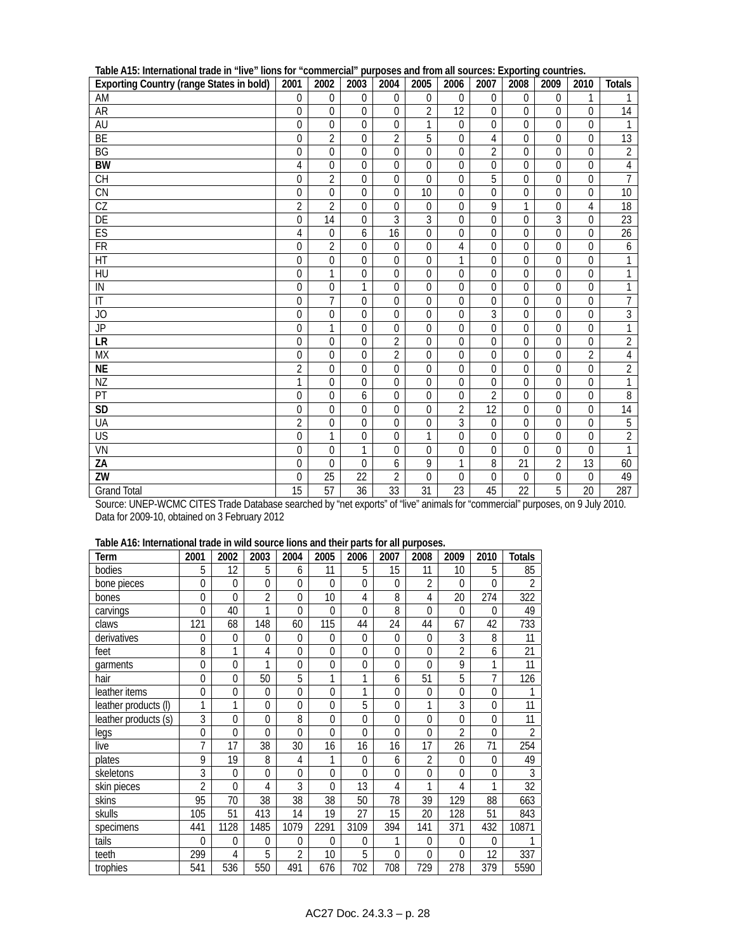| <b>Exporting Country (range States in bold)</b> | <br>2001         | 2002             | r.,<br>2003      | 2004             | 2005             | 2006           | <br>2007         | $ np$ $n$ $n$<br>2008 | $\sim$<br>2009   | ີ້<br>2010       | <b>Totals</b>    |
|-------------------------------------------------|------------------|------------------|------------------|------------------|------------------|----------------|------------------|-----------------------|------------------|------------------|------------------|
| AM                                              | $\boldsymbol{0}$ | 0                | $\boldsymbol{0}$ | $\mathbf 0$      | 0                | 0              | 0                | $\mathbf 0$           | $\mathbf{0}$     | 1                |                  |
| AR                                              | $\mathbf 0$      | 0                | $\mathbf 0$      | $\mathbf 0$      | $\overline{2}$   | 12             | $\mathbf 0$      | $\theta$              | $\mathbf 0$      | 0                | 14               |
| AU                                              | $\mathbf 0$      | 0                | $\mathbf 0$      | $\mathbf 0$      | $\mathbf{1}$     | $\mathbf 0$    | $\mathbf 0$      | $\mathbf 0$           | $\Omega$         | 0                | $\mathbf{1}$     |
| BE                                              | $\boldsymbol{0}$ | $\overline{2}$   | 0                | $\overline{2}$   | $\overline{5}$   | 0              | 4                | $\mathbf 0$           | $\mathbf{0}$     | 0                | 13               |
| $\overline{BG}$                                 | $\mathbf 0$      | $\mathbf 0$      | $\mathbf 0$      | $\overline{0}$   | $\mathbf 0$      | $\mathbf 0$    | $\overline{2}$   | $\theta$              | $\mathbf 0$      | 0                | $\overline{2}$   |
| <b>BW</b>                                       | 4                | 0                | $\overline{0}$   | $\mathbf 0$      | $\boldsymbol{0}$ | 0              | 0                | $\mathbf 0$           | $\mathbf{0}$     | $\boldsymbol{0}$ | $\overline{4}$   |
| <b>CH</b>                                       | $\boldsymbol{0}$ | $\overline{2}$   | $\mathbf 0$      | $\boldsymbol{0}$ | $\overline{0}$   | $\mathbf 0$    | 5                | $\mathbf 0$           | $\mathbf 0$      | $\mathbf 0$      | $\overline{7}$   |
| CN                                              | $\mathbf 0$      | 0                | $\mathbf{0}$     | $\mathbf 0$      | 10               | $\mathbf 0$    | $\Omega$         | $\mathbf 0$           | $\Omega$         | 0                | $10\,$           |
| $\overline{\text{CZ}}$                          | $\overline{2}$   | $\overline{2}$   | $\mathbf 0$      | $\mathbf 0$      | $\boldsymbol{0}$ | $\mathbf 0$    | 9                | 1                     | $\boldsymbol{0}$ | $\overline{4}$   | $\overline{18}$  |
| DE                                              | $\mathbf 0$      | 14               | $\overline{0}$   | $\overline{3}$   | $\overline{3}$   | $\mathbf 0$    | $\overline{0}$   | $\mathbf 0$           | $\overline{3}$   | $\mathbf 0$      | 23               |
| ES                                              | 4                | $\boldsymbol{0}$ | 6                | 16               | $\boldsymbol{0}$ | 0              | $\mathbf 0$      | $\mathbf{0}$          | $\mathbf 0$      | $\mathbf 0$      | $\overline{26}$  |
| <b>FR</b>                                       | $\mathbf{0}$     | $\overline{2}$   | $\mathbf 0$      | $\mathbf 0$      | $\boldsymbol{0}$ | 4              | $\mathbf 0$      | $\mathbf 0$           | $\mathbf{0}$     | 0                | $\boldsymbol{6}$ |
| $\overline{HT}$                                 | $\mathbf 0$      | 0                | $\Omega$         | $\mathbf 0$      | $\mathbf 0$      | 1              | $\Omega$         | $\theta$              | $\Omega$         | $\Omega$         | 1                |
| HU                                              | $\boldsymbol{0}$ | 1                | $\boldsymbol{0}$ | $\mathbf 0$      | $\boldsymbol{0}$ | 0              | 0                | $\mathbf 0$           | $\mathbf{0}$     | $\boldsymbol{0}$ | $\mathbf{1}$     |
| IN                                              | $\boldsymbol{0}$ | 0                | 1                | $\boldsymbol{0}$ | $\mathbf 0$      | $\mathbf 0$    | $\theta$         | $\mathbf{0}$          | $\mathbf 0$      | $\mathbf 0$      | $\mathbf{1}$     |
| $\overline{\mathbb{I}}$                         | $\mathbf 0$      | $\overline{7}$   | $\overline{0}$   | $\mathbf 0$      | $\mathbf 0$      | $\mathbf 0$    | $\mathbf 0$      | $\mathbf 0$           | $\mathbf{0}$     | $\mathbf 0$      | $\overline{7}$   |
| JO                                              | $\overline{0}$   | $\mathbf 0$      | $\mathbf{0}$     | $\mathbf 0$      | $\boldsymbol{0}$ | $\overline{0}$ | $\overline{3}$   | $\mathbf{0}$          | $\mathbf{0}$     | $\boldsymbol{0}$ | $\overline{3}$   |
| $\overline{\mathsf{JP}}$                        | $\mathbf{0}$     | 1                | $\Omega$         | $\mathbf 0$      | $\mathbf 0$      | $\Omega$       | 0                | $\theta$              | $\Omega$         | $\overline{0}$   | $\overline{1}$   |
| LR                                              | $\boldsymbol{0}$ | 0                | $\mathbf 0$      | $\overline{2}$   | $\boldsymbol{0}$ | 0              | 0                | $\mathbf 0$           | $\mathbf{0}$     | $\boldsymbol{0}$ | $\overline{2}$   |
| <b>MX</b>                                       | $\boldsymbol{0}$ | 0                | $\mathbf 0$      | $\overline{2}$   | $\overline{0}$   | $\mathbf 0$    | $\mathbf 0$      | $\mathbf 0$           | $\mathbf{0}$     | $\overline{2}$   | $\overline{4}$   |
| <b>NE</b>                                       | $\overline{2}$   | 0                | $\overline{0}$   | $\mathbf 0$      | $\mathbf 0$      | 0              | $\boldsymbol{0}$ | $\mathbf{0}$          | $\overline{0}$   | $\mathbf 0$      | $\overline{2}$   |
| ΝZ                                              | 1                | 0                | $\overline{0}$   | 0                | $\mathbf 0$      | $\overline{0}$ | $\overline{0}$   | $\mathbf{0}$          | $\overline{0}$   | 0                | $\overline{1}$   |
| PT                                              | $\mathbf{0}$     | 0                | 6                | $\mathbf 0$      | $\mathbf 0$      | $\mathbf 0$    | $\overline{2}$   | $\Omega$              | $\mathbf{0}$     | 0                | $\sqrt{8}$       |
| <b>SD</b>                                       | $\boldsymbol{0}$ | $\overline{0}$   | $\mathbf 0$      | $\mathbf 0$      | $\overline{0}$   | $\overline{2}$ | $\overline{12}$  | $\mathbf 0$           | $\mathbf 0$      | $\boldsymbol{0}$ | $\overline{14}$  |
| UA                                              | $\overline{2}$   | 0                | $\mathbf 0$      | $\boldsymbol{0}$ | $\boldsymbol{0}$ | 3              | $\mathbf 0$      | $\mathbf 0$           | $\boldsymbol{0}$ | 0                | $\overline{5}$   |
| $\overline{US}$                                 | $\mathbf 0$      | 1                | $\mathbf{0}$     | $\overline{0}$   | $\overline{1}$   | $\mathbf 0$    | $\mathbf 0$      | $\mathbf 0$           | $\mathbf 0$      | 0                | $\overline{2}$   |
| VN                                              | $\overline{0}$   | 0                | 1                | $\mathbf 0$      | $\mathbf 0$      | $\overline{0}$ | $\theta$         | $\theta$              | $\overline{0}$   | 0                | $\mathbf{1}$     |
| ZA                                              | $\mathbf 0$      | $\Omega$         | $\Omega$         | 6                | 9                | 1              | $\overline{8}$   | $\overline{21}$       | $\overline{2}$   | $\overline{13}$  | 60               |
| ZW                                              | $\theta$         | 25               | 22               | $\overline{2}$   | $\mathbf 0$      | $\Omega$       | $\theta$         | $\mathbf 0$           | $\mathbf 0$      | 0                | 49               |
| <b>Grand Total</b>                              | 15               | 57               | 36               | 33               | 31               | 23             | 45               | 22                    | 5                | 20               | 287              |

| Table A15: International trade in "live" lions for "commercial" purposes and from all sources: Exporting countries. |  |  |
|---------------------------------------------------------------------------------------------------------------------|--|--|
|---------------------------------------------------------------------------------------------------------------------|--|--|

Source: UNEP-WCMC CITES Trade Database searched by "net exports" of "live" animals for "commercial" purposes, on 9 July 2010. Data for 2009-10, obtained on 3 February 2012

| Table A16: International trade in wild source lions and their parts for all purposes. |  |  |  |                                                                                                                                                                                                                                      |  |
|---------------------------------------------------------------------------------------|--|--|--|--------------------------------------------------------------------------------------------------------------------------------------------------------------------------------------------------------------------------------------|--|
|                                                                                       |  |  |  | $\blacksquare$ . The contract of the contract of the contract of the contract of the contract of the contract of the contract of the contract of the contract of the contract of the contract of the contract of the contract of the |  |

| Term                 | 2001           | 2002         | 2003           | 2004           | 2005         | 2006           | 2007        | 2008           | 2009           | 2010           | <b>Totals</b>  |
|----------------------|----------------|--------------|----------------|----------------|--------------|----------------|-------------|----------------|----------------|----------------|----------------|
| bodies               | 5              | 12           | 5              | 6              | 11           | 5              | 15          | 11             | 10             | 5              | 85             |
| bone pieces          | $\Omega$       | $\theta$     | $\theta$       | $\theta$       | $\Omega$     | $\Omega$       | $\theta$    | 2              | $\Omega$       | $\Omega$       | $\overline{2}$ |
| bones                | $\mathbf 0$    | $\theta$     | $\overline{2}$ | $\theta$       | 10           | 4              | 8           | 4              | 20             | 274            | 322            |
| carvings             | $\Omega$       | 40           | 1              | 0              | $\Omega$     | $\Omega$       | 8           | $\Omega$       | $\Omega$       | $\Omega$       | 49             |
| claws                | 121            | 68           | 148            | 60             | 115          | 44             | 24          | 44             | 67             | 42             | 733            |
| derivatives          | 0              | $\mathbf{0}$ | $\mathbf{0}$   | $\Omega$       | $\mathbf{0}$ | $\overline{0}$ | $\Omega$    | 0              | 3              | 8              | 11             |
| feet                 | 8              | 1            | 4              | $\overline{0}$ | $\mathbf{0}$ | $\mathbf 0$    | $\Omega$    | 0              | $\overline{2}$ | 6              | 21             |
| garments             | $\mathbf 0$    | $\mathbf{0}$ | 1              | $\overline{0}$ | $\mathbf{0}$ | $\mathbf 0$    | $\mathbf 0$ | $\overline{0}$ | 9              | 1              | 11             |
| hair                 | $\Omega$       | $\Omega$     | 50             | 5              | 1            | 1              | 6           | 51             | 5              | 7              | 126            |
| leather items        | 0              | $\mathbf{0}$ | $\overline{0}$ | $\Omega$       | $\Omega$     | 1              | $\Omega$    | 0              | $\mathbf 0$    | 0              |                |
| leather products (I) | 1              | 1            | $\theta$       | $\Omega$       | $\Omega$     | 5              | $\Omega$    | 1              | 3              | 0              | 11             |
| leather products (s) | 3              | $\Omega$     | $\Omega$       | 8              | $\Omega$     | $\Omega$       | $\Omega$    | 0              | $\theta$       | $\Omega$       | 11             |
| legs                 | $\Omega$       | $\Omega$     | $\Omega$       | $\Omega$       | $\Omega$     | $\Omega$       | $\Omega$    | $\Omega$       | $\overline{2}$ | $\Omega$       | $\overline{2}$ |
| live                 | 7              | 17           | 38             | 30             | 16           | 16             | 16          | 17             | 26             | 71             | 254            |
| plates               | 9              | 19           | 8              | 4              | 1            | $\Omega$       | 6           | $\overline{2}$ | $\Omega$       | $\Omega$       | 49             |
| skeletons            | 3              | $\Omega$     | $\Omega$       | $\Omega$       | $\Omega$     | $\Omega$       | $\Omega$    | $\overline{0}$ | $\Omega$       | $\overline{0}$ | 3              |
| skin pieces          | $\overline{2}$ | $\Omega$     | 4              | 3              | $\Omega$     | 13             | 4           | 1              | 4              | 1              | 32             |
| skins                | 95             | 70           | 38             | 38             | 38           | 50             | 78          | 39             | 129            | 88             | 663            |
| skulls               | 105            | 51           | 413            | 14             | 19           | 27             | 15          | 20             | 128            | 51             | 843            |
| specimens            | 441            | 1128         | 1485           | 1079           | 2291         | 3109           | 394         | 141            | 371            | 432            | 10871          |
| tails                | 0              | $\theta$     | 0              | 0              | $\Omega$     | 0              | 1           | 0              | $\theta$       | 0              |                |
| teeth                | 299            | 4            | 5              | $\overline{2}$ | 10           | 5              | $\Omega$    | $\overline{0}$ | $\Omega$       | 12             | 337            |
| trophies             | 541            | 536          | 550            | 491            | 676          | 702            | 708         | 729            | 278            | 379            | 5590           |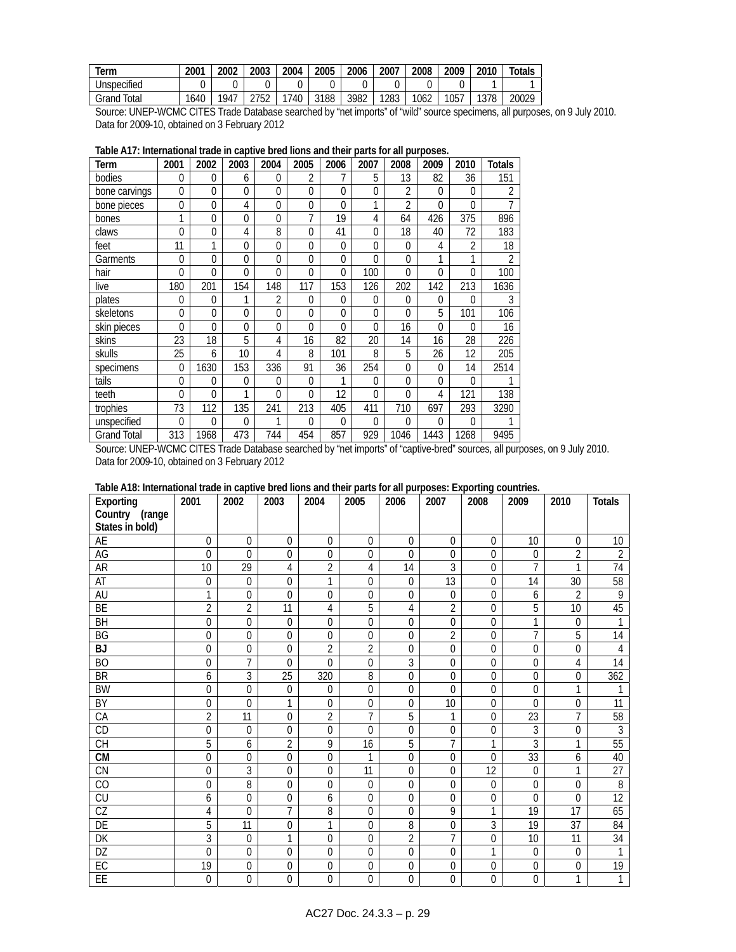| lerm           | 2001 | 2002 | 2003 | 2004 | 2005 | 2006 | 2007 | 2008 | 2009 | 2010        | Totals |
|----------------|------|------|------|------|------|------|------|------|------|-------------|--------|
| Unspecified    |      |      |      |      |      |      |      |      |      |             |        |
| Total<br>Grand | 1640 | 1947 | つフトつ | 740  | 3188 | 3982 | 1283 | 1062 | 1057 | 1378<br>, ט | 20029  |

Source: UNEP-WCMC CITES Trade Database searched by "net imports" of "wild" source specimens, all purposes, on 9 July 2010. Data for 2009-10, obtained on 3 February 2012

| Term               | 2001         | 2002           | 2003           | 2004           | 2005        | 2006        | 2007           | 2008           | 2009     | 2010           | Totals         |
|--------------------|--------------|----------------|----------------|----------------|-------------|-------------|----------------|----------------|----------|----------------|----------------|
| bodies             | $\Omega$     | 0              | 6              | 0              | 2           | 7           | 5              | 13             | 82       | 36             | 151            |
| bone carvings      | $\mathbf{0}$ | 0              | $\overline{0}$ | $\overline{0}$ | $\mathbf 0$ | $\mathbf 0$ | 0              | 2              | 0        | 0              | $\overline{2}$ |
| bone pieces        | $\mathbf{0}$ | $\Omega$       | 4              | $\Omega$       | $\Omega$    | $\Omega$    | 1              | $\overline{2}$ | $\Omega$ | $\Omega$       |                |
| bones              | 1            | 0              | $\Omega$       | 0              | 7           | 19          | 4              | 64             | 426      | 375            | 896            |
| claws              | $\Omega$     | $\overline{0}$ | 4              | 8              | $\Omega$    | 41          | $\Omega$       | 18             | 40       | 72             | 183            |
| feet               | 11           | 1              | $\Omega$       | $\Omega$       | $\Omega$    | $\Omega$    | $\Omega$       | $\Omega$       | 4        | $\overline{2}$ | 18             |
| Garments           | $\mathbf{0}$ | $\Omega$       | 0              | $\Omega$       | $\Omega$    | $\Omega$    | $\Omega$       | $\Omega$       | 1        | 1              | $\overline{2}$ |
| hair               | $\Omega$     | $\Omega$       | $\Omega$       | $\Omega$       | $\Omega$    | $\Omega$    | 100            | $\theta$       | $\Omega$ | 0              | 100            |
| live               | 180          | 201            | 154            | 148            | 117         | 153         | 126            | 202            | 142      | 213            | 1636           |
| plates             | $\theta$     | $\theta$       | 1              | 2              | $\Omega$    | $\Omega$    | $\Omega$       | $\theta$       | 0        | 0              | 3              |
| skeletons          | $\mathbf{0}$ | 0              | 0              | $\Omega$       | $\Omega$    | $\Omega$    | $\overline{0}$ | $\Omega$       | 5        | 101            | 106            |
| skin pieces        | $\Omega$     | $\Omega$       | 0              | $\Omega$       | $\Omega$    | $\theta$    | $\theta$       | 16             | $\Omega$ | 0              | 16             |
| skins              | 23           | 18             | 5              | 4              | 16          | 82          | 20             | 14             | 16       | 28             | 226            |
| skulls             | 25           | 6              | 10             | 4              | 8           | 101         | 8              | 5              | 26       | 12             | 205            |
| specimens          | $\mathbf{0}$ | 1630           | 153            | 336            | 91          | 36          | 254            | $\mathbf 0$    | 0        | 14             | 2514           |
| tails              | $\mathbf{0}$ | $\Omega$       | 0              | 0              | $\Omega$    | 1           | $\theta$       | $\Omega$       | $\Omega$ | 0              |                |
| teeth              | $\theta$     | $\Omega$       | 1              | 0              | $\Omega$    | 12          | $\Omega$       | $\theta$       | 4        | 121            | 138            |
| trophies           | 73           | 112            | 135            | 241            | 213         | 405         | 411            | 710            | 697      | 293            | 3290           |
| unspecified        | $\Omega$     | $\theta$       | $\Omega$       | 1              | $\Omega$    | $\Omega$    | $\Omega$       | $\mathbf{0}$   | $\Omega$ | $\Omega$       |                |
| <b>Grand Total</b> | 313          | 1968           | 473            | 744            | 454         | 857         | 929            | 1046           | 1443     | 1268           | 9495           |

| Table A17: International trade in captive bred lions and their parts for all purposes. |  |  |  |
|----------------------------------------------------------------------------------------|--|--|--|
|----------------------------------------------------------------------------------------|--|--|--|

Source: UNEP-WCMC CITES Trade Database searched by "net imports" of "captive-bred" sources, all purposes, on 9 July 2010. Data for 2009-10, obtained on 3 February 2012

| Table A18: International trade in captive bred lions and their parts for all purposes: Exporting countries. |  |  |  |  |
|-------------------------------------------------------------------------------------------------------------|--|--|--|--|
|-------------------------------------------------------------------------------------------------------------|--|--|--|--|

| rabic rifu. international trade in captive brea none and their parts for an parposes. Exporting countries.<br>Exporting | 2001           | 2002             | 2003           | 2004           | 2005           | 2006           | 2007             | 2008             | 2009           | 2010           | <b>Totals</b>   |
|-------------------------------------------------------------------------------------------------------------------------|----------------|------------------|----------------|----------------|----------------|----------------|------------------|------------------|----------------|----------------|-----------------|
| Country<br>(range                                                                                                       |                |                  |                |                |                |                |                  |                  |                |                |                 |
| States in bold)                                                                                                         |                |                  |                |                |                |                |                  |                  |                |                |                 |
| AE                                                                                                                      | $\mathbf{0}$   | $\mathbf 0$      | $\theta$       | 0              | 0              | 0              | 0                | $\Omega$         | 10             | $\Omega$       | 10              |
| AG                                                                                                                      | $\mathbf 0$    | $\mathbf{0}$     | $\mathbf 0$    | 0              | 0              | $\mathbf 0$    | $\boldsymbol{0}$ | $\mathbf 0$      | 0              | $\overline{2}$ | $\overline{2}$  |
| <b>AR</b>                                                                                                               | 10             | 29               | 4              | 2              | 4              | 14             | 3                | $\mathbf 0$      | $\overline{7}$ | 1              | 74              |
| AT                                                                                                                      | $\mathbf 0$    | $\mathbf 0$      | $\mathbf{0}$   | 1              | 0              | 0              | 13               | $\Omega$         | 14             | 30             | 58              |
| <b>AU</b>                                                                                                               | 1              | $\mathbf 0$      | $\theta$       | 0              | 0              | 0              | $\mathbf 0$      | $\overline{0}$   | 6              | 2              | 9               |
| BE                                                                                                                      | $\overline{2}$ | $\overline{2}$   | 11             | 4              | 5              | 4              | $\overline{2}$   | $\overline{0}$   | 5              | 10             | 45              |
| $\overline{BH}$                                                                                                         | $\Omega$       | $\Omega$         | $\Omega$       | $\Omega$       | 0              | $\Omega$       | $\mathbf 0$      | $\Omega$         | 1              | $\Omega$       | 1               |
| BG                                                                                                                      | $\mathbf{0}$   | $\mathbf 0$      | $\theta$       | $\Omega$       | 0              | $\mathbf 0$    | $\overline{2}$   | $\overline{0}$   | $\overline{1}$ | 5              | 14              |
| <b>BJ</b>                                                                                                               | $\mathbf 0$    | $\mathbf 0$      | $\mathbf 0$    | $\overline{2}$ | $\overline{2}$ | $\mathbf 0$    | $\mathbf 0$      | $\mathbf 0$      | $\mathbf 0$    | $\mathbf 0$    | $\sqrt{4}$      |
| <b>BO</b>                                                                                                               | $\mathbf 0$    | 7                | $\Omega$       | $\Omega$       | 0              | 3              | 0                | $\mathbf 0$      | $\mathbf 0$    | 4              | 14              |
| <b>BR</b>                                                                                                               | 6              | 3                | 25             | 320            | 8              | $\mathbf 0$    | $\boldsymbol{0}$ | $\boldsymbol{0}$ | $\overline{0}$ | $\mathbf 0$    | 362             |
| <b>BW</b>                                                                                                               | $\mathbf 0$    | $\mathbf 0$      | $\theta$       | $\theta$       | 0              | $\mathbf 0$    | $\Omega$         | $\Omega$         | $\theta$       | 1              | 1               |
| BY                                                                                                                      | $\mathbf 0$    | $\mathbf 0$      | 1              | $\Omega$       | 0              | 0              | 10               | $\Omega$         | $\Omega$       | $\Omega$       | 11              |
| CA                                                                                                                      | 2              | 11               | $\mathbf 0$    | 2              | $\overline{7}$ | 5              | 1                | $\overline{0}$   | 23             | $\overline{7}$ | 58              |
| CD                                                                                                                      | $\mathbf 0$    | $\mathbf 0$      | $\mathbf{0}$   | $\theta$       | $\Omega$       | 0              | $\boldsymbol{0}$ | $\Omega$         | 3              | $\overline{0}$ | 3               |
| CH                                                                                                                      | 5              | 6                | $\overline{2}$ | 9              | 16             | 5              | 7                | 1                | 3              | 1              | 55              |
| $\overline{\text{CM}}$                                                                                                  | $\mathbf 0$    | $\overline{0}$   | $\overline{0}$ | $\overline{0}$ |                | $\mathbf 0$    | $\boldsymbol{0}$ | $\Omega$         | 33             | 6              | 40              |
| $\overline{\text{CN}}$                                                                                                  | $\mathbf 0$    | 3                | $\mathbf 0$    | $\Omega$       | 11             | $\mathbf 0$    | $\mathbf 0$      | $\overline{12}$  | $\mathbf 0$    | 1              | $\overline{27}$ |
| $\overline{C}$                                                                                                          | $\overline{0}$ | $\overline{8}$   | 0              | 0              | 0              | $\overline{0}$ | $\mathbf 0$      | $\Omega$         | $\overline{0}$ | $\overline{0}$ | $\overline{8}$  |
| CU                                                                                                                      | 6              | $\mathbf 0$      | $\mathbf 0$    | 6              | 0              | $\mathbf 0$    | 0                | 0                | $\Omega$       | $\Omega$       | $\overline{12}$ |
| CZ                                                                                                                      | 4              | $\overline{0}$   | 7              | 8              | 0              | $\mathbf 0$    | 9                | 1                | 19             | 17             | 65              |
| DE                                                                                                                      | 5              | 11               | $\mathbf 0$    | 1              | 0              | 8              | $\mathbf 0$      | 3                | 19             | 37             | 84              |
| DK                                                                                                                      | 3              | $\mathbf 0$      | 1              | $\Omega$       | 0              | $\overline{2}$ | $\overline{7}$   | $\mathbf 0$      | 10             | 11             | 34              |
| DZ                                                                                                                      | $\mathbf 0$    | $\boldsymbol{0}$ | $\mathbf 0$    | 0              | 0              | 0              | $\boldsymbol{0}$ | 1                | $\overline{0}$ | $\overline{0}$ | 1               |
| EC                                                                                                                      | 19             | $\mathbf 0$      | 0              | 0              | 0              | $\overline{0}$ | $\boldsymbol{0}$ | $\mathbf 0$      | 0              | 0              | 19              |
| EE                                                                                                                      | $\mathbf 0$    | $\mathbf 0$      | $\overline{0}$ | $\overline{0}$ | 0              | $\Omega$       | $\mathbf 0$      | $\theta$         | $\Omega$       |                | 1               |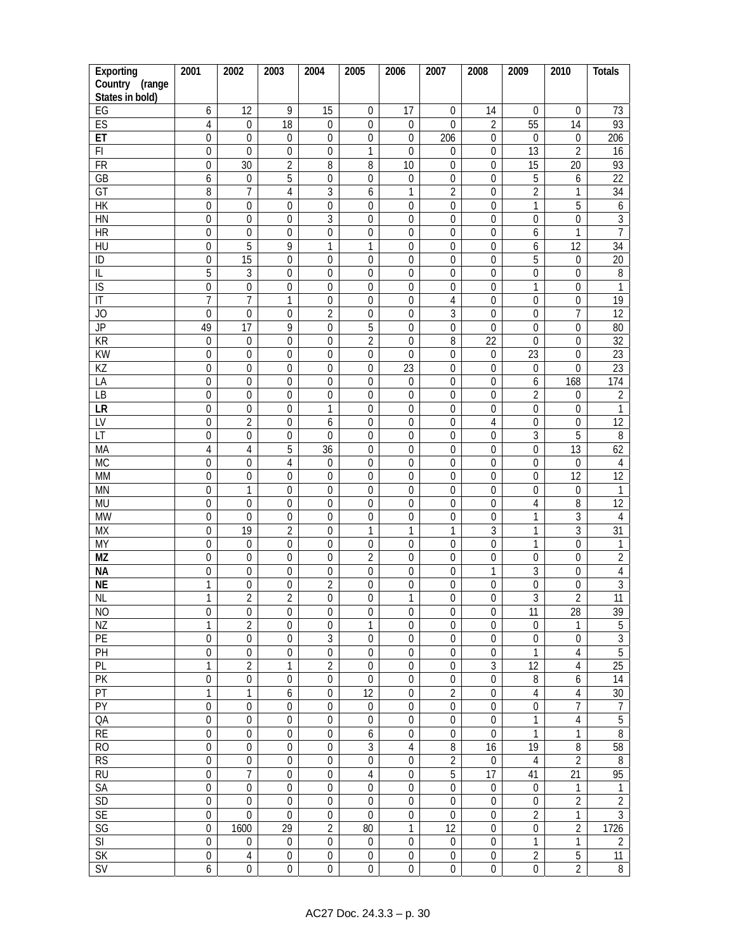| Exporting                | 2001             | 2002             | 2003             | 2004             | 2005             | 2006             | 2007             | 2008             | 2009             | 2010             | <b>Totals</b>   |
|--------------------------|------------------|------------------|------------------|------------------|------------------|------------------|------------------|------------------|------------------|------------------|-----------------|
| Country<br>(range        |                  |                  |                  |                  |                  |                  |                  |                  |                  |                  |                 |
| States in bold)          |                  |                  |                  |                  |                  |                  |                  |                  |                  |                  |                 |
| EG                       | 6                | 12               | 9                | 15               | $\mathbf 0$      | 17               | 0                | 14               | 0                | 0                | 73              |
| ES                       | 4                | 0                | 18               | $\mathbf 0$      | 0                | $\boldsymbol{0}$ | 0                | $\overline{2}$   | 55               | 14               | 93              |
| ET                       | $\mathbf 0$      | $\boldsymbol{0}$ | $\boldsymbol{0}$ | $\mathbf 0$      | $\mathbf 0$      | $\mathbf 0$      | 206              | $\boldsymbol{0}$ | $\mathbf 0$      | $\boldsymbol{0}$ | 206             |
| $\overline{F}$           | $\boldsymbol{0}$ | $\overline{0}$   | $\boldsymbol{0}$ | $\boldsymbol{0}$ | $\mathbf{1}$     | $\boldsymbol{0}$ | 0                | $\overline{0}$   | 13               | $\overline{2}$   | 16              |
| $\overline{FR}$          | $\overline{0}$   | $\overline{30}$  | $\overline{2}$   | $\overline{8}$   | $\overline{8}$   | $\overline{10}$  | 0                | $\overline{0}$   | $\overline{15}$  | $\overline{20}$  | 93              |
| GB                       | 6                | $\boldsymbol{0}$ | 5                | $\boldsymbol{0}$ | $\mathbf 0$      | $\boldsymbol{0}$ | $\mathbf 0$      | $\mathbf 0$      | $\overline{5}$   | 6                | $\overline{22}$ |
| $\overline{GT}$          | 8                | $\overline{7}$   | 4                | $\overline{3}$   | 6                | $\mathbf{1}$     | $\overline{2}$   | $\mathbf 0$      | $\overline{2}$   | 1                | $\overline{34}$ |
| <b>HK</b>                | $\boldsymbol{0}$ | $\boldsymbol{0}$ | 0                | $\boldsymbol{0}$ | $\mathbf 0$      | $\boldsymbol{0}$ | $\boldsymbol{0}$ | $\boldsymbol{0}$ | $\mathbf{1}$     | 5                | 6               |
| H <sub>N</sub>           | $\overline{0}$   | $\boldsymbol{0}$ | $\boldsymbol{0}$ | $\overline{3}$   | $\mathbf 0$      | $\boldsymbol{0}$ | $\boldsymbol{0}$ | $\boldsymbol{0}$ | $\boldsymbol{0}$ | 0                | $\overline{3}$  |
| $\overline{HR}$          | $\boldsymbol{0}$ | $\boldsymbol{0}$ | 0                | 0                | 0                | $\boldsymbol{0}$ | 0                | $\boldsymbol{0}$ | 6                | 1                | $\overline{7}$  |
| $\overline{HU}$          | $\mathbf 0$      | 5                | 9                | 1                | 1                | 0                | $\boldsymbol{0}$ | $\mathbf 0$      | 6                | 12               | $\overline{34}$ |
| ID                       | $\boldsymbol{0}$ | 15               | 0                | $\boldsymbol{0}$ | $\mathbf 0$      | 0                | $\boldsymbol{0}$ | $\boldsymbol{0}$ | 5                | 0                | $\overline{20}$ |
| IL                       | $\overline{5}$   | 3                | $\boldsymbol{0}$ | $\boldsymbol{0}$ | $\overline{0}$   | $\boldsymbol{0}$ | 0                | $\overline{0}$   | $\overline{0}$   | $\boldsymbol{0}$ | $\, 8$          |
| $\overline{S}$           | $\overline{0}$   | $\boldsymbol{0}$ | $\mathbf 0$      | $\overline{0}$   | $\mathbf 0$      | 0                | 0                | $\mathbf 0$      | 1                | 0                | $\mathbf{1}$    |
| $\overline{\mathbb{I}}$  | $\overline{7}$   | 7                | 1                | $\boldsymbol{0}$ | $\overline{0}$   | $\mathbf 0$      | $\overline{4}$   | $\overline{0}$   | $\mathbf 0$      | $\mathbf 0$      | 19              |
| JO                       | $\boldsymbol{0}$ | $\boldsymbol{0}$ | $\boldsymbol{0}$ | $\overline{2}$   | $\boldsymbol{0}$ | $\boldsymbol{0}$ | 3                | $\boldsymbol{0}$ | $\mathbf 0$      | $\overline{1}$   | 12              |
| $\overline{\mathsf{JP}}$ | 49               | 17               | 9                | $\boldsymbol{0}$ | 5                | $\boldsymbol{0}$ | $\boldsymbol{0}$ | $\mathbf 0$      | $\boldsymbol{0}$ | 0                | 80              |
| $\overline{KR}$          | $\boldsymbol{0}$ | $\boldsymbol{0}$ | 0                | $\boldsymbol{0}$ | $\overline{2}$   | $\boldsymbol{0}$ | 8                | $\overline{22}$  | $\mathbf 0$      | 0                | $\overline{32}$ |
| KW                       | $\overline{0}$   | $\boldsymbol{0}$ | $\mathbf 0$      | $\boldsymbol{0}$ | $\mathbf 0$      | $\mathbf 0$      | $\boldsymbol{0}$ | $\boldsymbol{0}$ | 23               | 0                | 23              |
| $\overline{KZ}$          | $\boldsymbol{0}$ | $\boldsymbol{0}$ | 0                | $\boldsymbol{0}$ | $\mathbf 0$      | $\overline{23}$  | 0                | $\mathbf 0$      | $\boldsymbol{0}$ | 0                | $\overline{23}$ |
| LA                       | $\overline{0}$   | $\boldsymbol{0}$ | $\mathbf 0$      | $\boldsymbol{0}$ | $\overline{0}$   | $\boldsymbol{0}$ | $\boldsymbol{0}$ | $\boldsymbol{0}$ | $\boldsymbol{6}$ | 168              | 174             |
| LB                       | $\boldsymbol{0}$ | $\boldsymbol{0}$ | $\mathbf 0$      | $\mathbf 0$      | $\mathbf 0$      | $\boldsymbol{0}$ | 0                | $\mathbf 0$      | $\overline{2}$   | 0                | $\sqrt{2}$      |
| LR                       | $\boldsymbol{0}$ | $\boldsymbol{0}$ | $\mathbf 0$      | $\mathbf{1}$     | $\mathbf{0}$     | $\boldsymbol{0}$ | $\boldsymbol{0}$ | 0                | $\mathbf 0$      | $\boldsymbol{0}$ | $\mathbf{1}$    |
| LV                       | $\boldsymbol{0}$ | $\overline{2}$   | $\mathbf 0$      | 6                | $\mathbf 0$      | $\mathbf 0$      | 0                | $\overline{4}$   | $\mathbf 0$      | 0                | 12              |
| $\overline{LT}$          | $\boldsymbol{0}$ | $\boldsymbol{0}$ | 0                | $\boldsymbol{0}$ | $\boldsymbol{0}$ | $\boldsymbol{0}$ | 0                | 0                | $\sqrt{3}$       | 5                | $\, 8$          |
| MA                       | $\overline{4}$   | $\overline{4}$   | 5                | 36               | 0                | 0                | 0                | 0                | $\boldsymbol{0}$ | 13               | 62              |
| <b>MC</b>                | 0                | 0                | 4                | $\boldsymbol{0}$ | $\boldsymbol{0}$ | 0                | 0                | $\boldsymbol{0}$ | $\boldsymbol{0}$ | $\boldsymbol{0}$ | $\overline{4}$  |
| <b>MM</b>                | $\mathbf 0$      | $\boldsymbol{0}$ | $\mathbf 0$      | $\mathbf 0$      | 0                | $\mathbf 0$      | $\boldsymbol{0}$ | 0                | $\mathbf 0$      | $\overline{12}$  | $\overline{12}$ |
| <b>MN</b>                | $\boldsymbol{0}$ | $\mathbf{1}$     | 0                | $\boldsymbol{0}$ | $\boldsymbol{0}$ | 0                | $\boldsymbol{0}$ | $\boldsymbol{0}$ | $\boldsymbol{0}$ | 0                | 1               |
| <b>MU</b>                | $\boldsymbol{0}$ | $\boldsymbol{0}$ | $\mathbf 0$      | $\mathbf 0$      | 0                | $\mathbf 0$      | 0                | 0                | 4                | 8                | $\overline{12}$ |
| <b>MW</b>                | $\boldsymbol{0}$ | $\boldsymbol{0}$ | $\boldsymbol{0}$ | $\boldsymbol{0}$ | $\boldsymbol{0}$ | 0                | 0                | $\mathbf 0$      | 1                | 3                | 4               |
| <b>MX</b>                | $\boldsymbol{0}$ | $\overline{19}$  | $\overline{2}$   | $\boldsymbol{0}$ | 1                | 1                | $\mathbf{1}$     | 3                | 1                | $\overline{3}$   | $\overline{31}$ |
| <b>MY</b>                | $\boldsymbol{0}$ | $\boldsymbol{0}$ | $\boldsymbol{0}$ | $\boldsymbol{0}$ | $\boldsymbol{0}$ | $\boldsymbol{0}$ | 0                | $\boldsymbol{0}$ | 1                | 0                | 1               |
| $\overline{\text{MZ}}$   | $\boldsymbol{0}$ | $\boldsymbol{0}$ | 0                | 0                | $\overline{2}$   | $\boldsymbol{0}$ | 0                | 0                | $\boldsymbol{0}$ | $\boldsymbol{0}$ | $\overline{2}$  |
| <b>NA</b>                | $\boldsymbol{0}$ | 0                | $\boldsymbol{0}$ | 0                | $\boldsymbol{0}$ | 0                | 0                | 1                | 3                | 0                | 4               |
| <b>NE</b>                | $\mathbf{1}$     | $\boldsymbol{0}$ | 0                | $\overline{2}$   | 0                | 0                | 0                | $\boldsymbol{0}$ | $\boldsymbol{0}$ | 0                | $\overline{3}$  |
| <b>NL</b>                | 1                | $\overline{2}$   | $\overline{2}$   | $\overline{0}$   | $\overline{0}$   | 1                | $\overline{0}$   | $\overline{0}$   | 3                | $\overline{2}$   | $\overline{11}$ |
| N <sub>O</sub>           | $\boldsymbol{0}$ | 0                | $\boldsymbol{0}$ | $\mathbf{0}$     | $\boldsymbol{0}$ | 0                | 0                | $\boldsymbol{0}$ | 11               | 28               | 39              |
| NZ                       | 1                | $\overline{2}$   | $\mathbf 0$      | $\boldsymbol{0}$ | 1                | $\boldsymbol{0}$ | $\boldsymbol{0}$ | $\mathbf 0$      | $\mathbf 0$      | 1                | $\overline{5}$  |
| PE                       | $\boldsymbol{0}$ | $\boldsymbol{0}$ | $\boldsymbol{0}$ | $\sqrt{3}$       | $\mathbf 0$      | $\boldsymbol{0}$ | 0                | $\boldsymbol{0}$ | $\boldsymbol{0}$ | 0                | $\sqrt{3}$      |
| $\overline{PH}$          | $\boldsymbol{0}$ | $\boldsymbol{0}$ | $\boldsymbol{0}$ | $\boldsymbol{0}$ | $\boldsymbol{0}$ | $\boldsymbol{0}$ | $\boldsymbol{0}$ | $\boldsymbol{0}$ | 1                | 4                | $\sqrt{5}$      |
| PL                       | $\mathbf{1}$     | $\overline{2}$   | 1                | $\overline{2}$   | $\mathbf 0$      | $\boldsymbol{0}$ | $\boldsymbol{0}$ | $\overline{3}$   | 12               | 4                | 25              |
| PK                       | $\boldsymbol{0}$ | $\boldsymbol{0}$ | $\boldsymbol{0}$ | 0                | $\overline{0}$   | 0                | 0                | $\boldsymbol{0}$ | 8                | 6                | 14              |
| PT                       | $\mathbf{1}$     | $\mathbf{1}$     | 6                | $\mathbf 0$      | $\overline{12}$  | 0                | $\overline{2}$   | $\boldsymbol{0}$ | $\overline{4}$   | 4                | 30              |
| $\overline{PY}$          | $\boldsymbol{0}$ | $\boldsymbol{0}$ | $\boldsymbol{0}$ | $\boldsymbol{0}$ | $\boldsymbol{0}$ | $\boldsymbol{0}$ | $\boldsymbol{0}$ | $\overline{0}$   | $\boldsymbol{0}$ | 7                | 7               |
| QA                       | $\boldsymbol{0}$ | $\mathbf 0$      | $\mathbf 0$      | 0                | $\boldsymbol{0}$ | 0                | $\boldsymbol{0}$ | $\boldsymbol{0}$ | 1                | 4                | $\overline{5}$  |
| RE                       | $\boldsymbol{0}$ | $\boldsymbol{0}$ | $\boldsymbol{0}$ | $\boldsymbol{0}$ | $\boldsymbol{6}$ | $\boldsymbol{0}$ | $\boldsymbol{0}$ | $\mathbf 0$      | $\mathbf{1}$     | 1                | $\overline{8}$  |
| R <sub>O</sub>           | $\boldsymbol{0}$ | $\boldsymbol{0}$ | $\boldsymbol{0}$ | $\boldsymbol{0}$ | $\mathfrak{Z}$   | $\overline{4}$   | 8                | 16               | 19               | 8                | 58              |
| RS                       | $\overline{0}$   | $\overline{0}$   | $\overline{0}$   | $\overline{0}$   | $\overline{0}$   | $\boldsymbol{0}$ | $\overline{2}$   | $\overline{0}$   | $\overline{4}$   | $\overline{2}$   | $\overline{8}$  |
| $\overline{RU}$          | $\boldsymbol{0}$ | $\overline{7}$   | $\boldsymbol{0}$ | $\boldsymbol{0}$ | $\overline{4}$   | $\boldsymbol{0}$ | 5                | $\overline{17}$  | 41               | 21               | 95              |
| SA                       | $\boldsymbol{0}$ | $\boldsymbol{0}$ | $\boldsymbol{0}$ | $\mathbf{0}$     | $\mathbf 0$      | $\boldsymbol{0}$ | $\boldsymbol{0}$ | $\boldsymbol{0}$ | $\overline{0}$   | 1                | 1               |
| SD                       | $\boldsymbol{0}$ | $\boldsymbol{0}$ | $\boldsymbol{0}$ | $\boldsymbol{0}$ | $\boldsymbol{0}$ | $\mathbf 0$      | $\boldsymbol{0}$ | $\boldsymbol{0}$ | $\boldsymbol{0}$ | $\overline{2}$   | $\overline{2}$  |
| <b>SE</b>                | $\boldsymbol{0}$ | $\mathbf 0$      | $\boldsymbol{0}$ | $\boldsymbol{0}$ | $\overline{0}$   | $\boldsymbol{0}$ | $\boldsymbol{0}$ | $\boldsymbol{0}$ | $\overline{2}$   | $\mathbf{1}$     | $\overline{3}$  |
| SG                       | $\boldsymbol{0}$ | 1600             | $\overline{29}$  | $\overline{2}$   | 80               | 1                | 12               | $\overline{0}$   | $\overline{0}$   | $\overline{2}$   | 1726            |
| $\overline{\text{SI}}$   | $\mathbf 0$      | $\boldsymbol{0}$ | $\boldsymbol{0}$ | $\mathbf 0$      | $\boldsymbol{0}$ | 0                | $\boldsymbol{0}$ | $\overline{0}$   | $\overline{1}$   | 1                | $\overline{2}$  |
| <b>SK</b>                | $\boldsymbol{0}$ | $\overline{4}$   | $\boldsymbol{0}$ | $\boldsymbol{0}$ | $\mathbf 0$      | $\boldsymbol{0}$ | $\boldsymbol{0}$ | $\overline{0}$   | $\overline{2}$   | 5                | 11              |
| <b>SV</b>                | 6                | $\boldsymbol{0}$ | $\boldsymbol{0}$ | $\boldsymbol{0}$ | $\mathbf 0$      | 0                | 0                | $\boldsymbol{0}$ | $\overline{0}$   | $\overline{2}$   | $\overline{8}$  |
|                          |                  |                  |                  |                  |                  |                  |                  |                  |                  |                  |                 |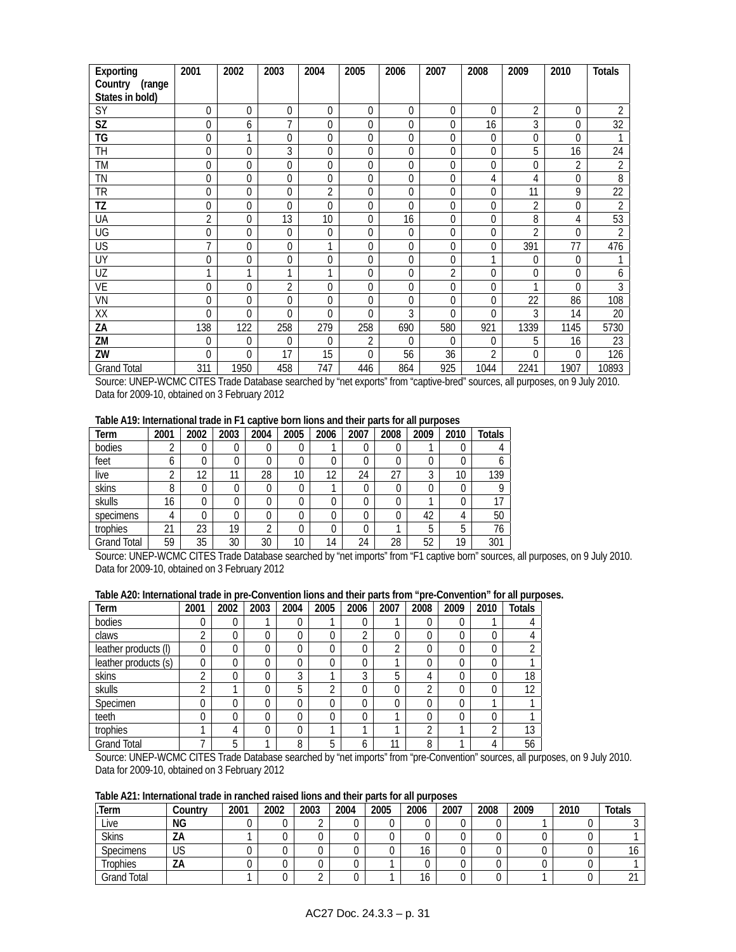| Exporting              | 2001           | 2002        | 2003         | 2004           | 2005     | 2006           | 2007           | 2008             | 2009           | 2010           | <b>Totals</b>   |
|------------------------|----------------|-------------|--------------|----------------|----------|----------------|----------------|------------------|----------------|----------------|-----------------|
| Country<br>(range      |                |             |              |                |          |                |                |                  |                |                |                 |
| States in bold)        |                |             |              |                |          |                |                |                  |                |                |                 |
| SY                     | $\mathbf 0$    | 0           | $\Omega$     | $\Omega$       | $\theta$ | 0              | 0              | 0                | $\overline{2}$ | 0              | 2               |
| $\overline{\text{SZ}}$ | $\mathbf 0$    | 6           | 7            | 0              | 0        | $\overline{0}$ | $\overline{0}$ | 16               | 3              | 0              | $\overline{32}$ |
| TG                     | $\overline{0}$ | 1           | $\Omega$     | $\Omega$       | 0        | 0              | $\overline{0}$ | $\boldsymbol{0}$ | $\Omega$       | $\Omega$       |                 |
| TH                     | 0              | $\mathbf 0$ | 3            | 0              | 0        | 0              | $\overline{0}$ | 0                | 5              | 16             | 24              |
| TM                     | 0              | 0           | $\mathbf{0}$ | 0              | 0        | 0              | $\Omega$       | 0                | $\Omega$       | $\overline{2}$ | $\overline{2}$  |
| TN                     | $\mathbf 0$    | 0           | $\mathbf 0$  | 0              | 0        | $\overline{0}$ | $\mathbf 0$    | 4                | 4              | 0              | 8               |
| TR                     | 0              | 0           | $\mathbf{0}$ | $\overline{2}$ | 0        | 0              | $\Omega$       | 0                | 11             | 9              | 22              |
| TZ                     | 0              | $\mathbf 0$ | $\theta$     | $\Omega$       | 0        | 0              | $\overline{0}$ | 0                | $\overline{2}$ | 0              | $\overline{2}$  |
| UA                     | $\overline{2}$ | $\mathbf 0$ | 13           | 10             | 0        | 16             | $\overline{0}$ | 0                | 8              | 4              | 53              |
| UG                     | $\overline{0}$ | 0           | $\mathbf 0$  | 0              | 0        | $\overline{0}$ | $\mathbf 0$    | 0                | $\overline{2}$ | 0              | $\overline{2}$  |
| US                     | $\overline{7}$ | 0           | $\mathbf{0}$ | 1              | $\Omega$ | 0              | $\overline{0}$ | 0                | 391            | 77             | 476             |
| UY                     | 0              | 0           | 0            | 0              | 0        | 0              | $\overline{0}$ |                  | $\Omega$       | 0              |                 |
| UZ                     | 1              | 1           | 1            | 1              | 0        | 0              | 2              | 0                | $\theta$       | $\Omega$       | 6               |
| <b>VE</b>              | $\overline{0}$ | 0           | 2            | 0              | 0        | $\overline{0}$ | $\mathbf{0}$   | 0                |                | $\Omega$       | 3               |
| VN                     | 0              | 0           | $\Omega$     | $\Omega$       | $\Omega$ | 0              | $\overline{0}$ | 0                | 22             | 86             | 108             |
| XX                     | $\Omega$       | 0           | $\mathbf{0}$ | $\Omega$       | $\Omega$ | 3              | $\Omega$       | 0                | 3              | 14             | 20              |
| ΖA                     | 138            | 122         | 258          | 279            | 258      | 690            | 580            | 921              | 1339           | 1145           | 5730            |
| ZM                     | 0              | 0           | 0            | 0              | 2        | $\Omega$       | $\theta$       | 0                | 5              | 16             | 23              |
| ZW                     | 0              | $\theta$    | 17           | 15             | 0        | 56             | 36             | 2                | $\Omega$       | 0              | 126             |
| <b>Grand Total</b>     | 311            | 1950        | 458          | 747            | 446      | 864            | 925            | 1044             | 2241           | 1907           | 10893           |

Source: UNEP-WCMC CITES Trade Database searched by "net exports" from "captive-bred" sources, all purposes, on 9 July 2010. Data for 2009-10, obtained on 3 February 2012

### **Table A19: International trade in F1 captive born lions and their parts for all purposes**

| Term               | 2001 | 2002 | 2003 | 2004 | 2005 | 2006              | 2007 | 2008 | 2009   | 2010 | <b>Totals</b> |
|--------------------|------|------|------|------|------|-------------------|------|------|--------|------|---------------|
| bodies             |      | 0    | 0    | 0    |      |                   |      |      |        | 0    |               |
| feet               |      | 0    | 0    | 0    |      |                   |      |      |        | 0    |               |
| live               | ົ    | 12   | 11   | 28   | 10   | $1^{\circ}$<br>١Z | 24   | 27   | ◠<br>C | 10   | 139           |
| skins              | 8    | 0    | 0    | 0    |      |                   |      |      |        | 0    |               |
| skulls             | 16   | 0    |      | 0    |      |                   |      |      |        |      | 17            |
| specimens          |      |      | 0    | 0    |      |                   |      |      | 42     | 4    | 50            |
| trophies           | 21   | 23   | 19   | ◠    |      |                   |      |      | 5      | 5    | 76            |
| <b>Grand Total</b> | 59   | 35   | 30   | 30   | 10   | 14                | 24   | 28   | 52     | 19   | 301           |

Source: UNEP-WCMC CITES Trade Database searched by "net imports" from "F1 captive born" sources, all purposes, on 9 July 2010. Data for 2009-10, obtained on 3 February 2012

### **Table A20: International trade in pre-Convention lions and their parts from "pre-Convention" for all purposes.**

| Term                 | 2001 | 2002 | 2003 | 2004 | 2005 | 2006   | 2007 | 2008 | 2009 | 2010 | <b>Totals</b> |
|----------------------|------|------|------|------|------|--------|------|------|------|------|---------------|
| bodies               | 0    | 0    |      | 0    |      |        |      | U    |      |      | 4             |
| claws                | ◠    | 0    | 0    | 0    |      | $\sim$ | 0    |      |      | 0    | 4             |
| leather products (I) | 0    | 0    | 0    | 0    |      |        | 2    | 0    |      | 0    | ↑             |
| leather products (s) | 0    | 0    |      | 0    |      |        | и    |      |      | 0    |               |
| skins                | ◠    | 0    | Ω    | 3    |      | ◠      | 5    | 4    |      | 0    | 18            |
| skulls               | ◠    |      |      | 5    | ◠    | 0      | 0    | ◠    |      | 0    | 12            |
| Specimen             | 0    | 0    |      | 0    | 0    |        | 0    |      |      | ◂    |               |
| teeth                | 0    | 0    | 0    | 0    | 0    | 0      | и    | 0    | ∩    | 0    |               |
| trophies             |      | 4    | 0    | 0    |      |        | ٠    | ◠    |      | ↑    | 13            |
| <b>Grand Total</b>   |      | 5    |      | 8    | 5    | b      | 11   | 8    |      | 4    | 56            |

Source: UNEP-WCMC CITES Trade Database searched by "net imports" from "pre-Convention" sources, all purposes, on 9 July 2010. Data for 2009-10, obtained on 3 February 2012

### **Table A21: International trade in ranched raised lions and their parts for all purposes**

| .Term              | Country | 2001 | 2002 | 2003 | 2004 | 2005 | 2006                 | 2007 | 2008 | 2009 | 2010 | <b>Totals</b> |
|--------------------|---------|------|------|------|------|------|----------------------|------|------|------|------|---------------|
| Live               | ΝG      |      |      |      |      |      |                      | u    |      |      |      |               |
| <b>Skins</b>       | ZΑ      |      |      |      |      |      |                      |      |      |      |      |               |
| <b>Specimens</b>   | US      |      |      |      |      |      | $\overline{ }$<br>16 | u    |      |      |      |               |
| Trophies           | ZΑ      |      |      |      |      |      |                      |      |      |      |      |               |
| <b>Grand Total</b> |         |      |      |      |      |      | $\overline{ }$<br>16 |      |      |      |      | $\sim$        |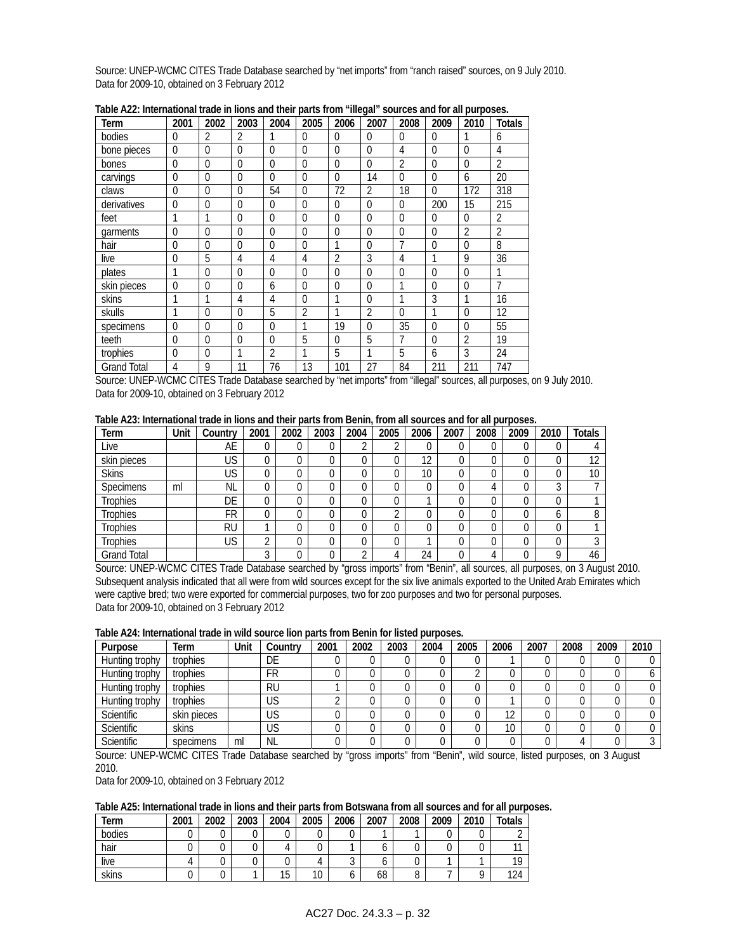Source: UNEP-WCMC CITES Trade Database searched by "net imports" from "ranch raised" sources, on 9 July 2010. Data for 2009-10, obtained on 3 February 2012

| Term               | 2001           | 2002           | 2003         | 2004           | 2005           | 2006           | 2007           | 2008           | 2009         | 2010           | Totals         |
|--------------------|----------------|----------------|--------------|----------------|----------------|----------------|----------------|----------------|--------------|----------------|----------------|
| bodies             | 0              | $\overline{2}$ | 2            | 1              | $\Omega$       | $\theta$       | $\theta$       | $\theta$       | $\theta$     |                | 6              |
| bone pieces        | 0              | $\Omega$       | $\Omega$     | $\Omega$       | $\mathbf{0}$   | $\Omega$       | $\Omega$       | 4              | $\mathbf 0$  | $\theta$       | 4              |
| bones              | 0              | $\Omega$       | $\Omega$     | $\theta$       | $\theta$       | $\Omega$       | $\Omega$       | $\overline{2}$ | $\mathbf{0}$ | $\theta$       | $\overline{2}$ |
| carvings           | $\mathbf 0$    | $\Omega$       | $\Omega$     | $\Omega$       | $\Omega$       | $\Omega$       | 14             | $\Omega$       | $\mathbf 0$  | 6              | 20             |
| claws              | 0              | $\Omega$       | $\Omega$     | 54             | $\theta$       | 72             | 2              | 18             | $\Omega$     | 172            | 318            |
| derivatives        | 0              | $\theta$       | $\Omega$     | $\theta$       | $\theta$       | $\Omega$       | $\Omega$       | $\theta$       | 200          | 15             | 215            |
| feet               |                | 1              | $\Omega$     | $\theta$       | $\mathbf{0}$   | $\Omega$       | $\Omega$       | $\Omega$       | $\mathbf{0}$ | $\theta$       | 2              |
| garments           | 0              | $\Omega$       | $\Omega$     | $\theta$       | $\theta$       | $\Omega$       | $\Omega$       | $\Omega$       | $\mathbf{0}$ | $\overline{2}$ | $\overline{2}$ |
| hair               | 0              | $\theta$       | $\Omega$     | $\Omega$       | $\mathbf{0}$   | 1              | $\Omega$       | 7              | $\mathbf 0$  | $\mathbf 0$    | 8              |
| live               | 0              | 5              | 4            | 4              | 4              | $\overline{2}$ | 3              | 4              | 1            | 9              | 36             |
| plates             | 1              | $\theta$       | $\Omega$     | $\theta$       | $\theta$       | $\Omega$       | $\Omega$       | $\Omega$       | $\mathbf{0}$ | $\theta$       |                |
| skin pieces        | $\overline{0}$ | $\mathbf{0}$   | 0            | 6              | $\mathbf{0}$   | $\mathbf{0}$   | $\overline{0}$ | 1              | $\mathbf{0}$ | $\mathbf 0$    | 7              |
| skins              | 1              | 1              | 4            | 4              | $\mathbf{0}$   |                | $\theta$       | 1              | 3            | 1              | 16             |
| skulls             | 1              | $\theta$       | $\mathbf{0}$ | 5              | $\overline{2}$ | 1              | 2              | $\Omega$       | 1            | $\theta$       | 12             |
| specimens          | 0              | $\Omega$       | 0            | $\Omega$       | 1              | 19             | $\mathbf{0}$   | 35             | $\mathbf{0}$ | $\mathbf{0}$   | 55             |
| teeth              | 0              | $\Omega$       | 0            | $\Omega$       | 5              | $\Omega$       | 5              | 7              | $\mathbf{0}$ | $\overline{2}$ | 19             |
| trophies           | 0              | $\Omega$       | 1            | $\overline{2}$ | 1              | 5              | 1              | 5              | 6            | 3              | 24             |
| <b>Grand Total</b> | 4              | 9              | 11           | 76             | 13             | 101            | 27             | 84             | 211          | 211            | 747            |

**Table A22: International trade in lions and their parts from "illegal" sources and for all purposes.** 

Source: UNEP-WCMC CITES Trade Database searched by "net imports" from "illegal" sources, all purposes, on 9 July 2010. Data for 2009-10, obtained on 3 February 2012

**Table A23: International trade in lions and their parts from Benin, from all sources and for all purposes.** 

| Term               | Unit | Country   | 2001 | 2002 | 2003 | 2004       | 2005   | 2006 | 2007 | 2008 | 2009 | 2010     | <b>Totals</b> |
|--------------------|------|-----------|------|------|------|------------|--------|------|------|------|------|----------|---------------|
| Live               |      | AE        |      |      | 0    |            | ົ<br>ے | U    |      | 0    | U    |          |               |
| skin pieces        |      | US        |      |      | U    |            | 0      | 12   |      | 0    |      | ⌒        | 12            |
| <b>Skins</b>       |      | US        |      |      | 0    |            | 0      | 10   |      | 0    |      |          | 10            |
| <b>Specimens</b>   | ml   | <b>NL</b> |      |      | 0    |            | 0      |      |      | 4    |      | ◠        |               |
| <b>Trophies</b>    |      | DE        | ∩    |      | 0    |            | 0      |      |      | 0    |      | ⌒        |               |
| Trophies           |      | FR        |      |      | 0    |            | ◠      |      |      | 0    |      | b        |               |
| <b>Trophies</b>    |      | <b>RU</b> |      |      | 0    |            | 0      |      |      | 0    |      | 0        |               |
| <b>Trophies</b>    |      | US        | ◠    |      | 0    |            | 0      |      |      | 0    | 0    |          | $\sim$        |
| <b>Grand Total</b> |      |           | ◠    |      | 0    | $\sqrt{2}$ | 4      | 24   |      | 4    |      | $\Omega$ | 46            |

Source: UNEP-WCMC CITES Trade Database searched by "gross imports" from "Benin", all sources, all purposes, on 3 August 2010. Subsequent analysis indicated that all were from wild sources except for the six live animals exported to the United Arab Emirates which were captive bred; two were exported for commercial purposes, two for zoo purposes and two for personal purposes. Data for 2009-10, obtained on 3 February 2012

### **Table A24: International trade in wild source lion parts from Benin for listed purposes.**

| Purpose           | Term        | Unit | Country   | 2001 | 2002 | 2003 | 2004 | 2005 | 2006 | 2007 | 2008 | 2009 | 2010 |
|-------------------|-------------|------|-----------|------|------|------|------|------|------|------|------|------|------|
| Hunting trophy    | trophies    |      | DE        |      |      |      |      |      |      |      |      |      |      |
| Hunting trophy    | trophies    |      | FR        |      |      |      |      |      |      |      |      |      |      |
| Hunting trophy    | trophies    |      | <b>RU</b> |      |      |      |      |      |      |      |      |      |      |
| Hunting trophy    | trophies    |      | US        |      |      |      |      |      |      |      |      |      |      |
| <b>Scientific</b> | skin pieces |      | US        |      |      |      |      |      | 10   |      |      |      |      |
| Scientific        | skins       |      | US        |      |      |      |      |      | 10   |      |      |      |      |
| <b>Scientific</b> | specimens   | ml   | NL        |      |      |      |      |      |      |      |      |      |      |

Source: UNEP-WCMC CITES Trade Database searched by "gross imports" from "Benin", wild source, listed purposes, on 3 August 2010.

Data for 2009-10, obtained on 3 February 2012

### **Table A25: International trade in lions and their parts from Botswana from all sources and for all purposes.**

| Term   | 2001 | 2002 | 2003 | 2004 | 2005 | 2006 | 2007 | 2008 | 2009 | 2010 | <b>Totals</b> |
|--------|------|------|------|------|------|------|------|------|------|------|---------------|
| bodies |      |      |      |      |      |      |      |      |      |      | $\sim$        |
| hair   |      |      |      |      |      |      |      |      |      | U    | 11            |
| live   |      |      |      |      |      |      |      |      |      |      | 19            |
| skins  |      |      |      | 15   | 10   |      | 68   |      |      |      | 124           |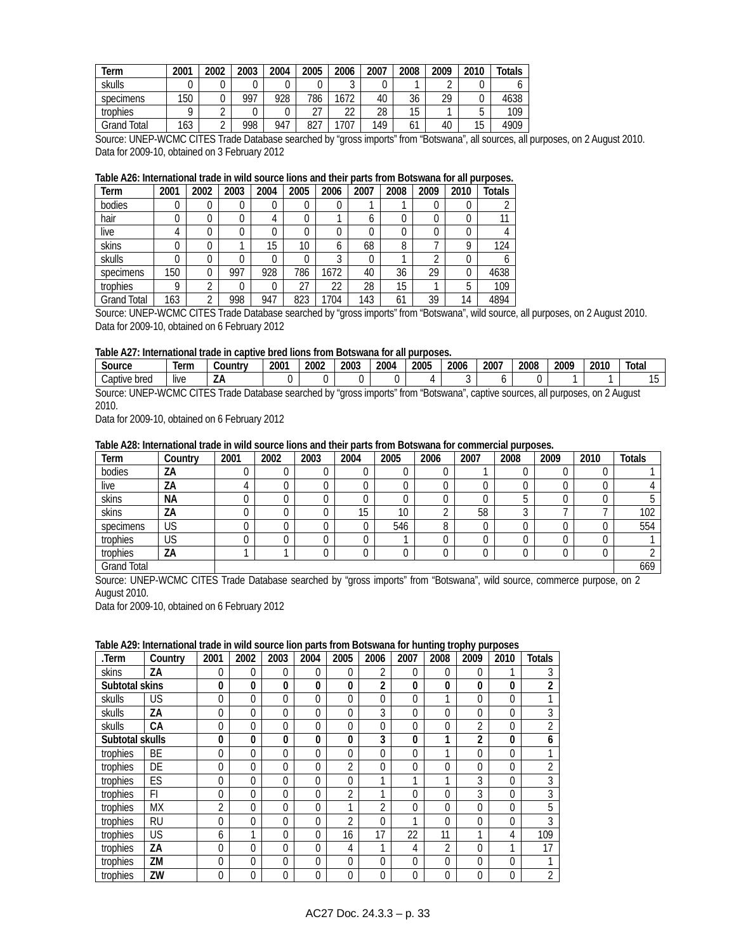| Геrm        | 2001 | 2002       | 2003 | 2004 | 2005      | 2006            | 2007 | 2008     | 2009 | 2010 | Totals |
|-------------|------|------------|------|------|-----------|-----------------|------|----------|------|------|--------|
| skulls      |      |            |      |      |           | $\sqrt{2}$<br>J |      |          |      |      |        |
| specimens   | 150  | U          | 997  | 928  | 786       | 1672            | 40   | 36       | 29   |      | 4638   |
| trophies    | Ω    | ⌒          |      |      | דר<br>ا ے | าา<br>∠∠        | 28   | 15       |      | J    | 109    |
| Grand Total | 163  | $\sqrt{2}$ | 998  | 947  | 827       | 1707            | 149  | ٠,<br>οı | 40   | 15   | 4909   |

Source: UNEP-WCMC CITES Trade Database searched by "gross imports" from "Botswana", all sources, all purposes, on 2 August 2010. Data for 2009-10, obtained on 3 February 2012

### **Table A26: International trade in wild source lions and their parts from Botswana for all purposes.**

| Term        | 2001 | 2002     | 2003 | 2004 | 2005            | 2006   | 2007 | 2008 | 2009 | 2010 | Totals |
|-------------|------|----------|------|------|-----------------|--------|------|------|------|------|--------|
| bodies      |      | 0        |      | 0    |                 |        |      |      |      | 0    |        |
| hair        |      | 0        |      | 4    |                 |        | b    |      |      | 0    |        |
| live        |      | 0        |      | 0    |                 | 0      |      |      |      | 0    |        |
| skins       |      |          |      | 15   | 10 <sup>°</sup> | b      | 68   | 8    |      | Q    | 124    |
| skulls      |      |          |      | 0    |                 | ◠<br>a |      |      |      | 0    |        |
| specimens   | 150  | 0        | 997  | 928  | 786             | 1672   | 40   | 36   | 29   | 0    | 4638   |
| trophies    | o    | ◠        |      | 0    | 27              | 22     | 28   | 15   |      | 5    | 109    |
| Grand Total | 163  | $\Omega$ | 998  | 947  | 823             | 704    | 143  | 61   | 39   | 14   | 4894   |

Source: UNEP-WCMC CITES Trade Database searched by "gross imports" from "Botswana", wild source, all purposes, on 2 August 2010. Data for 2009-10, obtained on 6 February 2012

#### **Table A27: International trade in captive bred lions from Botswana for all purposes.**

| Source                     | l∆rn<br>וווסי         | <b>Countr</b> | 2001 | 2002 | 2003 | 2004 | 2005 | 2006 | 2007 | 2008 | 2009 | 2010 | Total                                                                                                                                                                                                                          |
|----------------------------|-----------------------|---------------|------|------|------|------|------|------|------|------|------|------|--------------------------------------------------------------------------------------------------------------------------------------------------------------------------------------------------------------------------------|
| Captive bred               | $\cdots$<br>live      | LΑ            |      |      |      |      |      |      |      |      |      |      |                                                                                                                                                                                                                                |
| 181E<br>ŕ<br>$\sim$ $\sim$ | $\bigcap$<br>$\cdots$ |               |      |      |      |      |      |      |      |      |      | . .  | and the contract of the contract of the contract of the contract of the contract of the contract of the contract of the contract of the contract of the contract of the contract of the contract of the contract of the contra |

Source: UNEP-WCMC CITES Trade Database searched by "gross imports" from "Botswana", captive sources, all purposes, on 2 August 2010.

Data for 2009-10, obtained on 6 February 2012

### **Table A28: International trade in wild source lions and their parts from Botswana for commercial purposes.**

| Term               | Country | 2001 | 2002 | 2003 | 2004 | 2005 | 2006   | 2007 | 2008 | 2009 | 2010 | <b>Totals</b> |
|--------------------|---------|------|------|------|------|------|--------|------|------|------|------|---------------|
| bodies             | ΖA      |      |      | U    |      |      | υ      |      |      |      |      |               |
| live               | ΖA      | 4    |      |      |      |      | ⌒<br>U |      |      |      |      |               |
| skins              | NА      |      |      |      |      |      | ◠<br>U |      |      |      |      |               |
| skins              | ZΑ      | υ    |      |      | 15   | 10   | $\sim$ | 58   |      |      |      | 102           |
| specimens          | US      |      |      |      |      | 546  | 8      |      |      |      |      | 554           |
| trophies           | US      |      |      |      |      |      |        |      |      |      |      |               |
| trophies           | ΖA      |      |      |      |      |      | 0      |      |      |      |      |               |
| <b>Grand Total</b> |         |      |      |      |      |      |        |      |      |      |      | 669           |

Source: UNEP-WCMC CITES Trade Database searched by "gross imports" from "Botswana", wild source, commerce purpose, on 2 August 2010.

Data for 2009-10, obtained on 6 February 2012

#### **Table A29: International trade in wild source lion parts from Botswana for hunting trophy purposes**

| .Term           | Country   | 2001 | 2002         | 2003     | 2004     | 2005         | 2006     | 2007 | 2008           | 2009           | 2010           | <b>Totals</b>  |
|-----------------|-----------|------|--------------|----------|----------|--------------|----------|------|----------------|----------------|----------------|----------------|
| skins           | ZΑ        | 0    | $\Omega$     | 0        | 0        | $\theta$     | 2        | 0    | 0              | $\Omega$       |                |                |
| Subtotal skins  |           | 0    | $\mathbf{0}$ | 0        | 0        | $\mathbf{0}$ | 2        | 0    | $\mathbf{0}$   | $\mathbf{0}$   | $\bf{0}$       | $\overline{c}$ |
| skulls          | US        | 0    | $\Omega$     | 0        | $\Omega$ | $\theta$     | 0        | 0    | 1              | $\Omega$       | $\Omega$       |                |
| skulls          | ZΑ        | 0    | $\Omega$     | $\Omega$ | $\Omega$ | $\Omega$     | 3        | 0    | $\Omega$       | $\Omega$       | $\Omega$       | 3              |
| skulls          | CА        | 0    | $\Omega$     | $\Omega$ | $\Omega$ | $\Omega$     | 0        | 0    | $\Omega$       | $\overline{2}$ | $\Omega$       | $\overline{2}$ |
| Subtotal skulls |           | 0    | $\mathbf{0}$ | 0        | 0        | $\mathbf{0}$ | 3        | 0    | 1              | $\overline{2}$ | $\bf{0}$       | 6              |
| trophies        | BE        | 0    | $\Omega$     | 0        | 0        | $\theta$     | 0        | 0    | 1              | $\overline{0}$ | $\overline{0}$ |                |
| trophies        | DE        | 0    | $\Omega$     | 0        | $\Omega$ | 2            | $\Omega$ | 0    | $\Omega$       | $\Omega$       | $\Omega$       | $\overline{2}$ |
| trophies        | ES        | 0    | $\Omega$     | $\Omega$ | $\Omega$ | $\Omega$     | 1        | и    | ◀              | 3              | $\Omega$       | 3              |
| trophies        | FI        | 0    | $\Omega$     | $\Omega$ | $\theta$ | 2            | 1        | 0    | $\Omega$       | 3              | $\Omega$       | 3              |
| trophies        | МX        | 2    | $\Omega$     | 0        | 0        |              | 2        | 0    | $\Omega$       | $\Omega$       | 0              | 5              |
| trophies        | <b>RU</b> | 0    | $\Omega$     | 0        | $\Omega$ | C            | 0        | и    | $\Omega$       | 0              | $\Omega$       | 3              |
| trophies        | US        | 6    | 1            | 0        | $\Omega$ | 16           | 17       | 22   | 11             | 1              | 4              | 109            |
| trophies        | ZΑ        | 0    | $\Omega$     | $\Omega$ | $\Omega$ | 4            | 1        | 4    | $\overline{2}$ | $\Omega$       | и              | 17             |
| trophies        | ΖM        | 0    | $\Omega$     | $\Omega$ | $\Omega$ | $\theta$     | $\Omega$ | 0    | $\Omega$       | $\Omega$       | $\Omega$       |                |
| trophies        | ZW        | 0    | $\Omega$     | 0        | 0        | $\Omega$     | $\Omega$ | 0    | $\Omega$       | $\Omega$       | 0              | ◠              |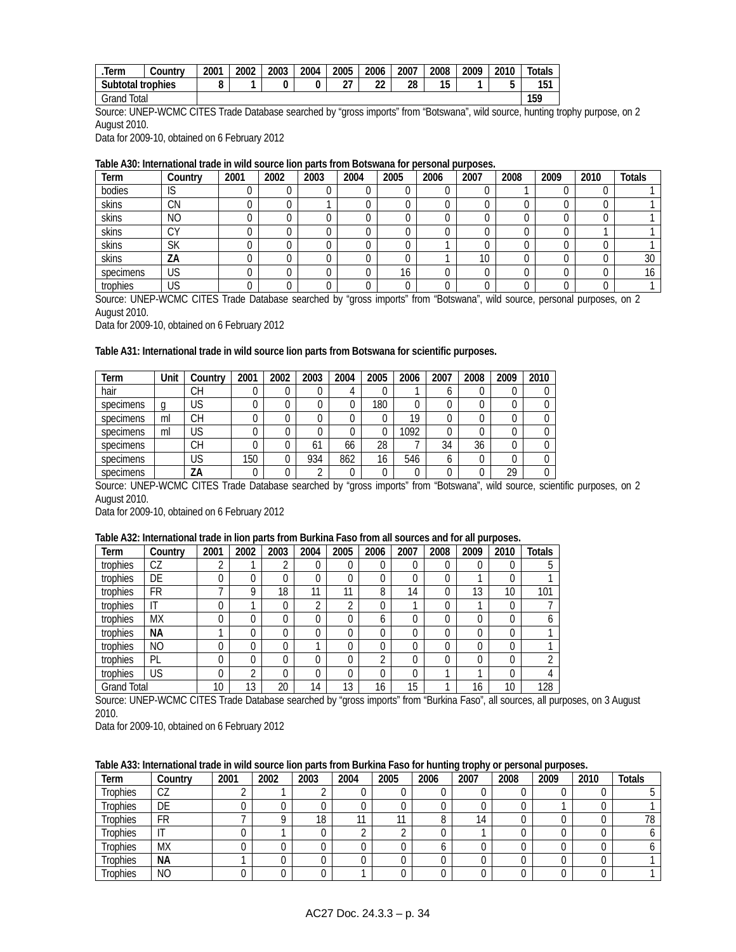| lerm              | Country | 2001 | 2002 | 2003 | 2004 | 2005     | 2006    | 2007 | 2008 | 2009 | 2010 | Totals |
|-------------------|---------|------|------|------|------|----------|---------|------|------|------|------|--------|
| Subtotal trophies |         | O    |      |      |      | ົ<br>، ے | ົ<br>LL | 28   | 15   |      |      | 151    |
| Grand Total       |         |      |      |      |      |          |         |      |      |      |      | 159    |

Source: UNEP-WCMC CITES Trade Database searched by "gross imports" from "Botswana", wild source, hunting trophy purpose, on 2 August 2010.

Data for 2009-10, obtained on 6 February 2012

#### **Table A30: International trade in wild source lion parts from Botswana for personal purposes.**

| Term      | Country   | 2001 | 2002 | 2003 | 2004 | 2005         | 2006 | 2007 | 2008 | 2009 | 2010 | <b>Totals</b> |
|-----------|-----------|------|------|------|------|--------------|------|------|------|------|------|---------------|
| bodies    | IS        |      |      |      |      |              |      |      |      |      |      |               |
| skins     | CΝ        |      |      |      |      |              |      |      |      |      |      |               |
| skins     | <b>NO</b> |      |      |      |      |              |      |      |      |      |      |               |
| skins     | CΥ        |      |      |      |      |              |      |      |      |      |      |               |
| skins     | <b>SK</b> |      |      |      |      |              |      |      |      |      |      |               |
| skins     | ΖA        |      |      |      |      |              |      | 10   |      |      |      | 30            |
| specimens | US        |      |      |      |      | $\sim$<br>l6 |      |      |      |      |      | $\sim$        |
| trophies  | US        |      |      |      |      |              |      |      |      |      |      |               |

Source: UNEP-WCMC CITES Trade Database searched by "gross imports" from "Botswana", wild source, personal purposes, on 2 August 2010.

Data for 2009-10, obtained on 6 February 2012

#### **Table A31: International trade in wild source lion parts from Botswana for scientific purposes.**

| Term      | Unit | Country | 2001 | 2002 | 2003       | 2004 | 2005 | 2006 | 2007 | 2008 | 2009 | 2010 |
|-----------|------|---------|------|------|------------|------|------|------|------|------|------|------|
| hair      |      | CН      |      |      |            |      |      |      | o    |      |      |      |
| specimens |      | US      |      |      |            |      | 180  |      |      | U    |      |      |
| specimens | ml   | CН      |      |      |            |      |      | 19   |      |      |      |      |
| specimens | ml   | US      |      |      |            |      |      | 1092 |      |      |      |      |
| specimens |      | CН      |      |      | 61         | 66   | 28   |      | 34   | 36   |      |      |
| specimens |      | US      | 150  |      | 934        | 862  | 16   | 546  | b    | U    |      |      |
| specimens |      | ΖA      |      |      | $\sqrt{2}$ |      |      |      |      |      | 29   |      |

Source: UNEP-WCMC CITES Trade Database searched by "gross imports" from "Botswana", wild source, scientific purposes, on 2 August 2010.

Data for 2009-10, obtained on 6 February 2012

### **Table A32: International trade in lion parts from Burkina Faso from all sources and for all purposes.**

| Term               | Country   | 2001           | 2002 | 2003     | 2004     | 2005     | 2006 | 2007 | 2008     | 2009     | 2010     | <b>Totals</b> |
|--------------------|-----------|----------------|------|----------|----------|----------|------|------|----------|----------|----------|---------------|
| trophies           | CZ        | ◠<br>∠         |      | ി<br>∠   | 0        | υ        | 0    | 0    | $\Omega$ | 0        | 0        | 5             |
| trophies           | DE        | 0              | 0    | $\Omega$ | 0        | 0        | 0    | 0    | 0        |          | $\Omega$ |               |
| trophies           | FR        | $\overline{ }$ | Q    | 18       | 11       | 11       | 8    | 14   | $\Omega$ | 13       | 10       | 101           |
| trophies           | IT        | 0              |      | $\Omega$ | າ        | ◠        | 0    |      | $\Omega$ |          | 0        |               |
| trophies           | <b>MX</b> | 0              | 0    | $\Omega$ | $\Omega$ | 0        | 6    | 0    | 0        | 0        | $\Omega$ | b             |
| trophies           | ΝA        |                |      | 0        | 0        | $\cap$   | 0    | 0    | $\Omega$ | 0        | $\Omega$ |               |
| trophies           | NO        | 0              | 0    | $\Omega$ |          | $\Omega$ | 0    | 0    | $\Omega$ | $\Omega$ | 0        |               |
| trophies           | PL        | 0              | 0    | $\Omega$ | $\Omega$ | 0        | 2    | 0    | $\Omega$ | 0        | $\Omega$ |               |
| trophies           | US        | 0              | C.   | $\Omega$ | $\Omega$ | 0        | 0    | 0    | ⊣        |          | $\Omega$ | 4             |
| <b>Grand Total</b> |           | 10             | 13   | 20       | 14       | 13       | 16   | 15   | ٠        | 16       | 10       | 128           |

Source: UNEP-WCMC CITES Trade Database searched by "gross imports" from "Burkina Faso", all sources, all purposes, on 3 August 2010.

Data for 2009-10, obtained on 6 February 2012

#### **Table A33: International trade in wild source lion parts from Burkina Faso for hunting trophy or personal purposes.**

| Term            | Country   | 2001 | 2002 | 2003 | 2004           | 2005 | 2006 | 2007 | 2008 | 2009 | 2010 | <b>Totals</b> |
|-----------------|-----------|------|------|------|----------------|------|------|------|------|------|------|---------------|
| <b>Trophies</b> | СZ        |      |      | ⌒    |                |      |      |      |      |      |      |               |
| Trophies        | DE        |      |      |      |                |      |      |      |      |      |      |               |
| <b>Trophies</b> | FR        |      |      | 18   | $\overline{a}$ | 11   |      | 4    |      |      |      | 70            |
| <b>Trophies</b> |           |      |      |      |                |      |      |      |      |      |      |               |
| Trophies        | <b>MX</b> |      |      |      |                |      |      |      |      |      |      |               |
| <b>Trophies</b> | NА        |      |      |      |                |      |      |      |      |      |      |               |
| Trophies        | <b>NO</b> |      |      |      |                |      |      |      |      |      |      |               |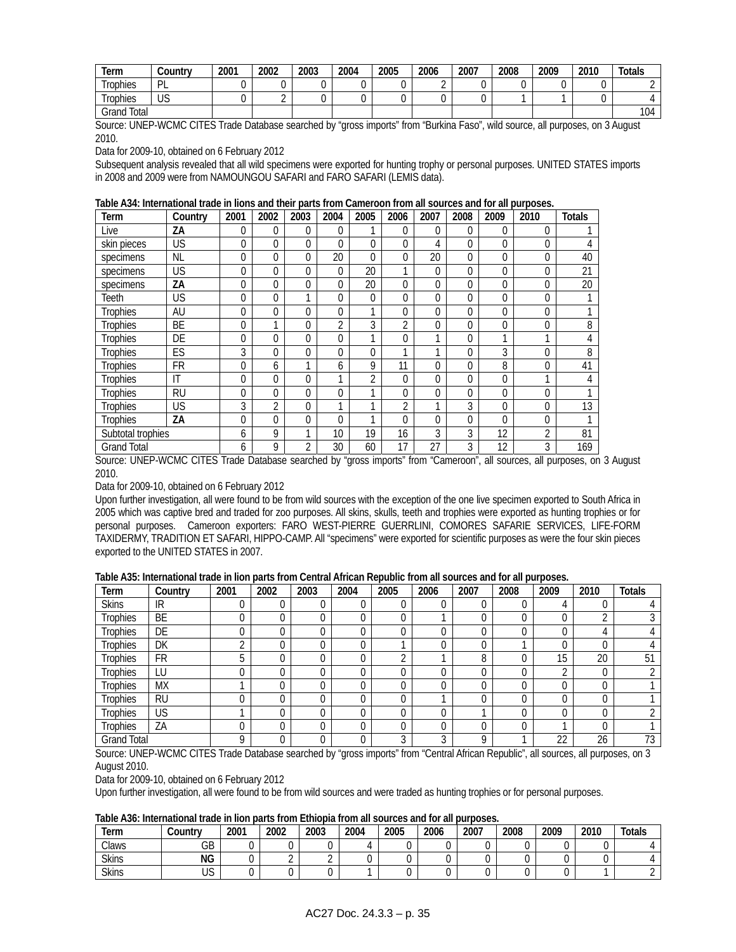| Term            | Country    | 2001 | 2002 | 2003 | 2004 | 2005 | 2006 | 2007 | 2008 | 2009 | 2010 | <b>Totals</b> |
|-----------------|------------|------|------|------|------|------|------|------|------|------|------|---------------|
| <b>Trophies</b> | D<br>-     |      |      |      |      |      |      |      |      |      |      |               |
| rophies         | 2ו ו<br>ႱჂ |      |      |      |      |      |      |      |      |      |      |               |
| Total<br>Grand  |            |      |      |      |      |      |      |      |      |      |      | 104           |

Source: UNEP-WCMC CITES Trade Database searched by "gross imports" from "Burkina Faso", wild source, all purposes, on 3 August 2010.

Data for 2009-10, obtained on 6 February 2012

Subsequent analysis revealed that all wild specimens were exported for hunting trophy or personal purposes. UNITED STATES imports in 2008 and 2009 were from NAMOUNGOU SAFARI and FARO SAFARI (LEMIS data).

|  | Table A34: International trade in lions and their parts from Cameroon from all sources and for all purposes. |  |
|--|--------------------------------------------------------------------------------------------------------------|--|
|--|--------------------------------------------------------------------------------------------------------------|--|

| Term               | Country   | 2001     | 2002     | 2003           | 2004           | 2005     | 2006 | 2007     | 2008     | 2009     | 2010           | <b>Totals</b> |
|--------------------|-----------|----------|----------|----------------|----------------|----------|------|----------|----------|----------|----------------|---------------|
| Live               | ZΑ        | 0        | $\Omega$ | $\theta$       | $\Omega$       | 1        | 0    | $\Omega$ | $\theta$ | $\theta$ | 0              |               |
| skin pieces        | US        | 0        | $\Omega$ | $\Omega$       | $\Omega$       | $\Omega$ | 0    | 4        | $\Omega$ | $\theta$ | 0              | 4             |
| specimens          | <b>NL</b> | 0        | $\Omega$ | 0              | 20             | $\theta$ | 0    | 20       | $\Omega$ | $\theta$ | 0              | 40            |
| specimens          | US        | 0        | 0        | 0              | 0              | 20       | 1    | $\Omega$ | $\Omega$ | 0        | 0              | 21            |
| specimens          | ZΑ        | 0        | 0        | 0              | 0              | 20       | 0    | 0        | 0        | 0        | 0              | 20            |
| Teeth              | US        | 0        | 0        |                | 0              | $\theta$ | 0    | 0        | $\Omega$ | 0        | 0              |               |
| <b>Trophies</b>    | AU        | 0        | 0        | 0              | $\Omega$       | 1        | 0    | $\Omega$ | 0        | 0        | 0              |               |
| <b>Trophies</b>    | BE        | 0        |          | 0              | $\overline{2}$ | 3        | 2    | $\theta$ | 0        | 0        | 0              | 8             |
| Trophies           | DE        | 0        | 0        | $\overline{0}$ | 0              | 1        | 0    |          | 0        |          |                | 4             |
| Trophies           | ES        | 3        | $\Omega$ | 0              | 0              | $\Omega$ | 1    |          | 0        | 3        | 0              | 8             |
| Trophies           | <b>FR</b> | 0        | 6        |                | 6              | 9        | 11   | 0        | 0        | 8        | 0              | 41            |
| Trophies           | T         | 0        | 0        | 0              | 4              | 2        | 0    | 0        | 0        | 0        |                | 4             |
| <b>Trophies</b>    | <b>RU</b> | $\Omega$ | 0        | 0              | 0              | 1        | 0    | $\theta$ | $\Omega$ | 0        | 0              |               |
| <b>Trophies</b>    | US        | 3        | 2        | 0              | 1              | 4        | 2    |          | 3        | 0        | 0              | 13            |
| <b>Trophies</b>    | ZA        | 0        | $\Omega$ | $\Omega$       | 0              | 1        | 0    | $\Omega$ | $\Omega$ | $\Omega$ | 0              |               |
| Subtotal trophies  |           | 6        | 9        | ٠              | 10             | 19       | 16   | 3        | 3        | 12       | $\overline{2}$ | 81            |
| <b>Grand Total</b> |           | 6        | 9        | $\overline{2}$ | 30             | 60       | 17   | 27       | 3        | 12       | 3              | 169           |

Source: UNEP-WCMC CITES Trade Database searched by "gross imports" from "Cameroon", all sources, all purposes, on 3 August 2010.

Data for 2009-10, obtained on 6 February 2012

Upon further investigation, all were found to be from wild sources with the exception of the one live specimen exported to South Africa in 2005 which was captive bred and traded for zoo purposes. All skins, skulls, teeth and trophies were exported as hunting trophies or for personal purposes. Cameroon exporters: FARO WEST-PIERRE GUERRLINI, COMORES SAFARIE SERVICES, LIFE-FORM TAXIDERMY, TRADITION ET SAFARI, HIPPO-CAMP. All "specimens" were exported for scientific purposes as were the four skin pieces exported to the UNITED STATES in 2007.

|                    |           | .    |      |      |      |      |      |      | $= 100$ . $= 100$ , $= 100$ , $= 100$ |      |      |               |
|--------------------|-----------|------|------|------|------|------|------|------|---------------------------------------|------|------|---------------|
| Term               | Country   | 2001 | 2002 | 2003 | 2004 | 2005 | 2006 | 2007 | 2008                                  | 2009 | 2010 | <b>Totals</b> |
| <b>Skins</b>       | IR        |      |      | 0    |      |      | 0    |      |                                       | 4    |      |               |
| <b>Trophies</b>    | BE        |      |      | 0    |      |      |      |      |                                       |      | ົ    |               |
| <b>Trophies</b>    | DE        |      |      | 0    |      |      | 0    |      |                                       |      |      |               |
| <b>Trophies</b>    | DK        |      |      | 0    |      |      | 0    |      |                                       | 0    |      |               |
| <b>Trophies</b>    | FR        | b    |      | 0    |      | ⌒    |      | 8    |                                       | 15   | 20   | 51            |
| <b>Trophies</b>    | LU        |      |      | 0    |      |      | 0    |      |                                       | ◠    | 0    |               |
| <b>Trophies</b>    | <b>MX</b> |      |      | 0    |      |      | 0    |      |                                       |      | 0    |               |
| <b>Trophies</b>    | <b>RU</b> |      |      | 0    |      | 0    |      |      |                                       | 0    | 0    |               |
| <b>Trophies</b>    | US        |      |      | 0    |      | U    | 0    |      |                                       | 0    | 0    |               |
| Trophies           | ΖA        |      |      | 0    |      |      | 0    |      |                                       |      | 0    |               |
| <b>Grand Total</b> |           |      |      | 0    |      |      | C    | O    |                                       | 22   | 26   | 73            |

Source: UNEP-WCMC CITES Trade Database searched by "gross imports" from "Central African Republic", all sources, all purposes, on 3 August 2010.

Data for 2009-10, obtained on 6 February 2012

Upon further investigation, all were found to be from wild sources and were traded as hunting trophies or for personal purposes.

**Table A36: International trade in lion parts from Ethiopia from all sources and for all purposes.** 

| lerm         | ∴ountrv   | 2001 | 2002 | 2003 | 2004 | 2005 | 2006 | 2007 | 2008 | 2009 | 2010 | <b>Totals</b> |
|--------------|-----------|------|------|------|------|------|------|------|------|------|------|---------------|
| Claws        | GВ        |      |      |      |      |      |      |      |      |      |      |               |
| <b>Skins</b> | ΝG        |      |      |      |      |      |      |      |      |      |      |               |
| <b>Skins</b> | 110<br>UJ |      |      |      |      |      |      |      |      |      |      |               |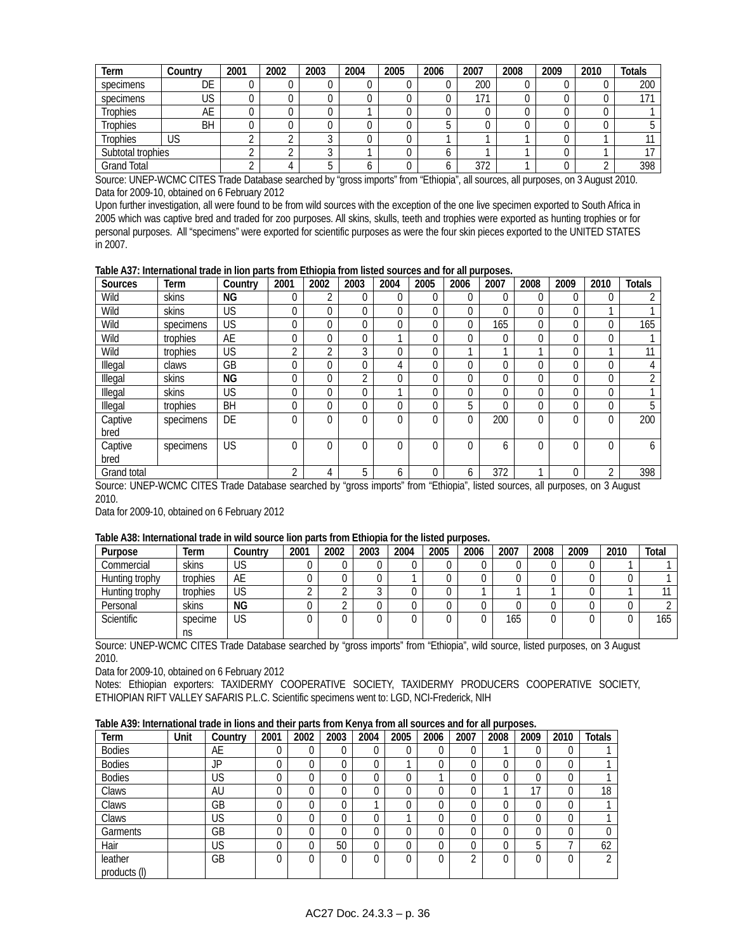| Term               | Country   | 2001 | 2002 | 2003 | 2004 | 2005 | 2006 | 2007 | 2008 | 2009 | 2010 | <b>Totals</b> |
|--------------------|-----------|------|------|------|------|------|------|------|------|------|------|---------------|
| specimens          | DE        |      |      |      |      |      |      | 200  |      |      |      | 200           |
| specimens          | US        |      |      |      |      |      |      | 171  |      |      |      | 171           |
| <b>Trophies</b>    | AE        |      |      |      |      |      |      |      |      |      |      |               |
| <b>Trophies</b>    | <b>BH</b> |      |      |      |      |      |      |      |      |      |      |               |
| <b>Trophies</b>    | US        |      |      |      |      |      |      |      |      |      |      |               |
| Subtotal trophies  |           |      |      |      |      |      |      |      |      |      |      |               |
| <b>Grand Total</b> |           |      |      |      | υ    |      |      | 372  |      |      |      | 398           |

Source: UNEP-WCMC CITES Trade Database searched by "gross imports" from "Ethiopia", all sources, all purposes, on 3 August 2010. Data for 2009-10, obtained on 6 February 2012

Upon further investigation, all were found to be from wild sources with the exception of the one live specimen exported to South Africa in 2005 which was captive bred and traded for zoo purposes. All skins, skulls, teeth and trophies were exported as hunting trophies or for personal purposes. All "specimens" were exported for scientific purposes as were the four skin pieces exported to the UNITED STATES in 2007.

**Table A37: International trade in lion parts from Ethiopia from listed sources and for all purposes.** 

| <b>Sources</b> | Term      | Country   | 2001     | 2002 | 2003 | 2004           | 2005 | 2006     | 2007 | 2008     | 2009     | 2010 | <b>Totals</b> |
|----------------|-----------|-----------|----------|------|------|----------------|------|----------|------|----------|----------|------|---------------|
| Wild           | skins     | NG        | $\Omega$ | ◠    |      | 0              |      | $\Omega$ | 0    | 0        | 0        | 0    |               |
| Wild           | skins     | <b>US</b> | 0        | 0    |      | $\overline{0}$ |      | 0        | 0    | $\Omega$ | 0        |      |               |
| Wild           | specimens | US        | $\theta$ | 0    | 0    | 0              |      | 0        | 165  | $\Omega$ | 0        | 0    | 165           |
| Wild           | trophies  | AE        | 0        |      |      |                |      | 0        | 0    | $\Omega$ |          | 0    |               |
| Wild           | trophies  | US        | ∩        | ↑    | C    | 0              |      |          | ◢    |          | $\Omega$ |      | 11            |
| Illegal        | claws     | GB        | 0        |      |      | 4              |      | 0        | 0    | $\Omega$ |          | 0    |               |
| Illegal        | skins     | ΝG        | $\theta$ |      | ኅ    | 0              |      | 0        | 0    | $\Omega$ | $\Omega$ | 0    | <sup>1</sup>  |
| Illegal        | skins     | US        | $\theta$ |      |      |                |      | 0        | 0    | $\Omega$ |          | 0    |               |
| Illegal        | trophies  | BH        | $\Omega$ | 0    |      | $\Omega$       |      | 5        | 0    | $\Omega$ | $\Omega$ | 0    | 5             |
| Captive        | specimens | DE        | $\Omega$ | 0    | 0    | $\Omega$       |      | 0        | 200  | $\Omega$ | 0        | 0    | 200           |
| bred           |           |           |          |      |      |                |      |          |      |          |          |      |               |
| Captive        | specimens | <b>US</b> | $\Omega$ | 0    |      | $\Omega$       |      | 0        | 6    | $\Omega$ |          | 0    | <sub>6</sub>  |
| bred           |           |           |          |      |      |                |      |          |      |          |          |      |               |
| Grand total    |           |           | ∩        |      | 5    | 6              |      | 6        | 372  |          |          | C    | 398           |

Source: UNEP-WCMC CITES Trade Database searched by "gross imports" from "Ethiopia", listed sources, all purposes, on 3 August 2010.

Data for 2009-10, obtained on 6 February 2012

### **Table A38: International trade in wild source lion parts from Ethiopia for the listed purposes.**

| Purpose           | Term     | Country   | 2001 | 2002 | 2003 | 2004 | 2005 | 2006 | 2007 | 2008 | 2009 | 2010 | Total |
|-------------------|----------|-----------|------|------|------|------|------|------|------|------|------|------|-------|
| Commercial        | skins    | US        |      |      |      |      |      |      |      |      |      |      |       |
| Hunting trophy    | trophies | AE        |      |      |      |      |      |      |      |      |      |      |       |
| Hunting trophy    | trophies | US        |      |      |      |      |      |      |      |      |      |      |       |
| Personal          | skins    | <b>NG</b> |      |      |      |      |      |      |      |      |      |      |       |
| <b>Scientific</b> | specime  | US        |      |      |      |      |      |      | 165  |      |      |      | 165   |
|                   | ns       |           |      |      |      |      |      |      |      |      |      |      |       |

Source: UNEP-WCMC CITES Trade Database searched by "gross imports" from "Ethiopia", wild source, listed purposes, on 3 August 2010.

Data for 2009-10, obtained on 6 February 2012

Notes: Ethiopian exporters: TAXIDERMY COOPERATIVE SOCIETY, TAXIDERMY PRODUCERS COOPERATIVE SOCIETY, ETHIOPIAN RIFT VALLEY SAFARIS P.L.C. Scientific specimens went to: LGD, NCI-Frederick, NIH

**Table A39: International trade in lions and their parts from Kenya from all sources and for all purposes.** 

| Term                    | Unit | Country   | 2001        | 2002 | 2003 | 2004 | 2005 | 2006     | 2007 | 2008     | 2009 | 2010 | <b>Totals</b> |
|-------------------------|------|-----------|-------------|------|------|------|------|----------|------|----------|------|------|---------------|
| <b>Bodies</b>           |      | AE        | $\mathbf 0$ |      |      | 0    | 0    |          |      |          | 0    | 0    |               |
| <b>Bodies</b>           |      | JP        | 0           |      |      | 0    |      |          |      | 0        |      | 0    |               |
| <b>Bodies</b>           |      | US        | 0           |      |      | 0    | 0    |          |      | 0        |      | 0    |               |
| Claws                   |      | AU        | 0           |      |      | 0    | 0    |          |      |          | 17   | 0    | 18            |
| Claws                   |      | GB        | 0           |      |      | ×.   | 0    |          |      | 0        |      | 0    |               |
| Claws                   |      | <b>US</b> | 0           |      |      | 0    |      | $\Omega$ |      | $\Omega$ | 0    | 0    |               |
| Garments                |      | GB        | $\theta$    |      |      | 0    | 0    | 0        | 0    | 0        |      | 0    |               |
| Hair                    |      | US        | 0           |      | 50   | 0    | 0    | $\Omega$ |      | 0        | 5    |      | 62            |
| leather<br>products (I) |      | GB        | $\theta$    |      |      | 0    |      | $\Omega$ | C    | 0        |      | 0    | $\sim$        |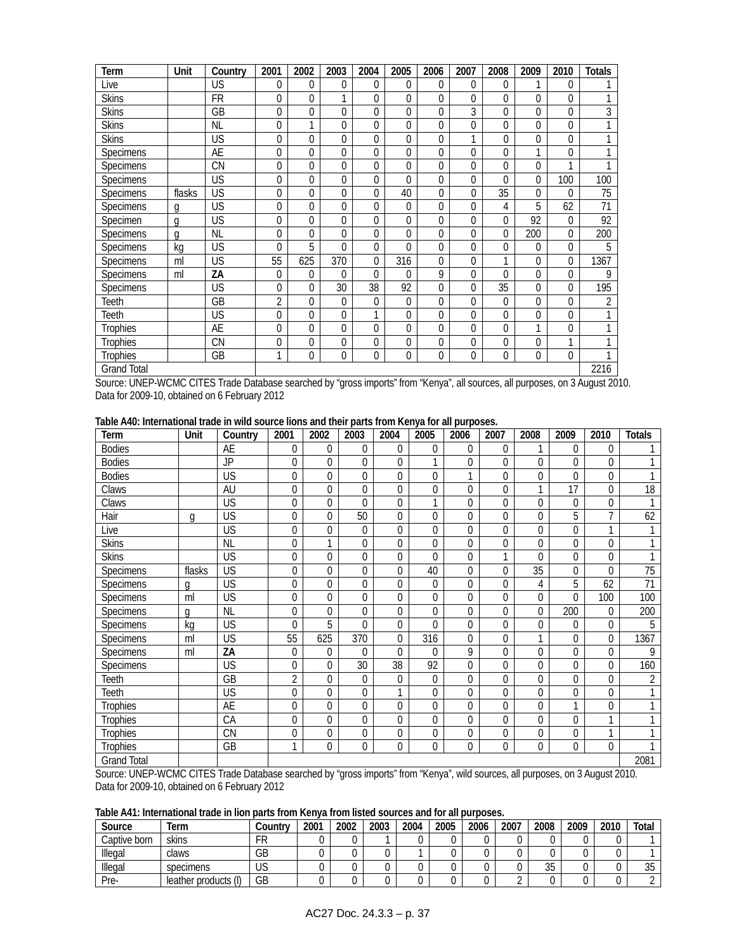| Term               | Unit   | Country   | 2001             | 2002         | 2003           | 2004           | 2005     | 2006        | 2007     | 2008         | 2009 | 2010           | <b>Totals</b>   |
|--------------------|--------|-----------|------------------|--------------|----------------|----------------|----------|-------------|----------|--------------|------|----------------|-----------------|
| Live               |        | US        | $\overline{0}$   | $\theta$     | $\overline{0}$ | 0              | 0        | $\Omega$    | 0        | $\mathbf{0}$ |      | $\theta$       |                 |
| <b>Skins</b>       |        | <b>FR</b> | $\mathbf{0}$     | $\theta$     |                | 0              | 0        | $\Omega$    | 0        | 0            | 0    | $\theta$       |                 |
| <b>Skins</b>       |        | GB        | $\mathbf{0}$     | $\theta$     | $\Omega$       | 0              | $\Omega$ | $\Omega$    | 3        | $\Omega$     | 0    | $\theta$       | 3               |
| <b>Skins</b>       |        | <b>NL</b> | $\mathbf{0}$     | 1            | 0              | 0              | 0        | 0           | 0        | $\mathbf{0}$ | 0    | $\mathbf{0}$   |                 |
| <b>Skins</b>       |        | <b>US</b> | $\mathbf{0}$     | $\theta$     | $\Omega$       | 0              | $\Omega$ | $\Omega$    |          | $\Omega$     | 0    | $\theta$       |                 |
| Specimens          |        | AE        | $\mathbf{0}$     | $\theta$     | $\overline{0}$ | 0              | 0        | $\mathbf 0$ | 0        | 0            | 1    | $\mathbf{0}$   |                 |
| Specimens          |        | <b>CN</b> | $\overline{0}$   | $\theta$     | $\Omega$       | 0              | $\Omega$ | $\Omega$    | 0        | $\Omega$     | 0    | 1              |                 |
| Specimens          |        | <b>US</b> | $\boldsymbol{0}$ | $\mathbf 0$  | $\Omega$       | 0              | $\Omega$ | $\Omega$    | 0        | $\Omega$     | 0    | 100            | 100             |
| Specimens          | flasks | US        | $\mathbf{0}$     | $\theta$     | $\theta$       | 0              | 40       | $\Omega$    | 0        | 35           | 0    | $\Omega$       | 75              |
| <b>Specimens</b>   | q      | US        | $\mathbf{0}$     | $\theta$     | $\Omega$       | 0              | $\Omega$ | $\Omega$    | 0        | 4            | 5    | 62             | $\overline{71}$ |
| Specimen           | q      | US        | $\mathbf{0}$     | $\theta$     | $\overline{0}$ | 0              | 0        | $\Omega$    | 0        | 0            | 92   | $\overline{0}$ | 92              |
| Specimens          | q      | <b>NL</b> | $\mathbf{0}$     | $\theta$     | $\Omega$       | 0              | $\Omega$ | $\Omega$    | 0        | $\Omega$     | 200  | $\Omega$       | 200             |
| Specimens          | kg     | US        | $\mathbf{0}$     | 5            | $\mathbf 0$    | 0              | 0        | $\Omega$    | 0        | $\mathbf{0}$ | 0    | $\overline{0}$ | 5               |
| Specimens          | ml     | US        | 55               | 625          | 370            | 0              | 316      | $\Omega$    | 0        | 1            | 0    | $\Omega$       | 1367            |
| Specimens          | ml     | ZA        | $\overline{0}$   | $\theta$     | $\Omega$       | $\overline{0}$ | 0        | 9           | $\Omega$ | $\Omega$     | 0    | $\Omega$       | 9               |
| Specimens          |        | US        | $\mathbf{0}$     | $\theta$     | 30             | 38             | 92       | $\Omega$    | 0        | 35           | 0    | $\theta$       | 195             |
| Teeth              |        | GB        | $\overline{2}$   | 0            | 0              | 0              | 0        | 0           | 0        | 0            | 0    | 0              | 2               |
| Teeth              |        | US        | $\mathbf{0}$     | $\theta$     | $\Omega$       | 1              | 0        | $\Omega$    | 0        | 0            | 0    | $\Omega$       |                 |
| <b>Trophies</b>    |        | AE        | $\mathbf{0}$     | $\theta$     | $\Omega$       | 0              | 0        | $\Omega$    | 0        | 0            | 1    | $\mathbf{0}$   |                 |
| <b>Trophies</b>    |        | <b>CN</b> | $\overline{0}$   | $\Omega$     | $\overline{0}$ | 0              | 0        | $\Omega$    | 0        | 0            | 0    | 1              |                 |
| <b>Trophies</b>    |        | GB        | 1                | $\mathbf{0}$ | $\mathbf 0$    | 0              | 0        | $\mathbf 0$ | 0        | $\mathbf{0}$ | 0    | $\theta$       |                 |
| <b>Grand Total</b> |        |           |                  |              |                |                |          |             |          |              |      |                | 2216            |

Source: UNEP-WCMC CITES Trade Database searched by "gross imports" from "Kenya", all sources, all purposes, on 3 August 2010. Data for 2009-10, obtained on 6 February 2012

**Table A40: International trade in wild source lions and their parts from Kenya for all purposes.** 

| Term               | Unit   | Country   | 2001             | 2002     | 2003           | 2004             | 2005     | 2006         | 2007         | 2008         | 2009         | 2010        | <b>Totals</b>   |
|--------------------|--------|-----------|------------------|----------|----------------|------------------|----------|--------------|--------------|--------------|--------------|-------------|-----------------|
| <b>Bodies</b>      |        | AE        | $\mathbf{0}$     | 0        | $\Omega$       | $\mathbf{0}$     | 0        | 0            | $\mathbf{0}$ |              | $\theta$     | 0           | 1               |
| <b>Bodies</b>      |        | JP        | $\boldsymbol{0}$ | 0        | $\Omega$       | $\mathbf 0$      |          | 0            | $\mathbf 0$  | $\Omega$     | $\Omega$     | 0           | 1               |
| <b>Bodies</b>      |        | US        | $\mathbf 0$      | 0        | $\Omega$       | $\mathbf 0$      | $\theta$ | 1            | $\mathbf 0$  | $\theta$     | $\Omega$     | 0           | 1               |
| Claws              |        | AU        | 0                | 0        | $\Omega$       | $\mathbf 0$      | 0        | 0            | $\mathbf 0$  | 1            | 17           | 0           | 18              |
| Claws              |        | US        | $\mathbf{0}$     | 0        | $\Omega$       | $\mathbf 0$      |          | 0            | $\mathbf 0$  | $\theta$     | $\mathbf{0}$ | 0           | 1               |
| Hair               | g      | US        | 0                | $\Omega$ | 50             | $\mathbf 0$      | $\theta$ | $\Omega$     | $\mathbf 0$  | $\theta$     | 5            | 7           | 62              |
| Live               |        | US        | $\mathbf{0}$     | 0        | $\theta$       | 0                | $\theta$ | 0            | $\mathbf 0$  | $\theta$     | $\theta$     | 1           | 1               |
| <b>Skins</b>       |        | <b>NL</b> | $\mathbf{0}$     | 1        | $\Omega$       | $\mathbf 0$      | $\Omega$ | $\Omega$     | $\mathbf 0$  | $\Omega$     | $\Omega$     | 0           | 1               |
| <b>Skins</b>       |        | US        | $\mathbf{0}$     | 0        | $\Omega$       | 0                | $\Omega$ | 0            | 1            | 0            | $\theta$     | 0           | 1               |
| <b>Specimens</b>   | flasks | US        | $\mathbf{0}$     | 0        | $\Omega$       | $\mathbf 0$      | 40       | $\Omega$     | $\Omega$     | 35           | $\Omega$     | 0           | $\overline{75}$ |
| Specimens          | q      | <b>US</b> | $\mathbf 0$      | 0        | $\mathbf{0}$   | $\boldsymbol{0}$ | 0        | 0            | $\mathbf{0}$ | 4            | 5            | 62          | 71              |
| <b>Specimens</b>   | ml     | US        | $\mathbf{0}$     | $\Omega$ | $\Omega$       | $\mathbf 0$      | 0        | $\Omega$     | $\mathbf 0$  | $\Omega$     | $\Omega$     | 100         | 100             |
| Specimens          | a      | <b>NL</b> | 0                | 0        | $\theta$       | $\mathbf 0$      | 0        | 0            | $\mathbf 0$  | $\theta$     | 200          | 0           | 200             |
| Specimens          | kg     | <b>US</b> | $\mathbf{0}$     | 5        | $\theta$       | $\mathbf 0$      | $\Omega$ | 0            | $\mathbf 0$  | $\mathbf{0}$ | $\theta$     | 0           | 5               |
| <b>Specimens</b>   | ml     | <b>US</b> | 55               | 625      | 370            | 0                | 316      | 0            | $\mathbf 0$  |              | $\mathbf{0}$ | 0           | 1367            |
| <b>Specimens</b>   | ml     | ZA        | $\mathbf{0}$     | $\Omega$ | $\Omega$       | $\Omega$         | $\Omega$ | 9            | $\mathbf 0$  | $\Omega$     | $\theta$     | $\mathbf 0$ | 9               |
| Specimens          |        | <b>US</b> | $\mathbf 0$      | 0        | 30             | 38               | 92       | 0            | $\mathbf 0$  | $\Omega$     | $\mathbf{0}$ | 0           | 160             |
| Teeth              |        | <b>GB</b> | $\overline{2}$   | 0        | $\mathbf{0}$   | $\mathbf{0}$     | 0        | 0            | $\mathbf 0$  | $\Omega$     | $\mathbf{0}$ | 0           | $\overline{2}$  |
| Teeth              |        | US        | $\mathbf{0}$     | 0        | $\mathbf{0}$   | 1                | 0        | 0            | $\mathbf 0$  | $\theta$     | $\mathbf{0}$ | $\mathbf 0$ | 1               |
| <b>Trophies</b>    |        | AE        | $\mathbf{0}$     | 0        | $\overline{0}$ | $\mathbf 0$      | 0        | 0            | $\mathbf 0$  | $\mathbf{0}$ | 1            | 0           | 1               |
| <b>Trophies</b>    |        | CA        | $\mathbf{0}$     | 0        | $\mathbf{0}$   | $\mathbf 0$      | 0        | 0            | $\mathbf 0$  | $\mathbf 0$  | $\mathbf{0}$ | 1           | 1               |
| <b>Trophies</b>    |        | <b>CN</b> | $\mathbf{0}$     | 0        | $\mathbf{0}$   | $\mathbf 0$      | 0        | 0            | $\mathbf 0$  | 0            | $\mathbf{0}$ | 1           | 1               |
| <b>Trophies</b>    |        | GB        | $\mathbf{1}$     | 0        | $\mathbf{0}$   | $\mathbf 0$      | 0        | $\mathbf{0}$ | 0            | 0            | $\mathbf 0$  | 0           | 1               |
| <b>Grand Total</b> |        |           |                  |          |                |                  |          |              |              |              |              |             | 2081            |

Source: UNEP-WCMC CITES Trade Database searched by "gross imports" from "Kenya", wild sources, all purposes, on 3 August 2010. Data for 2009-10, obtained on 6 February 2012

**Table A41: International trade in lion parts from Kenya from listed sources and for all purposes.** 

| Source       | Term                 | Country | 2001 | 2002 | 2003 | 2004 | 2005 | 2006 | 2007 | 2008     | 2009 | 2010 | Total           |
|--------------|----------------------|---------|------|------|------|------|------|------|------|----------|------|------|-----------------|
| Captive born | skins                | FR      |      |      |      |      |      |      |      |          |      |      |                 |
| Illegal      | claws                | GB      |      |      |      |      |      |      |      |          |      |      |                 |
| Illegal      | specimens            | US      |      |      |      |      |      |      |      | 25<br>υU |      |      | <b>OF</b><br>ບບ |
| Pre-         | leather products (I) | GB      |      |      |      |      |      |      |      |          |      |      |                 |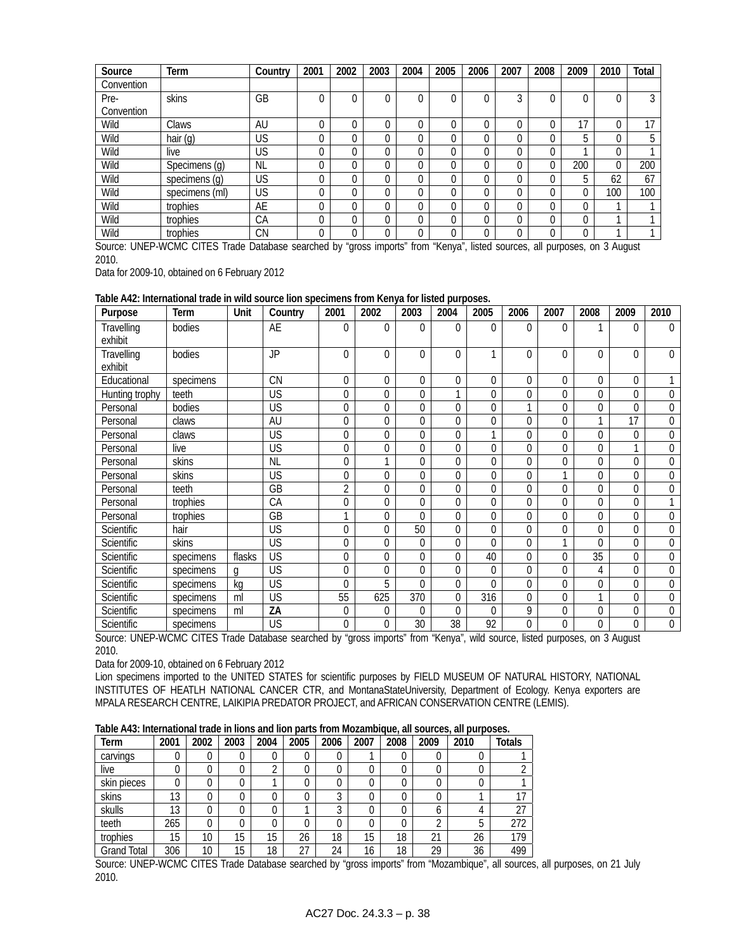| Source     | Term           | Country   | 2001 | 2002 | 2003     | 2004 | 2005     | 2006 | 2007 | 2008     | 2009 | 2010 | Total |
|------------|----------------|-----------|------|------|----------|------|----------|------|------|----------|------|------|-------|
| Convention |                |           |      |      |          |      |          |      |      |          |      |      |       |
| Pre-       | skins          | GB        | 0    | 0    | 0        |      |          |      | 3    | $\Omega$ |      |      | 3     |
| Convention |                |           |      |      |          |      |          |      |      |          |      |      |       |
| Wild       | Claws          | <b>AU</b> | U    | 0    | 0        |      |          |      | 0    | $\Omega$ | 17   |      | 17    |
| Wild       | hair (g)       | <b>US</b> | 0    | 0    | 0        |      | $\Omega$ |      | 0    | $\Omega$ | Ë    |      | 5     |
| Wild       | live           | US        | U    | 0    | 0        |      |          | 0    | 0    | 0        |      |      |       |
| Wild       | Specimens (g)  | <b>NL</b> | 0    | 0    | $\Omega$ |      | $\Omega$ |      | 0    | $\Omega$ | 200  |      | 200   |
| Wild       | specimens (g)  | US        | 0    | 0    | $\Omega$ |      |          |      | 0    | $\Omega$ | 5    | 62   | 67    |
| Wild       | specimens (ml) | US        | 0    | 0    | 0        |      | $\Omega$ |      | 0    | $\Omega$ |      | 100  | 100   |
| Wild       | trophies       | AE        |      | 0    | $\Omega$ |      | $\Omega$ |      | 0    | $\Omega$ | ſ    |      |       |
| Wild       | trophies       | CA        | 0    | 0    | 0        |      |          |      | 0    | $\Omega$ |      |      |       |
| Wild       | trophies       | <b>CN</b> | 0    | 0    | 0        |      |          |      | 0    | $\Omega$ |      |      |       |

Source: UNEP-WCMC CITES Trade Database searched by "gross imports" from "Kenya", listed sources, all purposes, on 3 August 2010.

Data for 2009-10, obtained on 6 February 2012

| Table A42: International trade in wild source lion specimens from Kenya for listed purposes. |  |  |
|----------------------------------------------------------------------------------------------|--|--|
|----------------------------------------------------------------------------------------------|--|--|

| Purpose               | <b>Term</b> | Unit   | Country         | 2001           | 2002     | 2003     | 2004         | 2005     | 2006         | 2007     | 2008     | 2009     | 2010             |
|-----------------------|-------------|--------|-----------------|----------------|----------|----------|--------------|----------|--------------|----------|----------|----------|------------------|
| Travelling<br>exhibit | bodies      |        | AE              | 0              | 0        | $\Omega$ | $\mathbf{0}$ | $\Omega$ | $\Omega$     | $\Omega$ |          | 0        | 0                |
| Travelling<br>exhibit | bodies      |        | JP.             | 0              | $\theta$ | $\Omega$ | $\mathbf 0$  |          | $\theta$     | $\theta$ | $\Omega$ | $\Omega$ | $\theta$         |
| Educational           | specimens   |        | <b>CN</b>       | 0              | 0        | $\Omega$ | $\mathbf{0}$ | $\Omega$ | $\theta$     | 0        | $\Omega$ | $\theta$ |                  |
| Hunting trophy        | teeth       |        | US              | 0              | 0        | $\Omega$ | 1            | $\theta$ | $\mathbf{0}$ | 0        | 0        | 0        | $\mathbf{0}$     |
| Personal              | bodies      |        | <b>US</b>       | 0              | $\theta$ | $\Omega$ | $\mathbf{0}$ | $\Omega$ | 1            | 0        | $\Omega$ | $\theta$ | $\boldsymbol{0}$ |
| Personal              | claws       |        | AU              | 0              | $\theta$ | $\Omega$ | $\mathbf{0}$ | $\Omega$ | $\Omega$     | $\Omega$ | 1        | 17       | $\mathbf 0$      |
| Personal              | claws       |        | <b>US</b>       | 0              | $\Omega$ | $\Omega$ | $\Omega$     | 1        | $\Omega$     | $\Omega$ | $\Omega$ | 0        | $\mathbf 0$      |
| Personal              | live        |        | US              | 0              | $\Omega$ | $\Omega$ | $\theta$     | $\Omega$ | 0            | $\Omega$ | $\Omega$ |          | $\Omega$         |
| Personal              | skins       |        | <b>NL</b>       | 0              |          | $\Omega$ | $\Omega$     | $\Omega$ | $\Omega$     | $\Omega$ | $\Omega$ | 0        | $\mathbf 0$      |
| Personal              | skins       |        | US              | 0              | $\theta$ | $\Omega$ | $\mathbf 0$  | $\Omega$ | $\Omega$     |          | $\Omega$ | 0        | $\mathbf 0$      |
| Personal              | teeth       |        | $\overline{GB}$ | $\overline{2}$ | $\theta$ | $\Omega$ | $\mathbf 0$  | $\theta$ | $\theta$     | 0        | $\Omega$ | 0        | $\overline{0}$   |
| Personal              | trophies    |        | CA              | 0              | $\theta$ | $\theta$ | $\theta$     | $\theta$ | $\theta$     | 0        | $\Omega$ | 0        |                  |
| Personal              | trophies    |        | GB              | 1              | $\theta$ | $\Omega$ | $\Omega$     | $\Omega$ | $\Omega$     | $\Omega$ | $\Omega$ | $\Omega$ | $\mathbf 0$      |
| Scientific            | hair        |        | US              | 0              | $\Omega$ | 50       | $\Omega$     | $\Omega$ | $\Omega$     | $\Omega$ | $\Omega$ | 0        | $\mathbf 0$      |
| Scientific            | skins       |        | US              | 0              | $\Omega$ | $\Omega$ | $\Omega$     | $\Omega$ | $\Omega$     | 1        | 0        | 0        | $\overline{0}$   |
| Scientific            | specimens   | flasks | US              | 0              | $\Omega$ | $\Omega$ | $\Omega$     | 40       | $\Omega$     | $\Omega$ | 35       | 0        | $\boldsymbol{0}$ |
| <b>Scientific</b>     | specimens   | q      | US              | 0              | $\Omega$ | $\Omega$ | $\Omega$     | $\theta$ | $\Omega$     | $\Omega$ | 4        | 0        | $\mathbf 0$      |
| Scientific            | specimens   | kg     | US              | 0              | 5        | $\Omega$ | $\mathbf 0$  | $\Omega$ | $\Omega$     | $\theta$ | $\Omega$ | 0        | $\boldsymbol{0}$ |
| <b>Scientific</b>     | specimens   | ml     | US              | 55             | 625      | 370      | $\theta$     | 316      | $\theta$     | $\theta$ | 1        | $\theta$ | $\mathbf 0$      |
| Scientific            | specimens   | ml     | ZΑ              | 0              | 0        | $\Omega$ | $\theta$     | $\Omega$ | 9            | 0        | $\Omega$ | 0        | $\boldsymbol{0}$ |
| Scientific            | specimens   |        | US              | $\mathbf{0}$   | $\theta$ | 30       | 38           | 92       | 0            | 0        | $\Omega$ | 0        | 0                |

Source: UNEP-WCMC CITES Trade Database searched by "gross imports" from "Kenya", wild source, listed purposes, on 3 August 2010.

Data for 2009-10, obtained on 6 February 2012

Lion specimens imported to the UNITED STATES for scientific purposes by FIELD MUSEUM OF NATURAL HISTORY, NATIONAL INSTITUTES OF HEATLH NATIONAL CANCER CTR, and MontanaStateUniversity, Department of Ecology. Kenya exporters are MPALA RESEARCH CENTRE, LAIKIPIA PREDATOR PROJECT, and AFRICAN CONSERVATION CENTRE (LEMIS).

**Table A43: International trade in lions and lion parts from Mozambique, all sources, all purposes.** 

| Term               | 2001 | 2002            | 2003 | 2004 | 2005 | 2006    | 2007 | 2008 | 2009 | 2010 | <b>Totals</b> |
|--------------------|------|-----------------|------|------|------|---------|------|------|------|------|---------------|
| carvings           |      |                 |      |      | 0    |         |      | U    |      |      |               |
| live               |      |                 |      |      | 0    |         |      |      |      | 0    |               |
| skin pieces        |      |                 |      |      | 0    |         |      |      |      | 0    |               |
| skins              | 13   |                 |      |      | 0    | ◠<br>٠, |      |      |      |      | 17            |
| skulls             | 13   |                 |      |      |      | ◠<br>J  |      | 0    | O    |      | 27            |
| teeth              | 265  |                 |      |      | 0    |         |      | 0    | ⌒    | 5    | 272           |
| trophies           | 15   | 10              | 15   | 15   | 26   | 18      | 15   | 18   | 21   | 26   | 179           |
| <b>Grand Total</b> | 306  | 10 <sup>°</sup> | 15   | 18   | 27   | 24      | 16   | 18   | 29   | 36   | 499           |

Source: UNEP-WCMC CITES Trade Database searched by "gross imports" from "Mozambique", all sources, all purposes, on 21 July 2010.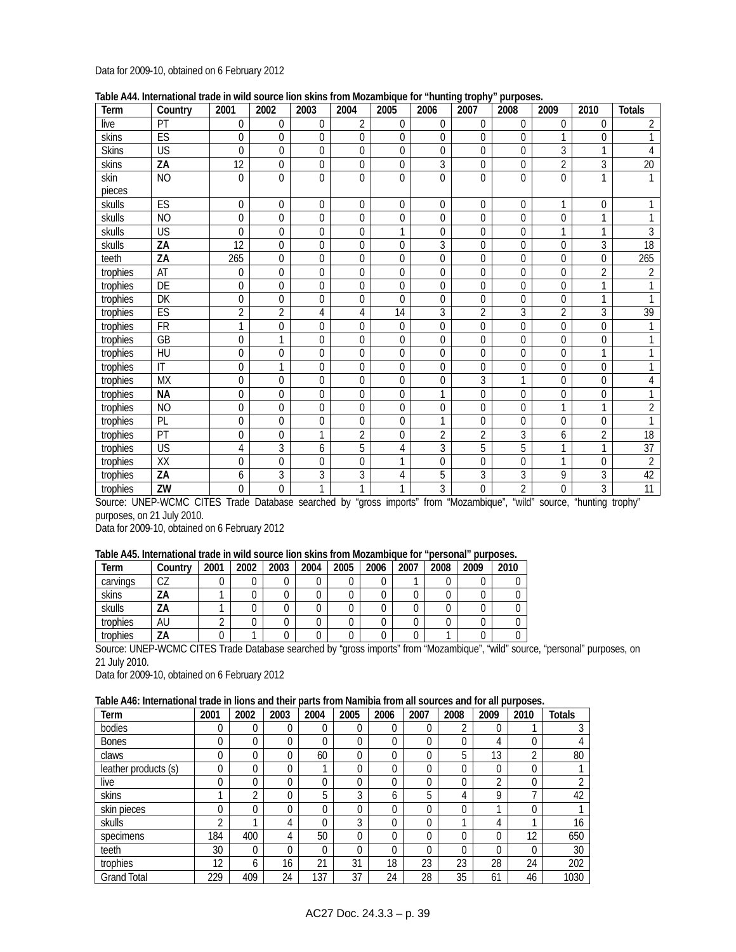### Data for 2009-10, obtained on 6 February 2012

| Table A44. International trade in wild source lion skins from Mozambique for "hunting trophy" purposes. |  |  |
|---------------------------------------------------------------------------------------------------------|--|--|
|                                                                                                         |  |  |

| Term         | Country                | 2001            | 2002           | 2003             | 2004           | <br>2005       | 2006           | 2007           | purpooor<br>2008 | 2009           | 2010           | <b>Totals</b>    |
|--------------|------------------------|-----------------|----------------|------------------|----------------|----------------|----------------|----------------|------------------|----------------|----------------|------------------|
| live         | PT                     | $\overline{0}$  | $\mathbf{0}$   | 0                | $\overline{2}$ | 0              | 0              | 0              | 0                | $\theta$       | $\theta$       | $\overline{2}$   |
| skins        | ES                     | $\Omega$        | $\Omega$       | 0                | $\theta$       | 0              | $\theta$       | $\Omega$       | 0                | 1              | 0              | 1                |
| <b>Skins</b> | US                     | $\Omega$        | $\theta$       | $\Omega$         | $\theta$       | 0              | 0              | $\mathbf{0}$   | 0                | 3              | $\mathbf{1}$   | 4                |
| skins        | ZA                     | 12              | $\mathbf 0$    | 0                | $\mathbf 0$    | 0              | 3              | 0              | 0                | 2              | 3              | $\overline{20}$  |
| skin         | <b>NO</b>              | $\Omega$        | $\mathbf{0}$   | $\overline{0}$   | $\Omega$       | $\overline{0}$ | $\Omega$       | $\Omega$       | $\Omega$         | $\Omega$       | $\mathbf{1}$   | $\mathbf{1}$     |
| pieces       |                        |                 |                |                  |                |                |                |                |                  |                |                |                  |
| skulls       | ES                     | $\Omega$        | $\Omega$       | $\overline{0}$   | $\theta$       | 0              | $\theta$       | 0              | $\overline{0}$   | 1              | 0              |                  |
| skulls       | <b>NO</b>              | $\Omega$        | $\Omega$       | $\Omega$         | $\Omega$       | $\overline{0}$ | $\Omega$       | $\Omega$       | 0                | $\theta$       | 1              |                  |
| skulls       | <b>US</b>              | $\Omega$        | $\mathbf{0}$   | 0                | $\overline{0}$ | 1              | 0              | 0              | 0                | 1              | 1              | 3                |
| skulls       | ZA                     | $\overline{12}$ | $\mathbf 0$    | 0                | $\theta$       | 0              | 3              | 0              | 0                | $\mathbf{0}$   | 3              | $\overline{18}$  |
| teeth        | ZA                     | 265             | $\mathbf{0}$   | 0                | $\mathbf 0$    | 0              | 0              | 0              | 0                | $\theta$       | 0              | $\overline{265}$ |
| trophies     | AT                     | 0               | $\mathbf{0}$   | 0                | $\Omega$       | 0              | $\theta$       | $\Omega$       | 0                | $\theta$       | $\overline{2}$ | $\overline{2}$   |
| trophies     | DE                     | $\mathbf 0$     | $\mathbf{0}$   | 0                | 0              | 0              | 0              | 0              | 0                | $\theta$       | 1              |                  |
| trophies     | DK                     | $\Omega$        | $\Omega$       | $\Omega$         | $\theta$       | 0              | $\theta$       | $\Omega$       | $\theta$         | $\theta$       | 1              | 1                |
| trophies     | ES                     | $\overline{2}$  | $\overline{2}$ | 4                | 4              | 14             | 3              | 2              | 3                | $\overline{2}$ | 3              | 39               |
| trophies     | <b>FR</b>              | 1               | $\mathbf 0$    | $\mathbf 0$      | $\Omega$       | $\Omega$       | 0              | $\Omega$       | $\mathbf 0$      | $\theta$       | 0              |                  |
| trophies     | GB                     | 0               | 1              | 0                | $\Omega$       | 0              | 0              | 0              | 0                | $\Omega$       | 0              |                  |
| trophies     | HU                     | $\mathbf 0$     | $\mathbf{0}$   | 0                | $\mathbf 0$    | 0              | 0              | 0              | 0                | $\mathbf{0}$   | 1              | 1                |
| trophies     | $\mathsf{I}\mathsf{T}$ | $\mathbf 0$     | 1              | 0                | $\Omega$       | 0              | $\theta$       | 0              | 0                | $\theta$       | $\Omega$       |                  |
| trophies     | <b>MX</b>              | $\mathbf 0$     | $\mathbf{0}$   | 0                | $\mathbf 0$    | 0              | 0              | 3              | 1                | $\theta$       | $\overline{0}$ | 4                |
| trophies     | <b>NA</b>              | $\Omega$        | $\Omega$       | 0                | $\Omega$       | $\Omega$       | 1              | $\Omega$       | $\Omega$         | $\Omega$       | 0              |                  |
| trophies     | <b>NO</b>              | $\mathbf 0$     | $\mathbf 0$    | 0                | $\mathbf 0$    | 0              | 0              | 0              | 0                | 1              | 1              | $\overline{2}$   |
| trophies     | PL                     | $\overline{0}$  | $\mathbf{0}$   | $\boldsymbol{0}$ | $\mathbf{0}$   | 0              | 1              | 0              | 0                | $\theta$       | 0              | $\mathbf{1}$     |
| trophies     | PT                     | 0               | $\mathbf{0}$   | 1                | $\overline{2}$ | 0              | $\overline{2}$ | $\overline{2}$ | 3                | 6              | 2              | 18               |
| trophies     | US                     | 4               | 3              | 6                | 5              | 4              | 3              | 5              | 5                | 1              | 1              | $\overline{37}$  |
| trophies     | XX                     | $\Omega$        | $\Omega$       | $\Omega$         | $\Omega$       | 1              | $\Omega$       | $\Omega$       | 0                | 1              | $\overline{0}$ | $\overline{2}$   |
| trophies     | ZA                     | 6               | $\overline{3}$ | 3                | 3              | 4              | 5              | 3              | 3                | 9              | 3              | 42               |
| trophies     | ZW                     | 0               | $\mathbf 0$    | 1                | 1              | 1              | 3              | 0              | $\overline{2}$   | $\mathbf 0$    | $\overline{3}$ | $\overline{11}$  |

Source: UNEP-WCMC CITES Trade Database searched by "gross imports" from "Mozambique", "wild" source, "hunting trophy" purposes, on 21 July 2010.

Data for 2009-10, obtained on 6 February 2012

### **Table A45. International trade in wild source lion skins from Mozambique for "personal" purposes.**

| Term     | Countrv | 2001   | 2002 | 2003 | 2004 | 2005 | 2006 | 2007 | 2008 | 2009 | 2010 |
|----------|---------|--------|------|------|------|------|------|------|------|------|------|
| carvings | CZ      |        |      |      |      |      |      |      |      |      |      |
| skins    | ZΑ      |        |      |      |      |      |      |      |      |      |      |
| skulls   | ZΑ      |        |      |      |      |      |      |      |      |      |      |
| trophies | AU      | $\sim$ |      |      |      |      |      |      |      |      |      |
| trophies | ZΑ      |        |      |      |      |      |      |      |      |      |      |

Source: UNEP-WCMC CITES Trade Database searched by "gross imports" from "Mozambique", "wild" source, "personal" purposes, on 21 July 2010.

Data for 2009-10, obtained on 6 February 2012

#### **Table A46: International trade in lions and their parts from Namibia from all sources and for all purposes.**

| Term                 | 2001     | 2002 | 2003 | 2004     | 2005 | 2006 | 2007        | 2008 | 2009 | 2010 | <b>Totals</b> |
|----------------------|----------|------|------|----------|------|------|-------------|------|------|------|---------------|
| bodies               | 0        | 0    | 0    | 0        | 0    | 0    | $\mathbf 0$ | ∩    |      |      |               |
| <b>Bones</b>         | 0        | 0    | 0    | $\Omega$ |      | 0    | $\Omega$    | 0    | 4    | 0    |               |
| claws                | 0        | 0    | 0    | 60       | 0    | 0    | $\Omega$    | 5    | 13   | C    | 80            |
| leather products (s) | 0        | 0    | 0    |          |      | 0    | $\Omega$    | 0    |      | 0    |               |
| live                 | 0        | 0    | 0    | 0        | 0    | 0    | $\Omega$    | 0    | ◠    | 0    |               |
| skins                |          | C    | 0    | 5        | 3    | 6    | 5           | 4    | Q    | 7    | 42            |
| skin pieces          | 0        | 0    | 0    | $\Omega$ | 0    | 0    | $\Omega$    | 0    |      | 0    |               |
| skulls               | $\Omega$ |      | 4    | 0        | 3    | 0    | $\Omega$    |      | 4    | ◂    | 16            |
| specimens            | 184      | 400  | 4    | 50       | 0    | 0    | $\Omega$    | 0    |      | 12   | 650           |
| teeth                | 30       | 0    | 0    | $\Omega$ | 0    | 0    | $\Omega$    | 0    | C    | 0    | 30            |
| trophies             | 12       | 6    | 16   | 21       | 31   | 18   | 23          | 23   | 28   | 24   | 202           |
| <b>Grand Total</b>   | 229      | 409  | 24   | 137      | 37   | 24   | 28          | 35   | 61   | 46   | 1030          |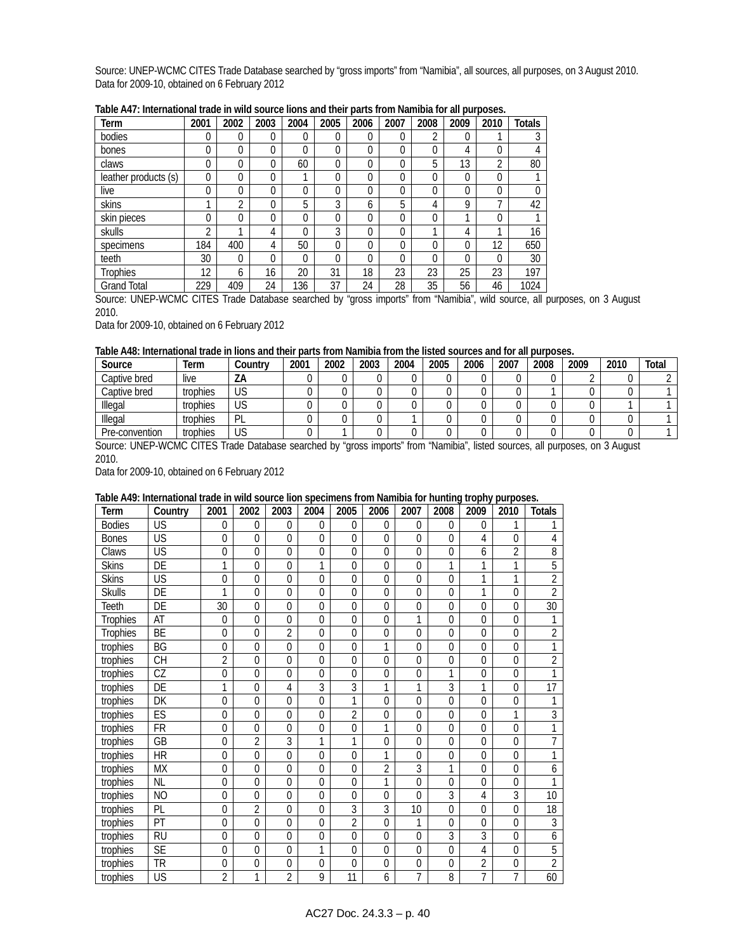Source: UNEP-WCMC CITES Trade Database searched by "gross imports" from "Namibia", all sources, all purposes, on 3 August 2010. Data for 2009-10, obtained on 6 February 2012

| Term                 | 2001     | 2002           | 2003 | 2004     | 2005         | 2006     | 2007     | 2008     | 2009 | 2010     | <b>Totals</b> |
|----------------------|----------|----------------|------|----------|--------------|----------|----------|----------|------|----------|---------------|
| bodies               | 0        | 0              | 0    | 0        | 0            | $\Omega$ | 0        | 2        | 0    | и        |               |
| bones                | 0        | 0              | 0    | $\Omega$ | 0            | $\theta$ | 0        | $\Omega$ | 4    | 0        | 4             |
| claws                | 0        | 0              | 0    | 60       | $\Omega$     | $\Omega$ | O        | 5        | 13   | ำ        | 80            |
| leather products (s) | $\Omega$ | 0              | 0    |          | 0            | $\Omega$ | 0        | 0        | 0    | 0        |               |
| live                 | 0        | 0              | 0    | $\theta$ | 0            | $\Omega$ | 0        | 0        | 0    | 0        |               |
| skins                |          | $\overline{2}$ | 0    | 5        | 3            | 6        | 5        | 4        | 9    | ┑        | 42            |
| skin pieces          | 0        | 0              | 0    | $\theta$ | 0            | $\theta$ | 0        | 0        |      | 0        |               |
| skulls               | ∩        | и              | 4    | $\Omega$ | 3            | $\Omega$ | 0        | ◂        | 4    |          | 16            |
| specimens            | 184      | 400            | 4    | 50       | $\mathbf{0}$ | $\theta$ | 0        | 0        | 0    | 12       | 650           |
| teeth                | 30       | 0              | 0    | $\Omega$ | $\Omega$     | $\Omega$ | $\Omega$ | $\Omega$ | 0    | $\Omega$ | 30            |
| <b>Trophies</b>      | 12       | 6              | 16   | 20       | 31           | 18       | 23       | 23       | 25   | 23       | 197           |
| <b>Grand Total</b>   | 229      | 409            | 24   | 136      | 37           | 24       | 28       | 35       | 56   | 46       | 1024          |

**Table A47: International trade in wild source lions and their parts from Namibia for all purposes.** 

Source: UNEP-WCMC CITES Trade Database searched by "gross imports" from "Namibia", wild source, all purposes, on 3 August 2010.

Data for 2009-10, obtained on 6 February 2012

#### **Table A48: International trade in lions and their parts from Namibia from the listed sources and for all purposes.**

| Source         | Term     | Countrv   | 2001 | 2002 | 2003 | 2004 | 2005 | 2006 | 2007 | 2008 | 2009 | 2010 | Total |
|----------------|----------|-----------|------|------|------|------|------|------|------|------|------|------|-------|
| Captive bred   | live     | ΖA        |      |      |      |      |      |      |      |      |      |      |       |
| Captive bred   | trophies | <b>US</b> |      |      |      |      |      |      |      |      |      |      |       |
| Illegal        | trophies | US        |      |      |      |      |      |      |      |      |      |      |       |
| Illegal        | trophies | PL        |      |      |      |      |      |      |      |      |      |      |       |
| Pre-convention | trophies | US        |      |      |      |      |      |      |      |      |      |      |       |

Source: UNEP-WCMC CITES Trade Database searched by "gross imports" from "Namibia", listed sources, all purposes, on 3 August 2010.

Data for 2009-10, obtained on 6 February 2012

### **Table A49: International trade in wild source lion specimens from Namibia for hunting trophy purposes.**

| Term            | Country         | 2001            | 2002           | 2003           | 2004           | 2005           | 2006             | 2007           | 2008           | 2009           | 2010           | <b>Totals</b>   |
|-----------------|-----------------|-----------------|----------------|----------------|----------------|----------------|------------------|----------------|----------------|----------------|----------------|-----------------|
| <b>Bodies</b>   | US              | $\mathbf{0}$    | $\overline{0}$ | $\mathbf 0$    | 0              | 0              | 0                | $\mathbf{0}$   | $\theta$       | 0              | 1              |                 |
| <b>Bones</b>    | US              | 0               | $\Omega$       | $\Omega$       | 0              | $\overline{0}$ | $\mathbf 0$      | $\Omega$       | $\Omega$       | 4              | $\Omega$       | 4               |
| Claws           | US              | 0               | $\overline{0}$ | $\overline{0}$ | $\overline{0}$ | $\overline{0}$ | $\mathbf 0$      | $\overline{0}$ | $\mathbf{0}$   | 6              | $\overline{2}$ | 8               |
| <b>Skins</b>    | DE              | 1               | $\mathbf{0}$   | $\Omega$       | 1              | 0              | $\mathbf 0$      | $\mathbf 0$    | 1              | 1              | 1              | 5               |
| <b>Skins</b>    | US              | 0               | $\overline{0}$ | $\Omega$       | $\mathbf 0$    | 0              | 0                | 0              | $\mathbf{0}$   | 1              | 1              | $\overline{2}$  |
| <b>Skulls</b>   | DE              | 1               | $\mathbf{0}$   | $\mathbf 0$    | $\mathbf 0$    | $\mathbf 0$    | $\boldsymbol{0}$ | $\mathbf{0}$   | $\overline{0}$ | 1              | $\Omega$       | $\overline{2}$  |
| Teeth           | DE              | $\overline{30}$ | $\Omega$       | $\overline{0}$ | 0              | $\overline{0}$ | $\Omega$         | $\overline{0}$ | $\overline{0}$ | $\Omega$       | $\overline{0}$ | $\overline{30}$ |
| <b>Trophies</b> | AT              | 0               | $\Omega$       | $\theta$       | $\mathbf 0$    | 0              | $\mathbf 0$      | 1              | $\overline{0}$ | $\Omega$       | $\Omega$       |                 |
| <b>Trophies</b> | BE              | $\mathbf{0}$    | $\mathbf{0}$   | $\overline{2}$ | $\overline{0}$ | $\overline{0}$ | $\mathbf 0$      | $\overline{0}$ | $\overline{0}$ | 0              | $\overline{0}$ | $\overline{2}$  |
| trophies        | BG              | 0               | $\overline{0}$ | $\theta$       | $\mathbf 0$    | 0              | 1                | $\mathbf 0$    | $\Omega$       | 0              | $\Omega$       | 1               |
| trophies        | <b>CH</b>       | $\overline{2}$  | $\Omega$       | $\Omega$       | $\mathbf 0$    | 0              | 0                | 0              | $\mathbf 0$    | $\Omega$       | $\Omega$       | $\overline{2}$  |
| trophies        | CZ              | 0               | $\mathbf{0}$   | $\overline{0}$ | $\overline{0}$ | $\mathbf{0}$   | $\mathbf 0$      | $\mathbf{0}$   | 1              | 0              | $\Omega$       | 1               |
| trophies        | DE              | 1               | $\overline{0}$ | 4              | $\overline{3}$ | $\overline{3}$ | $\overline{1}$   | 1              | 3              | 1              | $\overline{0}$ | $\overline{17}$ |
| trophies        | DK              | 0               | $\Omega$       | $\Omega$       | $\mathbf 0$    | 1              | 0                | $\mathbf 0$    | $\Omega$       | $\Omega$       | $\Omega$       |                 |
| trophies        | ES              | $\mathbf{0}$    | $\overline{0}$ | $\mathbf 0$    | $\overline{0}$ | $\overline{2}$ | $\boldsymbol{0}$ | $\mathbf{0}$   | $\overline{0}$ | 0              | 1              | 3               |
| trophies        | FR              | $\mathbf{0}$    | $\overline{0}$ | $\mathbf 0$    | 0              | 0              | 1                | 0              | $\mathbf{0}$   | 0              | $\mathbf{0}$   | 1               |
| trophies        | GB              | $\overline{0}$  | $\overline{2}$ | $\overline{3}$ | 1              | 1              | $\overline{0}$   | $\Omega$       | $\overline{0}$ | $\Omega$       | $\overline{0}$ | 7               |
| trophies        | $\overline{HR}$ | 0               | $\mathbf{0}$   | $\mathbf 0$    | $\overline{0}$ | $\overline{0}$ | 1                | $\mathbf{0}$   | $\overline{0}$ | 0              | $\mathbf 0$    | 1               |
| trophies        | <b>MX</b>       | 0               | $\overline{0}$ | $\Omega$       | 0              | $\mathbf{0}$   | $\overline{2}$   | 3              | 1              | 0              | $\Omega$       | 6               |
| trophies        | <b>NL</b>       | 0               | $\mathbf{0}$   | $\theta$       | $\overline{0}$ | 0              | $\overline{1}$   | $\overline{0}$ | $\mathbf{0}$   | $\mathbf 0$    | $\Omega$       | 1               |
| trophies        | <b>NO</b>       | 0               | $\Omega$       | $\theta$       | $\mathbf 0$    | 0              | $\mathbf 0$      | $\Omega$       | 3              | 4              | 3              | 10              |
| trophies        | PL              | $\mathbf 0$     | $\overline{2}$ | $\overline{0}$ | $\overline{0}$ | $\overline{3}$ | 3                | 10             | $\overline{0}$ | 0              | $\overline{0}$ | 18              |
| trophies        | PT              | 0               | $\overline{0}$ | $\Omega$       | $\overline{0}$ | $\overline{2}$ | 0                | 1              | $\Omega$       | $\mathbf 0$    | $\Omega$       | 3               |
| trophies        | <b>RU</b>       | $\mathbf{0}$    | $\Omega$       | $\theta$       | $\mathbf 0$    | 0              | $\mathbf 0$      | $\Omega$       | 3              | 3              | $\Omega$       | 6               |
| trophies        | <b>SE</b>       | $\mathbf{0}$    | $\Omega$       | $\theta$       | 1              | $\overline{0}$ | $\mathbf 0$      | $\Omega$       | $\overline{0}$ | 4              | $\Omega$       | 5               |
| trophies        | <b>TR</b>       | 0               | $\mathbf{0}$   | $\mathbf 0$    | 0              | $\overline{0}$ | $\mathbf 0$      | $\mathbf 0$    | $\mathbf{0}$   | $\overline{2}$ | $\overline{0}$ | $\overline{2}$  |
| trophies        | US              | $\overline{2}$  | 1              | 2              | 9              | 11             | 6                | $\overline{7}$ | 8              | $\overline{7}$ | $\overline{7}$ | 60              |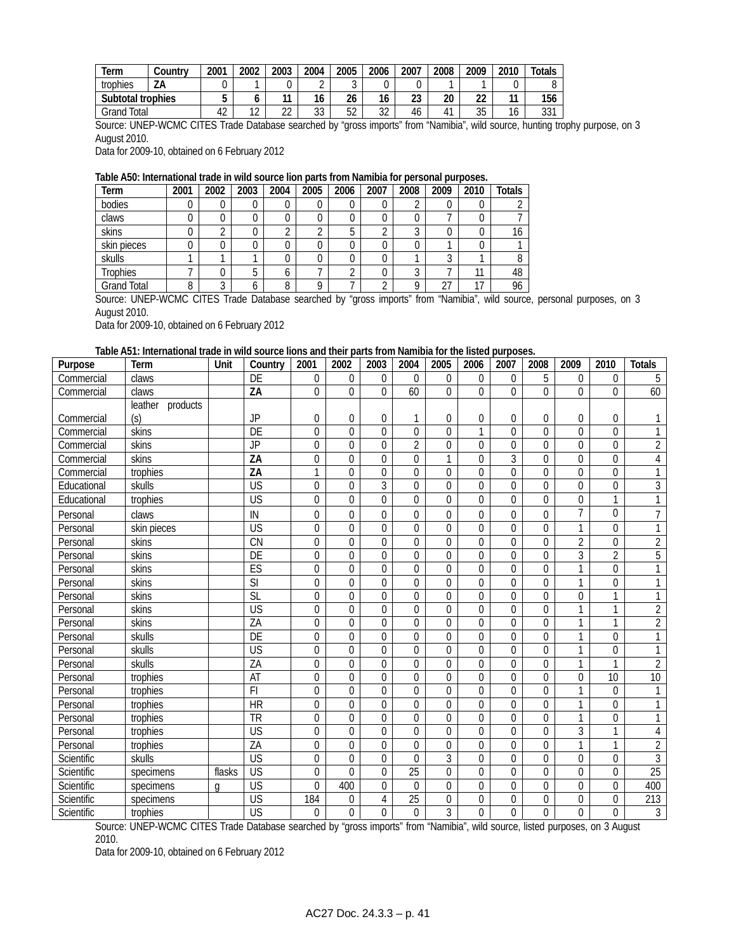| Term              | こountry | 2001 | 2002        | 2003                     | 2004        | 2005               | 2006     | 2007      | 2008 | 2009    | 2010                 | $\tau$ otals |
|-------------------|---------|------|-------------|--------------------------|-------------|--------------------|----------|-----------|------|---------|----------------------|--------------|
| trophies          | ZA      |      |             |                          | $\sim$<br>∸ | r<br>v             |          |           |      |         |                      |              |
| Subtotal trophies |         |      |             | $\overline{\phantom{a}}$ | 16          | $\sim$<br>26       | 16       | ົາາ<br>ںے | 20   | ົ<br>ŽŽ | 44                   | 156          |
| Total<br>Grand    |         | 42   | $\sim$<br>╺ | $\sim$<br>∠∠             | วว<br>ບບ    | $\mathbf{r}$<br>J۷ | ົາ<br>32 | 46        |      | 35      | $\overline{ }$<br>טי | 221<br>υU    |

Source: UNEP-WCMC CITES Trade Database searched by "gross imports" from "Namibia", wild source, hunting trophy purpose, on 3 August 2010.

Data for 2009-10, obtained on 6 February 2012

### **Table A50: International trade in wild source lion parts from Namibia for personal purposes.**

| Term               | 2001 | 2002 | 2003 | 2004   | 2005 | 2006     | 2007 | 2008   | 2009 | 2010 | <b>Totals</b> |
|--------------------|------|------|------|--------|------|----------|------|--------|------|------|---------------|
| bodies             | U    |      |      |        |      | 0        |      |        |      |      |               |
| claws              |      |      |      |        |      | 0        |      |        |      |      |               |
| skins              |      | ◠    |      | $\sim$ |      | 5        |      |        |      |      | 16            |
| skin pieces        | υ    | 0    |      |        |      | 0        |      |        |      |      |               |
| skulls             |      |      |      |        |      | 0        |      |        |      |      |               |
| <b>Trophies</b>    |      |      | b    |        |      | $\Omega$ |      | ົ      |      | 11   | 48            |
| <b>Grand Total</b> | 8    | ◠    |      | o      |      |          |      | $\cap$ | 27   | 17   | 96            |

Source: UNEP-WCMC CITES Trade Database searched by "gross imports" from "Namibia", wild source, personal purposes, on 3 August 2010.

Data for 2009-10, obtained on 6 February 2012

### **Table A51: International trade in wild source lions and their parts from Namibia for the listed purposes.**

| Purpose     | Term                | Unit   | Country                  | 2001             | 2002             | 2003             | 2004             | 2005             | 2006           | 2007           | 2008             | 2009           | 2010             | <b>Totals</b>   |
|-------------|---------------------|--------|--------------------------|------------------|------------------|------------------|------------------|------------------|----------------|----------------|------------------|----------------|------------------|-----------------|
| Commercial  | claws               |        | DE                       | 0                | $\mathbf 0$      | $\Omega$         | $\theta$         | 0                | 0              | $\theta$       | 5                | $\mathbf{0}$   | $\theta$         | 5               |
| Commercial  | claws               |        | ZA                       | $\overline{0}$   | $\Omega$         | $\Omega$         | 60               | $\overline{0}$   | $\overline{0}$ | $\overline{0}$ | $\overline{0}$   | $\overline{0}$ | $\theta$         | 60              |
|             | leather<br>products |        |                          |                  |                  |                  |                  |                  |                |                |                  |                |                  |                 |
| Commercial  | (s)                 |        | <b>JP</b>                | 0                | 0                | 0                | 1                | 0                | 0              | 0              | 0                | 0              | 0                | 1               |
| Commercial  | skins               |        | DE                       | $\overline{0}$   | $\mathbf 0$      | $\overline{0}$   | $\boldsymbol{0}$ | $\overline{0}$   | $\overline{1}$ | $\overline{0}$ | $\overline{0}$   | $\overline{0}$ | $\overline{0}$   | $\mathbf{1}$    |
| Commercial  | skins               |        | <b>JP</b>                | $\overline{0}$   | $\overline{0}$   | $\overline{0}$   | $\overline{2}$   | $\overline{0}$   | $\overline{0}$ | 0              | $\overline{0}$   | $\mathbf 0$    | $\mathbf 0$      | $\overline{2}$  |
| Commercial  | skins               |        | $\overline{ZA}$          | $\overline{0}$   | $\boldsymbol{0}$ | $\boldsymbol{0}$ | $\boldsymbol{0}$ | $\overline{1}$   | $\overline{0}$ | $\overline{3}$ | $\mathbf 0$      | $\mathbf 0$    | $\mathbf 0$      | $\overline{4}$  |
| Commercial  | trophies            |        | $\overline{ZA}$          | $\mathbf{1}$     | $\boldsymbol{0}$ | $\boldsymbol{0}$ | $\boldsymbol{0}$ | $\boldsymbol{0}$ | $\mathbf 0$    | $\mathbf 0$    | $\boldsymbol{0}$ | $\mathbf 0$    | $\mathbf 0$      | $\overline{1}$  |
| Educational | skulls              |        | $\overline{\mathsf{US}}$ | $\mathbf 0$      | 0                | $\overline{3}$   | $\mathbf 0$      | $\mathbf 0$      | $\mathbf 0$    | 0              | $\mathbf 0$      | $\mathbf 0$    | $\Omega$         | $\overline{3}$  |
| Educational | trophies            |        | $\overline{\mathsf{US}}$ | $\mathbf 0$      | $\overline{0}$   | $\mathbf 0$      | $\mathbf 0$      | $\mathbf 0$      | $\mathbf 0$    | $\overline{0}$ | $\mathbf 0$      | $\mathbf 0$    | $\mathbf{1}$     | $\overline{1}$  |
| Personal    | claws               |        | IN                       | $\mathbf 0$      | 0                | 0                | $\mathbf 0$      | $\boldsymbol{0}$ | 0              | 0              | $\mathbf 0$      | $\overline{7}$ | 0                | $\overline{7}$  |
| Personal    | skin pieces         |        | $\overline{\mathsf{US}}$ | 0                | 0                | $\theta$         | 0                | $\mathbf 0$      | $\mathbf 0$    | $\overline{0}$ | $\Omega$         | 1              | $\mathbf 0$      | $\mathbf{1}$    |
| Personal    | skins               |        | $\overline{\text{CN}}$   | $\mathbf 0$      | 0                | 0                | $\mathbf 0$      | $\boldsymbol{0}$ | 0              | 0              | 0                | $\overline{2}$ | 0                | $\overline{2}$  |
| Personal    | skins               |        | DE                       | $\mathbf 0$      | $\mathbf 0$      | 0                | $\mathbf 0$      | $\mathbf 0$      | $\mathbf 0$    | $\mathbf 0$    | $\mathbf 0$      | $\overline{3}$ | $\overline{2}$   | $\overline{5}$  |
| Personal    | skins               |        | ES                       | $\overline{0}$   | $\boldsymbol{0}$ | $\mathbf 0$      | $\overline{0}$   | $\overline{0}$   | $\overline{0}$ | $\overline{0}$ | $\mathbf 0$      | $\overline{1}$ | $\mathbf 0$      | $\overline{1}$  |
| Personal    | skins               |        | $\overline{\text{SI}}$   | $\mathbf 0$      | $\mathbf 0$      | $\mathbf 0$      | $\mathbf 0$      | $\overline{0}$   | $\overline{0}$ | $\mathbf 0$    | $\mathbf 0$      | 1              | $\mathbf 0$      | $\overline{1}$  |
| Personal    | skins               |        | SL                       | $\overline{0}$   | $\boldsymbol{0}$ | $\mathbf 0$      | $\boldsymbol{0}$ | $\overline{0}$   | $\overline{0}$ | $\mathbf 0$    | $\boldsymbol{0}$ | $\mathbf 0$    | 1                | $\mathbf{1}$    |
| Personal    | skins               |        | <b>US</b>                | $\mathbf 0$      | 0                | 0                | $\mathbf 0$      | $\overline{0}$   | $\overline{0}$ | $\mathbf 0$    | $\mathbf 0$      | $\overline{1}$ | 1                | $\overline{2}$  |
| Personal    | skins               |        | ZA                       | $\boldsymbol{0}$ | 0                | $\mathbf 0$      | $\mathbf 0$      | $\overline{0}$   | $\mathbf 0$    | $\mathbf 0$    | $\mathbf 0$      | $\overline{1}$ | $\overline{1}$   | $\overline{2}$  |
| Personal    | skulls              |        | DE                       | $\boldsymbol{0}$ | $\mathbf 0$      | $\mathbf 0$      | $\mathbf 0$      | $\boldsymbol{0}$ | $\mathbf 0$    | $\mathbf 0$    | $\mathbf 0$      | 1              | $\mathbf 0$      | $\overline{1}$  |
| Personal    | skulls              |        | $\overline{\mathsf{US}}$ | $\boldsymbol{0}$ | $\mathbf 0$      | $\mathbf 0$      | $\boldsymbol{0}$ | $\boldsymbol{0}$ | $\overline{0}$ | $\mathbf 0$    | $\mathbf 0$      | 1              | $\mathbf 0$      | $\overline{1}$  |
| Personal    | skulls              |        | ZA                       | $\overline{0}$   | $\mathbf 0$      | $\mathbf 0$      | $\mathbf 0$      | $\overline{0}$   | $\overline{0}$ | $\overline{0}$ | $\mathbf 0$      | 1              | 1                | $\overline{2}$  |
| Personal    | trophies            |        | AT                       | $\mathbf 0$      | $\boldsymbol{0}$ | 0                | 0                | $\mathbf 0$      | $\mathbf 0$    | 0              | 0                | 0              | 10               | 10              |
| Personal    | trophies            |        | F1                       | $\mathbf 0$      | $\Omega$         | 0                | $\boldsymbol{0}$ | $\mathbf 0$      | $\mathbf 0$    | $\overline{0}$ | $\mathbf 0$      | 1              | $\theta$         | $\mathbf{1}$    |
| Personal    | trophies            |        | $\overline{HR}$          | $\overline{0}$   | $\mathbf 0$      | $\mathbf 0$      | $\boldsymbol{0}$ | $\overline{0}$   | $\overline{0}$ | 0              | 0                | 1              | $\Omega$         | $\mathbf{1}$    |
| Personal    | trophies            |        | $\overline{\text{TR}}$   | $\overline{0}$   | $\overline{0}$   | $\boldsymbol{0}$ | $\overline{0}$   | $\overline{0}$   | $\overline{0}$ | $\overline{0}$ | $\overline{0}$   | $\overline{1}$ | $\boldsymbol{0}$ | $\overline{1}$  |
| Personal    | trophies            |        | $\overline{\mathsf{US}}$ | $\boldsymbol{0}$ | $\mathbf 0$      | $\mathbf 0$      | $\boldsymbol{0}$ | $\overline{0}$   | $\mathbf 0$    | 0              | $\mathbf 0$      | $\overline{3}$ | 1                | $\sqrt{4}$      |
| Personal    | trophies            |        | ZA                       | $\mathbf 0$      | $\boldsymbol{0}$ | 0                | 0                | $\mathbf 0$      | $\mathbf 0$    | 0              | 0                | 1              | 1                | $\overline{2}$  |
| Scientific  | skulls              |        | $\overline{\mathsf{US}}$ | $\mathbf 0$      | $\Omega$         | $\overline{0}$   | $\overline{0}$   | $\overline{3}$   | $\mathbf 0$    | $\overline{0}$ | $\mathbf 0$      | $\mathbf 0$    | $\Omega$         | $\overline{3}$  |
| Scientific  | specimens           | flasks | <b>US</b>                | $\mathbf 0$      | $\overline{0}$   | $\overline{0}$   | $\overline{25}$  | $\mathbf 0$      | $\mathbf 0$    | $\mathbf 0$    | $\mathbf 0$      | $\mathbf 0$    | $\Omega$         | $\overline{25}$ |
| Scientific  | specimens           | g      | <b>US</b>                | $\overline{0}$   | 400              | $\mathbf 0$      | $\Omega$         | $\overline{0}$   | $\overline{0}$ | $\overline{0}$ | $\mathbf 0$      | $\mathbf 0$    | $\mathbf 0$      | 400             |
| Scientific  | specimens           |        | $\overline{US}$          | 184              | 0                | $\overline{4}$   | $\overline{25}$  | $\boldsymbol{0}$ | $\mathbf 0$    | 0              | $\boldsymbol{0}$ | 0              | $\mathbf 0$      | 213             |
| Scientific  | trophies            |        | $\overline{\mathsf{US}}$ | $\mathbf 0$      | $\mathbf 0$      | $\overline{0}$   | $\theta$         | $\overline{3}$   | $\overline{0}$ | $\overline{0}$ | $\mathbf 0$      | $\mathbf 0$    | $\Omega$         | $\mathfrak{Z}$  |

Source: UNEP-WCMC CITES Trade Database searched by "gross imports" from "Namibia", wild source, listed purposes, on 3 August 2010.

Data for 2009-10, obtained on 6 February 2012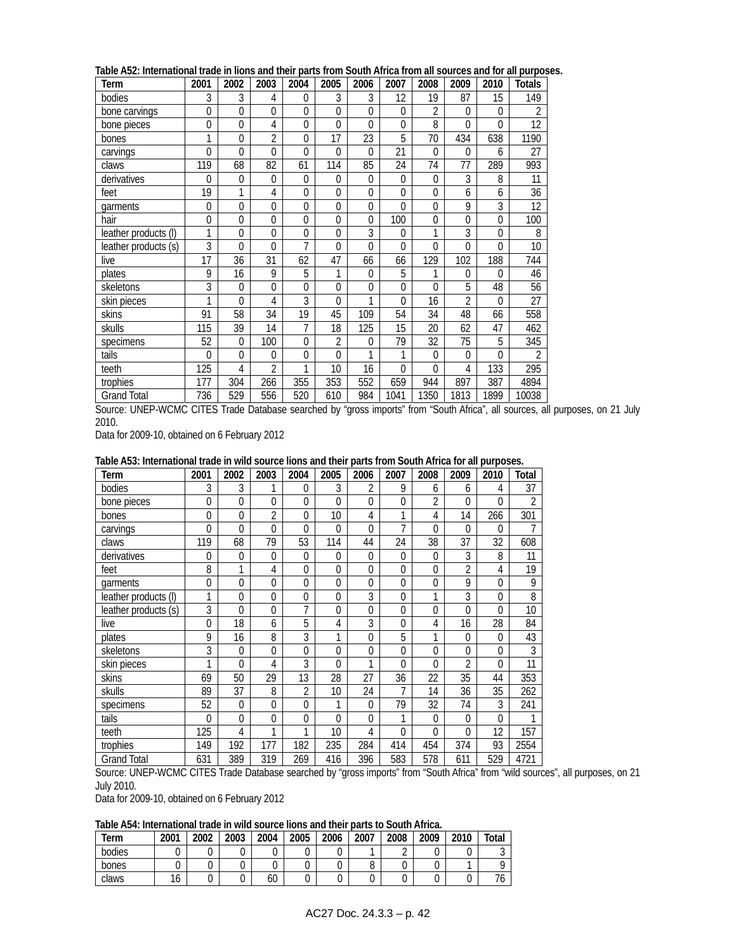| Term                 | 2001           | 2002           | 2003           | 2004           | 2005             | 2006           | 2007         | 2008             | 2009           | 2010     | <b>Totals</b>  |
|----------------------|----------------|----------------|----------------|----------------|------------------|----------------|--------------|------------------|----------------|----------|----------------|
| bodies               | 3              | 3              | 4              | $\theta$       | 3                | 3              | 12           | 19               | 87             | 15       | 149            |
| bone carvings        | $\mathbf{0}$   | 0              | $\overline{0}$ | $\Omega$       | 0                | $\overline{0}$ | $\Omega$     | $\overline{2}$   | $\Omega$       | $\theta$ | 2              |
| bone pieces          | $\overline{0}$ | $\overline{0}$ | 4              | $\overline{0}$ | 0                | $\Omega$       | $\Omega$     | 8                | $\Omega$       | $\Omega$ | 12             |
| bones                | 1              | 0              | $\overline{2}$ | $\Omega$       | 17               | 23             | 5            | 70               | 434            | 638      | 1190           |
| carvings             | $\Omega$       | 0              | $\Omega$       | $\Omega$       | 0                | $\Omega$       | 21           | 0                | $\Omega$       | 6        | 27             |
| claws                | 119            | 68             | 82             | 61             | 114              | 85             | 24           | 74               | 77             | 289      | 993            |
| derivatives          | $\Omega$       | 0              | $\overline{0}$ | $\theta$       | 0                | 0              | $\Omega$     | 0                | 3              | 8        | 11             |
| feet                 | 19             | 1              | 4              | $\theta$       | $\mathbf 0$      | $\Omega$       | $\Omega$     | $\mathbf 0$      | 6              | 6        | 36             |
| garments             | $\mathbf{0}$   | 0              | $\mathbf 0$    | $\theta$       | $\boldsymbol{0}$ | 0              | $\Omega$     | $\boldsymbol{0}$ | 9              | 3        | 12             |
| hair                 | $\Omega$       | 0              | $\Omega$       | $\Omega$       | 0                | $\Omega$       | 100          | $\mathbf 0$      | $\Omega$       | $\Omega$ | 100            |
| leather products (I) | 1              | 0              | $\overline{0}$ | $\Omega$       | 0                | 3              | $\mathbf{0}$ | 1                | 3              | $\Omega$ | 8              |
| leather products (s) | 3              | 0              | $\overline{0}$ | $\overline{7}$ | 0                | $\Omega$       | $\Omega$     | 0                | $\Omega$       | $\Omega$ | 10             |
| live                 | 17             | 36             | 31             | 62             | 47               | 66             | 66           | 129              | 102            | 188      | 744            |
| plates               | 9              | 16             | 9              | 5              | 1                | 0              | 5            | 1                | 0              | $\Omega$ | 46             |
| skeletons            | 3              | 0              | $\Omega$       | $\Omega$       | 0                | $\Omega$       | $\Omega$     | 0                | 5              | 48       | 56             |
| skin pieces          | 1              | 0              | 4              | 3              | 0                | 1              | $\Omega$     | 16               | $\overline{2}$ | $\Omega$ | 27             |
| skins                | 91             | 58             | 34             | 19             | 45               | 109            | 54           | 34               | 48             | 66       | 558            |
| skulls               | 115            | 39             | 14             | 7              | 18               | 125            | 15           | 20               | 62             | 47       | 462            |
| specimens            | 52             | 0              | 100            | $\Omega$       | 2                | $\overline{0}$ | 79           | 32               | 75             | 5        | 345            |
| tails                | $\Omega$       | 0              | $\Omega$       | $\Omega$       | 0                | 1              | $\mathbf{1}$ | 0                | $\Omega$       | $\Omega$ | $\overline{2}$ |
| teeth                | 125            | 4              | $\overline{2}$ | 1              | 10               | 16             | $\Omega$     | 0                | 4              | 133      | 295            |
| trophies             | 177            | 304            | 266            | 355            | 353              | 552            | 659          | 944              | 897            | 387      | 4894           |
| <b>Grand Total</b>   | 736            | 529            | 556            | 520            | 610              | 984            | 1041         | 1350             | 1813           | 1899     | 10038          |

**Table A52: International trade in lions and their parts from South Africa from all sources and for all purposes.** 

Source: UNEP-WCMC CITES Trade Database searched by "gross imports" from "South Africa", all sources, all purposes, on 21 July 2010.

Data for 2009-10, obtained on 6 February 2012

| Table A53: International trade in wild source lions and their parts from South Africa for all purposes. |  |
|---------------------------------------------------------------------------------------------------------|--|
|---------------------------------------------------------------------------------------------------------|--|

| Term                 | 2001     | 2002         | 2003           | 2004     | 2005           | 2006        | 2007        | 2008           | 2009           | 2010         | Total           |
|----------------------|----------|--------------|----------------|----------|----------------|-------------|-------------|----------------|----------------|--------------|-----------------|
| bodies               | 3        | 3            |                | 0        | 3              | 2           | 9           | 6              | 6              | 4            | 37              |
| bone pieces          | $\Omega$ | $\Omega$     | $\Omega$       | $\Omega$ | 0              | $\Omega$    | 0           | $\overline{2}$ | $\overline{0}$ | $\Omega$     | $\overline{2}$  |
| bones                | 0        | $\mathbf{0}$ | $\overline{2}$ | 0        | 10             | 4           | 1           | 4              | 14             | 266          | 301             |
| carvings             | $\Omega$ | $\Omega$     | $\Omega$       | $\Omega$ | 0              | $\Omega$    | 7           | 0              | $\Omega$       | $\Omega$     |                 |
| claws                | 119      | 68           | 79             | 53       | 114            | 44          | 24          | 38             | 37             | 32           | 608             |
| derivatives          | 0        | $\mathbf{0}$ | $\Omega$       | 0        | $\Omega$       | $\theta$    | 0           | $\Omega$       | 3              | 8            | 11              |
| feet                 | 8        | 1            | 4              | $\Omega$ | 0              | $\mathbf 0$ | 0           | $\Omega$       | $\overline{2}$ | 4            | 19              |
| garments             | 0        | $\mathbf{0}$ | $\Omega$       | 0        | $\mathbf{0}$   | $\mathbf 0$ | $\Omega$    | $\theta$       | 9              | $\theta$     | 9               |
| leather products (I) | 1        | 0            | $\mathbf 0$    | 0        | 0              | 3           | $\mathbf 0$ | 1              | 3              | $\Omega$     | 8               |
| leather products (s) | 3        | $\Omega$     | 0              | 7        | $\overline{0}$ | $\mathbf 0$ | 0           | $\Omega$       | 0              | $\theta$     | 10              |
| live                 | $\Omega$ | 18           | 6              | 5        | 4              | 3           | 0           | 4              | 16             | 28           | 84              |
| plates               | 9        | 16           | 8              | 3        | 1              | $\Omega$    | 5           | 1              | 0              | $\theta$     | 43              |
| skeletons            | 3        | $\theta$     | $\theta$       | $\Omega$ | $\Omega$       | $\mathbf 0$ | $\Omega$    | $\Omega$       | 0              | $\theta$     | 3               |
| skin pieces          | 1        | $\Omega$     | 4              | 3        | 0              | 1           | 0           | 0              | $\overline{2}$ | $\mathbf{0}$ | $\overline{11}$ |
| skins                | 69       | 50           | 29             | 13       | 28             | 27          | 36          | 22             | 35             | 44           | 353             |
| skulls               | 89       | 37           | 8              | 2        | 10             | 24          | 7           | 14             | 36             | 35           | 262             |
| specimens            | 52       | $\theta$     | $\theta$       | $\Omega$ | 1              | $\Omega$    | 79          | 32             | 74             | 3            | 241             |
| tails                | 0        | $\mathbf{0}$ | $\Omega$       | $\Omega$ | $\Omega$       | $\mathbf 0$ | 1           | $\Omega$       | $\mathbf 0$    | $\theta$     |                 |
| teeth                | 125      | 4            | 1              | 1        | 10             | 4           | 0           | $\theta$       | $\Omega$       | 12           | 157             |
| trophies             | 149      | 192          | 177            | 182      | 235            | 284         | 414         | 454            | 374            | 93           | 2554            |
| <b>Grand Total</b>   | 631      | 389          | 319            | 269      | 416            | 396         | 583         | 578            | 611            | 529          | 4721            |

Source: UNEP-WCMC CITES Trade Database searched by "gross imports" from "South Africa" from "wild sources", all purposes, on 21 July 2010.

Data for 2009-10, obtained on 6 February 2012

**Table A54: International trade in wild source lions and their parts to South Africa.** 

| Term   | 2001 | 2002 | 2003 | 2004   | 2005 | 2006 | 2007 | 2008 | 2009 | 2010 | Total           |
|--------|------|------|------|--------|------|------|------|------|------|------|-----------------|
| bodies |      | ັ    | v    | ⌒<br>υ |      | U    |      | ∸    |      |      | $\sqrt{2}$<br>v |
| bones  |      |      |      | v      |      |      |      |      |      |      |                 |
| claws  | 16   |      | U    | 60     |      |      |      |      |      |      | 77<br>76        |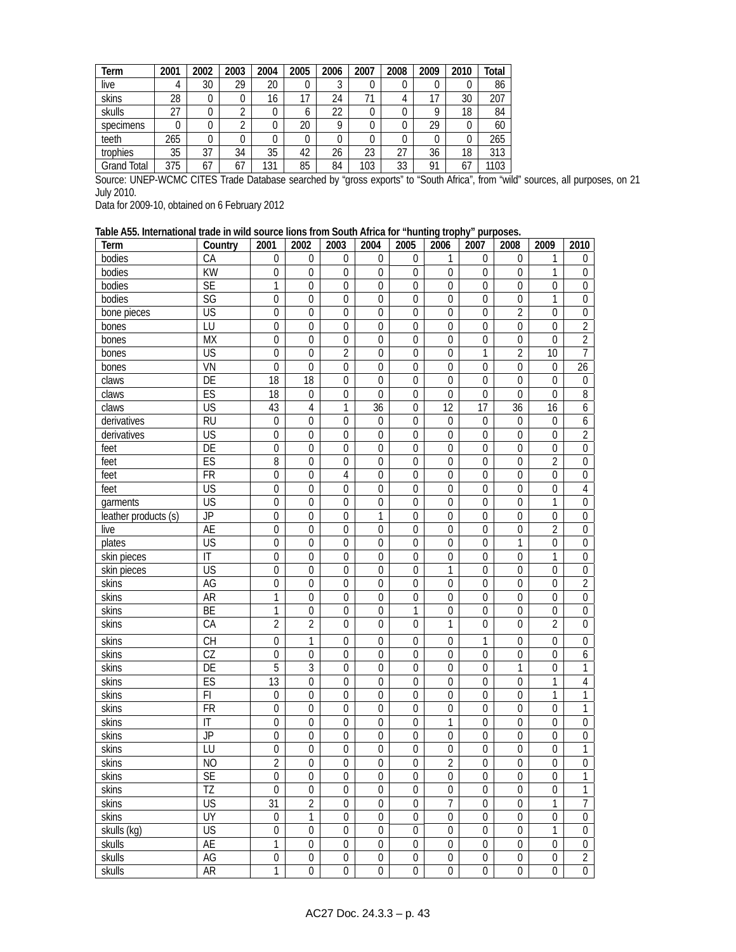| Term        | 2001 | 2002 | 2003 | 2004 | 2005 | 2006 | 2007 | 2008 | 2009 | 2010 | Total |
|-------------|------|------|------|------|------|------|------|------|------|------|-------|
| live        |      | 30   | 29   | 20   | 0    | J    |      | 0    |      | O    | 86    |
| skins       | 28   | 0    | 0    | 16   | 17   | 24   |      | 4    |      | 30   | 207   |
| skulls      | 27   |      | ◠    |      | 6    | 22   |      | 0    |      | 18   | 84    |
| specimens   |      | 0    | ◠    | 0    | 20   | Q    |      | 0    | 29   |      | 60    |
| teeth       | 265  | 0    | 0    |      | 0    |      |      | 0    |      |      | 265   |
| trophies    | 35   | 37   | 34   | 35   | 42   | 26   | 23   | 27   | 36   | 18   | 313   |
| Grand Total | 375  | 67   | 67   | 131  | 85   | 84   | 103  | 33   | 01   | 67   | 103   |

Source: UNEP-WCMC CITES Trade Database searched by "gross exports" to "South Africa", from "wild" sources, all purposes, on 21 July 2010.

Data for 2009-10, obtained on 6 February 2012

### **Table A55. International trade in wild source lions from South Africa for "hunting trophy" purposes.**

| Term                 | Country                  | 2001             | 2002             | 2003             | 2004             | 2005             | 2006             | 2007             | 2008             | 2009             | 2010             |
|----------------------|--------------------------|------------------|------------------|------------------|------------------|------------------|------------------|------------------|------------------|------------------|------------------|
| bodies               | CA                       | $\boldsymbol{0}$ | $\mathbf{0}$     | $\mathbf{0}$     | $\mathbf 0$      | $\mathbf 0$      | 1                | $\mathbf{0}$     | $\mathbf 0$      | 1                | 0                |
| bodies               | $\overline{KW}$          | $\boldsymbol{0}$ | $\boldsymbol{0}$ | $\boldsymbol{0}$ | $\mathbf 0$      | $\boldsymbol{0}$ | $\mathbf 0$      | $\boldsymbol{0}$ | $\mathbf 0$      | 1                | $\boldsymbol{0}$ |
| bodies               | <b>SE</b>                | $\mathbf{1}$     | $\boldsymbol{0}$ | $\mathbf 0$      | $\mathbf 0$      | $\boldsymbol{0}$ | 0                | $\mathbf 0$      | $\mathbf 0$      | $\mathbf 0$      | $\boldsymbol{0}$ |
| bodies               | SG                       | $\boldsymbol{0}$ | $\boldsymbol{0}$ | $\boldsymbol{0}$ | $\boldsymbol{0}$ | 0                | $\boldsymbol{0}$ | $\mathbf 0$      | $\boldsymbol{0}$ | 1                | $\boldsymbol{0}$ |
| bone pieces          | $\overline{\mathsf{US}}$ | $\boldsymbol{0}$ | $\boldsymbol{0}$ | $\mathbf 0$      | $\mathbf 0$      | $\mathbf 0$      | $\mathbf 0$      | $\boldsymbol{0}$ | $\overline{2}$   | $\mathbf 0$      | $\boldsymbol{0}$ |
| bones                | LU                       | $\boldsymbol{0}$ | $\boldsymbol{0}$ | $\boldsymbol{0}$ | $\boldsymbol{0}$ | 0                | 0                | $\mathbf 0$      | $\boldsymbol{0}$ | $\mathbf 0$      | $\overline{2}$   |
| bones                | <b>MX</b>                | $\mathbf 0$      | $\boldsymbol{0}$ | $\mathbf{0}$     | $\mathbf 0$      | $\mathbf 0$      | 0                | $\boldsymbol{0}$ | $\boldsymbol{0}$ | $\theta$         | $\overline{2}$   |
| bones                | <b>US</b>                | $\overline{0}$   | $\boldsymbol{0}$ | $\overline{2}$   | $\mathbf 0$      | $\overline{0}$   | $\overline{0}$   | $\mathbf{1}$     | $\overline{2}$   | 10               | $\overline{7}$   |
| bones                | VN                       | $\overline{0}$   | $\mathbf 0$      | $\overline{0}$   | $\mathbf 0$      | $\mathbf 0$      | $\mathbf 0$      | $\mathbf 0$      | $\mathbf 0$      | $\mathbf 0$      | $\overline{26}$  |
| claws                | $\overline{DE}$          | $\overline{18}$  | $\overline{18}$  | $\mathbf 0$      | $\mathbf 0$      | $\mathbf 0$      | $\mathbf 0$      | $\mathbf 0$      | $\overline{0}$   | $\mathbf 0$      | $\boldsymbol{0}$ |
| claws                | ES                       | $\overline{18}$  | $\boldsymbol{0}$ | $\mathbf 0$      | $\Omega$         | $\mathbf 0$      | $\overline{0}$   | $\mathbf{0}$     | $\overline{0}$   | $\Omega$         | $\overline{8}$   |
| claws                | $\overline{\mathsf{US}}$ | 43               | $\overline{4}$   | 1                | 36               | 0                | $\overline{12}$  | 17               | 36               | 16               | 6                |
| derivatives          | $\overline{RU}$          | $\boldsymbol{0}$ | $\mathbf 0$      | $\mathbf 0$      | $\mathbf 0$      | $\mathbf 0$      | $\boldsymbol{0}$ | $\boldsymbol{0}$ | $\mathbf 0$      | $\mathbf 0$      | $\boldsymbol{6}$ |
| derivatives          | US                       | $\boldsymbol{0}$ | $\boldsymbol{0}$ | 0                | $\boldsymbol{0}$ | 0                | 0                | $\mathbf 0$      | $\mathbf{0}$     | $\mathbf 0$      | $\overline{2}$   |
| feet                 | $\overline{DE}$          | $\boldsymbol{0}$ | $\boldsymbol{0}$ | $\mathbf{0}$     | $\mathbf 0$      | $\mathbf 0$      | 0                | $\mathbf{0}$     | $\mathbf 0$      | $\mathbf 0$      | $\overline{0}$   |
| feet                 | ES                       | $\overline{8}$   | $\boldsymbol{0}$ | $\mathbf{0}$     | $\mathbf 0$      | $\boldsymbol{0}$ | $\overline{0}$   | $\mathbf 0$      | $\mathbf 0$      | $\overline{2}$   | $\boldsymbol{0}$ |
| feet                 | $\overline{FR}$          | $\overline{0}$   | $\boldsymbol{0}$ | $\overline{4}$   | $\mathbf 0$      | $\overline{0}$   | $\mathbf 0$      | $\mathbf 0$      | $\mathbf 0$      | $\mathbf 0$      | $\boldsymbol{0}$ |
| feet                 | $\overline{\mathsf{US}}$ | $\boldsymbol{0}$ | $\mathbf{0}$     | $\mathbf{0}$     | $\mathbf 0$      | $\boldsymbol{0}$ | 0                | $\mathbf{0}$     | $\mathbf 0$      | $\mathbf 0$      | $\sqrt{4}$       |
| garments             | <b>US</b>                | $\overline{0}$   | $\mathbf 0$      | $\mathbf{0}$     | $\mathbf{0}$     | $\overline{0}$   | 0                | $\mathbf 0$      | $\mathbf 0$      | 1                | $\boldsymbol{0}$ |
| leather products (s) | $\overline{JP}$          | $\overline{0}$   | $\mathbf 0$      | $\mathbf{0}$     | $\mathbf{1}$     | $\boldsymbol{0}$ | $\mathbf 0$      | $\mathbf 0$      | $\mathbf 0$      | $\boldsymbol{0}$ | $\boldsymbol{0}$ |
| live                 | AE                       | $\boldsymbol{0}$ | $\boldsymbol{0}$ | $\mathbf 0$      | $\mathbf 0$      | $\mathbf 0$      | $\boldsymbol{0}$ | $\boldsymbol{0}$ | $\mathbf 0$      | $\overline{2}$   | $\boldsymbol{0}$ |
| plates               | US                       | $\boldsymbol{0}$ | $\boldsymbol{0}$ | $\boldsymbol{0}$ | $\boldsymbol{0}$ | $\boldsymbol{0}$ | 0                | $\mathbf 0$      | 1                | $\boldsymbol{0}$ | $\boldsymbol{0}$ |
| skin pieces          | $\mathsf{I}\mathsf{T}$   | $\boldsymbol{0}$ | $\boldsymbol{0}$ | $\mathbf{0}$     | $\mathbf 0$      | $\mathbf 0$      | $\mathbf 0$      | $\boldsymbol{0}$ | $\mathbf 0$      | 1                | $\boldsymbol{0}$ |
| skin pieces          | US                       | $\overline{0}$   | $\boldsymbol{0}$ | $\mathbf 0$      | $\mathbf 0$      | $\overline{0}$   | 1                | $\boldsymbol{0}$ | $\mathbf 0$      | $\overline{0}$   | $\boldsymbol{0}$ |
| skins                | AG                       | $\overline{0}$   | $\boldsymbol{0}$ | 0                | $\boldsymbol{0}$ | $\mathbf 0$      | $\overline{0}$   | $\boldsymbol{0}$ | $\boldsymbol{0}$ | $\boldsymbol{0}$ | $\overline{2}$   |
| skins                | <b>AR</b>                | 1                | $\mathbf 0$      | $\mathbf 0$      | $\mathbf 0$      | 0                | 0                | $\mathbf 0$      | $\mathbf 0$      | $\mathbf 0$      | $\boldsymbol{0}$ |
| skins                | BE                       | 1                | $\boldsymbol{0}$ | $\boldsymbol{0}$ | $\boldsymbol{0}$ | 1                | $\boldsymbol{0}$ | $\boldsymbol{0}$ | $\mathbf 0$      | $\boldsymbol{0}$ | $\boldsymbol{0}$ |
| skins                | CA                       | $\overline{2}$   | $\overline{2}$   | $\Omega$         | $\mathbf 0$      | $\overline{0}$   | 1                | $\overline{0}$   | $\Omega$         | $\overline{2}$   | $\boldsymbol{0}$ |
| skins                | CH                       | $\boldsymbol{0}$ | 1                | $\mathbf 0$      | $\mathbf 0$      | 0                | $\mathbf 0$      | 1                | $\boldsymbol{0}$ | $\mathbf 0$      | $\boldsymbol{0}$ |
| skins                | $\overline{\text{CZ}}$   | $\boldsymbol{0}$ | $\mathbf 0$      | $\mathbf 0$      | $\mathbf 0$      | $\mathbf 0$      | 0                | $\overline{0}$   | $\mathbf 0$      | $\mathbf 0$      | 6                |
| skins                | $\overline{DE}$          | $\overline{5}$   | 3                | $\mathbf{0}$     | $\mathbf 0$      | $\mathbf 0$      | 0                | $\mathbf 0$      | 1                | $\mathbf 0$      | 1                |
| skins                | ES                       | $\overline{13}$  | $\boldsymbol{0}$ | $\mathbf 0$      | $\mathbf 0$      | $\boldsymbol{0}$ | 0                | $\mathbf 0$      | $\mathbf 0$      | 1                | $\overline{4}$   |
| skins                | F1                       | $\boldsymbol{0}$ | $\boldsymbol{0}$ | $\mathbf 0$      | $\mathbf 0$      | $\mathbf 0$      | $\mathbf 0$      | $\mathbf 0$      | $\mathbf 0$      | 1                | 1                |
| skins                | <b>FR</b>                | $\boldsymbol{0}$ | $\boldsymbol{0}$ | $\boldsymbol{0}$ | $\mathbf 0$      | 0                | 0                | $\mathbf 0$      | $\boldsymbol{0}$ | 0                | $\mathbf{1}$     |
| skins                | IT                       | $\boldsymbol{0}$ | $\boldsymbol{0}$ | $\mathbf{0}$     | $\mathbf 0$      | $\mathbf{0}$     | 1                | $\boldsymbol{0}$ | $\mathbf 0$      | $\mathbf 0$      | $\boldsymbol{0}$ |
| skins                | JP                       | $\overline{0}$   | $\boldsymbol{0}$ | $\mathbf 0$      | $\boldsymbol{0}$ | $\boldsymbol{0}$ | $\overline{0}$   | $\mathbf 0$      | $\boldsymbol{0}$ | $\mathbf 0$      | $\boldsymbol{0}$ |
| skins                | LU                       | $\overline{0}$   | $\boldsymbol{0}$ | $\boldsymbol{0}$ | $\boldsymbol{0}$ | $\mathbf 0$      | $\overline{0}$   | $\boldsymbol{0}$ | $\boldsymbol{0}$ | $\mathbf 0$      | $\mathbf{1}$     |
| skins                | N <sub>O</sub>           | $\overline{2}$   | $\mathbf 0$      | $\mathbf 0$      | $\boldsymbol{0}$ | $\boldsymbol{0}$ | $\overline{2}$   | $\mathbf 0$      | 0                | $\boldsymbol{0}$ | $\boldsymbol{0}$ |
| skins                | <b>SE</b>                | $\overline{0}$   | $\overline{0}$   | $\overline{0}$   | $\overline{0}$   | $\overline{0}$   | $\overline{0}$   | $\overline{0}$   | $\overline{0}$   | $\overline{0}$   | $\overline{1}$   |
| skins                | $\overline{12}$          | $\mathbf 0$      | $\boldsymbol{0}$ | $\mathbf 0$      | $\mathbf 0$      | $\mathbf 0$      | $\mathbf 0$      | $\mathbf 0$      | $\mathbf 0$      | $\mathbf 0$      | $\overline{1}$   |
| skins                | <b>US</b>                | 31               | $\overline{2}$   | $\mathbf 0$      | $\boldsymbol{0}$ | $\boldsymbol{0}$ | 7                | 0                | $\mathbf 0$      | 1                | 7                |
| skins                | UY                       | $\boldsymbol{0}$ | 1                | $\boldsymbol{0}$ | $\boldsymbol{0}$ | $\boldsymbol{0}$ | $\boldsymbol{0}$ | $\boldsymbol{0}$ | $\boldsymbol{0}$ | 0                | $\boldsymbol{0}$ |
| skulls (kg)          | $\overline{\mathsf{US}}$ | 0                | $\mathbf{0}$     | $\mathbf 0$      | $\mathbf 0$      | 0                | 0                | 0                | $\mathbf 0$      | 1                | $\boldsymbol{0}$ |
| skulls               | AE                       | 1                | $\boldsymbol{0}$ | $\boldsymbol{0}$ | $\boldsymbol{0}$ | $\mathbf 0$      | $\boldsymbol{0}$ | $\boldsymbol{0}$ | $\boldsymbol{0}$ | $\boldsymbol{0}$ | $\boldsymbol{0}$ |
| skulls               | AG                       | $\boldsymbol{0}$ | $\boldsymbol{0}$ | $\boldsymbol{0}$ | $\boldsymbol{0}$ | $\boldsymbol{0}$ | $\boldsymbol{0}$ | $\boldsymbol{0}$ | $\boldsymbol{0}$ | $\boldsymbol{0}$ | $\overline{2}$   |
| skulls               | AR                       | 1                | 0                | $\mathbf 0$      | $\mathbf 0$      | $\boldsymbol{0}$ | 0                | 0                | 0                | $\overline{0}$   | $\boldsymbol{0}$ |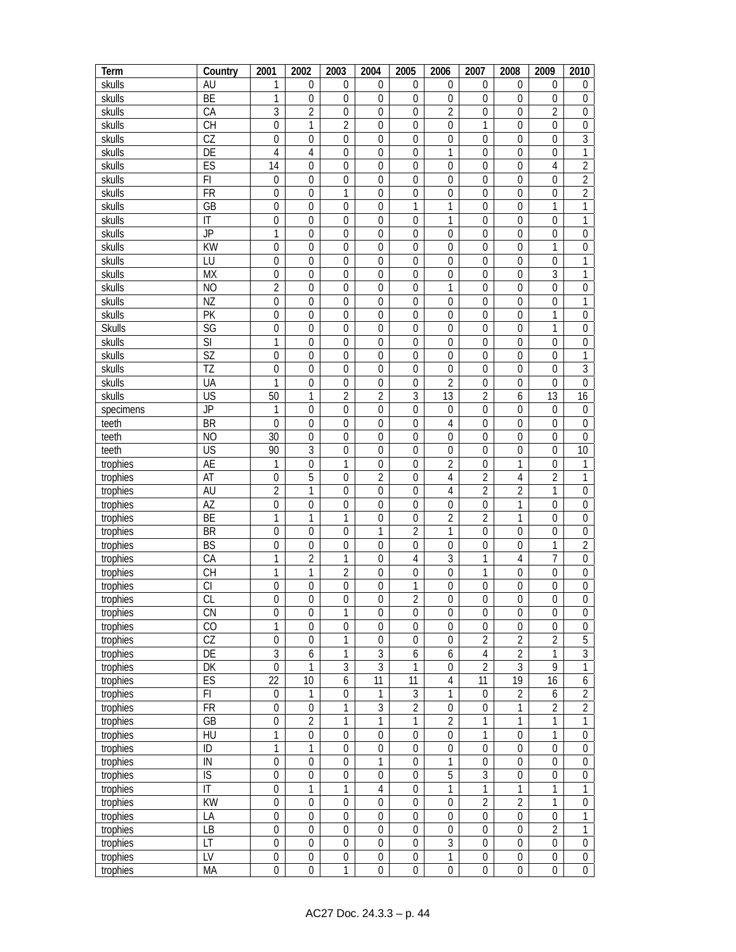| Term          | Country                            | 2001             | 2002             | 2003             | 2004             | 2005             | 2006             | 2007             | 2008             | 2009             | 2010             |
|---------------|------------------------------------|------------------|------------------|------------------|------------------|------------------|------------------|------------------|------------------|------------------|------------------|
| skulls        | AU                                 | 1                | 0                | $\mathbf{0}$     | $\mathbf 0$      | 0                | 0                | $\mathbf{0}$     | 0                | $\mathbf 0$      | $\boldsymbol{0}$ |
| skulls        | BE                                 | 1                | $\mathbf 0$      | $\mathbf 0$      | $\mathbf 0$      | $\mathbf 0$      | $\mathbf 0$      | $\mathbf{0}$     | $\mathbf 0$      | $\Omega$         | $\mathbf 0$      |
| skulls        | CA                                 | $\overline{3}$   | $\overline{2}$   | $\mathbf 0$      | $\mathbf 0$      | 0                | $\overline{2}$   | $\mathbf{0}$     | $\overline{0}$   | $\overline{2}$   | $\mathbf 0$      |
| skulls        | <b>CH</b>                          | $\overline{0}$   | 1                | $\overline{2}$   | $\mathbf{0}$     | $\pmb{0}$        | $\mathbf 0$      | 1                | $\mathbf 0$      | $\overline{0}$   | $\boldsymbol{0}$ |
| skulls        | $\overline{CZ}$                    | $\mathbf 0$      | $\boldsymbol{0}$ | $\boldsymbol{0}$ | $\boldsymbol{0}$ | $\mathbf 0$      | $\boldsymbol{0}$ | $\boldsymbol{0}$ | $\mathbf 0$      | $\mathbf 0$      | $\overline{3}$   |
| skulls        | DE                                 | 4                | $\sqrt{4}$       | $\mathbf 0$      | $\mathbf 0$      | $\boldsymbol{0}$ | 1                | $\mathbf 0$      | $\mathbf 0$      | $\theta$         | 1                |
| skulls        | ES                                 | 14               | $\boldsymbol{0}$ | $\mathbf 0$      | $\boldsymbol{0}$ | 0                | $\boldsymbol{0}$ | $\boldsymbol{0}$ | $\boldsymbol{0}$ | 4                | $\overline{2}$   |
| skulls        | FI                                 | $\boldsymbol{0}$ | $\boldsymbol{0}$ | $\mathbf 0$      | $\mathbf 0$      | $\mathbf 0$      | $\mathbf 0$      | $\mathbf{0}$     | $\mathbf 0$      | $\theta$         | $\overline{2}$   |
| skulls        | <b>FR</b>                          | $\overline{0}$   | $\boldsymbol{0}$ | $\mathbf{1}$     | $\mathbf 0$      | $\overline{0}$   | $\overline{0}$   | $\boldsymbol{0}$ | $\mathbf 0$      | $\theta$         | $\overline{2}$   |
| skulls        | GB                                 | $\overline{0}$   | $\mathbf 0$      | $\mathbf 0$      | $\mathbf 0$      | 1                | 1                | $\mathbf 0$      | $\mathbf 0$      | 1                | 1                |
| skulls        | IT                                 | $\mathbf 0$      | $\mathbf 0$      | $\mathbf 0$      | $\mathbf 0$      | $\mathbf 0$      | 1                | $\mathbf{0}$     | $\mathbf 0$      | $\mathbf 0$      | 1                |
| skulls        | $\overline{JP}$                    | 1                | $\mathbf 0$      | $\mathbf 0$      | $\mathbf{0}$     | $\mathbf 0$      | $\mathbf{0}$     | $\mathbf 0$      | $\mathbf 0$      | $\mathbf 0$      | $\boldsymbol{0}$ |
|               | $\overline{KW}$                    | $\boldsymbol{0}$ |                  | $\mathbf 0$      | $\mathbf 0$      |                  | $\mathbf 0$      |                  | $\mathbf 0$      |                  |                  |
| skulls        | LU                                 |                  | $\boldsymbol{0}$ | $\mathbf 0$      |                  | 0                |                  | $\boldsymbol{0}$ |                  | 1                | $\boldsymbol{0}$ |
| skulls        |                                    | $\boldsymbol{0}$ | $\boldsymbol{0}$ |                  | $\boldsymbol{0}$ | $\boldsymbol{0}$ | $\boldsymbol{0}$ | $\boldsymbol{0}$ | $\boldsymbol{0}$ | $\mathbf 0$      | 1                |
| skulls        | <b>MX</b>                          | $\boldsymbol{0}$ | $\boldsymbol{0}$ | $\mathbf 0$      | $\boldsymbol{0}$ | $\boldsymbol{0}$ | 0                | $\boldsymbol{0}$ | $\mathbf 0$      | $\overline{3}$   | 1                |
| skulls        | N <sub>O</sub>                     | $\overline{2}$   | $\boldsymbol{0}$ | $\boldsymbol{0}$ | $\boldsymbol{0}$ | 0                | 1                | $\boldsymbol{0}$ | $\boldsymbol{0}$ | $\mathbf 0$      | $\boldsymbol{0}$ |
| skulls        | NZ                                 | $\boldsymbol{0}$ | $\boldsymbol{0}$ | 0                | $\mathbf 0$      | 0                | $\mathbf{0}$     | $\mathbf{0}$     | $\mathbf 0$      | $\mathbf 0$      | 1                |
| skulls        | $\overline{PK}$                    | $\overline{0}$   | $\boldsymbol{0}$ | $\boldsymbol{0}$ | $\boldsymbol{0}$ | $\mathbf 0$      | $\boldsymbol{0}$ | $\boldsymbol{0}$ | $\boldsymbol{0}$ | 1                | $\boldsymbol{0}$ |
| <b>Skulls</b> | $\overline{\text{SG}}$             | 0                | $\mathbf 0$      | $\mathbf 0$      | $\mathbf 0$      | $\mathbf 0$      | $\mathbf 0$      | $\mathbf 0$      | $\mathbf 0$      | 1                | $\boldsymbol{0}$ |
| skulls        | $\overline{\mathsf{S}}$            | 1                | $\boldsymbol{0}$ | $\mathbf 0$      | $\boldsymbol{0}$ | $\boldsymbol{0}$ | $\boldsymbol{0}$ | $\boldsymbol{0}$ | $\mathbf 0$      | $\mathbf 0$      | $\boldsymbol{0}$ |
| skulls        | <b>SZ</b>                          | $\boldsymbol{0}$ | $\boldsymbol{0}$ | $\mathbf 0$      | $\boldsymbol{0}$ | 0                | $\mathbf{0}$     | $\mathbf 0$      | $\mathbf 0$      | $\mathbf 0$      | 1                |
| skulls        | ΤZ                                 | $\boldsymbol{0}$ | $\boldsymbol{0}$ | $\boldsymbol{0}$ | $\boldsymbol{0}$ | $\boldsymbol{0}$ | $\boldsymbol{0}$ | $\boldsymbol{0}$ | $\boldsymbol{0}$ | $\mathbf 0$      | 3                |
| skulls        | UA                                 | 1                | $\boldsymbol{0}$ | $\mathbf 0$      | $\boldsymbol{0}$ | $\boldsymbol{0}$ | $\overline{2}$   | $\boldsymbol{0}$ | $\boldsymbol{0}$ | $\mathbf 0$      | $\boldsymbol{0}$ |
| skulls        | US                                 | 50               | 1                | $\overline{2}$   | $\overline{2}$   | $\sqrt{3}$       | 13               | $\overline{2}$   | 6                | 13               | 16               |
| specimens     | JP                                 | 1                | $\boldsymbol{0}$ | $\mathbf 0$      | $\mathbf 0$      | $\mathbf 0$      | $\mathbf{0}$     | $\boldsymbol{0}$ | $\mathbf 0$      | $\overline{0}$   | $\boldsymbol{0}$ |
| teeth         | <b>BR</b>                          | $\overline{0}$   | $\boldsymbol{0}$ | $\boldsymbol{0}$ | $\boldsymbol{0}$ | $\mathbf 0$      | $\overline{4}$   | $\boldsymbol{0}$ | $\boldsymbol{0}$ | $\mathbf 0$      | $\boldsymbol{0}$ |
| teeth         | N <sub>O</sub>                     | 30               | $\mathbf 0$      | 0                | $\mathbf 0$      | 0                | 0                | $\mathbf 0$      | 0                | $\theta$         | $\mathbf 0$      |
| teeth         | <b>US</b>                          | 90               | 3                | $\mathbf 0$      | $\boldsymbol{0}$ | $\boldsymbol{0}$ | $\boldsymbol{0}$ | 0                | $\boldsymbol{0}$ | $\overline{0}$   | 10               |
| trophies      | <b>AE</b>                          | 1                | $\boldsymbol{0}$ | $\mathbf{1}$     | $\boldsymbol{0}$ | 0                | $\overline{2}$   | $\mathbf 0$      | 1                | $\mathbf 0$      | 1                |
| trophies      | AT                                 | $\boldsymbol{0}$ | $\overline{5}$   | $\boldsymbol{0}$ | $\overline{2}$   | $\boldsymbol{0}$ | $\overline{4}$   | $\overline{2}$   | 4                | $\overline{2}$   | 1                |
| trophies      | AU                                 | $\overline{2}$   | 1                | $\mathbf 0$      | $\boldsymbol{0}$ | $\boldsymbol{0}$ | 4                | $\overline{2}$   | $\overline{2}$   | 1                | $\boldsymbol{0}$ |
| trophies      | AZ                                 | $\boldsymbol{0}$ | $\boldsymbol{0}$ | $\boldsymbol{0}$ | 0                | $\boldsymbol{0}$ | $\boldsymbol{0}$ | 0                | 1                | 0                | $\boldsymbol{0}$ |
| trophies      | BE                                 | 1                | 1                | 1                | $\boldsymbol{0}$ | 0                | $\overline{2}$   | $\overline{2}$   | 1                | $\mathbf 0$      | $\boldsymbol{0}$ |
| trophies      | <b>BR</b>                          | $\overline{0}$   | $\boldsymbol{0}$ | $\boldsymbol{0}$ | 1                | $\overline{c}$   | $\mathbf{1}$     | $\boldsymbol{0}$ | 0                | $\mathbf 0$      | $\boldsymbol{0}$ |
| trophies      | BS                                 | 0                | $\mathbf 0$      | 0                | $\boldsymbol{0}$ | $\mathbf 0$      | $\mathbf 0$      | $\mathbf 0$      | 0                | 1                | 2                |
| trophies      | CA                                 | 1                | $\overline{2}$   | 1                | $\boldsymbol{0}$ | $\sqrt{4}$       | $\mathfrak{Z}$   | 1                | 4                | 7                | $\boldsymbol{0}$ |
| trophies      | <b>CH</b>                          | 1                | $\mathbf{1}$     | $\overline{2}$   | $\mathbf 0$      | $\mathbf 0$      | $\boldsymbol{0}$ | 1                | $\boldsymbol{0}$ | $\mathbf 0$      | $\boldsymbol{0}$ |
| trophies      |                                    | 0                | $\boldsymbol{0}$ | $\boldsymbol{0}$ | $\boldsymbol{0}$ | 1                | $\boldsymbol{0}$ | 0                | $\boldsymbol{0}$ | $\boldsymbol{0}$ | $\boldsymbol{0}$ |
| trophies      | CL                                 | $\mathbf 0$      | $\boldsymbol{0}$ | $\boldsymbol{0}$ | $\boldsymbol{0}$ | $\overline{2}$   | $\boldsymbol{0}$ | $\boldsymbol{0}$ | $\boldsymbol{0}$ | $\boldsymbol{0}$ | $\boldsymbol{0}$ |
| trophies      | CN                                 | 0                | $\mathbf 0$      | 1                | $\mathbf 0$      | 0                | 0                | 0                | 0                | $\mathbf 0$      | 0                |
| trophies      | CO                                 | 1                | $\boldsymbol{0}$ | $\boldsymbol{0}$ | $\boldsymbol{0}$ | $\boldsymbol{0}$ | $\boldsymbol{0}$ | 0                | $\boldsymbol{0}$ | $\overline{0}$   | $\boldsymbol{0}$ |
| trophies      | $\overline{\text{CZ}}$             | $\overline{0}$   | $\boldsymbol{0}$ | 1                | $\boldsymbol{0}$ | $\mathbf 0$      | $\boldsymbol{0}$ | $\overline{2}$   | $\overline{2}$   | $\overline{2}$   | $\overline{5}$   |
| trophies      | $\overline{DE}$                    | $\overline{3}$   | $\boldsymbol{6}$ | $\mathbf{1}$     | $\overline{3}$   | 6                | 6                | $\overline{4}$   | $\overline{2}$   | $\mathbf{1}$     | $\overline{3}$   |
| trophies      | DK                                 | $\overline{0}$   | 1                | 3                | $\overline{3}$   | $\mathbf{1}$     | $\boldsymbol{0}$ | $\overline{2}$   | $\overline{3}$   | $\overline{9}$   | 1                |
| trophies      | ES                                 | $\overline{22}$  | 10               | 6                | 11               | $\overline{11}$  | $\overline{4}$   | 11               | $\overline{19}$  | 16               | 6                |
| trophies      | $\mathsf{Fl}$                      | $\boldsymbol{0}$ | 1                | $\overline{0}$   | $\mathbf{1}$     | $\overline{3}$   | $\mathbf 1$      | $\boldsymbol{0}$ | $\overline{2}$   | $\boldsymbol{6}$ | $\overline{2}$   |
| trophies      | <b>FR</b>                          | $\boldsymbol{0}$ | $\boldsymbol{0}$ | 1                | $\overline{3}$   | $\overline{2}$   | $\boldsymbol{0}$ | $\boldsymbol{0}$ | 1                | $\overline{2}$   | $\overline{2}$   |
| trophies      | GB                                 | 0                | $\overline{2}$   | 1                | 1                | 1                | $\overline{2}$   | 1                | 1                | 1                | 1                |
| trophies      | HU                                 | 1                | $\boldsymbol{0}$ | $\boldsymbol{0}$ | $\boldsymbol{0}$ | $\boldsymbol{0}$ | $\boldsymbol{0}$ | 1                | $\boldsymbol{0}$ | 1                | $\boldsymbol{0}$ |
| trophies      | ID                                 | $\overline{1}$   | 1                | $\boldsymbol{0}$ | $\boldsymbol{0}$ | $\overline{0}$   | $\overline{0}$   | $\boldsymbol{0}$ | $\boldsymbol{0}$ | $\boldsymbol{0}$ | $\boldsymbol{0}$ |
| trophies      | IN                                 | $\overline{0}$   | $\boldsymbol{0}$ | $\boldsymbol{0}$ | $\mathbf{1}$     | $\overline{0}$   | $\mathbf{1}$     | $\boldsymbol{0}$ | $\boldsymbol{0}$ | $\boldsymbol{0}$ | $\boldsymbol{0}$ |
| trophies      | $\overline{S}$                     | $\overline{0}$   | $\boldsymbol{0}$ | $\boldsymbol{0}$ | $\boldsymbol{0}$ | $\mathbf 0$      | 5                | 3                | $\boldsymbol{0}$ | $\boldsymbol{0}$ | $\boldsymbol{0}$ |
| trophies      | $\overline{\mathbb{I}}$            | $\overline{0}$   | $\mathbf{1}$     | $\mathbf{1}$     | $\sqrt{4}$       | $\boldsymbol{0}$ | $\mathbf{1}$     | 1                | 1                | $\mathbf{1}$     | 1                |
| trophies      | $\overline{KW}$                    | $\boldsymbol{0}$ | $\boldsymbol{0}$ | $\boldsymbol{0}$ | $\boldsymbol{0}$ | $\boldsymbol{0}$ | $\boldsymbol{0}$ | $\overline{2}$   | $\overline{2}$   | $\mathbf{1}$     | $\boldsymbol{0}$ |
| trophies      | LA                                 | $\boldsymbol{0}$ | $\boldsymbol{0}$ | $\boldsymbol{0}$ | $\boldsymbol{0}$ | $\mathbf 0$      | $\boldsymbol{0}$ | $\boldsymbol{0}$ | $\boldsymbol{0}$ | $\boldsymbol{0}$ | 1                |
| trophies      | LB                                 | $\boldsymbol{0}$ | $\boldsymbol{0}$ | $\boldsymbol{0}$ | $\boldsymbol{0}$ | $\boldsymbol{0}$ | $\boldsymbol{0}$ | $\boldsymbol{0}$ | $\boldsymbol{0}$ | $\overline{2}$   | 1                |
| trophies      | LT                                 | $\boldsymbol{0}$ | $\boldsymbol{0}$ | $\boldsymbol{0}$ | $\boldsymbol{0}$ | $\boldsymbol{0}$ | $\overline{3}$   | $\boldsymbol{0}$ | $\boldsymbol{0}$ | $\mathbf 0$      | $\boldsymbol{0}$ |
| trophies      | $\overline{\mathsf{L} \mathsf{V}}$ | $\overline{0}$   | $\boldsymbol{0}$ | $\boldsymbol{0}$ | $\boldsymbol{0}$ | $\mathbf 0$      | $\mathbf{1}$     | $\boldsymbol{0}$ | $\boldsymbol{0}$ | $\boldsymbol{0}$ | $\boldsymbol{0}$ |
|               | MA                                 | $\overline{0}$   | $\boldsymbol{0}$ | 1                | $\boldsymbol{0}$ | $\boldsymbol{0}$ | $\boldsymbol{0}$ | $\boldsymbol{0}$ | $\boldsymbol{0}$ | $\boldsymbol{0}$ | $\boldsymbol{0}$ |
| trophies      |                                    |                  |                  |                  |                  |                  |                  |                  |                  |                  |                  |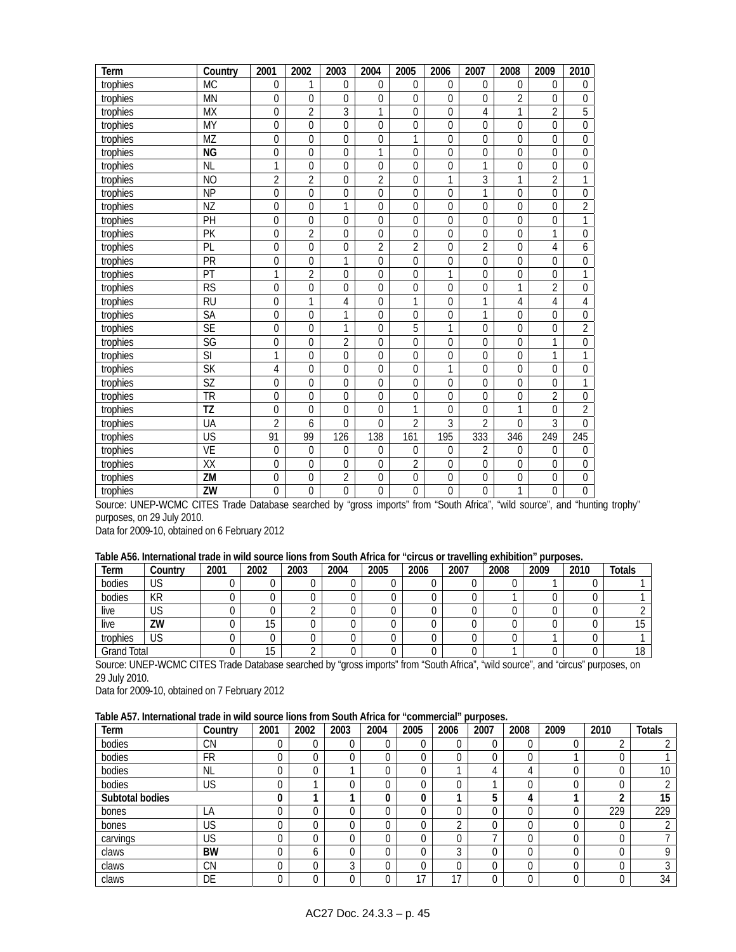| Term     | Country                  | 2001           | 2002             | 2003           | 2004             | 2005             | 2006             | 2007             | 2008           | 2009           | 2010             |
|----------|--------------------------|----------------|------------------|----------------|------------------|------------------|------------------|------------------|----------------|----------------|------------------|
| trophies | <b>MC</b>                | 0              | 1                | $\mathbf{0}$   | 0                | $\mathbf 0$      | 0                | $\mathbf{0}$     | $\mathbf 0$    | $\theta$       | $\mathbf 0$      |
| trophies | <b>MN</b>                | $\overline{0}$ | $\mathbf 0$      | 0              | $\mathbf 0$      | $\overline{0}$   | $\overline{0}$   | $\mathbf 0$      | $\overline{2}$ | $\overline{0}$ | $\overline{0}$   |
| trophies | <b>MX</b>                | 0              | 2                | 3              | 1                | 0                | $\Omega$         | 4                | 1              | 2              | $\overline{5}$   |
| trophies | <b>MY</b>                | $\overline{0}$ | $\overline{0}$   | $\overline{0}$ | $\Omega$         | 0                | $\overline{0}$   | $\overline{0}$   | $\Omega$       | $\overline{0}$ | $\overline{0}$   |
| trophies | MZ                       | 0              | $\mathbf 0$      | $\overline{0}$ | $\mathbf 0$      | 1                | $\overline{0}$   | $\mathbf 0$      | $\mathbf 0$    | $\Omega$       | $\overline{0}$   |
| trophies | <b>NG</b>                | $\overline{0}$ | $\mathbf 0$      | $\overline{0}$ | 1                | 0                | $\overline{0}$   | $\mathbf 0$      | $\overline{0}$ | $\Omega$       | $\overline{0}$   |
| trophies | <b>NL</b>                | 1              | $\mathbf 0$      | $\theta$       | $\mathbf 0$      | 0                | 0                | 1                | $\Omega$       | $\Omega$       | $\mathbf 0$      |
| trophies | N <sub>O</sub>           | $\overline{2}$ | $\overline{2}$   | $\mathbf 0$    | $\overline{2}$   | $\overline{0}$   | 1                | $\overline{3}$   | 1              | $\overline{2}$ | 1                |
| trophies | <b>NP</b>                | $\overline{0}$ | $\mathbf 0$      | $\mathbf 0$    | $\mathbf 0$      | 0                | $\mathbf 0$      | 1                | $\mathbf 0$    | $\mathbf 0$    | $\boldsymbol{0}$ |
| trophies | ΝZ                       | 0              | $\theta$         | 1              | $\Omega$         | $\overline{0}$   | 0                | $\theta$         | $\theta$       | $\overline{0}$ | $\overline{2}$   |
| trophies | PH                       | 0              | $\mathbf 0$      | $\mathbf 0$    | $\mathbf 0$      | 0                | 0                | $\mathbf 0$      | $\mathbf 0$    | $\mathbf 0$    | 1                |
| trophies | PK                       | 0              | $\overline{2}$   | $\mathbf{0}$   | $\overline{0}$   | 0                | $\mathbf 0$      | $\mathbf 0$      | $\mathbf 0$    | 1              | $\boldsymbol{0}$ |
| trophies | PL                       | $\overline{0}$ | $\mathbf 0$      | 0              | $\overline{2}$   | $\overline{2}$   | $\mathbf 0$      | $\overline{2}$   | $\mathbf 0$    | 4              | 6                |
| trophies | PR                       | 0              | $\mathbf 0$      | $\mathbf{1}$   | $\mathbf 0$      | $\mathbf 0$      | $\mathbf 0$      | $\boldsymbol{0}$ | $\mathbf 0$    | $\mathbf 0$    | $\mathbf 0$      |
| trophies | PT                       | 1              | $\overline{2}$   | $\overline{0}$ | $\mathbf 0$      | 0                | 1                | $\overline{0}$   | $\overline{0}$ | $\mathbf 0$    | $\overline{1}$   |
| trophies | $\overline{\text{RS}}$   | $\overline{0}$ | $\mathbf 0$      | $\Omega$       | $\overline{0}$   | 0                | $\overline{0}$   | $\overline{0}$   | 1              | $\overline{2}$ | $\overline{0}$   |
| trophies | $\overline{RU}$          | 0              | 1                | 4              | $\mathbf 0$      | 1                | $\overline{0}$   | 1                | 4              | 4              | 4                |
| trophies | <b>SA</b>                | $\overline{0}$ | $\overline{0}$   | $\overline{1}$ | $\overline{0}$   | 0                | $\overline{0}$   | $\overline{1}$   | $\Omega$       | $\Omega$       | $\overline{0}$   |
| trophies | <b>SE</b>                | $\overline{0}$ | $\overline{0}$   | 1              | $\overline{0}$   | $\overline{5}$   | $\overline{1}$   | $\theta$         | $\overline{0}$ | $\Omega$       | $\overline{2}$   |
| trophies | SG                       | $\overline{0}$ | $\mathbf 0$      | $\overline{2}$ | $\mathbf 0$      | $\overline{0}$   | $\overline{0}$   | $\mathbf 0$      | $\mathbf 0$    | 1              | $\overline{0}$   |
| trophies | $\overline{\mathsf{S}}$  | 1              | $\mathbf 0$      | $\overline{0}$ | $\overline{0}$   | 0                | $\mathbf 0$      | $\mathbf 0$      | $\mathbf 0$    | 1              | 1                |
| trophies | $\overline{\mathsf{SK}}$ | $\overline{4}$ | $\mathbf 0$      | $\Omega$       | $\mathbf 0$      | $\overline{0}$   | $\overline{1}$   | $\mathbf 0$      | $\Omega$       | $\overline{0}$ | $\boldsymbol{0}$ |
| trophies | <b>SZ</b>                | 0              | $\mathbf 0$      | $\mathbf 0$    | $\overline{0}$   | 0                | $\mathbf 0$      | $\mathbf 0$      | $\mathbf 0$    | $\overline{0}$ | $\mathbf{1}$     |
| trophies | TR                       | $\overline{0}$ | $\mathbf 0$      | $\overline{0}$ | $\overline{0}$   | $\overline{0}$   | $\overline{0}$   | $\mathbf 0$      | $\overline{0}$ | $\overline{2}$ | $\overline{0}$   |
| trophies | TZ                       | 0              | $\mathbf 0$      | $\theta$       | 0                | 1                | $\Omega$         | $\mathbf{0}$     | 1              | $\Omega$       | $\overline{2}$   |
| trophies | UA                       | $\overline{2}$ | 6                | $\Omega$       | $\overline{0}$   | $\overline{2}$   | $\overline{3}$   | $\overline{2}$   | $\Omega$       | $\overline{3}$ | $\overline{0}$   |
| trophies | $\overline{\mathsf{US}}$ | 91             | 99               | 126            | 138              | 161              | 195              | 333              | 346            | 249            | 245              |
| trophies | <b>VE</b>                | 0              | $\mathbf 0$      | $\mathbf 0$    | $\mathbf 0$      | 0                | 0                | $\overline{2}$   | $\mathbf{0}$   | $\Omega$       | $\mathbf 0$      |
| trophies | $\overline{XX}$          | 0              | $\mathbf 0$      | $\mathbf 0$    | $\mathbf 0$      | $\overline{2}$   | 0                | $\mathbf 0$      | $\Omega$       | $\Omega$       | $\mathbf 0$      |
| trophies | $\overline{\text{ZM}}$   | 0              | $\boldsymbol{0}$ | $\overline{2}$ | $\boldsymbol{0}$ | $\boldsymbol{0}$ | $\boldsymbol{0}$ | $\boldsymbol{0}$ | $\mathbf 0$    | $\mathbf 0$    | $\boldsymbol{0}$ |
| trophies | ZW                       | $\overline{0}$ | $\mathbf 0$      | $\overline{0}$ | $\mathbf 0$      | $\overline{0}$   | $\overline{0}$   | $\mathbf 0$      | 1              | $\mathbf 0$    | $\overline{0}$   |

Source: UNEP-WCMC CITES Trade Database searched by "gross imports" from "South Africa", "wild source", and "hunting trophy" purposes, on 29 July 2010.

Data for 2009-10, obtained on 6 February 2012

### **Table A56. International trade in wild source lions from South Africa for "circus or travelling exhibition" purposes.**

| Term               | Country | 2001 | 2002 | 2003 | 2004 | 2005 | 2006 | 2007 | 2008 | 2009 | 2010 | <b>Totals</b> |
|--------------------|---------|------|------|------|------|------|------|------|------|------|------|---------------|
| bodies             | US      |      |      |      |      |      |      |      |      |      |      |               |
| bodies             | КR      |      |      |      |      |      |      |      |      |      |      |               |
| live               | US      |      |      |      |      |      |      |      |      |      |      |               |
| live               | ZW      |      | 15   |      |      |      |      |      |      |      |      |               |
| trophies           | US      |      |      |      |      |      |      |      |      |      |      |               |
| <b>Grand Total</b> |         |      | 15   |      |      |      |      |      |      |      |      | 10            |

Source: UNEP-WCMC CITES Trade Database searched by "gross imports" from "South Africa", "wild source", and "circus" purposes, on 29 July 2010.

Data for 2009-10, obtained on 7 February 2012

# **Table A57. International trade in wild source lions from South Africa for "commercial" purposes.**

| Term            | Country   | 2001 | 2002 | 2003 | 2004 | 2005     | 2006 | 2007 | 2008 | 2009 | 2010 | <b>Totals</b> |
|-----------------|-----------|------|------|------|------|----------|------|------|------|------|------|---------------|
| bodies          | <b>CN</b> |      | υ    |      |      |          |      |      |      |      |      |               |
| bodies          | <b>FR</b> |      | υ    |      |      | 0        |      |      |      |      | 0    |               |
| bodies          | <b>NL</b> |      | 0    |      |      | 0        |      |      | 4    |      | 0    | 10            |
| bodies          | US        |      |      |      |      | ∩        |      |      |      |      | 0    |               |
| Subtotal bodies |           |      |      |      | u    | 0        |      | 5    | 4    |      | ◠    | 15            |
| bones           | LA        |      | 0    |      |      |          |      |      |      |      | 229  | 229           |
| bones           | US        | 0    | 0    |      |      | 0        |      |      | 0    |      | 0    |               |
| carvings        | US        |      | υ    |      |      | ∩        |      |      | 0    |      | 0    |               |
| claws           | <b>BW</b> |      | b    |      |      | $\Omega$ |      |      | 0    |      | 0    |               |
| claws           | <b>CN</b> |      | ∩    | ◠    |      | $\Omega$ |      |      |      |      | 0    |               |
| claws           | DE        |      |      |      |      | 17       | 17   |      |      |      |      | 34            |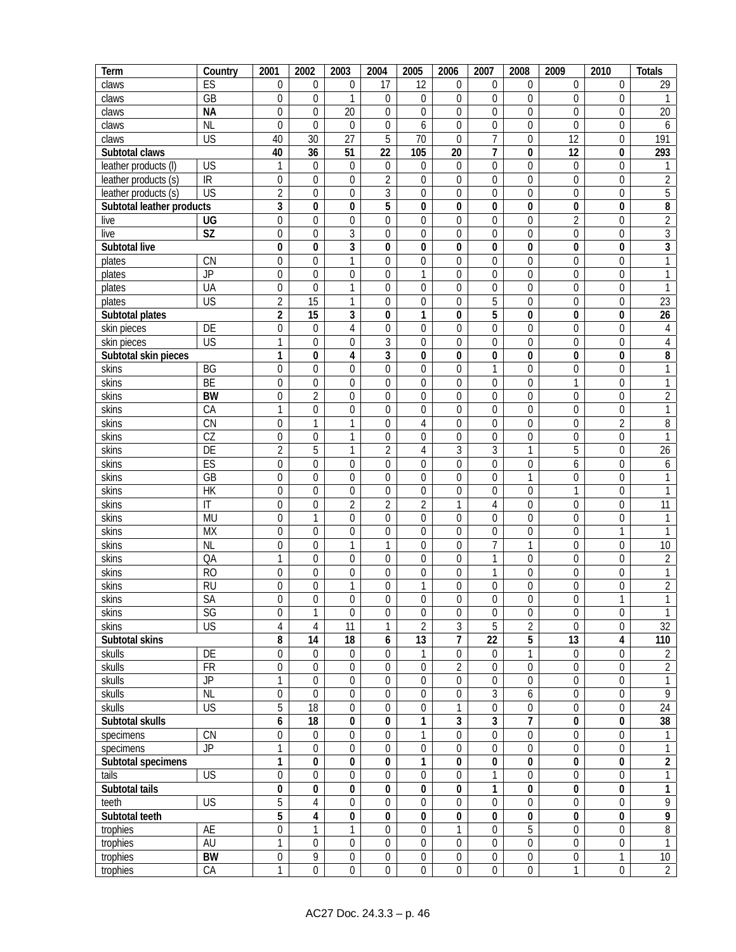| Term                      | Country                  | 2001                    | 2002                    | 2003             | 2004             | 2005             | 2006                    | 2007             | 2008             | 2009             | 2010             | <b>Totals</b>    |
|---------------------------|--------------------------|-------------------------|-------------------------|------------------|------------------|------------------|-------------------------|------------------|------------------|------------------|------------------|------------------|
| claws                     | ES                       | $\mathbf 0$             | $\boldsymbol{0}$        | 0                | 17               | 12               | 0                       | $\boldsymbol{0}$ | $\boldsymbol{0}$ | 0                | $\mathbf 0$      | 29               |
| claws                     | $\overline{GB}$          | 0                       | $\mathbf 0$             | 1                | $\mathbf 0$      | $\boldsymbol{0}$ | $\mathbf 0$             | $\theta$         | 0                | $\Omega$         | $\mathbf 0$      | 1                |
| claws                     | <b>NA</b>                | $\mathbf 0$             | $\mathbf 0$             | 20               | $\overline{0}$   | $\overline{0}$   | 0                       | $\mathbf 0$      | $\overline{0}$   | 0                | $\mathbf{0}$     | $\overline{20}$  |
| claws                     | <b>NL</b>                | $\Omega$                | $\overline{0}$          | $\mathbf 0$      | $\mathbf 0$      | 6                | $\overline{0}$          | $\mathbf 0$      | $\mathbf 0$      | $\mathbf 0$      | $\mathbf 0$      | 6                |
| claws                     | <b>US</b>                | 40                      | $\overline{30}$         | $\overline{27}$  | 5                | $\overline{70}$  | $\mathbf 0$             | $\overline{7}$   | $\boldsymbol{0}$ | $\overline{12}$  | $\boldsymbol{0}$ | 191              |
| Subtotal claws            |                          | 40                      | 36                      | 51               | 22               | 105              | 20                      | 7                | $\pmb{0}$        | 12               | 0                | 293              |
| leather products (I)      | US                       | 1                       | $\boldsymbol{0}$        | $\boldsymbol{0}$ | $\boldsymbol{0}$ | 0                | $\boldsymbol{0}$        | $\boldsymbol{0}$ | $\boldsymbol{0}$ | $\boldsymbol{0}$ | $\boldsymbol{0}$ | 1                |
| leather products (s)      | $\overline{\mathbb{R}}$  | $\mathbf{0}$            | $\boldsymbol{0}$        | $\mathbf 0$      | $\overline{2}$   | $\mathbf 0$      | $\mathbf 0$             | $\mathbf 0$      | 0                | $\mathbf 0$      | $\mathbf 0$      | $\overline{2}$   |
| leather products (s)      | $\overline{\mathsf{US}}$ | $\overline{2}$          | $\overline{0}$          | $\overline{0}$   | $\overline{3}$   | $\overline{0}$   | $\mathbf 0$             | $\mathbf 0$      | $\mathbf 0$      | 0                | $\mathbf 0$      | $\overline{5}$   |
| Subtotal leather products |                          | $\overline{3}$          | $\overline{0}$          | $\overline{0}$   | 5                | 0                | $\overline{\mathbf{0}}$ | $\bf{0}$         | 0                | $\bf{0}$         | $\pmb{0}$        | 8                |
| live                      | UG                       | $\mathbf 0$             | $\boldsymbol{0}$        | 0                | $\mathbf 0$      | $\boldsymbol{0}$ | $\mathbf 0$             | $\mathbf 0$      | $\overline{0}$   | $\overline{2}$   | $\mathbf 0$      | $\overline{2}$   |
| live                      | $\overline{\text{SZ}}$   | $\overline{0}$          | $\boldsymbol{0}$        | $\overline{3}$   | $\overline{0}$   | $\boldsymbol{0}$ | $\mathbf 0$             | $\mathbf 0$      | $\mathbf 0$      | $\boldsymbol{0}$ | $\mathbf 0$      | $\sqrt{3}$       |
| Subtotal live             |                          | 0                       | 0                       | $\overline{3}$   | 0                | 0                | $\bf{0}$                | 0                | 0                | 0                | 0                | $\overline{3}$   |
| plates                    | $\overline{\text{CN}}$   | $\boldsymbol{0}$        | $\boldsymbol{0}$        | 1                | $\mathbf{0}$     | $\boldsymbol{0}$ | $\boldsymbol{0}$        | $\theta$         | $\boldsymbol{0}$ | $\boldsymbol{0}$ | $\mathbf 0$      | $\mathbf{1}$     |
| plates                    | $J\overline{P}$          | $\mathbf 0$             | $\mathbf 0$             | 0                | $\mathbf{0}$     | 1                | $\mathbf 0$             | $\mathbf 0$      | $\mathbf 0$      | $\mathbf 0$      | $\mathbf 0$      | $\mathbf{1}$     |
| plates                    | UA                       | $\boldsymbol{0}$        | $\boldsymbol{0}$        | 1                | $\boldsymbol{0}$ | $\boldsymbol{0}$ | $\mathbf 0$             | $\boldsymbol{0}$ | 0                | $\mathbf 0$      | 0                | $\mathbf{1}$     |
| plates                    | $\overline{US}$          | $\overline{2}$          | $\overline{15}$         | 1                | $\mathbf{0}$     | $\boldsymbol{0}$ | $\mathbf 0$             | $\overline{5}$   | $\mathbf 0$      | $\mathbf 0$      | $\mathbf 0$      | 23               |
| Subtotal plates           |                          | $\overline{\mathbf{c}}$ | $\overline{15}$         | $\overline{3}$   | 0                | 1                | 0                       | 5                | 0                | $\pmb{0}$        | 0                | $\overline{26}$  |
| skin pieces               | DE                       | $\overline{0}$          | $\boldsymbol{0}$        | 4                | 0                | $\boldsymbol{0}$ | $\mathbf 0$             | $\mathbf 0$      | $\overline{0}$   | $\mathbf 0$      | $\mathbf 0$      | 4                |
| skin pieces               | $\overline{\mathsf{US}}$ | $\mathbf{1}$            | $\boldsymbol{0}$        | 0                | 3                | $\boldsymbol{0}$ | $\mathbf 0$             | $\mathbf 0$      | $\boldsymbol{0}$ | $\mathbf 0$      | $\boldsymbol{0}$ | 4                |
| Subtotal skin pieces      |                          | 1                       | 0                       | 4                | $\overline{3}$   | 0                | 0                       | 0                | 0                | 0                | 0                | 8                |
| skins                     | BG                       | $\boldsymbol{0}$        | $\boldsymbol{0}$        | 0                | $\overline{0}$   | $\boldsymbol{0}$ | $\boldsymbol{0}$        | 1                | $\boldsymbol{0}$ | $\boldsymbol{0}$ | $\boldsymbol{0}$ | $\mathbf{1}$     |
| skins                     | BE                       | $\boldsymbol{0}$        | 0                       | 0                | 0                | 0                | $\boldsymbol{0}$        | 0                | $\mathbf 0$      | 1                | $\mathbf 0$      | $\mathbf{1}$     |
| skins                     | <b>BW</b>                | $\boldsymbol{0}$        | $\overline{2}$          | 0                | $\boldsymbol{0}$ | 0                | 0                       | $\mathbf{0}$     | 0                | $\mathbf 0$      | 0                | $\overline{2}$   |
| skins                     | CA                       | $\mathbf{1}$            | $\boldsymbol{0}$        | $\overline{0}$   | 0                | $\mathbf 0$      | $\mathbf 0$             | $\mathbf 0$      | $\mathbf 0$      | $\mathbf 0$      | $\mathbf 0$      | $\overline{1}$   |
| skins                     | $\overline{\text{CN}}$   | $\boldsymbol{0}$        | 1                       | 1                | $\mathbf 0$      | $\overline{4}$   | $\boldsymbol{0}$        | $\mathbf 0$      | 0                | $\boldsymbol{0}$ | $\overline{2}$   | $\, 8$           |
| skins                     | CZ                       | $\overline{0}$          | $\boldsymbol{0}$        | 1                | $\overline{0}$   | $\boldsymbol{0}$ | $\boldsymbol{0}$        | $\mathbf 0$      | $\overline{0}$   | 0                | $\mathbf 0$      | 1                |
| skins                     | $\overline{DE}$          | $\overline{2}$          | 5                       | 1                | $\overline{2}$   | $\sqrt{4}$       | $\overline{3}$          | 3                | 1                | 5                | $\boldsymbol{0}$ | $\overline{26}$  |
| skins                     | ES                       | $\mathbf{0}$            | $\boldsymbol{0}$        | $\mathbf 0$      | 0                | $\mathbf 0$      | $\mathbf 0$             | $\mathbf 0$      | $\mathbf 0$      | 6                | $\mathbf 0$      | $\boldsymbol{6}$ |
| skins                     | GB                       | $\boldsymbol{0}$        | $\boldsymbol{0}$        | 0                | 0                | $\boldsymbol{0}$ | $\mathbf 0$             | $\mathbf 0$      | 1                | $\mathbf 0$      | $\boldsymbol{0}$ | 1                |
| skins                     | $\overline{HK}$          | $\boldsymbol{0}$        | 0                       | 0                | 0                | 0                | $\mathbf 0$             | 0                | $\mathbf 0$      | 1                | $\boldsymbol{0}$ | 1                |
| skins                     | $\mathsf{I}\mathsf{T}$   | 0                       | 0                       | $\overline{2}$   | $\overline{c}$   | $\overline{2}$   | 1                       | 4                | 0                | $\overline{0}$   | 0                | 11               |
| skins                     | <b>MU</b>                | $\mathbf{0}$            | $\overline{1}$          | $\mathbf 0$      | 0                | $\mathbf 0$      | $\mathbf 0$             | $\mathbf 0$      | $\mathbf 0$      | $\mathbf 0$      | $\mathbf 0$      | $\mathbf{1}$     |
| skins                     | <b>MX</b>                | $\boldsymbol{0}$        | $\boldsymbol{0}$        | $\mathbf 0$      | $\mathbf 0$      | $\boldsymbol{0}$ | $\boldsymbol{0}$        | $\boldsymbol{0}$ | $\boldsymbol{0}$ | $\boldsymbol{0}$ | 1                | $\mathbf{1}$     |
| skins                     | <b>NL</b>                | $\mathbf{0}$            | $\boldsymbol{0}$        | 1                | 1                | $\boldsymbol{0}$ | $\mathbf 0$             | 7                | $\mathbf{1}$     | $\mathbf 0$      | $\boldsymbol{0}$ | $\overline{10}$  |
| skins                     | QA                       | 1                       | $\boldsymbol{0}$        | 0                | 0                | $\boldsymbol{0}$ | $\mathbf 0$             | $\mathbf{1}$     | $\boldsymbol{0}$ | $\mathbf 0$      | $\boldsymbol{0}$ | $\overline{2}$   |
| skins                     | R <sub>O</sub>           | $\mathbf 0$             | $\mathbf 0$             | $\overline{0}$   | $\overline{0}$   | $\overline{0}$   | $\boldsymbol{0}$        | 1                | $\mathbf 0$      | $\overline{0}$   | $\overline{0}$   | $\mathbf{1}$     |
| skins                     | $\overline{RU}$          | $\boldsymbol{0}$        | $\boldsymbol{0}$        | 1                | 0                | $\mathbf{1}$     | $\boldsymbol{0}$        | $\boldsymbol{0}$ | $\boldsymbol{0}$ | $\boldsymbol{0}$ | $\boldsymbol{0}$ | $\overline{2}$   |
| skins                     | SA                       | $\boldsymbol{0}$        | $\boldsymbol{0}$        | 0                | $\boldsymbol{0}$ | $\boldsymbol{0}$ | $\boldsymbol{0}$        | $\boldsymbol{0}$ | $\boldsymbol{0}$ | 0                | $\mathbf{1}$     | $\mathbf{1}$     |
| skins                     | SG                       | $\mathbf 0$             | 1                       | $\theta$         | 0                | 0                | $\mathbf 0$             | $\mathbf 0$      | $\mathbf 0$      | $\mathbf 0$      | $\mathbf 0$      | $\mathbf{1}$     |
| skins                     | $\overline{\mathsf{US}}$ | 4                       | $\overline{4}$          | 11               | $\mathbf{1}$     | $\overline{2}$   | $\mathfrak{Z}$          | 5                | $\overline{2}$   | $\mathbf 0$      | $\mathbf 0$      | 32               |
| Subtotal skins            |                          | 8                       | $\overline{14}$         | $\overline{18}$  | 6                | 13               | $\overline{7}$          | $\overline{22}$  | 5                | 13               | 4                | 110              |
| skulls                    | $\overline{DE}$          | $\boldsymbol{0}$        | $\mathbf 0$             | $\boldsymbol{0}$ | $\boldsymbol{0}$ | 1                | $\boldsymbol{0}$        | $\mathbf 0$      | 1                | $\mathbf 0$      | $\boldsymbol{0}$ | $\overline{2}$   |
| skulls                    | $\overline{FR}$          | $\mathbf 0$             | $\mathbf 0$             | $\mathbf 0$      | $\mathbf 0$      | $\boldsymbol{0}$ | $\overline{2}$          | $\mathbf 0$      | $\overline{0}$   | $\boldsymbol{0}$ | $\boldsymbol{0}$ | $\overline{2}$   |
| skulls                    | $\overline{JP}$          | $\mathbf{1}$            | $\boldsymbol{0}$        | $\boldsymbol{0}$ | $\boldsymbol{0}$ | $\boldsymbol{0}$ | $\boldsymbol{0}$        | $\boldsymbol{0}$ | $\overline{0}$   | $\boldsymbol{0}$ | $\boldsymbol{0}$ | $\mathbf{1}$     |
| skulls                    | <b>NL</b>                | $\boldsymbol{0}$        | $\mathbf 0$             | $\mathbf 0$      | $\boldsymbol{0}$ | $\boldsymbol{0}$ | $\boldsymbol{0}$        | 3                | 6                | $\boldsymbol{0}$ | $\boldsymbol{0}$ | $\overline{9}$   |
| skulls                    | $\overline{\mathsf{US}}$ | 5                       | 18                      | $\boldsymbol{0}$ | 0                | $\boldsymbol{0}$ | $\mathbf{1}$            | 0                | $\boldsymbol{0}$ | $\mathbf 0$      | $\mathbf 0$      | 24               |
| Subtotal skulls           |                          | 6                       | 18                      | 0                | 0                | 1                | 3                       | 3                | 7                | $\pmb{0}$        | 0                | $\overline{38}$  |
| specimens                 | $\overline{\text{CN}}$   | 0                       | $\boldsymbol{0}$        | $\boldsymbol{0}$ | $\boldsymbol{0}$ | 1                | 0                       | $\mathbf 0$      | $\boldsymbol{0}$ | $\mathbf 0$      | 0                | $\mathbf{1}$     |
| specimens                 | <b>JP</b>                | $\mathbf{1}$            | $\overline{0}$          | $\overline{0}$   | $\mathbf 0$      | $\boldsymbol{0}$ | $\overline{0}$          | $\mathbf 0$      | $\overline{0}$   | $\mathbf 0$      | $\boldsymbol{0}$ | $\mathbf{1}$     |
| Subtotal specimens        |                          | $\mathbf{1}$            | $\overline{0}$          | $\overline{0}$   | 0                | 1                | $\pmb{0}$               | $\overline{0}$   | $\overline{0}$   | $\pmb{0}$        | $\pmb{0}$        | $\overline{2}$   |
| tails                     | $\overline{US}$          | $\mathbf 0$             | $\mathbf 0$             | $\mathbf 0$      | $\mathbf 0$      | $\boldsymbol{0}$ | $\overline{0}$          | 1                | $\boldsymbol{0}$ | $\mathbf 0$      | $\mathbf 0$      | $\mathbf{1}$     |
| Subtotal tails            |                          | 0                       | $\pmb{0}$               | 0                | 0                | 0                | $\pmb{0}$               | 1                | 0                | $\pmb{0}$        | 0                | $\mathbf{1}$     |
| teeth                     | $\overline{\mathsf{US}}$ | $\overline{5}$          | 4                       | $\boldsymbol{0}$ | 0                | $\boldsymbol{0}$ | $\mathbf 0$             | $\mathbf 0$      | $\boldsymbol{0}$ | 0                | $\mathbf 0$      | $\overline{9}$   |
| Subtotal teeth            |                          | 5                       | $\overline{\mathbf{4}}$ | $\pmb{0}$        | 0                | $\pmb{0}$        | $\pmb{0}$               | $\bf{0}$         | $\pmb{0}$        | $\pmb{0}$        | $\pmb{0}$        | 9                |
| trophies                  | AE                       | $\boldsymbol{0}$        | 1                       | 1                | 0                | $\boldsymbol{0}$ | 1                       | $\mathbf 0$      | $\overline{5}$   | $\boldsymbol{0}$ | 0                | $\overline{8}$   |
| trophies                  | AU                       | 1                       | $\boldsymbol{0}$        | $\boldsymbol{0}$ | 0                | $\boldsymbol{0}$ | 0                       | $\mathbf 0$      | $\boldsymbol{0}$ | $\boldsymbol{0}$ | 0                | $\mathbf{1}$     |
| trophies                  | <b>BW</b>                | $\boldsymbol{0}$        | $\overline{9}$          | $\overline{0}$   | $\boldsymbol{0}$ | $\boldsymbol{0}$ | $\boldsymbol{0}$        | $\boldsymbol{0}$ | $\boldsymbol{0}$ | $\boldsymbol{0}$ | 1                | 10               |
| trophies                  | CA                       | 1                       | $\boldsymbol{0}$        | $\overline{0}$   | $\boldsymbol{0}$ | $\overline{0}$   | $\boldsymbol{0}$        | $\mathbf 0$      | $\boldsymbol{0}$ | 1                | 0                | $\overline{2}$   |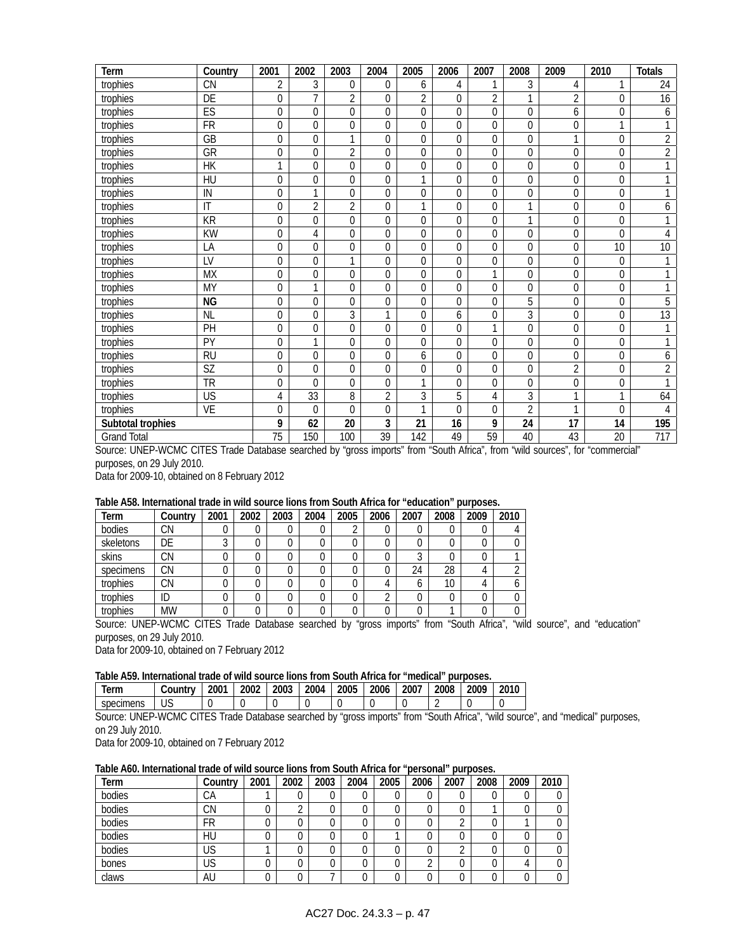| Term               | Country                           | 2001           | 2002           | 2003           | 2004           | 2005           | 2006           | 2007           | 2008           | 2009           | 2010           | <b>Totals</b>  |
|--------------------|-----------------------------------|----------------|----------------|----------------|----------------|----------------|----------------|----------------|----------------|----------------|----------------|----------------|
| trophies           | <b>CN</b>                         | $\overline{2}$ | 3              | 0              | 0              | 6              | 4              | 1              | 3              | 4              | 1              | 24             |
| trophies           | $\overline{DE}$                   | $\overline{0}$ | $\overline{1}$ | $\overline{2}$ | $\Omega$       | $\overline{2}$ | $\Omega$       | $\overline{2}$ |                | $\overline{2}$ | $\mathbf 0$    | 16             |
| trophies           | ES                                | $\mathbf{0}$   | $\mathbf{0}$   | 0              | 0              | 0              | $\mathbf{0}$   | $\mathbf 0$    | $\mathbf 0$    | 6              | 0              | 6              |
| trophies           | <b>FR</b>                         | $\Omega$       | $\overline{0}$ | $\Omega$       | 0              | 0              | $\theta$       | $\Omega$       | $\Omega$       | $\theta$       | $\mathbf{1}$   | 1              |
| trophies           | GB                                | $\mathbf{0}$   | $\mathbf 0$    | 1              | 0              | 0              | $\mathbf 0$    | 0              | 0              | ⅎ              | $\mathbf 0$    | $\overline{2}$ |
| trophies           | $\overline{\overline{\text{GR}}}$ | $\Omega$       | $\mathbf{0}$   | $\overline{2}$ | $\Omega$       | 0              | $\Omega$       | $\mathbf 0$    | 0              | 0              | $\mathbf 0$    | $\overline{2}$ |
| $t$ rophies        | HK                                | $\mathbf{1}$   | $\mathbf{0}$   | $\overline{0}$ | 0              | 0              | $\theta$       | $\mathbf 0$    | $\mathbf 0$    | $\theta$       | $\mathbf 0$    | 1              |
| trophies           | HU                                | $\mathbf{0}$   | $\mathbf{0}$   | 0              | $\Omega$       | 1              | $\theta$       | $\mathbf 0$    | 0              | $\Omega$       | $\mathbf 0$    | 1              |
| trophies           | IN                                | $\Omega$       | 1              | 0              | 0              | 0              | $\theta$       | $\Omega$       | $\mathbf 0$    | $\mathbf 0$    | $\mathbf 0$    | 1              |
| trophies           | $\mathsf{I}\mathsf{T}$            | $\mathbf{0}$   | $\overline{2}$ | $\overline{2}$ | 0              | 1              | $\theta$       | $\mathbf 0$    | 1              | $\Omega$       | $\overline{0}$ | 6              |
| trophies           | KR                                | $\Omega$       | $\mathbf{0}$   | 0              | $\Omega$       | 0              | $\Omega$       | $\Omega$       | 1              | $\theta$       | $\mathbf 0$    | 1              |
| trophies           | <b>KW</b>                         | $\overline{0}$ | $\overline{4}$ | 0              | $\overline{0}$ | $\overline{0}$ | $\overline{0}$ | $\overline{0}$ | $\mathbf 0$    | $\mathbf{0}$   | $\mathbf 0$    | 4              |
| trophies           | LA                                | $\mathbf{0}$   | $\mathbf{0}$   | 0              | 0              | 0              | $\mathbf 0$    | $\mathbf 0$    | $\mathbf 0$    | $\mathbf{0}$   | 10             | 10             |
| trophies           | LV                                | $\Omega$       | $\mathbf{0}$   | 1              | $\Omega$       | 0              | $\theta$       | $\Omega$       | 0              | $\theta$       | $\mathbf 0$    | 1              |
| trophies           | <b>MX</b>                         | $\mathbf{0}$   | $\mathbf{0}$   | 0              | 0              | 0              | $\mathbf 0$    | 1              | 0              | $\overline{0}$ | 0              | 1              |
| trophies           | <b>MY</b>                         | $\Omega$       | 1              | 0              | 0              | 0              | $\Omega$       | $\Omega$       | $\mathbf 0$    | $\Omega$       | $\overline{0}$ | 1              |
| trophies           | ΝG                                | $\mathbf{0}$   | $\mathbf{0}$   | 0              | 0              | 0              | $\mathbf 0$    | $\mathbf 0$    | 5              | $\mathbf 0$    | $\mathbf 0$    | 5              |
| trophies           | <b>NL</b>                         | $\overline{0}$ | $\mathbf 0$    | $\overline{3}$ | $\mathbf{1}$   | $\overline{0}$ | 6              | $\overline{0}$ | $\overline{3}$ | $\overline{0}$ | $\overline{0}$ | 13             |
| trophies           | PH                                | $\mathbf{0}$   | 0              | 0              | 0              | 0              | $\mathbf{0}$   | 1              | 0              | $\mathbf{0}$   | $\overline{0}$ | 1              |
| trophies           | PY                                | $\Omega$       | 1              | 0              | $\Omega$       | $\mathbf 0$    | $\theta$       | $\Omega$       | $\overline{0}$ | $\theta$       | 0              | 1              |
| trophies           | <b>RU</b>                         | $\Omega$       | $\mathbf{0}$   | 0              | 0              | 6              | $\Omega$       | 0              | 0              | $\overline{0}$ | $\mathbf 0$    | 6              |
| trophies           | $\overline{\text{SZ}}$            | $\mathbf{0}$   | $\mathbf{0}$   | 0              | 0              | 0              | $\mathbf{0}$   | $\mathbf 0$    | 0              | $\overline{2}$ | $\mathbf{0}$   | $\overline{2}$ |
| trophies           | $\overline{\text{TR}}$            | $\mathbf{0}$   | $\overline{0}$ | $\Omega$       | 0              | 1              | $\theta$       | $\mathbf 0$    | $\mathbf 0$    | $\mathbf 0$    | $\mathbf 0$    | $\mathbf{1}$   |
| trophies           | <b>US</b>                         | 4              | 33             | 8              | $\overline{2}$ | 3              | 5              | 4              | 3              | 1              | 1              | 64             |
| trophies           | <b>VE</b>                         | $\Omega$       | $\mathbf{0}$   | $\Omega$       | 0              | 1              | $\Omega$       | $\Omega$       | 2              | 1              | $\Omega$       | 4              |
| Subtotal trophies  |                                   | 9              | 62             | 20             | 3              | 21             | 16             | 9              | 24             | 17             | 14             | 195            |
| <b>Grand Total</b> |                                   | 75             | 150            | 100            | 39             | 142            | 49             | 59             | 40             | 43             | 20             | 717            |

Source: UNEP-WCMC CITES Trade Database searched by "gross imports" from "South Africa", from "wild sources", for "commercial" purposes, on 29 July 2010.

Data for 2009-10, obtained on 8 February 2012

### **Table A58. International trade in wild source lions from South Africa for "education" purposes.**

| Term      | Country   | 2001 | 2002 | 2003 | 2004 | 2005 | 2006 | 2007 | 2008 | 2009 | 2010 |
|-----------|-----------|------|------|------|------|------|------|------|------|------|------|
| bodies    | CΝ        |      |      | υ    |      |      |      | 0    |      |      |      |
| skeletons | DE        |      |      |      |      |      |      | 0    |      |      |      |
| skins     | CΝ        |      |      |      |      |      |      | ◠    |      |      |      |
| specimens | CΝ        |      |      |      |      |      |      | 24   | 28   |      |      |
| trophies  | CΝ        |      |      |      |      |      |      | O    | 10   |      |      |
| trophies  | ID        |      |      |      |      |      | ົ    | 0    |      |      |      |
| trophies  | <b>MW</b> |      |      |      |      |      |      | 0    |      |      |      |

Source: UNEP-WCMC CITES Trade Database searched by "gross imports" from "South Africa", "wild source", and "education" purposes, on 29 July 2010.

Data for 2009-10, obtained on 7 February 2012

### **Table A59. International trade of wild source lions from South Africa for "medical" purposes.**

| lerm      | Country: | 2001 | 2002 | 2003 | 2004 | 2005 | 2006 | 2007 | 2008 | 2009 | 2010 |
|-----------|----------|------|------|------|------|------|------|------|------|------|------|
| specimens | ັບ       |      |      |      |      |      |      |      |      |      |      |

Source: UNEP-WCMC CITES Trade Database searched by "gross imports" from "South Africa", "wild source", and "medical" purposes, on 29 July 2010.

Data for 2009-10, obtained on 7 February 2012

#### **Table A60. International trade of wild source lions from South Africa for "personal" purposes.**

| Term   | Country | 2001 | 2002            | 2003 | 2004 | 2005 | 2006       | 2007 | 2008 | 2009 | 2010 |
|--------|---------|------|-----------------|------|------|------|------------|------|------|------|------|
| bodies | CА      |      | υ               |      |      |      |            |      |      |      |      |
| bodies | CΝ      |      | $\sqrt{2}$<br>ے |      |      |      |            |      |      |      |      |
| bodies | FR      |      |                 |      |      |      |            |      |      |      |      |
| bodies | HU      |      | υ               |      |      |      |            |      |      | u    |      |
| bodies | US      |      | 0               |      |      |      |            |      |      | u    |      |
| bones  | US      |      |                 |      |      |      | $\sqrt{2}$ |      |      | 4    |      |
| claws  | AU      |      |                 |      |      |      |            |      |      |      |      |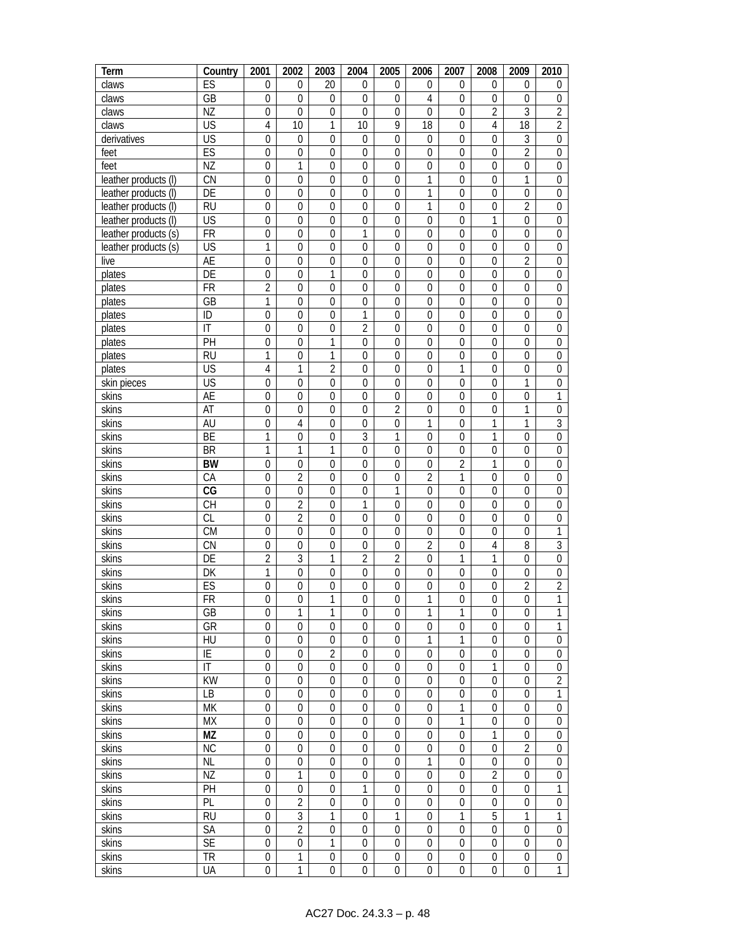| Term                  | Country                      | 2001                            | 2002                           | 2003                         | 2004                             | 2005                            | 2006                                 | 2007                            | 2008                               | 2009                                 | 2010                                 |
|-----------------------|------------------------------|---------------------------------|--------------------------------|------------------------------|----------------------------------|---------------------------------|--------------------------------------|---------------------------------|------------------------------------|--------------------------------------|--------------------------------------|
| claws                 | ES                           | $\mathbf 0$                     | 0                              | 20                           | $\mathbf{0}$                     | $\mathbf{0}$                    | $\mathbf{0}$                         | 0                               | 0                                  | 0                                    | 0                                    |
| claws                 | GB                           | $\mathbf 0$                     | $\mathbf{0}$                   | $\mathbf 0$                  | $\mathbf 0$                      | $\mathbf 0$                     | $\overline{4}$                       | $\mathbf 0$                     | $\mathbf 0$                        | $\boldsymbol{0}$                     | $\boldsymbol{0}$                     |
| claws                 | ΝZ                           | $\overline{0}$                  | 0                              | $\overline{0}$               | $\mathbf 0$                      | $\mathbf{0}$                    | $\mathbf 0$                          | $\overline{0}$                  | $\overline{2}$                     | 3                                    | $\overline{2}$                       |
| claws                 | <b>US</b>                    | $\overline{4}$                  | 10                             | $\mathbf{1}$                 | 10                               | 9                               | $\overline{18}$                      | $\overline{0}$                  | 4                                  | $\overline{18}$                      | $\overline{2}$                       |
| derivatives           | $\overline{\mathsf{US}}$     | $\overline{0}$                  | $\boldsymbol{0}$               | $\overline{0}$               | $\boldsymbol{0}$                 | $\overline{0}$                  | $\mathbf 0$                          | $\boldsymbol{0}$                | $\mathbf 0$                        | 3                                    | $\boldsymbol{0}$                     |
| feet                  | ES                           | $\mathbf 0$                     | $\boldsymbol{0}$               | $\mathbf 0$                  | $\mathbf 0$                      | $\mathbf 0$                     | $\mathbf 0$                          | $\boldsymbol{0}$                | $\mathbf 0$                        | $\overline{2}$                       | $\boldsymbol{0}$                     |
| feet                  | NZ                           | $\mathbf 0$                     | 1                              | $\mathbf{0}$                 | $\boldsymbol{0}$                 | $\boldsymbol{0}$                | $\mathbf 0$                          | $\boldsymbol{0}$                | 0                                  | $\boldsymbol{0}$                     | $\boldsymbol{0}$                     |
| leather products (I)  | CN                           | $\mathbf{0}$                    | $\mathbf 0$                    | $\overline{0}$               | $\mathbf{0}$                     | $\mathbf 0$                     | 1                                    | $\mathbf 0$                     | $\overline{0}$                     | $\mathbf{1}$                         | $\boldsymbol{0}$                     |
| leather products (I)  | DE                           | $\overline{0}$                  | $\boldsymbol{0}$               | $\mathbf 0$                  | $\overline{0}$                   | $\mathbf 0$                     | 1                                    | $\overline{0}$                  | $\overline{0}$                     | $\boldsymbol{0}$                     | $\boldsymbol{0}$                     |
| leather products (I)  | <b>RU</b>                    | $\overline{0}$                  | $\mathbf{0}$                   | $\mathbf 0$                  | $\overline{0}$                   | $\mathbf 0$                     | 1                                    | $\overline{0}$                  | $\mathbf 0$                        | $\overline{2}$                       | $\boldsymbol{0}$                     |
| leather products (I)  | $\overline{\mathsf{US}}$     | $\overline{0}$                  | 0                              | $\overline{0}$               | $\overline{0}$                   | $\overline{0}$                  | $\mathbf 0$                          | $\mathbf 0$                     | 1                                  | $\mathbf{0}$                         | $\boldsymbol{0}$                     |
| leather products (s)  | $\overline{FR}$              | $\overline{0}$                  | $\overline{0}$                 | $\overline{0}$               | 1                                | $\overline{0}$                  | $\mathbf{0}$                         | $\mathbf 0$                     | 0                                  | $\mathbf{0}$                         | $\boldsymbol{0}$                     |
| leather products (s)  | $\overline{\mathsf{US}}$     | $\mathbf{1}$                    | $\mathbf 0$                    | $\overline{0}$               | $\mathbf{0}$                     | $\mathbf 0$                     | $\mathbf 0$                          | $\boldsymbol{0}$                | $\mathbf 0$                        | $\mathbf 0$                          | $\boldsymbol{0}$                     |
| live                  | AE                           | $\mathbf 0$                     | $\boldsymbol{0}$               | $\boldsymbol{0}$             | $\boldsymbol{0}$                 | $\boldsymbol{0}$                | $\boldsymbol{0}$                     | $\mathbf 0$                     | $\mathbf 0$                        | $\overline{2}$                       | $\boldsymbol{0}$                     |
| plates                | DE                           | $\boldsymbol{0}$                | $\boldsymbol{0}$               | 1                            | $\mathbf 0$                      | $\mathbf 0$                     | $\mathbf 0$                          | $\boldsymbol{0}$                | $\mathbf 0$                        | $\boldsymbol{0}$                     | $\boldsymbol{0}$                     |
| plates                | <b>FR</b>                    | $\overline{2}$                  | $\boldsymbol{0}$               | $\boldsymbol{0}$             | 0                                | 0                               | 0                                    | 0                               | 0                                  | $\boldsymbol{0}$                     | 0                                    |
| plates                | GB                           | $\mathbf{1}$                    | 0                              | $\overline{0}$               | $\overline{0}$                   | $\mathbf{0}$                    | $\mathbf{0}$                         | $\boldsymbol{0}$                | $\overline{0}$                     | $\mathbf 0$                          | $\boldsymbol{0}$                     |
| plates                | ID                           | $\boldsymbol{0}$                | $\boldsymbol{0}$               | $\boldsymbol{0}$             | 1                                | $\boldsymbol{0}$                | $\boldsymbol{0}$                     | $\boldsymbol{0}$                | $\boldsymbol{0}$                   | $\boldsymbol{0}$                     | $\boldsymbol{0}$                     |
| plates                | $\overline{\mathsf{I}}$      | $\mathbf 0$                     | $\mathbf 0$                    | $\mathbf{0}$                 | $\overline{2}$                   | $\mathbf 0$                     | $\mathbf 0$                          | $\overline{0}$                  | $\mathbf 0$                        | $\mathbf 0$                          | $\boldsymbol{0}$                     |
| plates                | PH                           | $\boldsymbol{0}$                | $\boldsymbol{0}$               | $\mathbf{1}$<br>$\mathbf{1}$ | $\boldsymbol{0}$                 | $\boldsymbol{0}$                | $\mathbf 0$                          | $\boldsymbol{0}$                | $\boldsymbol{0}$<br>$\overline{0}$ | $\boldsymbol{0}$                     | $\boldsymbol{0}$                     |
| plates                | <b>RU</b><br>US              | 1<br>$\overline{4}$             | 0                              | $\overline{2}$               | $\mathbf{0}$<br>$\boldsymbol{0}$ | $\mathbf 0$<br>$\boldsymbol{0}$ | $\mathbf{0}$<br>$\boldsymbol{0}$     | $\mathbf 0$                     | $\boldsymbol{0}$                   | $\boldsymbol{0}$                     | $\boldsymbol{0}$                     |
| plates<br>skin pieces | $\overline{\mathsf{US}}$     | $\mathbf 0$                     | 1                              | $\boldsymbol{0}$             | $\boldsymbol{0}$                 | $\boldsymbol{0}$                | $\mathbf 0$                          | 1<br>$\boldsymbol{0}$           | $\boldsymbol{0}$                   | $\boldsymbol{0}$<br>$\mathbf{1}$     | $\boldsymbol{0}$<br>$\boldsymbol{0}$ |
| skins                 | AE                           | 0                               | 0<br>0                         | 0                            | 0                                | 0                               | $\boldsymbol{0}$                     | 0                               | $\boldsymbol{0}$                   | $\boldsymbol{0}$                     | $\mathbf{1}$                         |
| skins                 | AT                           | $\mathbf{0}$                    | $\boldsymbol{0}$               | $\mathbf{0}$                 | $\overline{0}$                   | $\overline{2}$                  | 0                                    | $\boldsymbol{0}$                | 0                                  | 1                                    | $\boldsymbol{0}$                     |
| skins                 | AU                           | $\boldsymbol{0}$                | 4                              | $\mathbf 0$                  | $\mathbf 0$                      | $\mathbf 0$                     | 1                                    | $\mathbf 0$                     | 1                                  | 1                                    | $\overline{3}$                       |
| skins                 | BE                           | $\mathbf{1}$                    | $\mathbf 0$                    | $\overline{0}$               | 3                                | 1                               | $\mathbf 0$                          | $\mathbf 0$                     | 1                                  | $\mathbf 0$                          | $\boldsymbol{0}$                     |
| skins                 | <b>BR</b>                    | 1                               | 1                              | 1                            | 0                                | $\boldsymbol{0}$                | $\boldsymbol{0}$                     | $\boldsymbol{0}$                | $\mathbf 0$                        | $\boldsymbol{0}$                     | $\boldsymbol{0}$                     |
| skins                 | <b>BW</b>                    | $\mathbf{0}$                    | $\mathbf 0$                    | $\overline{0}$               | $\mathbf{0}$                     | $\overline{0}$                  | $\mathbf 0$                          | $\overline{2}$                  | 1                                  | $\mathbf 0$                          | $\boldsymbol{0}$                     |
| skins                 | CA                           | $\boldsymbol{0}$                | $\overline{c}$                 | $\boldsymbol{0}$             | $\boldsymbol{0}$                 | $\boldsymbol{0}$                | $\overline{2}$                       | 1                               | $\mathbf 0$                        | $\boldsymbol{0}$                     | $\boldsymbol{0}$                     |
| skins                 | CG                           | $\mathbf 0$                     | $\boldsymbol{0}$               | $\mathbf 0$                  | $\boldsymbol{0}$                 | 1                               | $\mathbf 0$                          | $\boldsymbol{0}$                | $\boldsymbol{0}$                   | $\boldsymbol{0}$                     | $\boldsymbol{0}$                     |
| skins                 | <b>CH</b>                    | $\boldsymbol{0}$                | $\overline{c}$                 | 0                            | 1                                | 0                               | 0                                    | 0                               | 0                                  | $\boldsymbol{0}$                     | 0                                    |
| skins                 | <b>CL</b>                    | $\boldsymbol{0}$                | $\overline{2}$                 | $\mathbf{0}$                 | $\overline{0}$                   | $\mathbf{0}$                    | $\mathbf{0}$                         | $\boldsymbol{0}$                | $\overline{0}$                     | $\mathbf 0$                          | $\boldsymbol{0}$                     |
| skins                 | <b>CM</b>                    | $\boldsymbol{0}$                | $\boldsymbol{0}$               | $\boldsymbol{0}$             | $\mathbf 0$                      | $\boldsymbol{0}$                | $\boldsymbol{0}$                     | $\mathbf 0$                     | $\mathbf 0$                        | $\boldsymbol{0}$                     | 1                                    |
| skins                 | CN                           | $\mathbf 0$                     | $\mathbf 0$                    | $\mathbf{0}$                 | $\boldsymbol{0}$                 | $\mathbf 0$                     | $\overline{2}$                       | $\overline{0}$                  | 4                                  | 8                                    | $\overline{3}$                       |
| skins                 | DE                           | $\overline{c}$                  | 3                              | 1                            | $\overline{2}$                   | $\overline{2}$                  | $\boldsymbol{0}$                     | 1                               | 1                                  | $\boldsymbol{0}$                     | $\boldsymbol{0}$                     |
| skins                 | DK                           | $\mathbf{1}$                    | $\overline{0}$                 | $\mathbf{0}$                 | $\mathbf 0$                      | $\mathbf 0$                     | $\mathbf 0$                          | $\boldsymbol{0}$                | $\boldsymbol{0}$                   | $\pmb{0}$                            | $\boldsymbol{0}$                     |
| skins                 | ES                           | $\boldsymbol{0}$                | 0                              | $\boldsymbol{0}$             | $\mathbf 0$                      | $\boldsymbol{0}$                | $\boldsymbol{0}$                     | $\boldsymbol{0}$                | $\boldsymbol{0}$                   | $\overline{c}$                       | $\overline{2}$                       |
| skins                 | <b>FR</b>                    | $\boldsymbol{0}$                | $\boldsymbol{0}$               | $\mathbf{1}$                 | $\boldsymbol{0}$                 | $\boldsymbol{0}$                | 1                                    | $\boldsymbol{0}$                | $\boldsymbol{0}$                   | $\boldsymbol{0}$                     | $\mathbf{1}$                         |
| skins                 | GB                           | $\overline{0}$                  | 1                              | 1                            | 0                                | $\mathbf{0}$                    | 1                                    | 1                               | 0                                  | $\mathbf 0$                          | 1                                    |
| skins                 | GR                           | $\boldsymbol{0}$                | $\mathbf 0$                    | $\mathbf 0$                  | 0                                | $\mathbf 0$                     | 0                                    | 0                               | 0                                  | $\boldsymbol{0}$                     | 1                                    |
| skins                 | HU                           | $\pmb{0}$                       | $\boldsymbol{0}$               | $\boldsymbol{0}$             | 0                                | $\mathbf 0$                     | 1                                    | 1                               | $\mathbf 0$                        | $\boldsymbol{0}$                     | $\boldsymbol{0}$                     |
| skins                 | $\overline{E}$               | $\mathbf{0}$                    | $\mathbf 0$                    | $\overline{2}$               | $\mathbf 0$                      | $\boldsymbol{0}$                | $\boldsymbol{0}$                     | $\overline{0}$                  | $\boldsymbol{0}$                   | $\boldsymbol{0}$                     | $\boldsymbol{0}$                     |
| skins                 | $\overline{\mathbb{I}}$      | $\mathbf 0$                     | $\overline{0}$                 | $\mathbf 0$                  | 0                                | $\mathbf{0}$                    | $\mathbf 0$                          | $\mathbf 0$                     | 1                                  | $\boldsymbol{0}$                     | $\boldsymbol{0}$                     |
| skins                 | $\overline{KW}$              | $\mathbf{0}$                    | $\boldsymbol{0}$               | $\mathbf{0}$                 | $\boldsymbol{0}$                 | $\mathbf 0$                     | $\boldsymbol{0}$                     | $\mathbf 0$                     | $\mathbf 0$                        | $\boldsymbol{0}$                     | $\overline{2}$                       |
| skins                 | <b>LB</b>                    | $\boldsymbol{0}$                | $\boldsymbol{0}$               | $\mathbf{0}$                 | $\mathbf 0$                      | $\mathbf 0$                     | $\boldsymbol{0}$                     | $\mathbf 0$                     | $\mathbf 0$                        | $\boldsymbol{0}$                     | 1                                    |
| skins                 | <b>MK</b>                    | $\boldsymbol{0}$                | $\boldsymbol{0}$               | $\boldsymbol{0}$             | $\boldsymbol{0}$                 | $\boldsymbol{0}$                | $\boldsymbol{0}$                     | 1                               | $\mathbf 0$                        | $\boldsymbol{0}$                     | $\boldsymbol{0}$                     |
| skins                 | <b>MX</b>                    | $\boldsymbol{0}$                | $\boldsymbol{0}$               | 0                            | 0                                | 0                               | $\boldsymbol{0}$                     | 1                               | $\boldsymbol{0}$                   | $\boldsymbol{0}$                     | $\boldsymbol{0}$                     |
| skins                 | <b>MZ</b>                    | $\boldsymbol{0}$                | $\boldsymbol{0}$               | $\mathbf{0}$                 | $\mathbf 0$                      | $\mathbf 0$                     | $\boldsymbol{0}$                     | $\mathbf 0$                     | 1                                  | $\boldsymbol{0}$                     | $\boldsymbol{0}$                     |
| skins                 | <b>NC</b>                    | $\boldsymbol{0}$                | $\boldsymbol{0}$               | $\overline{0}$               | 0                                | $\overline{0}$                  | $\boldsymbol{0}$                     | $\mathbf 0$                     | $\overline{0}$                     | $\overline{2}$                       | $\boldsymbol{0}$                     |
| skins                 | $\overline{\text{NL}}$       | $\mathbf{0}$                    | $\boldsymbol{0}$               | $\boldsymbol{0}$             | $\mathbf 0$                      | $\boldsymbol{0}$                | 1                                    | $\boldsymbol{0}$                | $\boldsymbol{0}$                   | $\boldsymbol{0}$                     | $\boldsymbol{0}$                     |
| skins                 | ΝZ                           | $\mathbf 0$                     | 1                              | $\mathbf{0}$                 | 0                                | $\boldsymbol{0}$                | $\boldsymbol{0}$                     | $\mathbf 0$                     | $\overline{2}$                     | $\mathbf 0$                          | $\boldsymbol{0}$                     |
| skins                 | PH                           | $\boldsymbol{0}$                | $\mathbf{0}$<br>$\overline{2}$ | $\mathbf{0}$<br>$\mathbf{0}$ | $\mathbf{1}$<br>$\mathbf 0$      | $\mathbf 0$<br>$\mathbf 0$      | $\boldsymbol{0}$<br>$\boldsymbol{0}$ | $\boldsymbol{0}$<br>$\mathbf 0$ | $\boldsymbol{0}$<br>$\mathbf 0$    | $\boldsymbol{0}$                     | 1<br>$\boldsymbol{0}$                |
| skins                 | PL<br><b>RU</b>              | $\mathbf 0$<br>$\boldsymbol{0}$ | 3                              | 1                            | $\boldsymbol{0}$                 | 1                               | $\boldsymbol{0}$                     | 1                               | 5                                  | $\boldsymbol{0}$<br>1                |                                      |
| skins                 |                              |                                 | $\overline{2}$                 |                              |                                  |                                 | $\boldsymbol{0}$                     | $\boldsymbol{0}$                | $\boldsymbol{0}$                   |                                      | 1                                    |
| skins<br>skins        | SA<br>$\overline{\text{SE}}$ | 0<br>$\boldsymbol{0}$           |                                | 0<br>1                       | 0<br>$\boldsymbol{0}$            | 0<br>$\mathbf{0}$               | $\boldsymbol{0}$                     | $\boldsymbol{0}$                | $\boldsymbol{0}$                   | $\boldsymbol{0}$<br>$\boldsymbol{0}$ | $\boldsymbol{0}$<br>$\boldsymbol{0}$ |
| skins                 | <b>TR</b>                    | $\boldsymbol{0}$                | 0<br>$\mathbf{1}$              | $\boldsymbol{0}$             | 0                                | $\boldsymbol{0}$                | $\boldsymbol{0}$                     | $\boldsymbol{0}$                | $\boldsymbol{0}$                   | $\boldsymbol{0}$                     | $\boldsymbol{0}$                     |
| skins                 | UA                           | $\boldsymbol{0}$                | $\mathbf{1}$                   | $\boldsymbol{0}$             | $\mathbf 0$                      | $\boldsymbol{0}$                | $\boldsymbol{0}$                     | $\boldsymbol{0}$                | $\boldsymbol{0}$                   | $\boldsymbol{0}$                     | $\mathbf{1}$                         |
|                       |                              |                                 |                                |                              |                                  |                                 |                                      |                                 |                                    |                                      |                                      |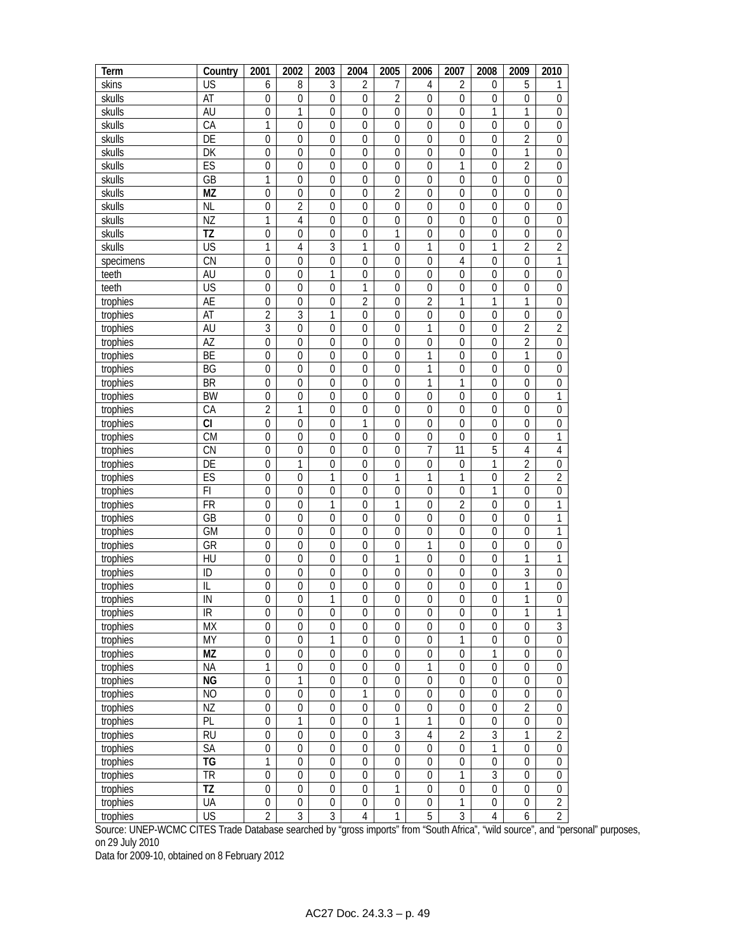| Term      | Country                  | 2001             | 2002             | 2003             | 2004             | 2005             | 2006             | 2007             | 2008             | 2009             | 2010             |
|-----------|--------------------------|------------------|------------------|------------------|------------------|------------------|------------------|------------------|------------------|------------------|------------------|
| skins     | US                       | 6                | 8                | 3                | 2                | 7                | 4                | 2                | 0                | 5                | 1                |
| skulls    | AT                       | $\boldsymbol{0}$ | $\boldsymbol{0}$ | $\mathbf 0$      | $\mathbf 0$      | $\overline{2}$   | $\mathbf{0}$     | $\mathbf 0$      | $\mathbf 0$      | $\overline{0}$   | $\boldsymbol{0}$ |
| skulls    | AU                       | $\overline{0}$   | $\mathbf{1}$     | $\mathbf 0$      | $\mathbf 0$      | $\overline{0}$   | $\mathbf 0$      | $\mathbf 0$      | 1                | 1                | $\mathbf 0$      |
| skulls    | CA                       | 1                | $\overline{0}$   | $\mathbf{0}$     | $\mathbf{0}$     | $\mathbf{0}$     | $\mathbf{0}$     | $\mathbf{0}$     | $\mathbf 0$      | $\overline{0}$   | $\mathbf 0$      |
| skulls    | DE                       | $\overline{0}$   | $\overline{0}$   | $\mathbf{0}$     | $\mathbf{0}$     | $\mathbf{0}$     | 0                | $\mathbf{0}$     | $\mathbf 0$      | $\overline{2}$   | $\boldsymbol{0}$ |
| skulls    | DK                       | $\overline{0}$   | $\boldsymbol{0}$ | $\mathbf 0$      | $\boldsymbol{0}$ | $\overline{0}$   | $\overline{0}$   | $\boldsymbol{0}$ | $\mathbf 0$      | $\mathbf{1}$     | $\overline{0}$   |
| skulls    | ES                       | $\boldsymbol{0}$ | $\boldsymbol{0}$ | $\mathbf 0$      | $\boldsymbol{0}$ | $\overline{0}$   | $\mathbf 0$      | 1                | $\mathbf 0$      | $\overline{2}$   | $\mathbf 0$      |
| skulls    | GB                       | $\mathbf{1}$     | $\boldsymbol{0}$ | $\mathbf 0$      | $\boldsymbol{0}$ | $\boldsymbol{0}$ | $\boldsymbol{0}$ | $\boldsymbol{0}$ | $\mathbf 0$      | $\boldsymbol{0}$ | $\mathbf 0$      |
| skulls    | <b>MZ</b>                | $\mathbf 0$      | $\boldsymbol{0}$ | $\mathbf 0$      | $\mathbf 0$      | $\overline{2}$   | $\overline{0}$   | $\mathbf 0$      | $\mathbf 0$      | $\mathbf 0$      | $\boldsymbol{0}$ |
| skulls    | <b>NL</b>                | $\overline{0}$   | $\overline{2}$   | $\overline{0}$   | $\mathbf 0$      | $\overline{0}$   | $\overline{0}$   | $\mathbf 0$      | $\mathbf 0$      | $\overline{0}$   | $\overline{0}$   |
| skulls    | $\overline{\text{NZ}}$   | 1                | $\overline{4}$   | $\mathbf 0$      | $\mathbf 0$      | $\overline{0}$   | $\mathbf 0$      | $\mathbf 0$      | $\mathbf 0$      | $\overline{0}$   | $\overline{0}$   |
| skulls    | TZ                       | $\pmb{0}$        | $\mathbf 0$      | $\mathbf{0}$     | $\mathbf 0$      | 1                | 0                | $\mathbf 0$      | $\mathbf 0$      | $\mathbf 0$      | $\overline{0}$   |
| skulls    | <b>US</b>                | 1                | $\overline{4}$   | $\overline{3}$   | $\mathbf{1}$     | $\overline{0}$   | 1                | $\mathbf 0$      | 1                | $\overline{2}$   | $\overline{2}$   |
| specimens | $\overline{\text{CN}}$   | $\overline{0}$   | $\mathbf 0$      | $\mathbf 0$      | $\mathbf 0$      | $\overline{0}$   | $\overline{0}$   | $\overline{4}$   | $\mathbf{0}$     | $\overline{0}$   | 1                |
| teeth     | AU                       | $\overline{0}$   | $\boldsymbol{0}$ | 1                | $\boldsymbol{0}$ | $\boldsymbol{0}$ | $\overline{0}$   | $\overline{0}$   | $\overline{0}$   | $\boldsymbol{0}$ | $\overline{0}$   |
| teeth     | $\overline{\mathsf{US}}$ | $\boldsymbol{0}$ | $\boldsymbol{0}$ | $\boldsymbol{0}$ | $\mathbf{1}$     | $\mathbf{0}$     | $\boldsymbol{0}$ | $\boldsymbol{0}$ | $\mathbf 0$      | $\boldsymbol{0}$ | $\boldsymbol{0}$ |
| trophies  | AE                       | $\boldsymbol{0}$ | 0                | $\boldsymbol{0}$ | $\overline{2}$   | 0                | $\overline{2}$   | $\mathbf{1}$     | 1                | $\mathbf{1}$     | $\boldsymbol{0}$ |
| trophies  | AT                       | $\overline{2}$   | $\overline{3}$   | 1                | $\boldsymbol{0}$ | $\mathbf{0}$     | $\mathbf 0$      | $\mathbf 0$      | $\mathbf 0$      | $\mathbf 0$      | $\boldsymbol{0}$ |
| trophies  | AU                       | $\overline{3}$   | $\boldsymbol{0}$ | $\boldsymbol{0}$ | $\boldsymbol{0}$ | $\mathbf 0$      | 1                | $\boldsymbol{0}$ | $\boldsymbol{0}$ | $\overline{2}$   | $\overline{2}$   |
| trophies  | AZ                       | $\overline{0}$   | $\mathbf 0$      | $\mathbf 0$      | $\mathbf 0$      | 0                | $\boldsymbol{0}$ | $\mathbf 0$      | $\mathbf 0$      | $\overline{2}$   | $\boldsymbol{0}$ |
| trophies  | BE                       | $\boldsymbol{0}$ | $\boldsymbol{0}$ | $\boldsymbol{0}$ | $\boldsymbol{0}$ | $\mathbf{0}$     | 1                | $\boldsymbol{0}$ | $\boldsymbol{0}$ | 1                | $\boldsymbol{0}$ |
| trophies  | BG                       | $\pmb{0}$        | $\pmb{0}$        | $\boldsymbol{0}$ | $\boldsymbol{0}$ | $\mathbf 0$      | 1                | $\pmb{0}$        | $\mathbf 0$      | $\mathbf 0$      | $\mathbf 0$      |
| trophies  | <b>BR</b>                | $\boldsymbol{0}$ | $\boldsymbol{0}$ | $\boldsymbol{0}$ | $\boldsymbol{0}$ | $\mathbf 0$      | 1                | $\mathbf{1}$     | $\boldsymbol{0}$ | $\boldsymbol{0}$ | $\boldsymbol{0}$ |
| trophies  | <b>BW</b>                | $\boldsymbol{0}$ | $\boldsymbol{0}$ | $\boldsymbol{0}$ | $\boldsymbol{0}$ | $\boldsymbol{0}$ | $\boldsymbol{0}$ | $\boldsymbol{0}$ | $\mathbf 0$      | $\boldsymbol{0}$ | 1                |
| trophies  | СA                       | $\overline{2}$   | $\mathbf{1}$     | 0                | 0                | 0                | 0                | $\boldsymbol{0}$ | $\boldsymbol{0}$ | 0                | $\boldsymbol{0}$ |
| trophies  | <b>CI</b>                | $\overline{0}$   | $\pmb{0}$        | $\mathbf 0$      | 1                | $\mathbf{0}$     | $\mathbf{0}$     | $\mathbf 0$      | $\mathbf 0$      | $\mathbf 0$      | $\boldsymbol{0}$ |
| trophies  | <b>CM</b>                | $\overline{0}$   | $\pmb{0}$        | $\boldsymbol{0}$ | $\boldsymbol{0}$ | $\mathbf 0$      | $\boldsymbol{0}$ | $\mathbf 0$      | $\boldsymbol{0}$ | $\mathbf 0$      | 1                |
| trophies  | CN                       | $\mathbf 0$      | $\mathbf 0$      | $\mathbf 0$      | $\mathbf 0$      | $\overline{0}$   | 7                | 11               | 5                | $\overline{4}$   | $\overline{4}$   |
| trophies  | DE                       | $\boldsymbol{0}$ | 1                | $\boldsymbol{0}$ | $\mathbf 0$      | $\mathbf{0}$     | $\boldsymbol{0}$ | $\boldsymbol{0}$ | 1                | $\overline{2}$   | $\boldsymbol{0}$ |
| trophies  | ES                       | $\mathbf{0}$     | $\mathbf 0$      | 1                | $\mathbf 0$      | 1                | 1                | 1                | $\mathbf 0$      | $\overline{2}$   | $\overline{2}$   |
| trophies  | F1                       | $\boldsymbol{0}$ | $\boldsymbol{0}$ | $\boldsymbol{0}$ | $\boldsymbol{0}$ | $\mathbf 0$      | $\boldsymbol{0}$ | $\boldsymbol{0}$ | 1                | $\mathbf 0$      | $\boldsymbol{0}$ |
| trophies  | <b>FR</b>                | $\boldsymbol{0}$ | $\boldsymbol{0}$ | 1                | $\boldsymbol{0}$ | 1                | $\boldsymbol{0}$ | $\overline{2}$   | $\mathbf 0$      | $\boldsymbol{0}$ | 1                |
| trophies  | GB                       | $\boldsymbol{0}$ | $\boldsymbol{0}$ | 0                | 0                | 0                | 0                | $\boldsymbol{0}$ | $\boldsymbol{0}$ | $\boldsymbol{0}$ | 1                |
| trophies  | <b>GM</b>                | $\pmb{0}$        | $\boldsymbol{0}$ | $\mathbf 0$      | $\boldsymbol{0}$ | $\mathbf{0}$     | $\boldsymbol{0}$ | $\mathbf 0$      | $\mathbf 0$      | $\mathbf 0$      | $\overline{1}$   |
| trophies  | GR                       | $\overline{0}$   | $\pmb{0}$        | $\boldsymbol{0}$ | $\boldsymbol{0}$ | $\mathbf 0$      | 1                | $\pmb{0}$        | $\boldsymbol{0}$ | $\boldsymbol{0}$ | $\overline{0}$   |
| trophies  | HU                       | 0                | $\mathbf 0$      | $\mathbf 0$      | $\mathbf 0$      | 1                | $\mathbf{0}$     | $\mathbf 0$      | $\mathbf 0$      | 1                | 1                |
| trophies  | ID                       | $\boldsymbol{0}$ | $\boldsymbol{0}$ | $\mathbf 0$      | $\boldsymbol{0}$ | $\boldsymbol{0}$ | $\boldsymbol{0}$ | $\mathbf 0$      | 0                | 3                | $\boldsymbol{0}$ |
| trophies  | $\mathsf{I} \mathsf{L}$  | $\overline{0}$   | $\boldsymbol{0}$ | 0                | $\boldsymbol{0}$ | $\mathbf 0$      | $\mathbf 0$      | $\boldsymbol{0}$ | $\boldsymbol{0}$ | 1                | $\boldsymbol{0}$ |
| trophies  | ${\sf IN}$               | $\boldsymbol{0}$ | $\boldsymbol{0}$ | 1                | $\boldsymbol{0}$ | $\mathbf{0}$     | $\mathbf 0$      | $\boldsymbol{0}$ | $\boldsymbol{0}$ | $\mathbf{1}$     | $\boldsymbol{0}$ |
| trophies  | $\overline{\mathbb{R}}$  | $\overline{0}$   | $\boldsymbol{0}$ | $\overline{0}$   | $\overline{0}$   | $\overline{0}$   | $\overline{0}$   | $\overline{0}$   | $\overline{0}$   | 1                | $\overline{1}$   |
| trophies  | МX                       | $\boldsymbol{0}$ | $\boldsymbol{0}$ | 0                | $\boldsymbol{0}$ | 0                | $\boldsymbol{0}$ | $\boldsymbol{0}$ | $\boldsymbol{0}$ | $\boldsymbol{0}$ | $\overline{3}$   |
| trophies  | MY                       | $\boldsymbol{0}$ | $\boldsymbol{0}$ | 1                | $\boldsymbol{0}$ | $\boldsymbol{0}$ | $\boldsymbol{0}$ | 1                | $\boldsymbol{0}$ | $\mathbf 0$      | $\overline{0}$   |
| trophies  | MZ                       | $\overline{0}$   | $\boldsymbol{0}$ | $\boldsymbol{0}$ | $\boldsymbol{0}$ | $\mathbf 0$      | $\boldsymbol{0}$ | $\pmb{0}$        | 1                | $\mathbf 0$      | $\overline{0}$   |
| trophies  | <b>NA</b>                | $\overline{1}$   | $\overline{0}$   | $\boldsymbol{0}$ | $\boldsymbol{0}$ | $\mathbf 0$      | 1                | $\boldsymbol{0}$ | $\boldsymbol{0}$ | $\overline{0}$   | $\boldsymbol{0}$ |
| trophies  | <b>NG</b>                | $\overline{0}$   | $\mathbf{1}$     | $\mathbf 0$      | $\boldsymbol{0}$ | $\overline{0}$   | $\boldsymbol{0}$ | $\boldsymbol{0}$ | $\boldsymbol{0}$ | $\overline{0}$   | $\boldsymbol{0}$ |
| trophies  | N <sub>O</sub>           | $\overline{0}$   | $\overline{0}$   | $\boldsymbol{0}$ | $\mathbf{1}$     | $\mathbf 0$      | $\boldsymbol{0}$ | $\overline{0}$   | $\boldsymbol{0}$ | $\overline{0}$   | $\boldsymbol{0}$ |
| trophies  | NZ                       | $\overline{0}$   | $\boldsymbol{0}$ | $\boldsymbol{0}$ | $\overline{0}$   | $\overline{0}$   | $\boldsymbol{0}$ | $\overline{0}$   | $\boldsymbol{0}$ | $\overline{2}$   | $\overline{0}$   |
| trophies  | PL                       | $\boldsymbol{0}$ | $\mathbf{1}$     | $\boldsymbol{0}$ | $\boldsymbol{0}$ | $\mathbf{1}$     | 1                | $\boldsymbol{0}$ | $\boldsymbol{0}$ | $\overline{0}$   | $\boldsymbol{0}$ |
| trophies  | <b>RU</b>                | $\boldsymbol{0}$ | $\boldsymbol{0}$ | 0                | $\boldsymbol{0}$ | $\sqrt{3}$       | $\overline{4}$   | $\overline{2}$   | 3                | 1                | $\overline{2}$   |
| trophies  | SA                       | $\boldsymbol{0}$ | $\boldsymbol{0}$ | $\boldsymbol{0}$ | $\boldsymbol{0}$ | $\boldsymbol{0}$ | $\boldsymbol{0}$ | $\boldsymbol{0}$ | 1                | $\overline{0}$   | $\overline{0}$   |
| trophies  | $\overline{\mathsf{TG}}$ | $\overline{1}$   | $\pmb{0}$        | $\boldsymbol{0}$ | $\boldsymbol{0}$ | $\boldsymbol{0}$ | $\boldsymbol{0}$ | $\boldsymbol{0}$ | $\boldsymbol{0}$ | $\overline{0}$   | $\overline{0}$   |
| trophies  | TR                       | $\overline{0}$   | $\mathbf 0$      | $\boldsymbol{0}$ | $\boldsymbol{0}$ | $\boldsymbol{0}$ | $\boldsymbol{0}$ | 1                | $\overline{3}$   | $\overline{0}$   | $\overline{0}$   |
| trophies  | TZ                       | $\boldsymbol{0}$ | $\pmb{0}$        | $\mathbf 0$      | $\mathbf 0$      | 1                | $\boldsymbol{0}$ | $\boldsymbol{0}$ | $\overline{0}$   | $\boldsymbol{0}$ | $\boldsymbol{0}$ |
| trophies  | UA                       | $\boldsymbol{0}$ | $\boldsymbol{0}$ | $\boldsymbol{0}$ | $\boldsymbol{0}$ | $\boldsymbol{0}$ | $\boldsymbol{0}$ | $\mathbf{1}$     | $\boldsymbol{0}$ | $\boldsymbol{0}$ | $\overline{2}$   |
| trophies  | $\overline{\mathsf{US}}$ | $\overline{2}$   | $\overline{3}$   | $\overline{3}$   | $\overline{4}$   | 1                | $\overline{5}$   | $\overline{3}$   | 4                | 6                | $\overline{2}$   |

Source: UNEP-WCMC CITES Trade Database searched by "gross imports" from "South Africa", "wild source", and "personal" purposes, on 29 July 2010

Data for 2009-10, obtained on 8 February 2012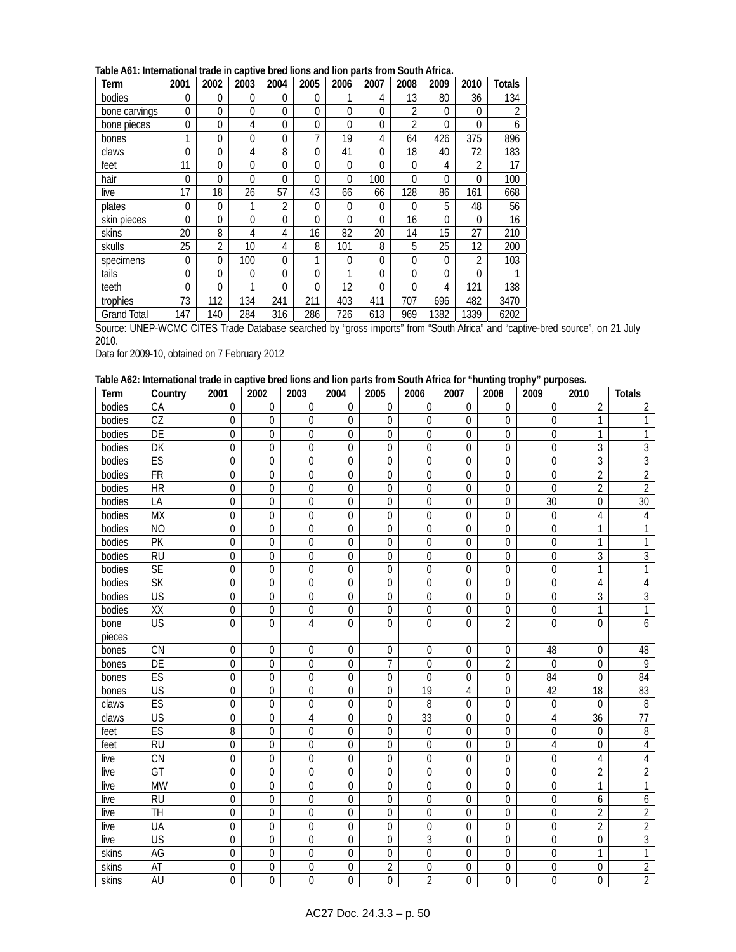| Term               | 2001           | 2002           | 2003     | 2004           | 2005     | 2006         | 2007         | 2008           | 2009     | 2010           | <b>Totals</b> |
|--------------------|----------------|----------------|----------|----------------|----------|--------------|--------------|----------------|----------|----------------|---------------|
| bodies             | 0              | 0              | 0        | $\theta$       | $\Omega$ | 1            | 4            | 13             | 80       | 36             | 134           |
| bone carvings      | 0              | 0              | 0        | $\Omega$       | 0        | 0            | 0            | $\overline{2}$ | 0        | 0              | ำ             |
| bone pieces        | 0              | 0              | 4        | $\Omega$       | 0        | 0            | 0            | $\overline{2}$ | $\Omega$ | $\overline{0}$ | 6             |
| bones              | 1              | 0              | 0        | $\Omega$       | 7        | 19           | 4            | 64             | 426      | 375            | 896           |
| claws              | 0              | 0              | 4        | 8              | 0        | 41           | $\mathbf{0}$ | 18             | 40       | 72             | 183           |
| feet               | 11             | 0              | 0        | $\theta$       | 0        | $\mathbf{0}$ | $\Omega$     | 0              | 4        | $\overline{2}$ | 17            |
| hair               | 0              | $\Omega$       | 0        | $\Omega$       | 0        | 0            | 100          | 0              | $\Omega$ | $\Omega$       | 100           |
| live               | 17             | 18             | 26       | 57             | 43       | 66           | 66           | 128            | 86       | 161            | 668           |
| plates             | 0              | 0              | 1        | $\overline{2}$ | 0        | 0            | $\Omega$     | 0              | 5        | 48             | 56            |
| skin pieces        | 0              | 0              | $\Omega$ | $\Omega$       | 0        | 0            | 0            | 16             | 0        | $\Omega$       | 16            |
| skins              | 20             | 8              | 4        | 4              | 16       | 82           | 20           | 14             | 15       | 27             | 210           |
| skulls             | 25             | $\overline{2}$ | 10       | 4              | 8        | 101          | 8            | 5              | 25       | 12             | 200           |
| specimens          | $\overline{0}$ | $\Omega$       | 100      | $\Omega$       | 1        | 0            | $\Omega$     | $\Omega$       | $\Omega$ | $\overline{2}$ | 103           |
| tails              | 0              | 0              | $\Omega$ | $\theta$       | 0        | 1            | $\Omega$     | $\Omega$       | $\Omega$ | $\overline{0}$ |               |
| teeth              | 0              | 0              | 1        | $\Omega$       | 0        | 12           | 0            | 0              | 4        | 121            | 138           |
| trophies           | 73             | 112            | 134      | 241            | 211      | 403          | 411          | 707            | 696      | 482            | 3470          |
| <b>Grand Total</b> | 147            | 140            | 284      | 316            | 286      | 726          | 613          | 969            | 1382     | 1339           | 6202          |

Source: UNEP-WCMC CITES Trade Database searched by "gross imports" from "South Africa" and "captive-bred source", on 21 July 2010.

Data for 2009-10, obtained on 7 February 2012

### **Table A62: International trade in captive bred lions and lion parts from South Africa for "hunting trophy" purposes.**

| Term   | Country                | 2001        | 2002             | 2003           | 2004           | 2005           | 2006           | 2007        | 2008           | 2009           | 2010           | <b>Totals</b>   |
|--------|------------------------|-------------|------------------|----------------|----------------|----------------|----------------|-------------|----------------|----------------|----------------|-----------------|
| bodies | CA                     | $\mathbf 0$ | $\Omega$         | 0              | 0              | $\mathbf 0$    | $\theta$       | $\theta$    | $\overline{0}$ | $\theta$       | $\overline{2}$ | $\overline{2}$  |
| bodies | $\overline{\text{CZ}}$ | 0           | $\overline{0}$   | 0              | 0              | $\mathbf 0$    | $\mathbf{0}$   | $\theta$    | $\Omega$       | $\theta$       | 1              |                 |
| bodies | DE                     | 0           | $\overline{0}$   | 0              | $\overline{0}$ | $\mathbf 0$    | $\mathbf 0$    | $\Omega$    | $\Omega$       | $\overline{0}$ | 1              |                 |
| bodies | DK                     | 0           | $\Omega$         | 0              | 0              | $\Omega$       | $\Omega$       | $\theta$    | $\Omega$       | 0              | 3              | 3               |
| bodies | ES                     | 0           | $\Omega$         | 0              | 0              | $\Omega$       | $\Omega$       | $\Omega$    | $\Omega$       | $\overline{0}$ | 3              | $\overline{3}$  |
| bodies | <b>FR</b>              | 0           | $\mathbf 0$      | 0              | 0              | $\mathbf 0$    | $\mathbf{0}$   | $\mathbf 0$ | 0              | $\Omega$       | $\overline{2}$ | $\overline{2}$  |
| bodies | <b>HR</b>              | 0           | $\mathbf 0$      | $\Omega$       | $\overline{0}$ | $\Omega$       | $\Omega$       | $\theta$    | $\Omega$       | $\Omega$       | $\overline{2}$ | $\overline{2}$  |
| bodies | LA                     | 0           | $\overline{0}$   | 0              | 0              | $\mathbf 0$    | 0              | $\Omega$    | 0              | 30             | $\mathbf 0$    | $\overline{30}$ |
| bodies | <b>MX</b>              | 0           | $\mathbf 0$      | 0              | 0              | 0              | $\mathbf 0$    | $\Omega$    | $\Omega$       | $\mathbf 0$    | 4              | 4               |
| bodies | <b>NO</b>              | 0           | $\mathbf 0$      | 0              | $\overline{0}$ | $\mathbf 0$    | $\mathbf 0$    | $\mathbf 0$ | 0              | 0              | 1              |                 |
| bodies | PK                     | 0           | $\overline{0}$   | 0              | 0              | $\mathbf 0$    | $\mathbf 0$    | $\theta$    | $\Omega$       | $\theta$       | 1              | 1               |
| bodies | <b>RU</b>              | 0           | $\mathbf 0$      | 0              | 0              | $\mathbf 0$    | $\mathbf 0$    | $\mathbf 0$ | 0              | 0              | $\mathfrak{Z}$ | $\mathfrak{Z}$  |
| bodies | <b>SE</b>              | 0           | $\mathbf 0$      | 0              | $\overline{0}$ | $\mathbf 0$    | $\mathbf{0}$   | $\mathbf 0$ | $\Omega$       | 0              | 1              | 1               |
| bodies | <b>SK</b>              | 0           | $\overline{0}$   | $\theta$       | 0              | $\theta$       | $\mathbf{0}$   | $\Omega$    | $\Omega$       | $\theta$       | 4              | 4               |
| bodies | US                     | 0           | $\overline{0}$   | $\theta$       | 0              | 0              | $\mathbf{0}$   | $\Omega$    | $\theta$       | $\Omega$       | 3              | 3               |
| bodies | XX                     | 0           | 0                | 0              | 0              | $\mathbf 0$    | $\mathbf{0}$   | $\mathbf 0$ | 0              | 0              | 1              | 1               |
| bone   | <b>US</b>              | 0           | $\Omega$         | 4              | 0              | $\theta$       | $\theta$       | $\Omega$    | $\overline{2}$ | $\Omega$       | $\Omega$       | 6               |
| pieces |                        |             |                  |                |                |                |                |             |                |                |                |                 |
| bones  | <b>CN</b>              | 0           | $\mathbf{0}$     | $\mathbf 0$    | 0              | $\mathbf 0$    | $\mathbf 0$    | $\Omega$    | 0              | 48             | $\theta$       | 48              |
| bones  | DE                     | 0           | $\mathbf 0$      | 0              | 0              | 7              | $\mathbf 0$    | 0           | $\overline{2}$ | $\theta$       | $\Omega$       | 9               |
| bones  | ES                     | 0           | $\theta$         | 0              | 0              | $\theta$       | $\theta$       | $\theta$    | $\theta$       | 84             | $\theta$       | 84              |
| bones  | <b>US</b>              | 0           | 0                | 0              | 0              | $\Omega$       | 19             | 4           | 0              | 42             | 18             | 83              |
| claws  | ES                     | 0           | $\Omega$         | 0              | 0              | $\theta$       | 8              | $\theta$    | $\theta$       | 0              | $\Omega$       | $8\,$           |
| claws  | US                     | 0           | $\mathbf 0$      | 4              | 0              | $\theta$       | 33             | $\mathbf 0$ | $\theta$       | 4              | 36             | $\overline{77}$ |
| feet   | ES                     | 8           | $\mathbf 0$      | 0              | 0              | $\theta$       | $\mathbf 0$    | $\Omega$    | $\Omega$       | 0              | $\theta$       | 8               |
| feet   | <b>RU</b>              | 0           | 0                | 0              | 0              | $\mathbf 0$    | $\mathbf 0$    | $\mathbf 0$ | $\theta$       | 4              | $\theta$       | 4               |
| live   | CN                     | 0           | $\mathbf 0$      | 0              | 0              | $\mathbf 0$    | $\mathbf 0$    | 0           | $\Omega$       | 0              | 4              | $\sqrt{4}$      |
| live   | $\overline{GT}$        | 0           | $\Omega$         | $\overline{0}$ | 0              | $\theta$       | $\theta$       | $\Omega$    | $\theta$       | 0              | 2              | $\overline{2}$  |
| live   | <b>MW</b>              | 0           | $\Omega$         | $\Omega$       | 0              | $\theta$       | $\theta$       | $\Omega$    | $\theta$       | $\theta$       | 1              | 1               |
| live   | <b>RU</b>              | 0           | $\mathbf 0$      | 0              | 0              | $\mathbf 0$    | $\mathbf{0}$   | $\mathbf 0$ | $\Omega$       | $\Omega$       | 6              | 6               |
| live   | TH                     | 0           | $\mathbf 0$      | 0              | 0              | $\mathbf 0$    | $\mathbf{0}$   | $\mathbf 0$ | 0              | 0              | $\overline{2}$ | $\overline{2}$  |
| live   | UA                     | 0           | $\overline{0}$   | 0              | 0              | $\theta$       | $\theta$       | $\Omega$    | 0              | $\Omega$       | $\overline{2}$ | $\overline{2}$  |
| live   | US                     | 0           | $\overline{0}$   | 0              | 0              | $\Omega$       | 3              | $\Omega$    | $\Omega$       | $\Omega$       | $\Omega$       | $\sqrt{3}$      |
| skins  | AG                     | 0           | $\boldsymbol{0}$ | 0              | 0              | $\mathbf 0$    | 0              | $\mathbf 0$ | $\mathbf 0$    | 0              | 1              | 1               |
| skins  | AT                     | 0           | $\mathbf{0}$     | 0              | 0              | $\overline{2}$ | 0              | $\mathbf 0$ | 0              | 0              | $\mathbf 0$    | $\overline{2}$  |
| skins  | AU                     | 0           | 0                | 0              | 0              | 0              | $\overline{2}$ | $\theta$    | $\overline{0}$ | $\overline{0}$ | $\Omega$       | $\overline{2}$  |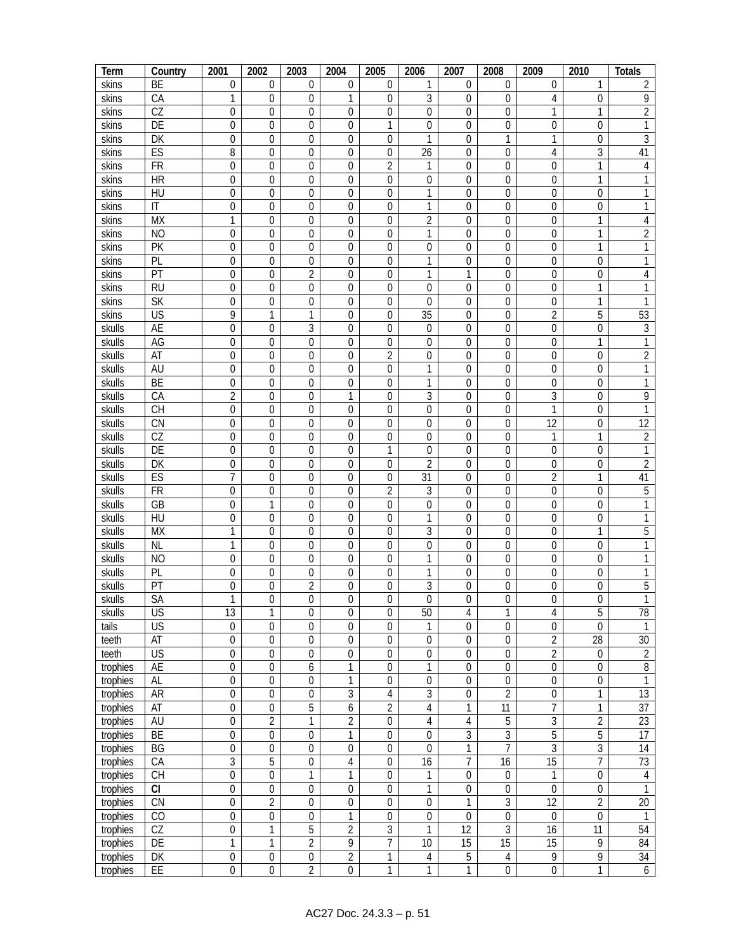| Term     | Country                  | 2001             | 2002             | 2003             | 2004             | 2005             | 2006             | 2007             | 2008             | 2009             | 2010             | <b>Totals</b>   |
|----------|--------------------------|------------------|------------------|------------------|------------------|------------------|------------------|------------------|------------------|------------------|------------------|-----------------|
| skins    | BE                       | $\mathbf{0}$     | 0                | 0                | 0                | 0                | 1                | 0                | 0                | 0                |                  | 2               |
| skins    | CA                       | 1                | 0                | 0                | 1                | 0                | 3                | 0                | 0                | 4                | 0                | 9               |
| skins    | $\overline{CZ}$          | 0                | $\mathbf{0}$     | $\mathbf 0$      | $\overline{0}$   | $\overline{0}$   | $\mathbf{0}$     | 0                | 0                | 1                | 1                | $\sqrt{2}$      |
| skins    | DE                       | $\boldsymbol{0}$ | 0                | 0                | $\boldsymbol{0}$ | 1                | 0                | 0                | 0                | 0                | 0                | 1               |
| skins    | DK                       | 0                | $\mathbf{0}$     | $\mathbf 0$      | 0                | 0                | 1                | 0                | 1                | 1                | 0                | 3               |
| skins    | ES                       | 8                | 0                | 0                | 0                | 0                | 26               | 0                | 0                | 4                | 3                | 41              |
| skins    | <b>FR</b>                | 0                | $\mathbf{0}$     | 0                | $\overline{0}$   | $\overline{2}$   | 1                | 0                | 0                | $\mathbf{0}$     | 1                | 4               |
| skins    | <b>HR</b>                | 0                | 0                | 0                | 0                | 0                | 0                | 0                | 0                | 0                | 1                | 1               |
| skins    | HU                       | $\mathbf 0$      | $\mathbf{0}$     | $\mathbf 0$      | $\mathbf 0$      | 0                | 1                | 0                | 0                | $\mathbf 0$      | $\mathbf 0$      | 1               |
|          | $\mathsf{I}\mathsf{T}$   |                  |                  | $\boldsymbol{0}$ |                  |                  | 1                |                  |                  | $\mathbf{0}$     |                  | 1               |
| skins    |                          | 0                | 0                |                  | 0                | 0                |                  | 0                | 0                |                  | 0<br>1           |                 |
| skins    | <b>MX</b>                | 1                | $\overline{0}$   | $\mathbf 0$      | 0                | $\overline{0}$   | $\overline{2}$   | 0                | 0                | $\mathbf{0}$     |                  | 4               |
| skins    | N <sub>O</sub>           | $\boldsymbol{0}$ | 0                | 0                | 0                | 0                | 1                | 0                | 0                | 0                | 1                | $\overline{c}$  |
| skins    | PK                       | 0                | $\mathbf 0$      | $\mathbf 0$      | 0                | 0                | 0                | 0                | 0                | 0                | 1                | 1               |
| skins    | PL                       | 0                | 0                | 0                | 0                | 0                | 1                | 0                | 0                | 0                | 0                | 1               |
| skins    | $\overline{PT}$          | $\mathbf 0$      | $\mathbf 0$      | $\overline{2}$   | $\mathbf 0$      | $\mathbf 0$      | 1                | 1                | 0                | $\mathbf 0$      | $\mathbf 0$      | 4               |
| skins    | <b>RU</b>                | 0                | $\mathbf 0$      | 0                | $\boldsymbol{0}$ | 0                | $\mathbf 0$      | 0                | 0                | $\mathbf 0$      | 1                | 1               |
| skins    | <b>SK</b>                | 0                | $\mathbf 0$      | $\mathbf 0$      | $\boldsymbol{0}$ | 0                | $\mathbf 0$      | 0                | 0                | $\mathbf 0$      | 1                | 1               |
| skins    | $\overline{\mathsf{US}}$ | 9                | 1                | 1                | $\boldsymbol{0}$ | $\mathbf 0$      | $\overline{35}$  | $\overline{0}$   | 0                | $\overline{2}$   | 5                | 53              |
| skulls   | <b>AE</b>                | $\boldsymbol{0}$ | $\overline{0}$   | 3                | $\boldsymbol{0}$ | 0                | 0                | $\mathbf 0$      | 0                | $\mathbf{0}$     | $\mathbf{0}$     | $\sqrt{3}$      |
| skulls   | AG                       | 0                | $\mathbf 0$      | $\mathbf 0$      | 0                | 0                | 0                | $\boldsymbol{0}$ | 0                | $\mathbf{0}$     | 1                | $\mathbf{1}$    |
| skulls   | AT                       | 0                | $\mathbf 0$      | $\mathbf 0$      | 0                | $\overline{2}$   | 0                | 0                | 0                | $\mathbf 0$      | 0                | $\overline{2}$  |
| skulls   | AU                       | 0                | $\mathbf 0$      | $\mathbf 0$      | 0                | 0                | 1                | 0                | 0                | 0                | 0                | 1               |
| skulls   | BE                       | 0                | $\overline{0}$   | $\mathbf 0$      | 0                | 0                | 1                | 0                | 0                | 0                | $\theta$         | 1               |
| skulls   | CA                       | $\overline{2}$   | $\mathbf 0$      | $\mathbf 0$      | 1                | 0                | 3                | $\mathbf 0$      | 0                | 3                | 0                | 9               |
| skulls   | CH                       | 0                | 0                | $\mathbf 0$      | $\boldsymbol{0}$ | 0                | $\boldsymbol{0}$ | 0                | 0                | 1                | 0                | $\mathbf{1}$    |
| skulls   | CN                       | $\boldsymbol{0}$ | $\mathbf 0$      | $\overline{0}$   | $\boldsymbol{0}$ | $\mathbf 0$      | $\boldsymbol{0}$ | $\mathbf 0$      | 0                | $\overline{12}$  | $\mathbf{0}$     | $\overline{12}$ |
| skulls   | $\overline{CZ}$          | 0                | $\mathbf 0$      | $\mathbf 0$      | $\boldsymbol{0}$ | 0                | $\mathbf{0}$     | $\boldsymbol{0}$ | 0                | 1                | 1                | $\sqrt{2}$      |
| skulls   | DE                       | 0                | $\overline{0}$   | $\mathbf 0$      | 0                | 1                | 0                | 0                | 0                | $\mathbf 0$      | $\mathbf 0$      | $\mathbf{1}$    |
| skulls   | DK                       | 0                | 0                | $\mathbf 0$      | 0                | 0                | $\overline{2}$   | 0                | 0                | $\theta$         | 0                | $\overline{2}$  |
| skulls   | ES                       | 7                | 0                | $\mathbf 0$      | 0                | 0                | 31               | 0                | 0                | $\overline{2}$   | 1                | 41              |
|          | <b>FR</b>                |                  | $\overline{0}$   |                  | 0                | $\overline{2}$   |                  | 0                |                  | $\mathbf{0}$     |                  | $\overline{5}$  |
| skulls   | $\overline{GB}$          | 0                | 1                | 0                |                  |                  | 3                |                  | 0                |                  | 0                | $\mathbf{1}$    |
| skulls   |                          | $\boldsymbol{0}$ |                  | $\mathbf 0$      | $\boldsymbol{0}$ | 0                | $\mathbf 0$      | 0                | 0                | $\mathbf 0$      | $\mathbf 0$      |                 |
| skulls   | HU                       | $\boldsymbol{0}$ | 0                | 0                | $\boldsymbol{0}$ | 0                | 1                | $\mathbf 0$      | 0                | $\mathbf 0$      | 0                | $\mathbf{1}$    |
| skulls   | <b>MX</b>                | $\mathbf{1}$     | $\boldsymbol{0}$ | $\mathbf 0$      | $\boldsymbol{0}$ | $\mathbf 0$      | 3                | $\overline{0}$   | 0                | $\mathbf{0}$     | 1                | $\overline{5}$  |
| skulls   | <b>NL</b>                | $\mathbf{1}$     | $\boldsymbol{0}$ | $\boldsymbol{0}$ | $\boldsymbol{0}$ | 0                | $\boldsymbol{0}$ | $\mathbf 0$      | 0                | $\mathbf{0}$     | $\mathbf 0$      | $\mathbf{1}$    |
| skulls   | N <sub>O</sub>           | 0                | $\mathbf 0$      | $\mathbf 0$      | 0                | 0                | 1                | 0                | 0                | $\mathbf{0}$     | $\mathbf 0$      | $\mathbf{1}$    |
| skulls   | PL                       | $\boldsymbol{0}$ | $\boldsymbol{0}$ | 0                | 0                | 0                | 1                | $\boldsymbol{0}$ | 0                | $\mathbf{0}$     | 0                | $\mathbf{1}$    |
| skulls   | PT                       | $\boldsymbol{0}$ | 0                | 2                | 0                | 0                | 3                | 0                | 0                | 0                | $\mathbf 0$      | 5               |
| skulls   | <b>SA</b>                | $\mathbf{1}$     | $\Omega$         | $\Omega$         | $\Omega$         | $\Omega$         | $\Omega$         | $\boldsymbol{0}$ | $\overline{0}$   | $\Omega$         | $\overline{0}$   | 1               |
| skulls   | $\overline{\mathsf{US}}$ | $\overline{13}$  | 1                | $\mathbf{0}$     | 0                | $\mathbf 0$      | 50               | 4                | 1                | 4                | 5                | 78              |
| tails    | US                       | $\boldsymbol{0}$ | 0                | $\boldsymbol{0}$ | 0                | 0                | 1                | 0                | $\overline{0}$   | $\boldsymbol{0}$ | $\mathbf 0$      | 1               |
| teeth    | <b>AT</b>                | $\mathbf 0$      | $\boldsymbol{0}$ | $\mathbf 0$      | $\boldsymbol{0}$ | 0                | $\boldsymbol{0}$ | 0                | $\overline{0}$   | $\overline{2}$   | $\overline{28}$  | 30              |
| teeth    | US                       | $\boldsymbol{0}$ | $\boldsymbol{0}$ | $\boldsymbol{0}$ | $\boldsymbol{0}$ | $\boldsymbol{0}$ | $\boldsymbol{0}$ | $\mathbf 0$      | 0                | $\overline{2}$   | $\boldsymbol{0}$ | $\overline{2}$  |
| trophies | AE                       | $\boldsymbol{0}$ | $\boldsymbol{0}$ | 6                | 1                | $\boldsymbol{0}$ | 1                | $\boldsymbol{0}$ | $\boldsymbol{0}$ | $\boldsymbol{0}$ | 0                | $\, 8$          |
| trophies | AL                       | $\boldsymbol{0}$ | $\boldsymbol{0}$ | $\boldsymbol{0}$ | $\mathbf{1}$     | 0                | $\boldsymbol{0}$ | $\boldsymbol{0}$ | 0                | $\boldsymbol{0}$ | $\boldsymbol{0}$ | $\mathbf{1}$    |
| trophies | AR                       | $\boldsymbol{0}$ | $\boldsymbol{0}$ | $\boldsymbol{0}$ | 3                | $\sqrt{4}$       | 3                | 0                | $\overline{2}$   | $\boldsymbol{0}$ | 1                | $\overline{13}$ |
| trophies | AT                       | 0                | 0                | 5                | 6                | $\overline{2}$   | 4                | 1                | 11               | 7                | 1                | 37              |
| trophies | AU                       | 0                | $\overline{2}$   | 1                | $\overline{2}$   | 0                | 4                | $\overline{4}$   | $\overline{5}$   | $\overline{3}$   | $\overline{2}$   | $\overline{23}$ |
| trophies | <b>BE</b>                | $\boldsymbol{0}$ | $\boldsymbol{0}$ | $\boldsymbol{0}$ | $\mathbf{1}$     | $\boldsymbol{0}$ | $\boldsymbol{0}$ | 3                | $\overline{3}$   | 5                | 5                | 17              |
| trophies | BG                       | $\boldsymbol{0}$ | $\boldsymbol{0}$ | $\mathbf 0$      | $\overline{0}$   | 0                | 0                | 1                | $\overline{7}$   | $\overline{3}$   | 3                | 14              |
| trophies | CA                       | 3                | 5                | $\boldsymbol{0}$ | 4                | $\boldsymbol{0}$ | 16               | 7                | 16               | $\overline{15}$  | $\overline{7}$   | 73              |
| trophies | CH                       | $\boldsymbol{0}$ | $\boldsymbol{0}$ | 1                | 1                | $\boldsymbol{0}$ | 1                | $\boldsymbol{0}$ | $\boldsymbol{0}$ | $\mathbf{1}$     | 0                | 4               |
| trophies | CI                       | 0                | $\boldsymbol{0}$ | $\boldsymbol{0}$ | $\boldsymbol{0}$ | 0                | 1                | $\boldsymbol{0}$ | 0                | $\boldsymbol{0}$ | $\boldsymbol{0}$ | $\mathbf{1}$    |
| trophies | CN                       | $\boldsymbol{0}$ | $\overline{2}$   |                  | $\boldsymbol{0}$ |                  |                  | 1                | 3                | 12               | $\overline{2}$   | 20              |
|          |                          |                  |                  | 0                |                  | 0                | 0                |                  |                  |                  |                  |                 |
| trophies | CO                       | 0                | 0                | 0                | 1                | 0                | 0                | 0                | 0                | $\boldsymbol{0}$ | 0                | 1               |
| trophies | CZ                       | $\boldsymbol{0}$ | 1                | 5                | $\overline{2}$   | $\overline{3}$   | 1                | $\overline{12}$  | $\overline{3}$   | 16               | 11               | 54              |
| trophies | DE                       | $\mathbf{1}$     | $\mathbf{1}$     | $\overline{2}$   | 9                | $\overline{7}$   | 10               | $\overline{15}$  | $\overline{15}$  | $\overline{15}$  | 9                | 84              |
| trophies | DK                       | $\boldsymbol{0}$ | $\boldsymbol{0}$ | $\overline{0}$   | $\overline{2}$   | 1                | 4                | 5                | $\overline{4}$   | 9                | 9                | 34              |
| trophies | EE                       | $\boldsymbol{0}$ | $\boldsymbol{0}$ | $\overline{2}$   | $\mathbf 0$      | 1                | 1                | 1                | $\boldsymbol{0}$ | $\boldsymbol{0}$ | 1                | 6               |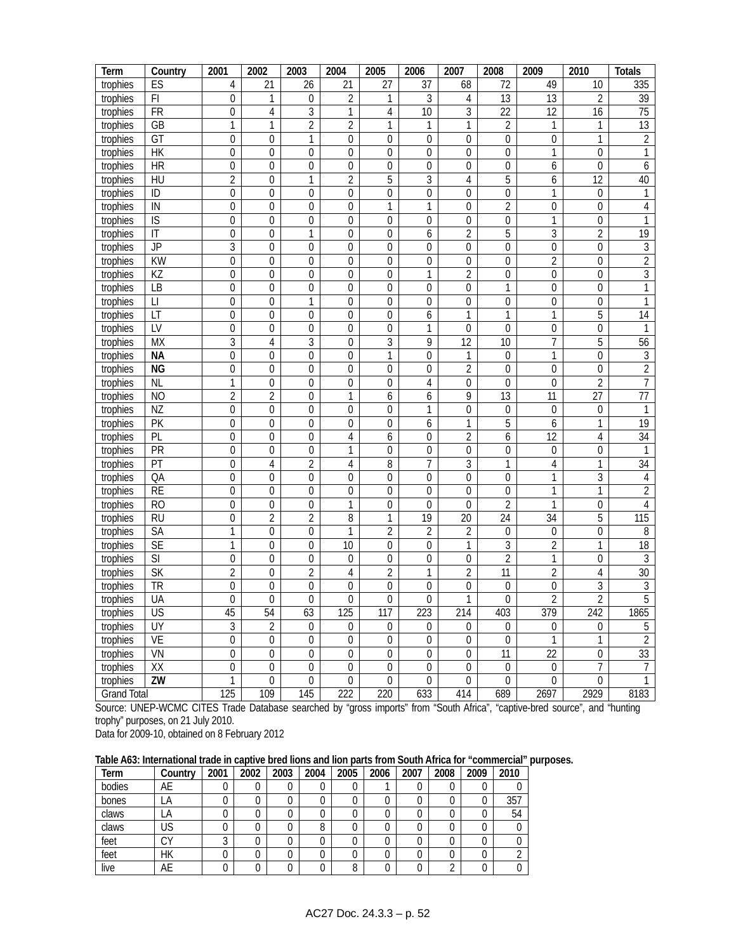| Term               | Country                 | 2001             | 2002             | 2003             | 2004             | 2005             | 2006             | 2007             | 2008             | 2009             | 2010             | <b>Totals</b>   |
|--------------------|-------------------------|------------------|------------------|------------------|------------------|------------------|------------------|------------------|------------------|------------------|------------------|-----------------|
| trophies           | ES                      | 4                | 21               | 26               | 21               | 27               | 37               | 68               | 72               | 49               | 10               | 335             |
| trophies           | F1                      | $\boldsymbol{0}$ | 1                | 0                | $\overline{2}$   | 1                | 3                | 4                | 13               | $\overline{13}$  | $\overline{2}$   | 39              |
| trophies           | <b>FR</b>               | $\mathbf 0$      | 4                | 3                | 1                | 4                | $\overline{10}$  | 3                | $\overline{22}$  | 12               | 16               | $\overline{75}$ |
| trophies           | GB                      | 1                | 1                | $\overline{2}$   | $\overline{2}$   | 1                | 1                | 1                | $\overline{2}$   | 1                | 1                | 13              |
| trophies           | GT                      | $\boldsymbol{0}$ | $\mathbf 0$      | 1                | 0                | 0                | $\boldsymbol{0}$ | $\boldsymbol{0}$ | $\mathbf 0$      | 0                | 1                | $\overline{2}$  |
| trophies           | HK                      | 0                | 0                | $\mathbf{0}$     | 0                | 0                | 0                | 0                | 0                | 1                | 0                | $\mathbf{1}$    |
| trophies           | <b>HR</b>               | 0                | 0                | 0                | 0                | 0                | 0                | 0                | 0                | 6                | 0                | 6               |
| trophies           | HU                      | $\overline{2}$   | 0                | 1                | $\overline{2}$   | 5                | 3                | 4                | 5                | 6                | $\overline{12}$  | 40              |
| trophies           | ID                      | $\boldsymbol{0}$ | $\mathbf 0$      | $\boldsymbol{0}$ | 0                | $\boldsymbol{0}$ | $\overline{0}$   | 0                | $\overline{0}$   | 1                | 0                | 1               |
| trophies           | IN                      | $\mathbf 0$      | 0                | $\mathbf 0$      | 0                | 1                | 1                | 0                | $\overline{2}$   | $\mathbf 0$      | $\mathbf 0$      | $\overline{4}$  |
| trophies           | $\overline{S}$          | $\boldsymbol{0}$ | $\boldsymbol{0}$ | $\mathbf 0$      | 0                | $\boldsymbol{0}$ | $\mathbf 0$      | 0                | $\mathbf 0$      | 1                | $\boldsymbol{0}$ | $\mathbf{1}$    |
| trophies           | $\mathsf{I}\mathsf{T}$  | 0                | 0                | 1                | 0                | 0                | 6                | $\overline{2}$   | 5                | 3                | $\overline{2}$   | $\overline{19}$ |
| trophies           | <b>JP</b>               | 3                | 0                | $\mathbf 0$      | 0                | 0                | $\mathbf 0$      | $\boldsymbol{0}$ | $\mathbf 0$      | $\boldsymbol{0}$ | 0                | 3               |
| trophies           | <b>KW</b>               | 0                | $\theta$         | $\theta$         | 0                | 0                | 0                | 0                | 0                | 2                | 0                | $\overline{2}$  |
| trophies           | KZ                      | 0                | 0                | 0                | 0                | 0                | 1                | 2                | 0                | $\mathbf 0$      | 0                | $\overline{3}$  |
| trophies           | <b>LB</b>               | $\boldsymbol{0}$ | $\mathbf 0$      | $\mathbf 0$      | $\overline{0}$   | $\mathbf 0$      | $\mathbf 0$      | 0                | 1                | $\mathbf 0$      | 0                | $\overline{1}$  |
| trophies           | $\lfloor \, \rfloor$    | $\boldsymbol{0}$ | $\mathbf 0$      | 1                | $\overline{0}$   | $\mathbf 0$      | $\boldsymbol{0}$ | 0                | 0                | $\mathbf 0$      | $\boldsymbol{0}$ | $\mathbf{1}$    |
| trophies           | LT                      | $\boldsymbol{0}$ | $\boldsymbol{0}$ | $\boldsymbol{0}$ | $\mathbf 0$      | $\mathbf 0$      | 6                | 1                | 1                | 1                | 5                | $\overline{14}$ |
| trophies           | LV                      | $\overline{0}$   | $\overline{0}$   | $\overline{0}$   | 0                | $\boldsymbol{0}$ | 1                | $\boldsymbol{0}$ | $\overline{0}$   | $\boldsymbol{0}$ | $\mathbf{0}$     | $\mathbf{1}$    |
| trophies           | <b>MX</b>               | 3                | 4                | 3                | 0                | 3                | 9                | $\overline{12}$  | 10               | $\overline{7}$   | 5                | 56              |
| trophies           | <b>NA</b>               | $\boldsymbol{0}$ | 0                | $\mathbf 0$      | 0                | 1                | $\mathbf 0$      | 1                | 0                | $\mathbf{1}$     | $\mathbf 0$      | $\mathfrak{Z}$  |
| trophies           | <b>NG</b>               | $\boldsymbol{0}$ | 0                | $\mathbf 0$      | 0                | 0                | $\boldsymbol{0}$ | 2                | 0                | $\mathbf 0$      | 0                | $\overline{2}$  |
| trophies           | <b>NL</b>               | 1                | 0                | $\mathbf 0$      | 0                | 0                | 4                | 0                | 0                | $\mathbf 0$      | $\overline{2}$   | $\overline{7}$  |
| trophies           | N <sub>O</sub>          | $\overline{2}$   | $\overline{2}$   | $\mathbf 0$      | 1                | 6                | 6                | 9                | $\overline{13}$  | 11               | 27               | $\overline{77}$ |
| trophies           | NZ                      | $\overline{0}$   | $\mathbf 0$      | $\mathbf 0$      | $\mathbf 0$      | $\mathbf 0$      | $\mathbf{1}$     | 0                | $\mathbf 0$      | $\mathbf 0$      | $\mathbf 0$      | $\mathbf{1}$    |
| trophies           | PK                      | $\boldsymbol{0}$ | 0                | 0                | 0                | $\mathbf 0$      | 6                | 1                | 5                | 6                | 1                | 19              |
| trophies           | PL                      | $\mathbf 0$      | 0                | $\overline{0}$   | $\overline{4}$   | 6                | $\mathbf 0$      | $\overline{2}$   | 6                | $\overline{12}$  | $\overline{4}$   | $\overline{34}$ |
| trophies           | PR                      | $\boldsymbol{0}$ | 0                | $\mathbf 0$      | 1                | 0                | $\mathbf 0$      | $\mathbf 0$      | 0                | $\mathbf{0}$     | $\boldsymbol{0}$ | 1               |
| trophies           | PT                      | 0                | $\overline{4}$   | $\overline{2}$   | 4                | 8                | $\overline{7}$   | 3                | 1                | 4                | 1                | $\overline{34}$ |
| trophies           | QA                      | 0                | 0                | $\mathbf 0$      | 0                | 0                | $\mathbf 0$      | 0                | 0                | 1                | 3                | $\overline{4}$  |
| trophies           | <b>RE</b>               | 0                | 0                | $\mathbf 0$      | 0                | 0                | $\mathbf 0$      | 0                | 0                | 1                | 1                | $\overline{2}$  |
| trophies           | R <sub>O</sub>          | $\boldsymbol{0}$ | 0                | $\mathbf 0$      | 1                | 0                | $\mathbf 0$      | $\Omega$         | $\overline{2}$   | 1                | 0                | $\overline{4}$  |
| trophies           | <b>RU</b>               | $\mathbf 0$      | $\overline{2}$   | $\overline{2}$   | $\overline{8}$   | 1                | $\overline{19}$  | $\overline{20}$  | $\overline{24}$  | $\overline{34}$  | 5                | 115             |
| trophies           | SA                      | $\mathbf{1}$     | $\boldsymbol{0}$ | $\boldsymbol{0}$ | 1                | $\overline{2}$   | $\overline{2}$   | $\overline{2}$   | $\mathbf 0$      | $\boldsymbol{0}$ | $\boldsymbol{0}$ | $\, 8$          |
| trophies           | <b>SE</b>               | 1                | $\boldsymbol{0}$ | $\overline{0}$   | $\overline{10}$  | 0                | $\overline{0}$   | 1                | $\overline{3}$   | $\overline{2}$   | 1                | $\overline{18}$ |
| trophies           | $\overline{\mathsf{S}}$ | $\boldsymbol{0}$ | $\mathbf 0$      | $\mathbf 0$      | 0                | 0                | $\mathbf 0$      | $\mathbf 0$      | $\overline{2}$   | 1                | $\mathbf{0}$     | $\sqrt{3}$      |
| trophies           | <b>SK</b>               | $\overline{2}$   | 0                | $\overline{2}$   | 4                | $\overline{2}$   | 1                | $\overline{2}$   | 11               | $\overline{2}$   | 4                | 30              |
| trophies           | $\overline{\text{TR}}$  | 0                | 0                | 0                | 0                | 0                | $\mathbf 0$      | 0                | $\mathbf 0$      | $\boldsymbol{0}$ | 3                | $\mathfrak{Z}$  |
| trophies           | UA                      | 0                | $\overline{0}$   | 0                | 0                | 0                | 0                | 1                | 0                | $\overline{2}$   | $\overline{2}$   | $\overline{5}$  |
| trophies           | US                      | 45               | 54               | 63               | $\overline{125}$ | 117              | 223              | 214              | 403              | 379              | 242              | 1865            |
| trophies           | UY                      | $\overline{3}$   | $\overline{2}$   | $\boldsymbol{0}$ | 0                | $\boldsymbol{0}$ | $\mathbf 0$      | $\mathbf{0}$     | $\boldsymbol{0}$ | 0                | $\boldsymbol{0}$ | 5               |
| trophies           | <b>VE</b>               | $\boldsymbol{0}$ | $\boldsymbol{0}$ | $\boldsymbol{0}$ | $\boldsymbol{0}$ | $\boldsymbol{0}$ | $\boldsymbol{0}$ | $\boldsymbol{0}$ | $\boldsymbol{0}$ | $\mathbf{1}$     | 1                | $\overline{2}$  |
| trophies           | VN                      | $\boldsymbol{0}$ | 0                | $\boldsymbol{0}$ | 0                | $\boldsymbol{0}$ | $\boldsymbol{0}$ | $\boldsymbol{0}$ | 11               | $\overline{22}$  | $\boldsymbol{0}$ | 33              |
| trophies           | XX                      | 0                | 0                | $\boldsymbol{0}$ | 0                | $\boldsymbol{0}$ | 0                | 0                | $\boldsymbol{0}$ | $\boldsymbol{0}$ | 7                | 7               |
| trophies           | ZW                      | 1                | $\boldsymbol{0}$ | $\boldsymbol{0}$ | 0                | $\mathbf 0$      | $\boldsymbol{0}$ | $\boldsymbol{0}$ | $\boldsymbol{0}$ | $\boldsymbol{0}$ | $\mathbf 0$      | $\mathbf{1}$    |
| <b>Grand Total</b> |                         | 125              | 109              | 145              | 222              | 220              | 633              | 414              | 689              | 2697             | 2929             | 8183            |

Source: UNEP-WCMC CITES Trade Database searched by "gross imports" from "South Africa", "captive-bred source", and "hunting trophy" purposes, on 21 July 2010.

Data for 2009-10, obtained on 8 February 2012

### **Table A63: International trade in captive bred lions and lion parts from South Africa for "commercial" purposes.**

| Term   | Country | 2001 | 2002 | 2003 | 2004 | 2005 | 2006 | 2007 | 2008 | 2009 | 2010 |
|--------|---------|------|------|------|------|------|------|------|------|------|------|
| bodies | AE      | υ    | U    |      |      |      |      |      |      |      |      |
| bones  | LA      |      |      |      |      |      | 0    |      |      |      | 357  |
| claws  | LA      |      |      |      |      |      | 0    |      |      |      | 54   |
| claws  | US      |      | 0    |      | 8    |      | 0    |      |      |      |      |
| feet   | CΥ      | ົ    |      |      |      |      | 0    |      |      |      |      |
| feet   | HК      |      | 0    |      |      |      | 0    |      |      |      |      |
| live   | AE      |      | 0    |      |      | 8    | 0    |      |      |      |      |